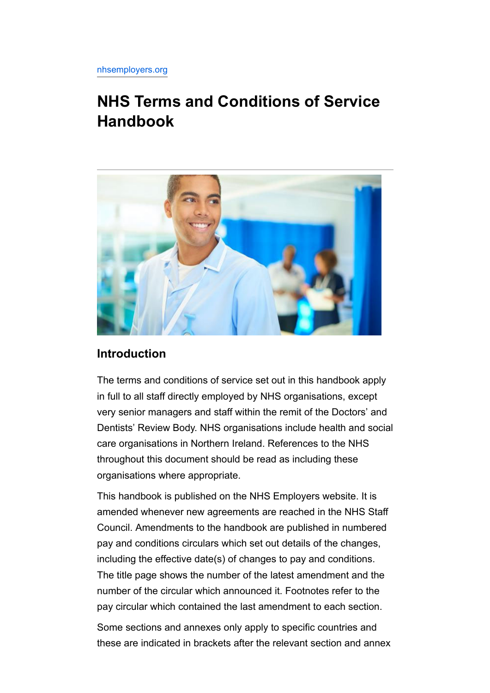# **NHS Terms and Conditions of Service Handbook**



# **Introduction**

The terms and conditions of service set out in this handbook apply in full to all staff directly employed by NHS organisations, except very senior managers and staff within the remit of the Doctors' and Dentists' Review Body. NHS organisations include health and social care organisations in Northern Ireland. References to the NHS throughout this document should be read as including these organisations where appropriate.

This handbook is published on the NHS Employers website. It is amended whenever new agreements are reached in the NHS Staff Council. Amendments to the handbook are published in numbered pay and conditions circulars which set out details of the changes, including the effective date(s) of changes to pay and conditions. The title page shows the number of the latest amendment and the number of the circular which announced it. Footnotes refer to the pay circular which contained the last amendment to each section.

Some sections and annexes only apply to specific countries and these are indicated in brackets after the relevant section and annex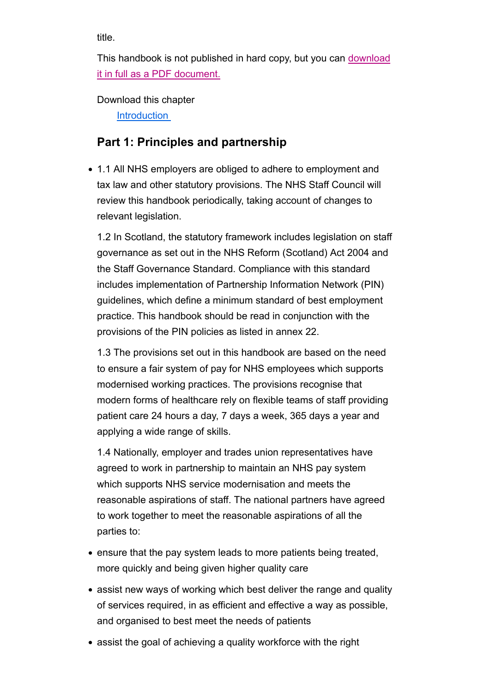title.

This handbook is not published in hard copy, but you can download it in full as a PDF document.

Download this chapter

**Introduction** 

# **Part 1: Principles and partnership**

1.1 All NHS employers are obliged to adhere to employment and tax law and other statutory provisions. The NHS Staff Council will review this handbook periodically, taking account of changes to relevant legislation.

1.2 In Scotland, the statutory framework includes legislation on staff governance as set out in the NHS Reform (Scotland) Act 2004 and the Staff Governance Standard. Compliance with this standard includes implementation of Partnership Information Network (PIN) guidelines, which define a minimum standard of best employment practice. This handbook should be read in conjunction with the provisions of the PIN policies as listed in annex 22.

1.3 The provisions set out in this handbook are based on the need to ensure a fair system of pay for NHS employees which supports modernised working practices. The provisions recognise that modern forms of healthcare rely on flexible teams of staff providing patient care 24 hours a day, 7 days a week, 365 days a year and applying a wide range of skills.

1.4 Nationally, employer and trades union representatives have agreed to work in partnership to maintain an NHS pay system which supports NHS service modernisation and meets the reasonable aspirations of staff. The national partners have agreed to work together to meet the reasonable aspirations of all the parties to:

- ensure that the pay system leads to more patients being treated, more quickly and being given higher quality care
- assist new ways of working which best deliver the range and quality of services required, in as efficient and effective a way as possible, and organised to best meet the needs of patients
- assist the goal of achieving a quality workforce with the right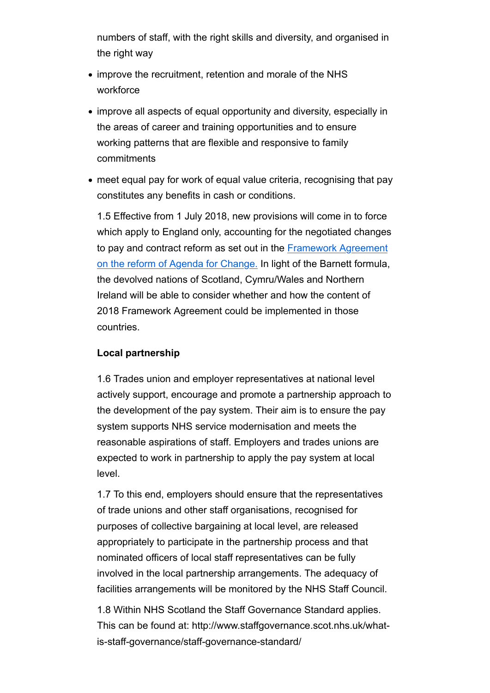numbers of staff, with the right skills and diversity, and organised in the right way

- improve the recruitment, retention and morale of the NHS workforce
- improve all aspects of equal opportunity and diversity, especially in the areas of career and training opportunities and to ensure working patterns that are flexible and responsive to family commitments
- meet equal pay for work of equal value criteria, recognising that pay constitutes any benefits in cash or conditions.

1.5 Effective from 1 July 2018, new provisions will come in to force which apply to England only, accounting for the negotiated changes to pay and contract reform as set out in the Framework Agreement on the reform of Agenda for Change. In light of the Barnett formula, the devolved nations of Scotland, Cymru/Wales and Northern Ireland will be able to consider whether and how the content of 2018 Framework Agreement could be implemented in those countries.

#### **Local partnership**

1.6 Trades union and employer representatives at national level actively support, encourage and promote a partnership approach to the development of the pay system. Their aim is to ensure the pay system supports NHS service modernisation and meets the reasonable aspirations of staff. Employers and trades unions are expected to work in partnership to apply the pay system at local level.

1.7 To this end, employers should ensure that the representatives of trade unions and other staff organisations, recognised for purposes of collective bargaining at local level, are released appropriately to participate in the partnership process and that nominated officers of local staff representatives can be fully involved in the local partnership arrangements. The adequacy of facilities arrangements will be monitored by the NHS Staff Council.

1.8 Within NHS Scotland the Staff Governance Standard applies. This can be found at: http://www.staffgovernance.scot.nhs.uk/whatis-staff-governance/staff-governance-standard/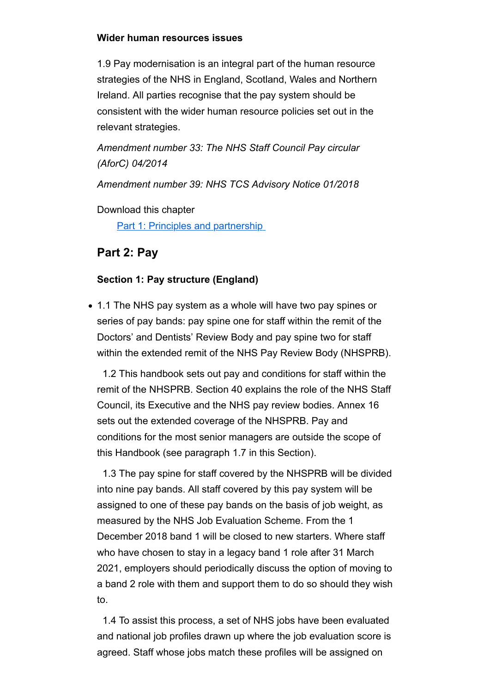#### **Wider human resources issues**

1.9 Pay modernisation is an integral part of the human resource strategies of the NHS in England, Scotland, Wales and Northern Ireland. All parties recognise that the pay system should be consistent with the wider human resource policies set out in the relevant strategies.

*Amendment number 33: The NHS Staff Council Pay circular (AforC) 04/2014*

*Amendment number 39: NHS TCS Advisory Notice 01/2018*

Download this chapter

Part 1: Principles and partnership

# **Part 2: Pay**

#### **Section 1: Pay structure (England)**

• 1.1 The NHS pay system as a whole will have two pay spines or series of pay bands: pay spine one for staff within the remit of the Doctors' and Dentists' Review Body and pay spine two for staff within the extended remit of the NHS Pay Review Body (NHSPRB).

 1.2 This handbook sets out pay and conditions for staff within the remit of the NHSPRB. Section 40 explains the role of the NHS Staff Council, its Executive and the NHS pay review bodies. Annex 16 sets out the extended coverage of the NHSPRB. Pay and conditions for the most senior managers are outside the scope of this Handbook (see paragraph 1.7 in this Section).

 1.3 The pay spine for staff covered by the NHSPRB will be divided into nine pay bands. All staff covered by this pay system will be assigned to one of these pay bands on the basis of job weight, as measured by the NHS Job Evaluation Scheme. From the 1 December 2018 band 1 will be closed to new starters. Where staff who have chosen to stay in a legacy band 1 role after 31 March 2021, employers should periodically discuss the option of moving to a band 2 role with them and support them to do so should they wish to.

 1.4 To assist this process, a set of NHS jobs have been evaluated and national job profiles drawn up where the job evaluation score is agreed. Staff whose jobs match these profiles will be assigned on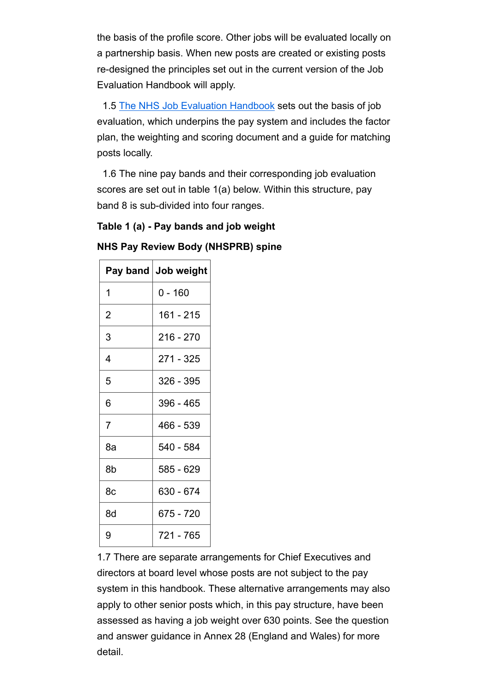the basis of the profile score. Other jobs will be evaluated locally on a partnership basis. When new posts are created or existing posts re-designed the principles set out in the current version of the Job Evaluation Handbook will apply.

 1.5 The NHS Job Evaluation Handbook sets out the basis of job evaluation, which underpins the pay system and includes the factor plan, the weighting and scoring document and a guide for matching posts locally.

 1.6 The nine pay bands and their corresponding job evaluation scores are set out in table 1(a) below. Within this structure, pay band 8 is sub-divided into four ranges.

# **Table 1 (a) - Pay bands and job weight**

# **NHS Pay Review Body (NHSPRB) spine**

| Pay band       | Job weight |
|----------------|------------|
| 1              | 0 - 160    |
| $\overline{2}$ | 161 - 215  |
| 3              | 216 - 270  |
| 4              | 271 - 325  |
| 5              | 326 - 395  |
| 6              | 396 - 465  |
| $\overline{7}$ | 466 - 539  |
| 8a             | 540 - 584  |
| 8b             | 585 - 629  |
| 8c             | 630 - 674  |
| 8d             | 675 - 720  |
| 9              | 721 - 765  |

1.7 There are separate arrangements for Chief Executives and directors at board level whose posts are not subject to the pay system in this handbook. These alternative arrangements may also apply to other senior posts which, in this pay structure, have been assessed as having a job weight over 630 points. See the question and answer guidance in Annex 28 (England and Wales) for more detail.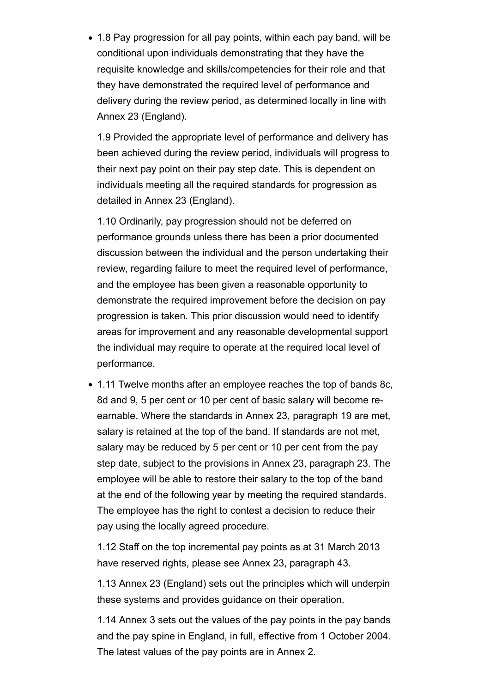• 1.8 Pay progression for all pay points, within each pay band, will be conditional upon individuals demonstrating that they have the requisite knowledge and skills/competencies for their role and that they have demonstrated the required level of performance and delivery during the review period, as determined locally in line with Annex 23 (England).

1.9 Provided the appropriate level of performance and delivery has been achieved during the review period, individuals will progress to their next pay point on their pay step date. This is dependent on individuals meeting all the required standards for progression as detailed in Annex 23 (England).

1.10 Ordinarily, pay progression should not be deferred on performance grounds unless there has been a prior documented discussion between the individual and the person undertaking their review, regarding failure to meet the required level of performance, and the employee has been given a reasonable opportunity to demonstrate the required improvement before the decision on pay progression is taken. This prior discussion would need to identify areas for improvement and any reasonable developmental support the individual may require to operate at the required local level of performance.

1.11 Twelve months after an employee reaches the top of bands 8c, 8d and 9, 5 per cent or 10 per cent of basic salary will become reearnable. Where the standards in Annex 23, paragraph 19 are met, salary is retained at the top of the band. If standards are not met, salary may be reduced by 5 per cent or 10 per cent from the pay step date, subject to the provisions in Annex 23, paragraph 23. The employee will be able to restore their salary to the top of the band at the end of the following year by meeting the required standards. The employee has the right to contest a decision to reduce their pay using the locally agreed procedure.

1.12 Staff on the top incremental pay points as at 31 March 2013 have reserved rights, please see Annex 23, paragraph 43.

1.13 Annex 23 (England) sets out the principles which will underpin these systems and provides guidance on their operation.

1.14 Annex 3 sets out the values of the pay points in the pay bands and the pay spine in England, in full, effective from 1 October 2004. The latest values of the pay points are in Annex 2.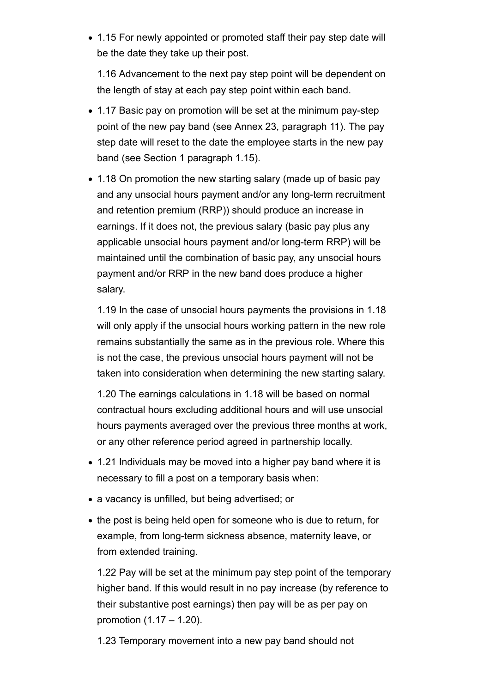• 1.15 For newly appointed or promoted staff their pay step date will be the date they take up their post.

1.16 Advancement to the next pay step point will be dependent on the length of stay at each pay step point within each band.

- 1.17 Basic pay on promotion will be set at the minimum pay-step point of the new pay band (see Annex 23, paragraph 11). The pay step date will reset to the date the employee starts in the new pay band (see Section 1 paragraph 1.15).
- 1.18 On promotion the new starting salary (made up of basic pay and any unsocial hours payment and/or any long-term recruitment and retention premium (RRP)) should produce an increase in earnings. If it does not, the previous salary (basic pay plus any applicable unsocial hours payment and/or long-term RRP) will be maintained until the combination of basic pay, any unsocial hours payment and/or RRP in the new band does produce a higher salary.

1.19 In the case of unsocial hours payments the provisions in 1.18 will only apply if the unsocial hours working pattern in the new role remains substantially the same as in the previous role. Where this is not the case, the previous unsocial hours payment will not be taken into consideration when determining the new starting salary.

1.20 The earnings calculations in 1.18 will be based on normal contractual hours excluding additional hours and will use unsocial hours payments averaged over the previous three months at work, or any other reference period agreed in partnership locally.

- 1.21 Individuals may be moved into a higher pay band where it is necessary to fill a post on a temporary basis when:
- a vacancy is unfilled, but being advertised; or
- the post is being held open for someone who is due to return, for example, from long-term sickness absence, maternity leave, or from extended training.

1.22 Pay will be set at the minimum pay step point of the temporary higher band. If this would result in no pay increase (by reference to their substantive post earnings) then pay will be as per pay on promotion (1.17 – 1.20).

1.23 Temporary movement into a new pay band should not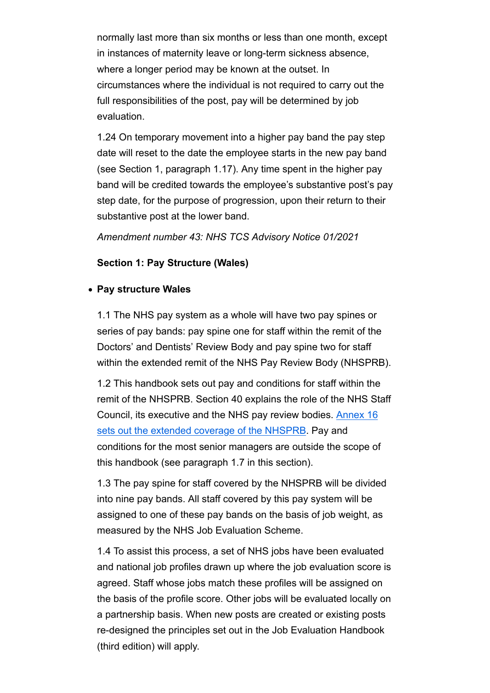normally last more than six months or less than one month, except in instances of maternity leave or long-term sickness absence, where a longer period may be known at the outset. In circumstances where the individual is not required to carry out the full responsibilities of the post, pay will be determined by job evaluation.

1.24 On temporary movement into a higher pay band the pay step date will reset to the date the employee starts in the new pay band (see Section 1, paragraph 1.17). Any time spent in the higher pay band will be credited towards the employee's substantive post's pay step date, for the purpose of progression, upon their return to their substantive post at the lower band.

*Amendment number 43: NHS TCS Advisory Notice 01/2021*

#### **Section 1: Pay Structure (Wales)**

#### **Pay structure Wales**

1.1 The NHS pay system as a whole will have two pay spines or series of pay bands: pay spine one for staff within the remit of the Doctors' and Dentists' Review Body and pay spine two for staff within the extended remit of the NHS Pay Review Body (NHSPRB).

1.2 This handbook sets out pay and conditions for staff within the remit of the NHSPRB. Section 40 explains the role of the NHS Staff Council, its executive and the NHS pay review bodies. Annex 16 sets out the extended coverage of the NHSPRB. Pay and conditions for the most senior managers are outside the scope of this handbook (see paragraph 1.7 in this section).

1.3 The pay spine for staff covered by the NHSPRB will be divided into nine pay bands. All staff covered by this pay system will be assigned to one of these pay bands on the basis of job weight, as measured by the NHS Job Evaluation Scheme.

1.4 To assist this process, a set of NHS jobs have been evaluated and national job profiles drawn up where the job evaluation score is agreed. Staff whose jobs match these profiles will be assigned on the basis of the profile score. Other jobs will be evaluated locally on a partnership basis. When new posts are created or existing posts re-designed the principles set out in the Job Evaluation Handbook (third edition) will apply.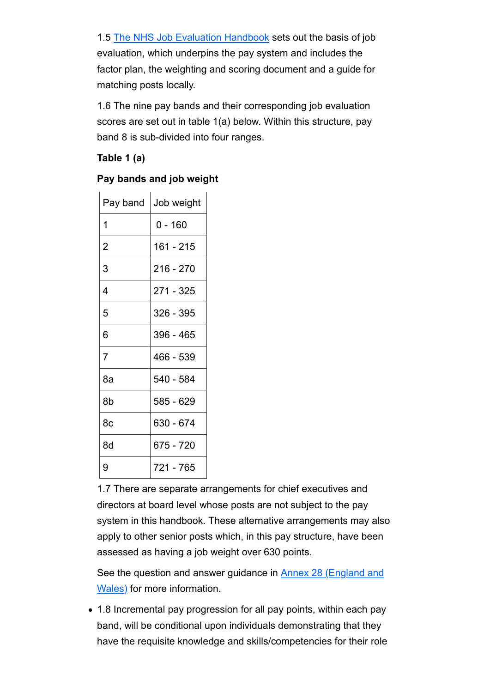1.5 The NHS Job Evaluation Handbook sets out the basis of job evaluation, which underpins the pay system and includes the factor plan, the weighting and scoring document and a guide for matching posts locally.

1.6 The nine pay bands and their corresponding job evaluation scores are set out in table 1(a) below. Within this structure, pay band 8 is sub-divided into four ranges.

**Table 1 (a)**

# **Pay bands and job weight**

| Pay band       | Job weight |
|----------------|------------|
| 1              | $0 - 160$  |
| $\overline{2}$ | 161 - 215  |
| 3              | 216 - 270  |
| 4              | 271 - 325  |
| 5              | 326 - 395  |
| 6              | 396 - 465  |
| $\overline{7}$ | 466 - 539  |
| 8a             | 540 - 584  |
| 8b             | 585 - 629  |
| 8c             | 630 - 674  |
| 8d             | 675 - 720  |
| 9              | 721 - 765  |

1.7 There are separate arrangements for chief executives and directors at board level whose posts are not subject to the pay system in this handbook. These alternative arrangements may also apply to other senior posts which, in this pay structure, have been assessed as having a job weight over 630 points.

See the question and answer guidance in Annex 28 (England and Wales) for more information.

1.8 Incremental pay progression for all pay points, within each pay band, will be conditional upon individuals demonstrating that they have the requisite knowledge and skills/competencies for their role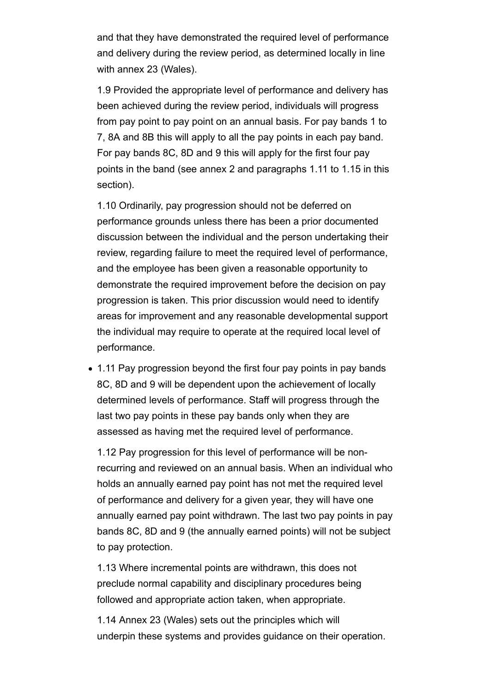and that they have demonstrated the required level of performance and delivery during the review period, as determined locally in line with annex 23 (Wales).

1.9 Provided the appropriate level of performance and delivery has been achieved during the review period, individuals will progress from pay point to pay point on an annual basis. For pay bands 1 to 7, 8A and 8B this will apply to all the pay points in each pay band. For pay bands 8C, 8D and 9 this will apply for the first four pay points in the band (see annex 2 and paragraphs 1.11 to 1.15 in this section).

1.10 Ordinarily, pay progression should not be deferred on performance grounds unless there has been a prior documented discussion between the individual and the person undertaking their review, regarding failure to meet the required level of performance, and the employee has been given a reasonable opportunity to demonstrate the required improvement before the decision on pay progression is taken. This prior discussion would need to identify areas for improvement and any reasonable developmental support the individual may require to operate at the required local level of performance.

• 1.11 Pay progression beyond the first four pay points in pay bands 8C, 8D and 9 will be dependent upon the achievement of locally determined levels of performance. Staff will progress through the last two pay points in these pay bands only when they are assessed as having met the required level of performance.

1.12 Pay progression for this level of performance will be nonrecurring and reviewed on an annual basis. When an individual who holds an annually earned pay point has not met the required level of performance and delivery for a given year, they will have one annually earned pay point withdrawn. The last two pay points in pay bands 8C, 8D and 9 (the annually earned points) will not be subject to pay protection.

1.13 Where incremental points are withdrawn, this does not preclude normal capability and disciplinary procedures being followed and appropriate action taken, when appropriate.

1.14 Annex 23 (Wales) sets out the principles which will underpin these systems and provides guidance on their operation.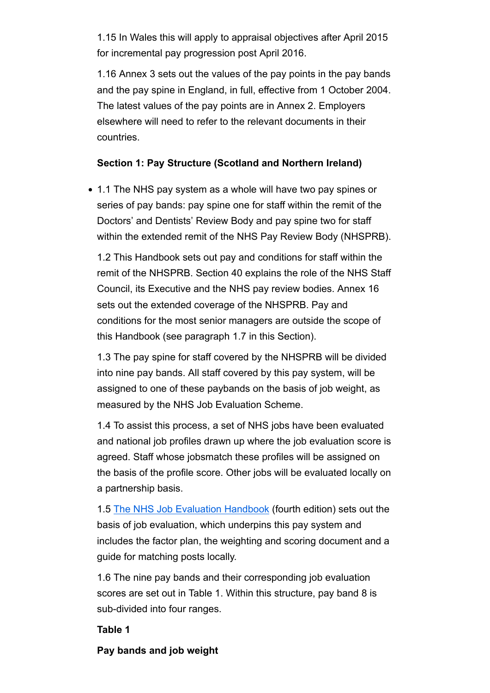1.15 In Wales this will apply to appraisal objectives after April 2015 for incremental pay progression post April 2016.

1.16 Annex 3 sets out the values of the pay points in the pay bands and the pay spine in England, in full, effective from 1 October 2004. The latest values of the pay points are in Annex 2. Employers elsewhere will need to refer to the relevant documents in their countries.

#### **Section 1: Pay Structure (Scotland and Northern Ireland)**

1.1 The NHS pay system as a whole will have two pay spines or series of pay bands: pay spine one for staff within the remit of the Doctors' and Dentists' Review Body and pay spine two for staff within the extended remit of the NHS Pay Review Body (NHSPRB).

1.2 This Handbook sets out pay and conditions for staff within the remit of the NHSPRB. Section 40 explains the role of the NHS Staff Council, its Executive and the NHS pay review bodies. Annex 16 sets out the extended coverage of the NHSPRB. Pay and conditions for the most senior managers are outside the scope of this Handbook (see paragraph 1.7 in this Section).

1.3 The pay spine for staff covered by the NHSPRB will be divided into nine pay bands. All staff covered by this pay system, will be assigned to one of these paybands on the basis of job weight, as measured by the NHS Job Evaluation Scheme.

1.4 To assist this process, a set of NHS jobs have been evaluated and national job profiles drawn up where the job evaluation score is agreed. Staff whose jobsmatch these profiles will be assigned on the basis of the profile score. Other jobs will be evaluated locally on a partnership basis.

1.5 The NHS Job Evaluation Handbook (fourth edition) sets out the basis of job evaluation, which underpins this pay system and includes the factor plan, the weighting and scoring document and a guide for matching posts locally.

1.6 The nine pay bands and their corresponding job evaluation scores are set out in Table 1. Within this structure, pay band 8 is sub-divided into four ranges.

#### **Table 1**

#### **Pay bands and job weight**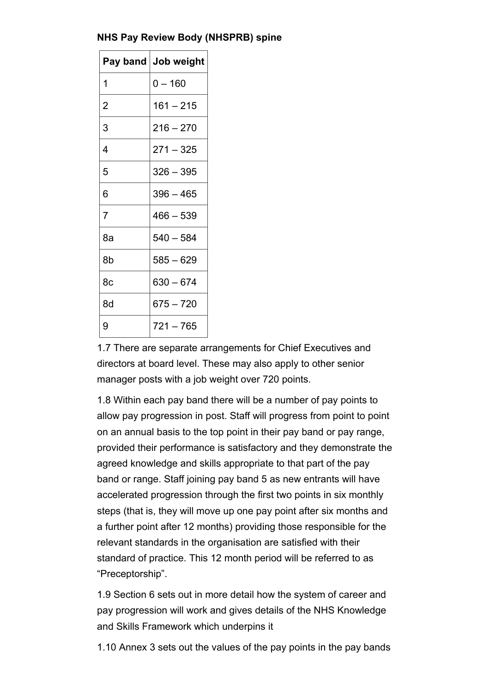# **NHS Pay Review Body (NHSPRB) spine**

| Pay band       | Job weight  |
|----------------|-------------|
| 1              | 0 – 160     |
| $\overline{2}$ | $161 - 215$ |
| 3              | $216 - 270$ |
| 4              | $271 - 325$ |
| 5              | 326 – 395   |
| 6              | $396 - 465$ |
| $\overline{7}$ | $466 - 539$ |
| 8а             | $540 - 584$ |
| 8b             | $585 - 629$ |
| 8c             | 630 – 674   |
| 8d             | $675 - 720$ |
| 9              | 721 – 765   |

1.7 There are separate arrangements for Chief Executives and directors at board level. These may also apply to other senior manager posts with a job weight over 720 points.

1.8 Within each pay band there will be a number of pay points to allow pay progression in post. Staff will progress from point to point on an annual basis to the top point in their pay band or pay range, provided their performance is satisfactory and they demonstrate the agreed knowledge and skills appropriate to that part of the pay band or range. Staff joining pay band 5 as new entrants will have accelerated progression through the first two points in six monthly steps (that is, they will move up one pay point after six months and a further point after 12 months) providing those responsible for the relevant standards in the organisation are satisfied with their standard of practice. This 12 month period will be referred to as "Preceptorship".

1.9 Section 6 sets out in more detail how the system of career and pay progression will work and gives details of the NHS Knowledge and Skills Framework which underpins it

1.10 Annex 3 sets out the values of the pay points in the pay bands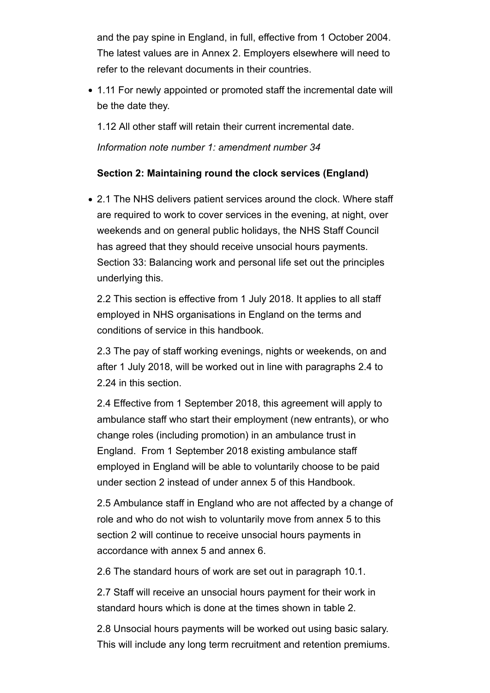and the pay spine in England, in full, effective from 1 October 2004. The latest values are in Annex 2. Employers elsewhere will need to refer to the relevant documents in their countries.

1.11 For newly appointed or promoted staff the incremental date will be the date they.

1.12 All other staff will retain their current incremental date.

*Information note number 1: amendment number 34*

# **Section 2: Maintaining round the clock services (England)**

• 2.1 The NHS delivers patient services around the clock. Where staff are required to work to cover services in the evening, at night, over weekends and on general public holidays, the NHS Staff Council has agreed that they should receive unsocial hours payments. Section 33: Balancing work and personal life set out the principles underlying this.

2.2 This section is effective from 1 July 2018. It applies to all staff employed in NHS organisations in England on the terms and conditions of service in this handbook.

2.3 The pay of staff working evenings, nights or weekends, on and after 1 July 2018, will be worked out in line with paragraphs 2.4 to 2.24 in this section.

2.4 Effective from 1 September 2018, this agreement will apply to ambulance staff who start their employment (new entrants), or who change roles (including promotion) in an ambulance trust in England. From 1 September 2018 existing ambulance staff employed in England will be able to voluntarily choose to be paid under section 2 instead of under annex 5 of this Handbook.

2.5 Ambulance staff in England who are not affected by a change of role and who do not wish to voluntarily move from annex 5 to this section 2 will continue to receive unsocial hours payments in accordance with annex 5 and annex 6.

2.6 The standard hours of work are set out in paragraph 10.1.

2.7 Staff will receive an unsocial hours payment for their work in standard hours which is done at the times shown in table 2.

2.8 Unsocial hours payments will be worked out using basic salary. This will include any long term recruitment and retention premiums.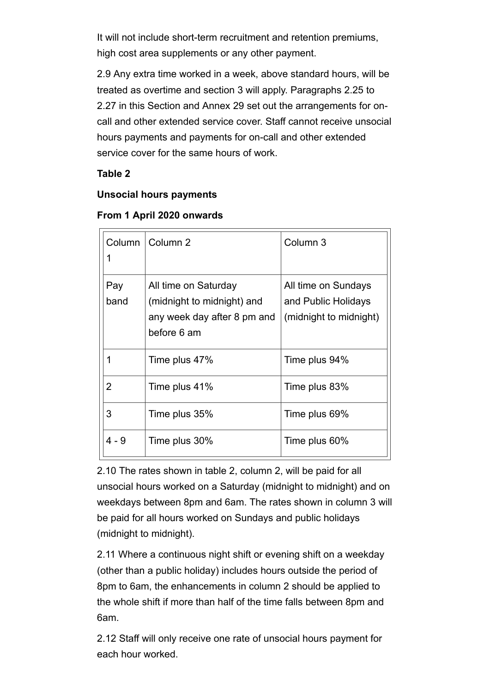It will not include short-term recruitment and retention premiums, high cost area supplements or any other payment.

2.9 Any extra time worked in a week, above standard hours, will be treated as overtime and section 3 will apply. Paragraphs 2.25 to 2.27 in this Section and Annex 29 set out the arrangements for oncall and other extended service cover. Staff cannot receive unsocial hours payments and payments for on-call and other extended service cover for the same hours of work.

# **Table 2**

# **Unsocial hours payments**

| Column      | Column 2                                                                                         | Column 3                                                             |
|-------------|--------------------------------------------------------------------------------------------------|----------------------------------------------------------------------|
| Pay<br>band | All time on Saturday<br>(midnight to midnight) and<br>any week day after 8 pm and<br>before 6 am | All time on Sundays<br>and Public Holidays<br>(midnight to midnight) |
|             | Time plus 47%                                                                                    | Time plus 94%                                                        |
| 2           | Time plus 41%                                                                                    | Time plus 83%                                                        |
| 3           | Time plus 35%                                                                                    | Time plus 69%                                                        |
| $4 - 9$     | Time plus 30%                                                                                    | Time plus 60%                                                        |

#### **From 1 April 2020 onwards**

2.10 The rates shown in table 2, column 2, will be paid for all unsocial hours worked on a Saturday (midnight to midnight) and on weekdays between 8pm and 6am. The rates shown in column 3 will be paid for all hours worked on Sundays and public holidays (midnight to midnight).

2.11 Where a continuous night shift or evening shift on a weekday (other than a public holiday) includes hours outside the period of 8pm to 6am, the enhancements in column 2 should be applied to the whole shift if more than half of the time falls between 8pm and 6am.

2.12 Staff will only receive one rate of unsocial hours payment for each hour worked.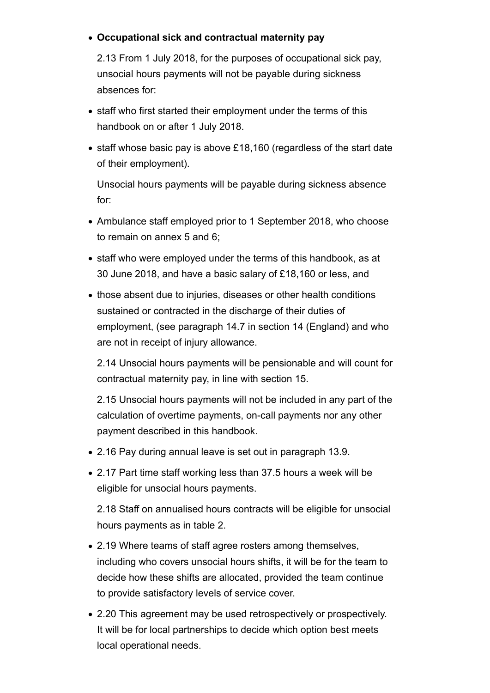# **Occupational sick and contractual maternity pay**

2.13 From 1 July 2018, for the purposes of occupational sick pay, unsocial hours payments will not be payable during sickness absences for:

- staff who first started their employment under the terms of this handbook on or after 1 July 2018.
- staff whose basic pay is above £18,160 (regardless of the start date of their employment).

Unsocial hours payments will be payable during sickness absence for:

- Ambulance staff employed prior to 1 September 2018, who choose to remain on annex 5 and 6;
- staff who were employed under the terms of this handbook, as at 30 June 2018, and have a basic salary of £18,160 or less, and
- those absent due to injuries, diseases or other health conditions sustained or contracted in the discharge of their duties of employment, (see paragraph 14.7 in section 14 (England) and who are not in receipt of injury allowance.

2.14 Unsocial hours payments will be pensionable and will count for contractual maternity pay, in line with section 15.

2.15 Unsocial hours payments will not be included in any part of the calculation of overtime payments, on-call payments nor any other payment described in this handbook.

- 2.16 Pay during annual leave is set out in paragraph 13.9.
- 2.17 Part time staff working less than 37.5 hours a week will be eligible for unsocial hours payments.

2.18 Staff on annualised hours contracts will be eligible for unsocial hours payments as in table 2.

- 2.19 Where teams of staff agree rosters among themselves, including who covers unsocial hours shifts, it will be for the team to decide how these shifts are allocated, provided the team continue to provide satisfactory levels of service cover.
- 2.20 This agreement may be used retrospectively or prospectively. It will be for local partnerships to decide which option best meets local operational needs.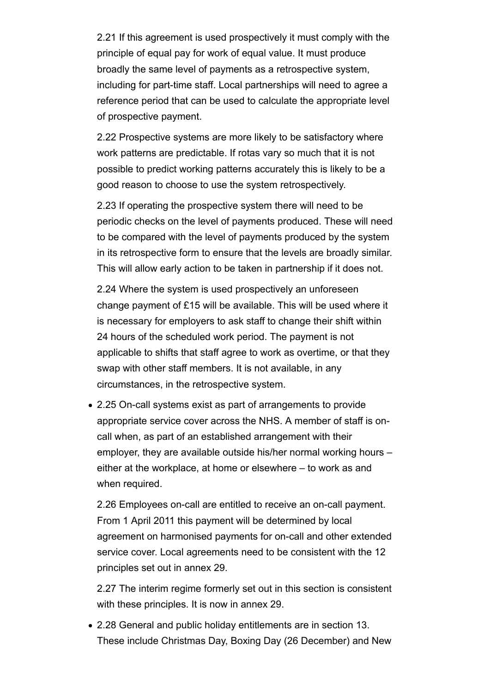2.21 If this agreement is used prospectively it must comply with the principle of equal pay for work of equal value. It must produce broadly the same level of payments as a retrospective system, including for part-time staff. Local partnerships will need to agree a reference period that can be used to calculate the appropriate level of prospective payment.

2.22 Prospective systems are more likely to be satisfactory where work patterns are predictable. If rotas vary so much that it is not possible to predict working patterns accurately this is likely to be a good reason to choose to use the system retrospectively.

2.23 If operating the prospective system there will need to be periodic checks on the level of payments produced. These will need to be compared with the level of payments produced by the system in its retrospective form to ensure that the levels are broadly similar. This will allow early action to be taken in partnership if it does not.

2.24 Where the system is used prospectively an unforeseen change payment of £15 will be available. This will be used where it is necessary for employers to ask staff to change their shift within 24 hours of the scheduled work period. The payment is not applicable to shifts that staff agree to work as overtime, or that they swap with other staff members. It is not available, in any circumstances, in the retrospective system.

2.25 On-call systems exist as part of arrangements to provide appropriate service cover across the NHS. A member of staff is oncall when, as part of an established arrangement with their employer, they are available outside his/her normal working hours – either at the workplace, at home or elsewhere – to work as and when required.

2.26 Employees on-call are entitled to receive an on-call payment. From 1 April 2011 this payment will be determined by local agreement on harmonised payments for on-call and other extended service cover. Local agreements need to be consistent with the 12 principles set out in annex 29.

2.27 The interim regime formerly set out in this section is consistent with these principles. It is now in annex 29.

2.28 General and public holiday entitlements are in section 13. These include Christmas Day, Boxing Day (26 December) and New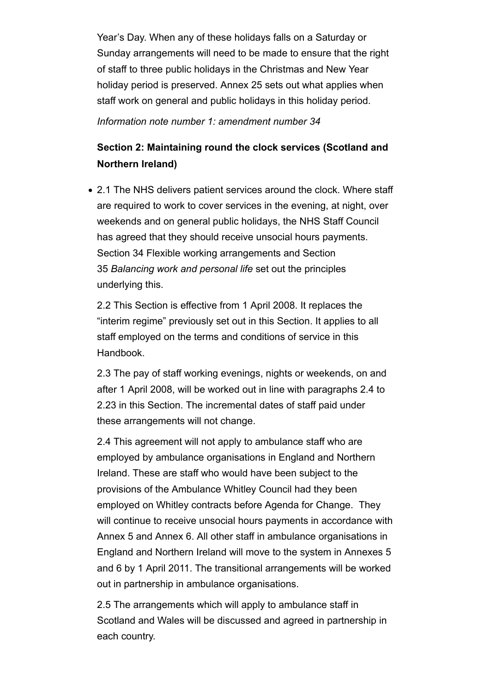Year's Day. When any of these holidays falls on a Saturday or Sunday arrangements will need to be made to ensure that the right of staff to three public holidays in the Christmas and New Year holiday period is preserved. Annex 25 sets out what applies when staff work on general and public holidays in this holiday period.

*Information note number 1: amendment number 34*

# **Section 2: Maintaining round the clock services (Scotland and Northern Ireland)**

2.1 The NHS delivers patient services around the clock. Where staff are required to work to cover services in the evening, at night, over weekends and on general public holidays, the NHS Staff Council has agreed that they should receive unsocial hours payments. Section 34 Flexible working arrangements and Section 35 *Balancing work and personal life* set out the principles underlying this.

2.2 This Section is effective from 1 April 2008. It replaces the "interim regime" previously set out in this Section. It applies to all staff employed on the terms and conditions of service in this Handbook.

2.3 The pay of staff working evenings, nights or weekends, on and after 1 April 2008, will be worked out in line with paragraphs 2.4 to 2.23 in this Section. The incremental dates of staff paid under these arrangements will not change.

2.4 This agreement will not apply to ambulance staff who are employed by ambulance organisations in England and Northern Ireland. These are staff who would have been subject to the provisions of the Ambulance Whitley Council had they been employed on Whitley contracts before Agenda for Change. They will continue to receive unsocial hours payments in accordance with Annex 5 and Annex 6. All other staff in ambulance organisations in England and Northern Ireland will move to the system in Annexes 5 and 6 by 1 April 2011. The transitional arrangements will be worked out in partnership in ambulance organisations.

2.5 The arrangements which will apply to ambulance staff in Scotland and Wales will be discussed and agreed in partnership in each country.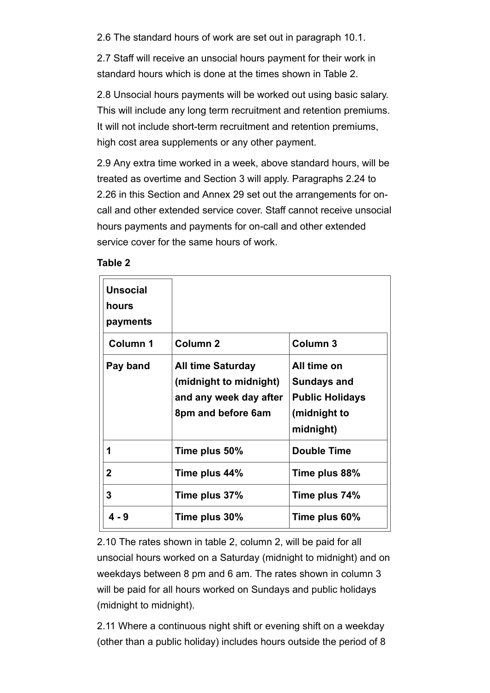2.6 The standard hours of work are set out in paragraph 10.1.

2.7 Staff will receive an unsocial hours payment for their work in standard hours which is done at the times shown in Table 2.

2.8 Unsocial hours payments will be worked out using basic salary. This will include any long term recruitment and retention premiums. It will not include short-term recruitment and retention premiums, high cost area supplements or any other payment.

2.9 Any extra time worked in a week, above standard hours, will be treated as overtime and Section 3 will apply. Paragraphs 2.24 to 2.26 in this Section and Annex 29 set out the arrangements for oncall and other extended service cover. Staff cannot receive unsocial hours payments and payments for on-call and other extended service cover for the same hours of work.

**Table 2**

| <b>Unsocial</b><br>hours<br>payments |                                                                                                    |                                                                                          |
|--------------------------------------|----------------------------------------------------------------------------------------------------|------------------------------------------------------------------------------------------|
| <b>Column 1</b>                      | <b>Column 2</b>                                                                                    | <b>Column 3</b>                                                                          |
| Pay band                             | <b>All time Saturday</b><br>(midnight to midnight)<br>and any week day after<br>8pm and before 6am | All time on<br><b>Sundays and</b><br><b>Public Holidays</b><br>(midnight to<br>midnight) |
| 1                                    | Time plus 50%                                                                                      | <b>Double Time</b>                                                                       |
| $\mathbf 2$                          | Time plus 44%                                                                                      | Time plus 88%                                                                            |
| 3                                    | Time plus 37%                                                                                      | Time plus 74%                                                                            |
| $4 - 9$                              | Time plus 30%                                                                                      | Time plus 60%                                                                            |

2.10 The rates shown in table 2, column 2, will be paid for all unsocial hours worked on a Saturday (midnight to midnight) and on weekdays between 8 pm and 6 am. The rates shown in column 3 will be paid for all hours worked on Sundays and public holidays (midnight to midnight).

2.11 Where a continuous night shift or evening shift on a weekday (other than a public holiday) includes hours outside the period of 8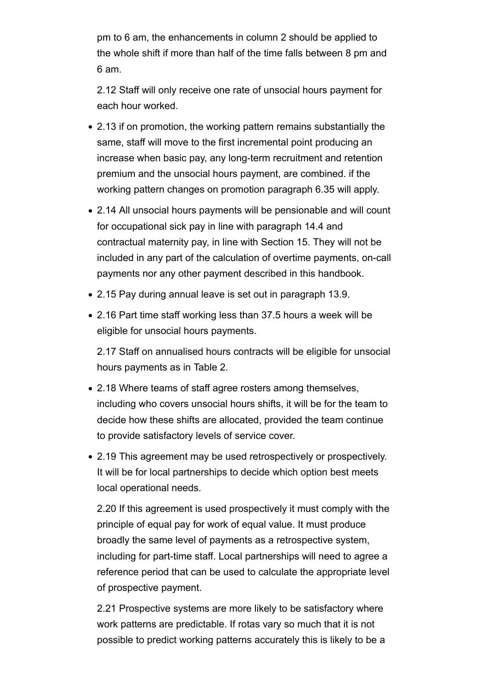pm to 6 am, the enhancements in column 2 should be applied to the whole shift if more than half of the time falls between 8 pm and 6 am.

2.12 Staff will only receive one rate of unsocial hours payment for each hour worked.

- 2.13 if on promotion, the working pattern remains substantially the same, staff will move to the first incremental point producing an increase when basic pay, any long-term recruitment and retention premium and the unsocial hours payment, are combined. if the working pattern changes on promotion paragraph 6.35 will apply.
- 2.14 All unsocial hours payments will be pensionable and will count for occupational sick pay in line with paragraph 14.4 and contractual maternity pay, in line with Section 15. They will not be included in any part of the calculation of overtime payments, on-call payments nor any other payment described in this handbook.
- 2.15 Pay during annual leave is set out in paragraph 13.9.
- 2.16 Part time staff working less than 37.5 hours a week will be eligible for unsocial hours payments.

2.17 Staff on annualised hours contracts will be eligible for unsocial hours payments as in Table 2.

- 2.18 Where teams of staff agree rosters among themselves, including who covers unsocial hours shifts, it will be for the team to decide how these shifts are allocated, provided the team continue to provide satisfactory levels of service cover.
- 2.19 This agreement may be used retrospectively or prospectively. It will be for local partnerships to decide which option best meets local operational needs.

2.20 If this agreement is used prospectively it must comply with the principle of equal pay for work of equal value. It must produce broadly the same level of payments as a retrospective system, including for part-time staff. Local partnerships will need to agree a reference period that can be used to calculate the appropriate level of prospective payment.

2.21 Prospective systems are more likely to be satisfactory where work patterns are predictable. If rotas vary so much that it is not possible to predict working patterns accurately this is likely to be a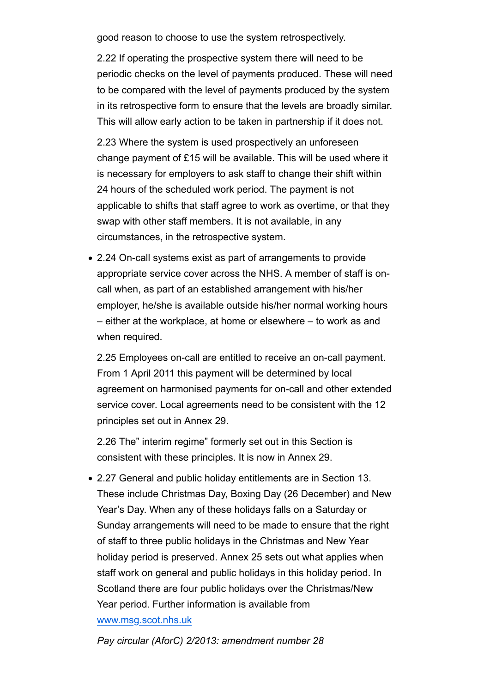good reason to choose to use the system retrospectively.

2.22 If operating the prospective system there will need to be periodic checks on the level of payments produced. These will need to be compared with the level of payments produced by the system in its retrospective form to ensure that the levels are broadly similar. This will allow early action to be taken in partnership if it does not.

2.23 Where the system is used prospectively an unforeseen change payment of £15 will be available. This will be used where it is necessary for employers to ask staff to change their shift within 24 hours of the scheduled work period. The payment is not applicable to shifts that staff agree to work as overtime, or that they swap with other staff members. It is not available, in any circumstances, in the retrospective system.

2.24 On-call systems exist as part of arrangements to provide appropriate service cover across the NHS. A member of staff is oncall when, as part of an established arrangement with his/her employer, he/she is available outside his/her normal working hours – either at the workplace, at home or elsewhere – to work as and when required.

2.25 Employees on-call are entitled to receive an on-call payment. From 1 April 2011 this payment will be determined by local agreement on harmonised payments for on-call and other extended service cover. Local agreements need to be consistent with the 12 principles set out in Annex 29.

2.26 The" interim regime" formerly set out in this Section is consistent with these principles. It is now in Annex 29.

2.27 General and public holiday entitlements are in Section 13. These include Christmas Day, Boxing Day (26 December) and New Year's Day. When any of these holidays falls on a Saturday or Sunday arrangements will need to be made to ensure that the right of staff to three public holidays in the Christmas and New Year holiday period is preserved. Annex 25 sets out what applies when staff work on general and public holidays in this holiday period. In Scotland there are four public holidays over the Christmas/New Year period. Further information is available from www.msg.scot.nhs.uk

*Pay circular (AforC) 2/2013: amendment number 28*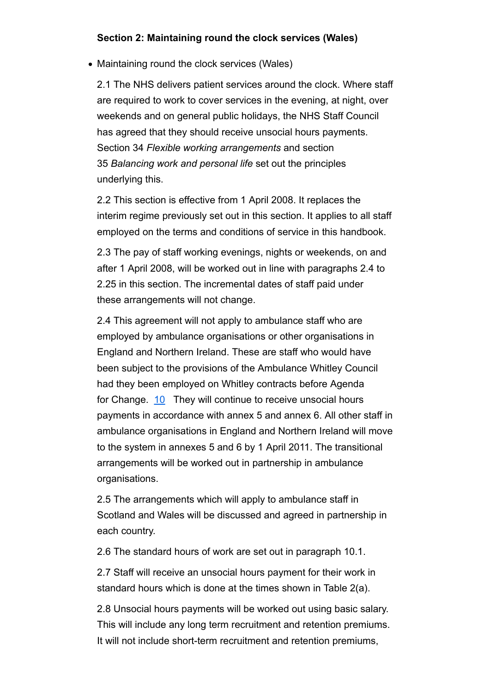### **Section 2: Maintaining round the clock services (Wales)**

• Maintaining round the clock services (Wales)

2.1 The NHS delivers patient services around the clock. Where staff are required to work to cover services in the evening, at night, over weekends and on general public holidays, the NHS Staff Council has agreed that they should receive unsocial hours payments. Section 34 *Flexible working arrangements* and section 35 *Balancing work and personal life* set out the principles underlying this.

2.2 This section is effective from 1 April 2008. It replaces the interim regime previously set out in this section. It applies to all staff employed on the terms and conditions of service in this handbook.

2.3 The pay of staff working evenings, nights or weekends, on and after 1 April 2008, will be worked out in line with paragraphs 2.4 to 2.25 in this section. The incremental dates of staff paid under these arrangements will not change.

2.4 This agreement will not apply to ambulance staff who are employed by ambulance organisations or other organisations in England and Northern Ireland. These are staff who would have been subject to the provisions of the Ambulance Whitley Council had they been employed on Whitley contracts before Agenda for Change. 10 They will continue to receive unsocial hours payments in accordance with annex 5 and annex 6. All other staff in ambulance organisations in England and Northern Ireland will move to the system in annexes 5 and 6 by 1 April 2011. The transitional arrangements will be worked out in partnership in ambulance organisations.

2.5 The arrangements which will apply to ambulance staff in Scotland and Wales will be discussed and agreed in partnership in each country.

2.6 The standard hours of work are set out in paragraph 10.1.

2.7 Staff will receive an unsocial hours payment for their work in standard hours which is done at the times shown in Table 2(a).

2.8 Unsocial hours payments will be worked out using basic salary. This will include any long term recruitment and retention premiums. It will not include short-term recruitment and retention premiums,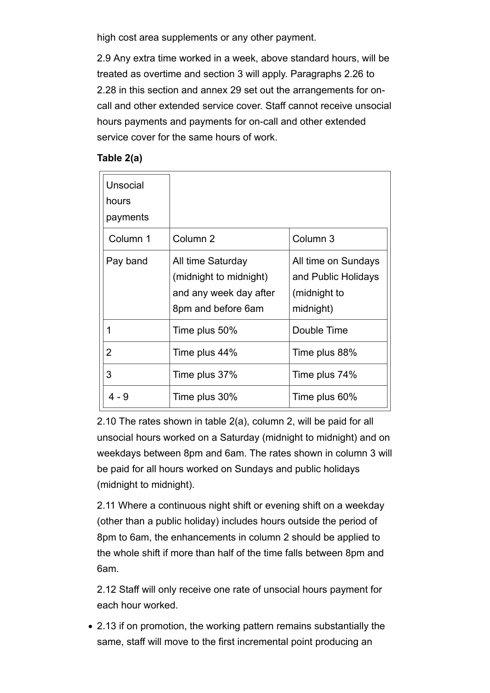high cost area supplements or any other payment.

2.9 Any extra time worked in a week, above standard hours, will be treated as overtime and section 3 will apply. Paragraphs 2.26 to 2.28 in this section and annex 29 set out the arrangements for oncall and other extended service cover. Staff cannot receive unsocial hours payments and payments for on-call and other extended service cover for the same hours of work.

## **Table 2(a)**

| Unsocial<br>hours<br>payments |                                                                                             |                                                                         |
|-------------------------------|---------------------------------------------------------------------------------------------|-------------------------------------------------------------------------|
| Column 1                      | Column <sub>2</sub>                                                                         | Column 3                                                                |
| Pay band                      | All time Saturday<br>(midnight to midnight)<br>and any week day after<br>8pm and before 6am | All time on Sundays<br>and Public Holidays<br>(midnight to<br>midnight) |
|                               | Time plus 50%                                                                               | Double Time                                                             |
| 2                             | Time plus 44%                                                                               | Time plus 88%                                                           |
| 3                             | Time plus 37%                                                                               | Time plus 74%                                                           |
| $4 - 9$                       | Time plus 30%                                                                               | Time plus 60%                                                           |

2.10 The rates shown in table 2(a), column 2, will be paid for all unsocial hours worked on a Saturday (midnight to midnight) and on weekdays between 8pm and 6am. The rates shown in column 3 will be paid for all hours worked on Sundays and public holidays (midnight to midnight).

2.11 Where a continuous night shift or evening shift on a weekday (other than a public holiday) includes hours outside the period of 8pm to 6am, the enhancements in column 2 should be applied to the whole shift if more than half of the time falls between 8pm and 6am.

2.12 Staff will only receive one rate of unsocial hours payment for each hour worked.

2.13 if on promotion, the working pattern remains substantially the same, staff will move to the first incremental point producing an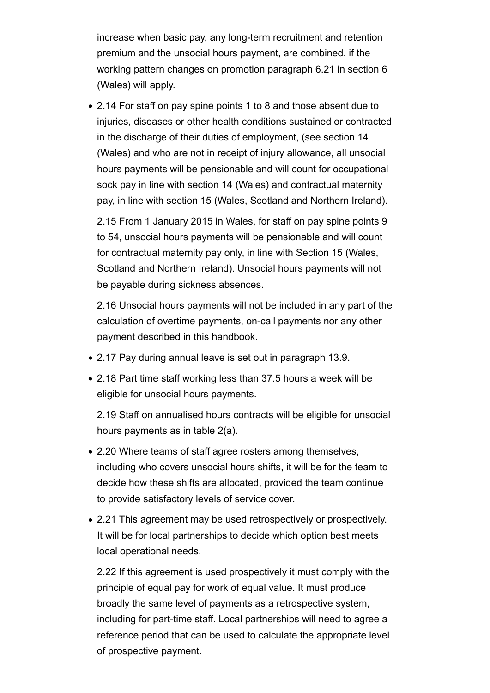increase when basic pay, any long-term recruitment and retention premium and the unsocial hours payment, are combined. if the working pattern changes on promotion paragraph 6.21 in section 6 (Wales) will apply.

2.14 For staff on pay spine points 1 to 8 and those absent due to injuries, diseases or other health conditions sustained or contracted in the discharge of their duties of employment, (see section 14 (Wales) and who are not in receipt of injury allowance, all unsocial hours payments will be pensionable and will count for occupational sock pay in line with section 14 (Wales) and contractual maternity pay, in line with section 15 (Wales, Scotland and Northern Ireland).

2.15 From 1 January 2015 in Wales, for staff on pay spine points 9 to 54, unsocial hours payments will be pensionable and will count for contractual maternity pay only, in line with Section 15 (Wales, Scotland and Northern Ireland). Unsocial hours payments will not be payable during sickness absences.

2.16 Unsocial hours payments will not be included in any part of the calculation of overtime payments, on-call payments nor any other payment described in this handbook.

- 2.17 Pay during annual leave is set out in paragraph 13.9.
- 2.18 Part time staff working less than 37.5 hours a week will be eligible for unsocial hours payments.

2.19 Staff on annualised hours contracts will be eligible for unsocial hours payments as in table 2(a).

- 2.20 Where teams of staff agree rosters among themselves, including who covers unsocial hours shifts, it will be for the team to decide how these shifts are allocated, provided the team continue to provide satisfactory levels of service cover.
- 2.21 This agreement may be used retrospectively or prospectively. It will be for local partnerships to decide which option best meets local operational needs.

2.22 If this agreement is used prospectively it must comply with the principle of equal pay for work of equal value. It must produce broadly the same level of payments as a retrospective system, including for part-time staff. Local partnerships will need to agree a reference period that can be used to calculate the appropriate level of prospective payment.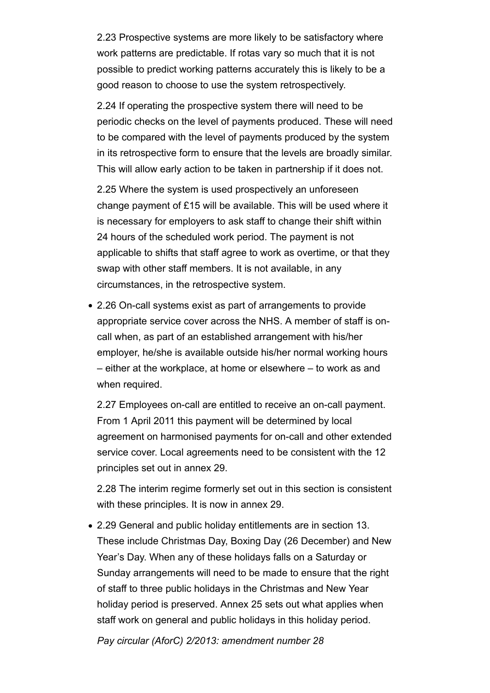2.23 Prospective systems are more likely to be satisfactory where work patterns are predictable. If rotas vary so much that it is not possible to predict working patterns accurately this is likely to be a good reason to choose to use the system retrospectively.

2.24 If operating the prospective system there will need to be periodic checks on the level of payments produced. These will need to be compared with the level of payments produced by the system in its retrospective form to ensure that the levels are broadly similar. This will allow early action to be taken in partnership if it does not.

2.25 Where the system is used prospectively an unforeseen change payment of £15 will be available. This will be used where it is necessary for employers to ask staff to change their shift within 24 hours of the scheduled work period. The payment is not applicable to shifts that staff agree to work as overtime, or that they swap with other staff members. It is not available, in any circumstances, in the retrospective system.

2.26 On-call systems exist as part of arrangements to provide appropriate service cover across the NHS. A member of staff is oncall when, as part of an established arrangement with his/her employer, he/she is available outside his/her normal working hours – either at the workplace, at home or elsewhere – to work as and when required.

2.27 Employees on-call are entitled to receive an on-call payment. From 1 April 2011 this payment will be determined by local agreement on harmonised payments for on-call and other extended service cover. Local agreements need to be consistent with the 12 principles set out in annex 29.

2.28 The interim regime formerly set out in this section is consistent with these principles. It is now in annex 29.

2.29 General and public holiday entitlements are in section 13. These include Christmas Day, Boxing Day (26 December) and New Year's Day. When any of these holidays falls on a Saturday or Sunday arrangements will need to be made to ensure that the right of staff to three public holidays in the Christmas and New Year holiday period is preserved. Annex 25 sets out what applies when staff work on general and public holidays in this holiday period.

*Pay circular (AforC) 2/2013: amendment number 28*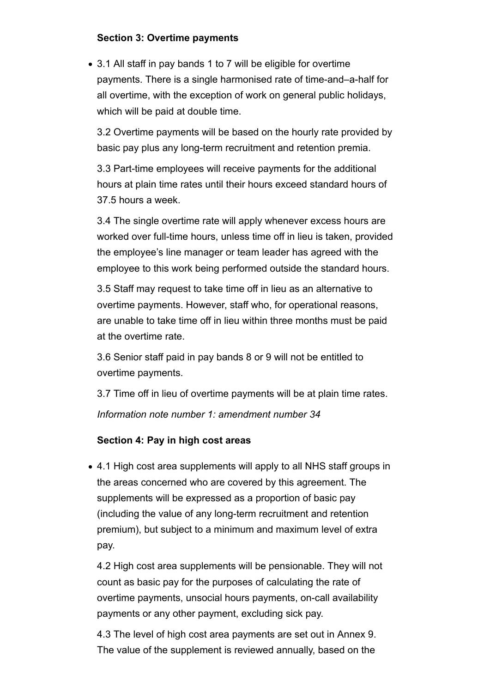# **Section 3: Overtime payments**

3.1 All staff in pay bands 1 to 7 will be eligible for overtime payments. There is a single harmonised rate of time-and–a-half for all overtime, with the exception of work on general public holidays, which will be paid at double time.

3.2 Overtime payments will be based on the hourly rate provided by basic pay plus any long-term recruitment and retention premia.

3.3 Part-time employees will receive payments for the additional hours at plain time rates until their hours exceed standard hours of 37.5 hours a week.

3.4 The single overtime rate will apply whenever excess hours are worked over full-time hours, unless time off in lieu is taken, provided the employee's line manager or team leader has agreed with the employee to this work being performed outside the standard hours.

3.5 Staff may request to take time off in lieu as an alternative to overtime payments. However, staff who, for operational reasons, are unable to take time off in lieu within three months must be paid at the overtime rate.

3.6 Senior staff paid in pay bands 8 or 9 will not be entitled to overtime payments.

3.7 Time off in lieu of overtime payments will be at plain time rates. *Information note number 1: amendment number 34*

# **Section 4: Pay in high cost areas**

• 4.1 High cost area supplements will apply to all NHS staff groups in the areas concerned who are covered by this agreement. The supplements will be expressed as a proportion of basic pay (including the value of any long-term recruitment and retention premium), but subject to a minimum and maximum level of extra pay.

4.2 High cost area supplements will be pensionable. They will not count as basic pay for the purposes of calculating the rate of overtime payments, unsocial hours payments, on-call availability payments or any other payment, excluding sick pay.

4.3 The level of high cost area payments are set out in Annex 9. The value of the supplement is reviewed annually, based on the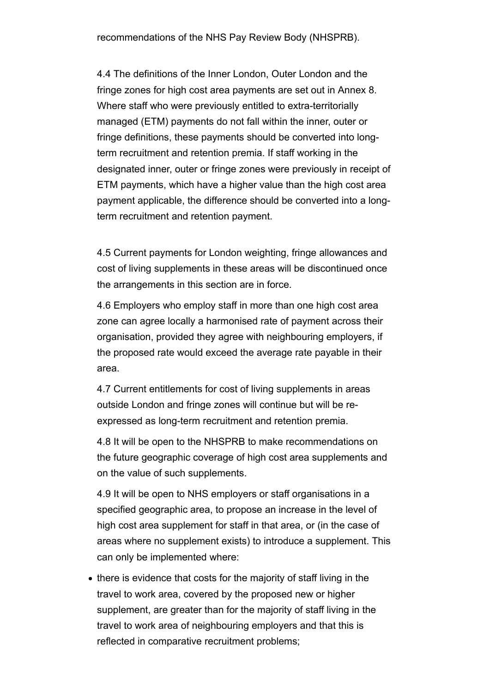4.4 The definitions of the Inner London, Outer London and the fringe zones for high cost area payments are set out in Annex 8. Where staff who were previously entitled to extra-territorially managed (ETM) payments do not fall within the inner, outer or fringe definitions, these payments should be converted into longterm recruitment and retention premia. If staff working in the designated inner, outer or fringe zones were previously in receipt of ETM payments, which have a higher value than the high cost area payment applicable, the difference should be converted into a longterm recruitment and retention payment.

4.5 Current payments for London weighting, fringe allowances and cost of living supplements in these areas will be discontinued once the arrangements in this section are in force.

4.6 Employers who employ staff in more than one high cost area zone can agree locally a harmonised rate of payment across their organisation, provided they agree with neighbouring employers, if the proposed rate would exceed the average rate payable in their area.

4.7 Current entitlements for cost of living supplements in areas outside London and fringe zones will continue but will be reexpressed as long-term recruitment and retention premia.

4.8 It will be open to the NHSPRB to make recommendations on the future geographic coverage of high cost area supplements and on the value of such supplements.

4.9 It will be open to NHS employers or staff organisations in a specified geographic area, to propose an increase in the level of high cost area supplement for staff in that area, or (in the case of areas where no supplement exists) to introduce a supplement. This can only be implemented where:

• there is evidence that costs for the majority of staff living in the travel to work area, covered by the proposed new or higher supplement, are greater than for the majority of staff living in the travel to work area of neighbouring employers and that this is reflected in comparative recruitment problems;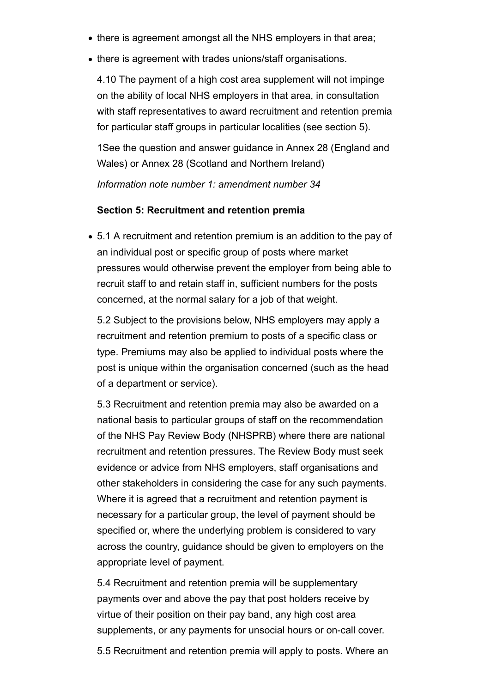- there is agreement amongst all the NHS employers in that area;
- there is agreement with trades unions/staff organisations.

4.10 The payment of a high cost area supplement will not impinge on the ability of local NHS employers in that area, in consultation with staff representatives to award recruitment and retention premia for particular staff groups in particular localities (see section 5).

1See the question and answer guidance in Annex 28 (England and Wales) or Annex 28 (Scotland and Northern Ireland)

*Information note number 1: amendment number 34*

#### **Section 5: Recruitment and retention premia**

5.1 A recruitment and retention premium is an addition to the pay of an individual post or specific group of posts where market pressures would otherwise prevent the employer from being able to recruit staff to and retain staff in, sufficient numbers for the posts concerned, at the normal salary for a job of that weight.

5.2 Subject to the provisions below, NHS employers may apply a recruitment and retention premium to posts of a specific class or type. Premiums may also be applied to individual posts where the post is unique within the organisation concerned (such as the head of a department or service).

5.3 Recruitment and retention premia may also be awarded on a national basis to particular groups of staff on the recommendation of the NHS Pay Review Body (NHSPRB) where there are national recruitment and retention pressures. The Review Body must seek evidence or advice from NHS employers, staff organisations and other stakeholders in considering the case for any such payments. Where it is agreed that a recruitment and retention payment is necessary for a particular group, the level of payment should be specified or, where the underlying problem is considered to vary across the country, guidance should be given to employers on the appropriate level of payment.

5.4 Recruitment and retention premia will be supplementary payments over and above the pay that post holders receive by virtue of their position on their pay band, any high cost area supplements, or any payments for unsocial hours or on-call cover.

5.5 Recruitment and retention premia will apply to posts. Where an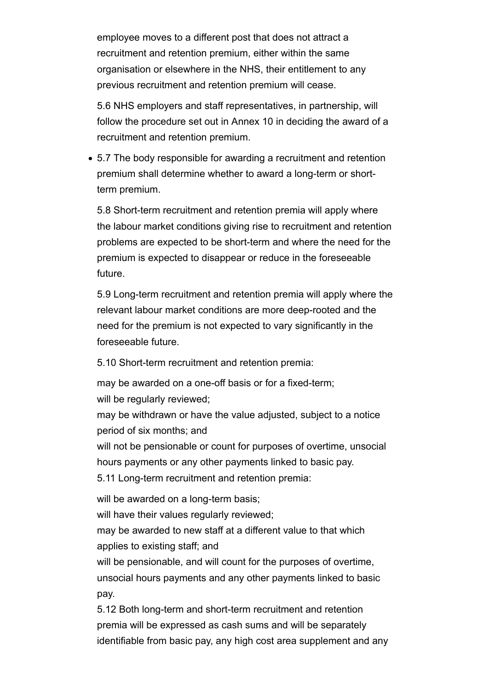employee moves to a different post that does not attract a recruitment and retention premium, either within the same organisation or elsewhere in the NHS, their entitlement to any previous recruitment and retention premium will cease.

5.6 NHS employers and staff representatives, in partnership, will follow the procedure set out in Annex 10 in deciding the award of a recruitment and retention premium.

5.7 The body responsible for awarding a recruitment and retention premium shall determine whether to award a long-term or shortterm premium.

5.8 Short-term recruitment and retention premia will apply where the labour market conditions giving rise to recruitment and retention problems are expected to be short-term and where the need for the premium is expected to disappear or reduce in the foreseeable future.

5.9 Long-term recruitment and retention premia will apply where the relevant labour market conditions are more deep-rooted and the need for the premium is not expected to vary significantly in the foreseeable future.

5.10 Short-term recruitment and retention premia:

may be awarded on a one-off basis or for a fixed-term; will be regularly reviewed;

may be withdrawn or have the value adjusted, subject to a notice period of six months; and

will not be pensionable or count for purposes of overtime, unsocial hours payments or any other payments linked to basic pay. 5.11 Long-term recruitment and retention premia:

will be awarded on a long-term basis;

will have their values regularly reviewed;

may be awarded to new staff at a different value to that which applies to existing staff; and

will be pensionable, and will count for the purposes of overtime, unsocial hours payments and any other payments linked to basic pay.

5.12 Both long-term and short-term recruitment and retention premia will be expressed as cash sums and will be separately identifiable from basic pay, any high cost area supplement and any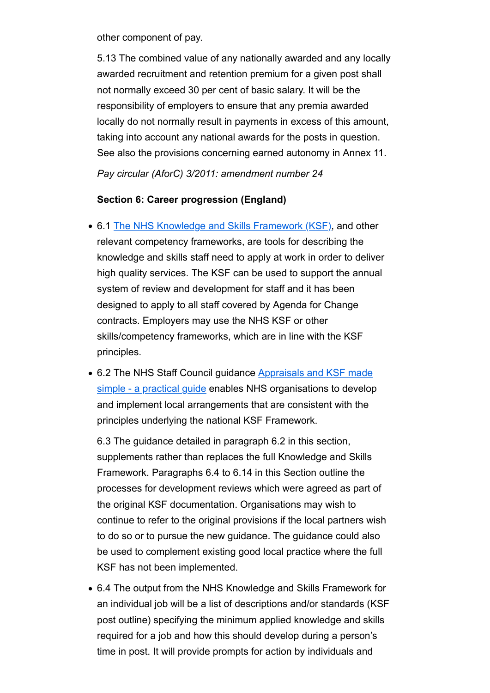other component of pay.

5.13 The combined value of any nationally awarded and any locally awarded recruitment and retention premium for a given post shall not normally exceed 30 per cent of basic salary. It will be the responsibility of employers to ensure that any premia awarded locally do not normally result in payments in excess of this amount, taking into account any national awards for the posts in question. See also the provisions concerning earned autonomy in Annex 11.

*Pay circular (AforC) 3/2011: amendment number 24*

#### **Section 6: Career progression (England)**

- 6.1 The NHS Knowledge and Skills Framework (KSF), and other relevant competency frameworks, are tools for describing the knowledge and skills staff need to apply at work in order to deliver high quality services. The KSF can be used to support the annual system of review and development for staff and it has been designed to apply to all staff covered by Agenda for Change contracts. Employers may use the NHS KSF or other skills/competency frameworks, which are in line with the KSF principles.
- 6.2 The NHS Staff Council guidance Appraisals and KSF made simple - a practical guide enables NHS organisations to develop and implement local arrangements that are consistent with the principles underlying the national KSF Framework.

6.3 The guidance detailed in paragraph 6.2 in this section, supplements rather than replaces the full Knowledge and Skills Framework. Paragraphs 6.4 to 6.14 in this Section outline the processes for development reviews which were agreed as part of the original KSF documentation. Organisations may wish to continue to refer to the original provisions if the local partners wish to do so or to pursue the new guidance. The guidance could also be used to complement existing good local practice where the full KSF has not been implemented.

6.4 The output from the NHS Knowledge and Skills Framework for an individual job will be a list of descriptions and/or standards (KSF post outline) specifying the minimum applied knowledge and skills required for a job and how this should develop during a person's time in post. It will provide prompts for action by individuals and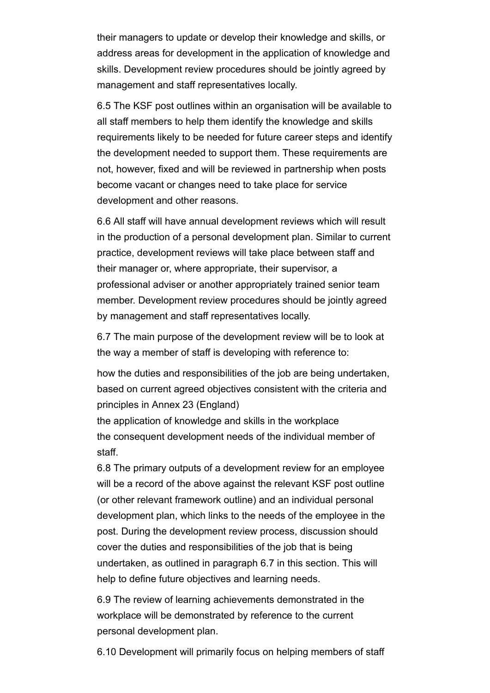their managers to update or develop their knowledge and skills, or address areas for development in the application of knowledge and skills. Development review procedures should be jointly agreed by management and staff representatives locally.

6.5 The KSF post outlines within an organisation will be available to all staff members to help them identify the knowledge and skills requirements likely to be needed for future career steps and identify the development needed to support them. These requirements are not, however, fixed and will be reviewed in partnership when posts become vacant or changes need to take place for service development and other reasons.

6.6 All staff will have annual development reviews which will result in the production of a personal development plan. Similar to current practice, development reviews will take place between staff and their manager or, where appropriate, their supervisor, a professional adviser or another appropriately trained senior team member. Development review procedures should be jointly agreed by management and staff representatives locally.

6.7 The main purpose of the development review will be to look at the way a member of staff is developing with reference to:

how the duties and responsibilities of the job are being undertaken, based on current agreed objectives consistent with the criteria and principles in Annex 23 (England)

the application of knowledge and skills in the workplace the consequent development needs of the individual member of staff.

6.8 The primary outputs of a development review for an employee will be a record of the above against the relevant KSF post outline (or other relevant framework outline) and an individual personal development plan, which links to the needs of the employee in the post. During the development review process, discussion should cover the duties and responsibilities of the job that is being undertaken, as outlined in paragraph 6.7 in this section. This will help to define future objectives and learning needs.

6.9 The review of learning achievements demonstrated in the workplace will be demonstrated by reference to the current personal development plan.

6.10 Development will primarily focus on helping members of staff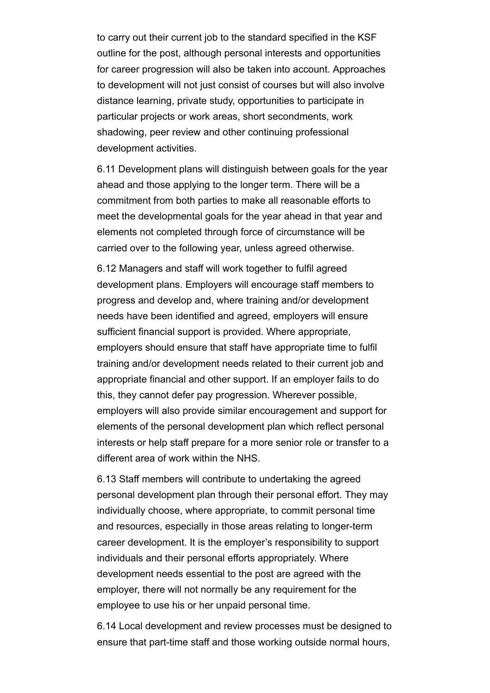to carry out their current job to the standard specified in the KSF outline for the post, although personal interests and opportunities for career progression will also be taken into account. Approaches to development will not just consist of courses but will also involve distance learning, private study, opportunities to participate in particular projects or work areas, short secondments, work shadowing, peer review and other continuing professional development activities.

6.11 Development plans will distinguish between goals for the year ahead and those applying to the longer term. There will be a commitment from both parties to make all reasonable efforts to meet the developmental goals for the year ahead in that year and elements not completed through force of circumstance will be carried over to the following year, unless agreed otherwise.

6.12 Managers and staff will work together to fulfil agreed development plans. Employers will encourage staff members to progress and develop and, where training and/or development needs have been identified and agreed, employers will ensure sufficient financial support is provided. Where appropriate, employers should ensure that staff have appropriate time to fulfil training and/or development needs related to their current job and appropriate financial and other support. If an employer fails to do this, they cannot defer pay progression. Wherever possible, employers will also provide similar encouragement and support for elements of the personal development plan which reflect personal interests or help staff prepare for a more senior role or transfer to a different area of work within the NHS.

6.13 Staff members will contribute to undertaking the agreed personal development plan through their personal effort. They may individually choose, where appropriate, to commit personal time and resources, especially in those areas relating to longer-term career development. It is the employer's responsibility to support individuals and their personal efforts appropriately. Where development needs essential to the post are agreed with the employer, there will not normally be any requirement for the employee to use his or her unpaid personal time.

6.14 Local development and review processes must be designed to ensure that part-time staff and those working outside normal hours,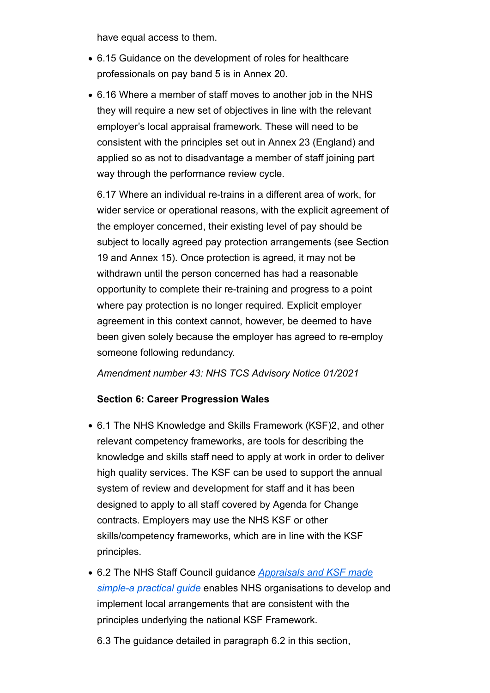have equal access to them.

- 6.15 Guidance on the development of roles for healthcare professionals on pay band 5 is in Annex 20.
- 6.16 Where a member of staff moves to another job in the NHS they will require a new set of objectives in line with the relevant employer's local appraisal framework. These will need to be consistent with the principles set out in Annex 23 (England) and applied so as not to disadvantage a member of staff joining part way through the performance review cycle.

6.17 Where an individual re-trains in a different area of work, for wider service or operational reasons, with the explicit agreement of the employer concerned, their existing level of pay should be subject to locally agreed pay protection arrangements (see Section 19 and Annex 15). Once protection is agreed, it may not be withdrawn until the person concerned has had a reasonable opportunity to complete their re-training and progress to a point where pay protection is no longer required. Explicit employer agreement in this context cannot, however, be deemed to have been given solely because the employer has agreed to re-employ someone following redundancy.

#### *Amendment number 43: NHS TCS Advisory Notice 01/2021*

# **Section 6: Career Progression Wales**

- 6.1 The NHS Knowledge and Skills Framework (KSF)2, and other relevant competency frameworks, are tools for describing the knowledge and skills staff need to apply at work in order to deliver high quality services. The KSF can be used to support the annual system of review and development for staff and it has been designed to apply to all staff covered by Agenda for Change contracts. Employers may use the NHS KSF or other skills/competency frameworks, which are in line with the KSF principles.
- 6.2 The NHS Staff Council guidance *Appraisals and KSF made simple-a practical guide* enables NHS organisations to develop and implement local arrangements that are consistent with the principles underlying the national KSF Framework.

6.3 The guidance detailed in paragraph 6.2 in this section,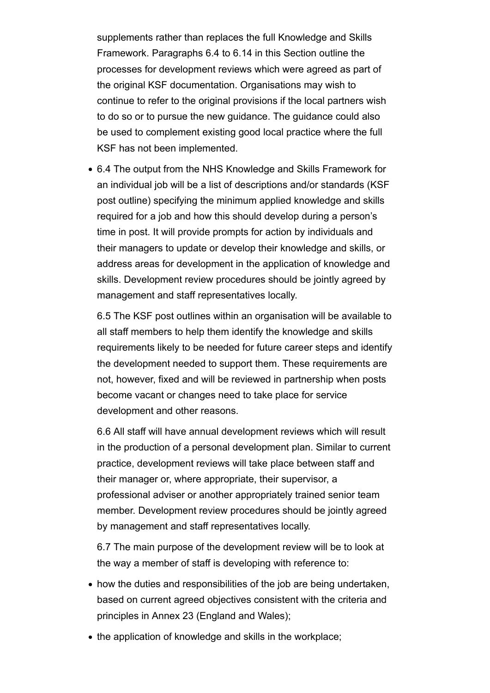supplements rather than replaces the full Knowledge and Skills Framework. Paragraphs 6.4 to 6.14 in this Section outline the processes for development reviews which were agreed as part of the original KSF documentation. Organisations may wish to continue to refer to the original provisions if the local partners wish to do so or to pursue the new guidance. The guidance could also be used to complement existing good local practice where the full KSF has not been implemented.

6.4 The output from the NHS Knowledge and Skills Framework for an individual job will be a list of descriptions and/or standards (KSF post outline) specifying the minimum applied knowledge and skills required for a job and how this should develop during a person's time in post. It will provide prompts for action by individuals and their managers to update or develop their knowledge and skills, or address areas for development in the application of knowledge and skills. Development review procedures should be jointly agreed by management and staff representatives locally.

6.5 The KSF post outlines within an organisation will be available to all staff members to help them identify the knowledge and skills requirements likely to be needed for future career steps and identify the development needed to support them. These requirements are not, however, fixed and will be reviewed in partnership when posts become vacant or changes need to take place for service development and other reasons.

6.6 All staff will have annual development reviews which will result in the production of a personal development plan. Similar to current practice, development reviews will take place between staff and their manager or, where appropriate, their supervisor, a professional adviser or another appropriately trained senior team member. Development review procedures should be jointly agreed by management and staff representatives locally.

6.7 The main purpose of the development review will be to look at the way a member of staff is developing with reference to:

- how the duties and responsibilities of the job are being undertaken, based on current agreed objectives consistent with the criteria and principles in Annex 23 (England and Wales);
- the application of knowledge and skills in the workplace: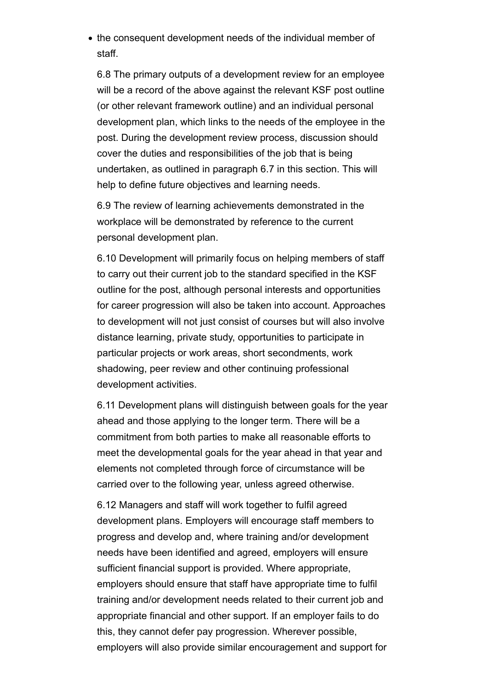• the consequent development needs of the individual member of staff.

6.8 The primary outputs of a development review for an employee will be a record of the above against the relevant KSF post outline (or other relevant framework outline) and an individual personal development plan, which links to the needs of the employee in the post. During the development review process, discussion should cover the duties and responsibilities of the job that is being undertaken, as outlined in paragraph 6.7 in this section. This will help to define future objectives and learning needs.

6.9 The review of learning achievements demonstrated in the workplace will be demonstrated by reference to the current personal development plan.

6.10 Development will primarily focus on helping members of staff to carry out their current job to the standard specified in the KSF outline for the post, although personal interests and opportunities for career progression will also be taken into account. Approaches to development will not just consist of courses but will also involve distance learning, private study, opportunities to participate in particular projects or work areas, short secondments, work shadowing, peer review and other continuing professional development activities.

6.11 Development plans will distinguish between goals for the year ahead and those applying to the longer term. There will be a commitment from both parties to make all reasonable efforts to meet the developmental goals for the year ahead in that year and elements not completed through force of circumstance will be carried over to the following year, unless agreed otherwise.

6.12 Managers and staff will work together to fulfil agreed development plans. Employers will encourage staff members to progress and develop and, where training and/or development needs have been identified and agreed, employers will ensure sufficient financial support is provided. Where appropriate, employers should ensure that staff have appropriate time to fulfil training and/or development needs related to their current job and appropriate financial and other support. If an employer fails to do this, they cannot defer pay progression. Wherever possible, employers will also provide similar encouragement and support for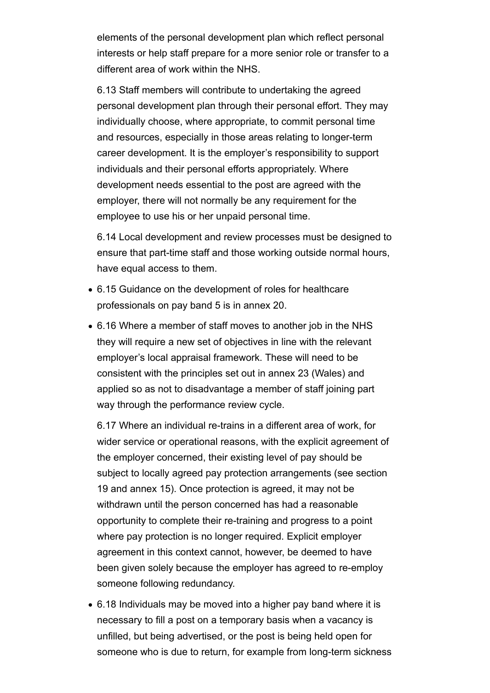elements of the personal development plan which reflect personal interests or help staff prepare for a more senior role or transfer to a different area of work within the NHS.

6.13 Staff members will contribute to undertaking the agreed personal development plan through their personal effort. They may individually choose, where appropriate, to commit personal time and resources, especially in those areas relating to longer-term career development. It is the employer's responsibility to support individuals and their personal efforts appropriately. Where development needs essential to the post are agreed with the employer, there will not normally be any requirement for the employee to use his or her unpaid personal time.

6.14 Local development and review processes must be designed to ensure that part-time staff and those working outside normal hours, have equal access to them.

- 6.15 Guidance on the development of roles for healthcare professionals on pay band 5 is in annex 20.
- 6.16 Where a member of staff moves to another job in the NHS they will require a new set of objectives in line with the relevant employer's local appraisal framework. These will need to be consistent with the principles set out in annex 23 (Wales) and applied so as not to disadvantage a member of staff joining part way through the performance review cycle.

6.17 Where an individual re-trains in a different area of work, for wider service or operational reasons, with the explicit agreement of the employer concerned, their existing level of pay should be subject to locally agreed pay protection arrangements (see section 19 and annex 15). Once protection is agreed, it may not be withdrawn until the person concerned has had a reasonable opportunity to complete their re-training and progress to a point where pay protection is no longer required. Explicit employer agreement in this context cannot, however, be deemed to have been given solely because the employer has agreed to re-employ someone following redundancy.

6.18 Individuals may be moved into a higher pay band where it is necessary to fill a post on a temporary basis when a vacancy is unfilled, but being advertised, or the post is being held open for someone who is due to return, for example from long-term sickness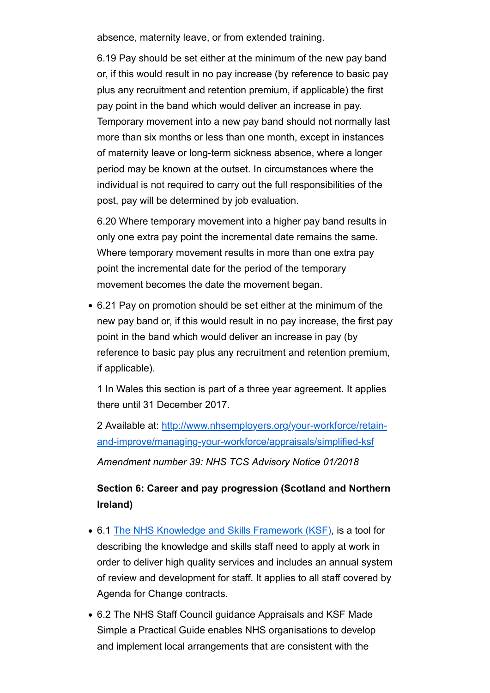absence, maternity leave, or from extended training.

6.19 Pay should be set either at the minimum of the new pay band or, if this would result in no pay increase (by reference to basic pay plus any recruitment and retention premium, if applicable) the first pay point in the band which would deliver an increase in pay. Temporary movement into a new pay band should not normally last more than six months or less than one month, except in instances of maternity leave or long-term sickness absence, where a longer period may be known at the outset. In circumstances where the individual is not required to carry out the full responsibilities of the post, pay will be determined by job evaluation.

6.20 Where temporary movement into a higher pay band results in only one extra pay point the incremental date remains the same. Where temporary movement results in more than one extra pay point the incremental date for the period of the temporary movement becomes the date the movement began.

6.21 Pay on promotion should be set either at the minimum of the new pay band or, if this would result in no pay increase, the first pay point in the band which would deliver an increase in pay (by reference to basic pay plus any recruitment and retention premium, if applicable).

1 In Wales this section is part of a three year agreement. It applies there until 31 December 2017.

2 Available at: http://www.nhsemployers.org/your-workforce/retainand-improve/managing-your-workforce/appraisals/simplified-ksf

*Amendment number 39: NHS TCS Advisory Notice 01/2018*

# **Section 6: Career and pay progression (Scotland and Northern Ireland)**

- 6.1 The NHS Knowledge and Skills Framework (KSF), is a tool for describing the knowledge and skills staff need to apply at work in order to deliver high quality services and includes an annual system of review and development for staff. It applies to all staff covered by Agenda for Change contracts.
- 6.2 The NHS Staff Council guidance Appraisals and KSF Made Simple a Practical Guide enables NHS organisations to develop and implement local arrangements that are consistent with the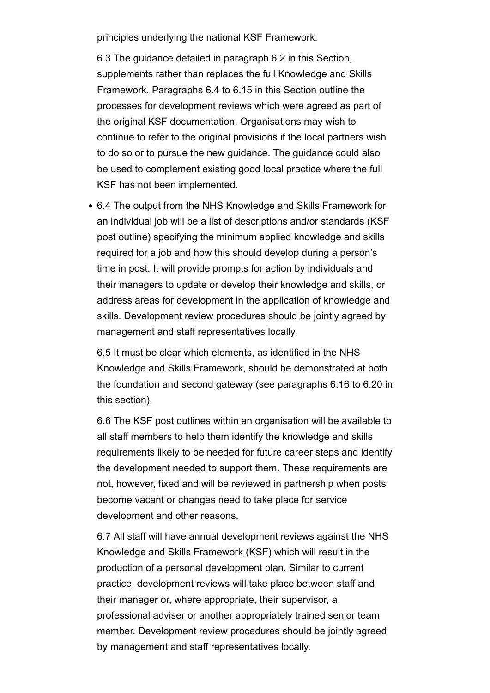principles underlying the national KSF Framework.

6.3 The guidance detailed in paragraph 6.2 in this Section, supplements rather than replaces the full Knowledge and Skills Framework. Paragraphs 6.4 to 6.15 in this Section outline the processes for development reviews which were agreed as part of the original KSF documentation. Organisations may wish to continue to refer to the original provisions if the local partners wish to do so or to pursue the new guidance. The guidance could also be used to complement existing good local practice where the full KSF has not been implemented.

6.4 The output from the NHS Knowledge and Skills Framework for an individual job will be a list of descriptions and/or standards (KSF post outline) specifying the minimum applied knowledge and skills required for a job and how this should develop during a person's time in post. It will provide prompts for action by individuals and their managers to update or develop their knowledge and skills, or address areas for development in the application of knowledge and skills. Development review procedures should be jointly agreed by management and staff representatives locally.

6.5 It must be clear which elements, as identified in the NHS Knowledge and Skills Framework, should be demonstrated at both the foundation and second gateway (see paragraphs 6.16 to 6.20 in this section).

6.6 The KSF post outlines within an organisation will be available to all staff members to help them identify the knowledge and skills requirements likely to be needed for future career steps and identify the development needed to support them. These requirements are not, however, fixed and will be reviewed in partnership when posts become vacant or changes need to take place for service development and other reasons.

6.7 All staff will have annual development reviews against the NHS Knowledge and Skills Framework (KSF) which will result in the production of a personal development plan. Similar to current practice, development reviews will take place between staff and their manager or, where appropriate, their supervisor, a professional adviser or another appropriately trained senior team member. Development review procedures should be jointly agreed by management and staff representatives locally.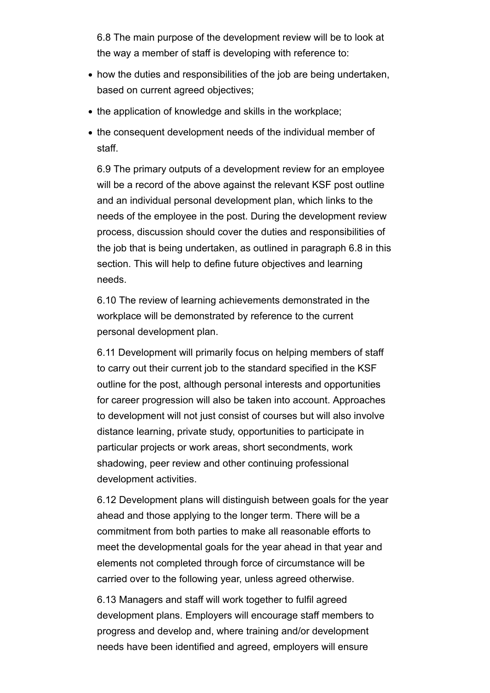6.8 The main purpose of the development review will be to look at the way a member of staff is developing with reference to:

- how the duties and responsibilities of the job are being undertaken, based on current agreed objectives;
- the application of knowledge and skills in the workplace;
- the consequent development needs of the individual member of staff.

6.9 The primary outputs of a development review for an employee will be a record of the above against the relevant KSF post outline and an individual personal development plan, which links to the needs of the employee in the post. During the development review process, discussion should cover the duties and responsibilities of the job that is being undertaken, as outlined in paragraph 6.8 in this section. This will help to define future objectives and learning needs.

6.10 The review of learning achievements demonstrated in the workplace will be demonstrated by reference to the current personal development plan.

6.11 Development will primarily focus on helping members of staff to carry out their current job to the standard specified in the KSF outline for the post, although personal interests and opportunities for career progression will also be taken into account. Approaches to development will not just consist of courses but will also involve distance learning, private study, opportunities to participate in particular projects or work areas, short secondments, work shadowing, peer review and other continuing professional development activities.

6.12 Development plans will distinguish between goals for the year ahead and those applying to the longer term. There will be a commitment from both parties to make all reasonable efforts to meet the developmental goals for the year ahead in that year and elements not completed through force of circumstance will be carried over to the following year, unless agreed otherwise.

6.13 Managers and staff will work together to fulfil agreed development plans. Employers will encourage staff members to progress and develop and, where training and/or development needs have been identified and agreed, employers will ensure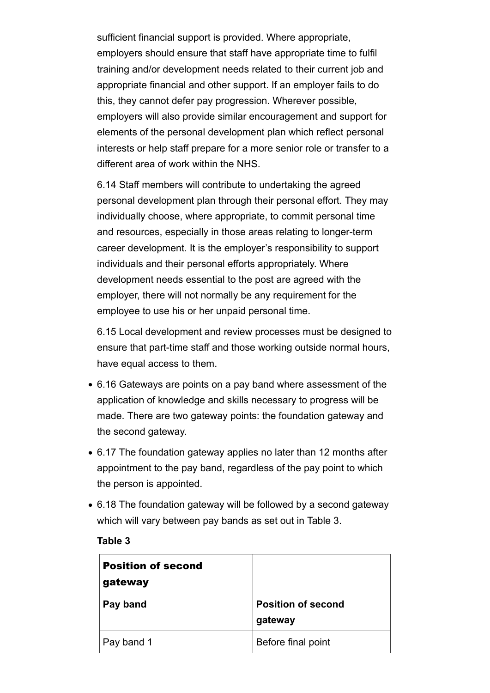sufficient financial support is provided. Where appropriate, employers should ensure that staff have appropriate time to fulfil training and/or development needs related to their current job and appropriate financial and other support. If an employer fails to do this, they cannot defer pay progression. Wherever possible, employers will also provide similar encouragement and support for elements of the personal development plan which reflect personal interests or help staff prepare for a more senior role or transfer to a different area of work within the NHS.

6.14 Staff members will contribute to undertaking the agreed personal development plan through their personal effort. They may individually choose, where appropriate, to commit personal time and resources, especially in those areas relating to longer-term career development. It is the employer's responsibility to support individuals and their personal efforts appropriately. Where development needs essential to the post are agreed with the employer, there will not normally be any requirement for the employee to use his or her unpaid personal time.

6.15 Local development and review processes must be designed to ensure that part-time staff and those working outside normal hours, have equal access to them.

- 6.16 Gateways are points on a pay band where assessment of the application of knowledge and skills necessary to progress will be made. There are two gateway points: the foundation gateway and the second gateway.
- 6.17 The foundation gateway applies no later than 12 months after appointment to the pay band, regardless of the pay point to which the person is appointed.
- 6.18 The foundation gateway will be followed by a second gateway which will vary between pay bands as set out in Table 3.

#### **Table 3**

| <b>Position of second</b><br>gateway |                                      |
|--------------------------------------|--------------------------------------|
| Pay band                             | <b>Position of second</b><br>gateway |
| Pay band 1                           | Before final point                   |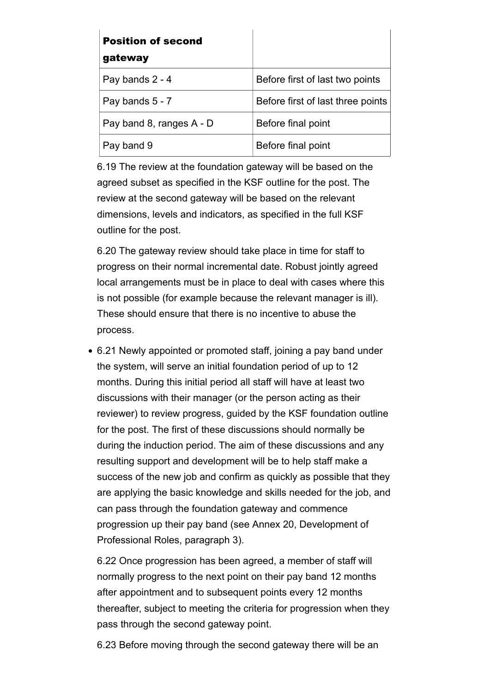| <b>Position of second</b> |                                   |
|---------------------------|-----------------------------------|
| gateway                   |                                   |
| Pay bands 2 - 4           | Before first of last two points   |
| Pay bands 5 - 7           | Before first of last three points |
| Pay band 8, ranges A - D  | Before final point                |
| Pay band 9                | Before final point                |

6.19 The review at the foundation gateway will be based on the agreed subset as specified in the KSF outline for the post. The review at the second gateway will be based on the relevant dimensions, levels and indicators, as specified in the full KSF outline for the post.

6.20 The gateway review should take place in time for staff to progress on their normal incremental date. Robust jointly agreed local arrangements must be in place to deal with cases where this is not possible (for example because the relevant manager is ill). These should ensure that there is no incentive to abuse the process.

6.21 Newly appointed or promoted staff, joining a pay band under the system, will serve an initial foundation period of up to 12 months. During this initial period all staff will have at least two discussions with their manager (or the person acting as their reviewer) to review progress, guided by the KSF foundation outline for the post. The first of these discussions should normally be during the induction period. The aim of these discussions and any resulting support and development will be to help staff make a success of the new job and confirm as quickly as possible that they are applying the basic knowledge and skills needed for the job, and can pass through the foundation gateway and commence progression up their pay band (see Annex 20, Development of Professional Roles, paragraph 3).

6.22 Once progression has been agreed, a member of staff will normally progress to the next point on their pay band 12 months after appointment and to subsequent points every 12 months thereafter, subject to meeting the criteria for progression when they pass through the second gateway point.

6.23 Before moving through the second gateway there will be an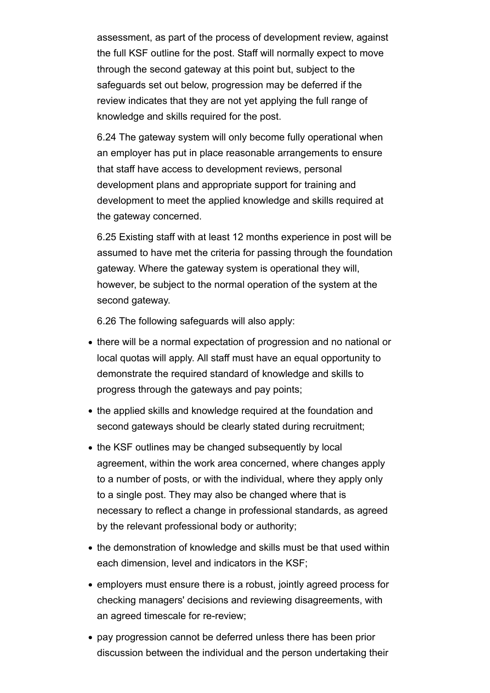assessment, as part of the process of development review, against the full KSF outline for the post. Staff will normally expect to move through the second gateway at this point but, subject to the safeguards set out below, progression may be deferred if the review indicates that they are not yet applying the full range of knowledge and skills required for the post.

6.24 The gateway system will only become fully operational when an employer has put in place reasonable arrangements to ensure that staff have access to development reviews, personal development plans and appropriate support for training and development to meet the applied knowledge and skills required at the gateway concerned.

6.25 Existing staff with at least 12 months experience in post will be assumed to have met the criteria for passing through the foundation gateway. Where the gateway system is operational they will, however, be subject to the normal operation of the system at the second gateway.

6.26 The following safeguards will also apply:

- there will be a normal expectation of progression and no national or local quotas will apply. All staff must have an equal opportunity to demonstrate the required standard of knowledge and skills to progress through the gateways and pay points;
- the applied skills and knowledge required at the foundation and second gateways should be clearly stated during recruitment;
- the KSF outlines may be changed subsequently by local agreement, within the work area concerned, where changes apply to a number of posts, or with the individual, where they apply only to a single post. They may also be changed where that is necessary to reflect a change in professional standards, as agreed by the relevant professional body or authority;
- the demonstration of knowledge and skills must be that used within each dimension, level and indicators in the KSF;
- employers must ensure there is a robust, jointly agreed process for checking managers' decisions and reviewing disagreements, with an agreed timescale for re-review;
- pay progression cannot be deferred unless there has been prior discussion between the individual and the person undertaking their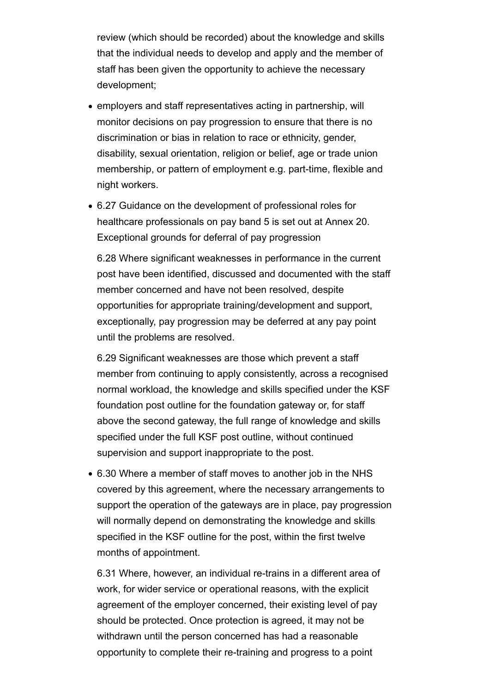review (which should be recorded) about the knowledge and skills that the individual needs to develop and apply and the member of staff has been given the opportunity to achieve the necessary development;

- employers and staff representatives acting in partnership, will monitor decisions on pay progression to ensure that there is no discrimination or bias in relation to race or ethnicity, gender, disability, sexual orientation, religion or belief, age or trade union membership, or pattern of employment e.g. part-time, flexible and night workers.
- 6.27 Guidance on the development of professional roles for healthcare professionals on pay band 5 is set out at Annex 20. Exceptional grounds for deferral of pay progression

6.28 Where significant weaknesses in performance in the current post have been identified, discussed and documented with the staff member concerned and have not been resolved, despite opportunities for appropriate training/development and support, exceptionally, pay progression may be deferred at any pay point until the problems are resolved.

6.29 Significant weaknesses are those which prevent a staff member from continuing to apply consistently, across a recognised normal workload, the knowledge and skills specified under the KSF foundation post outline for the foundation gateway or, for staff above the second gateway, the full range of knowledge and skills specified under the full KSF post outline, without continued supervision and support inappropriate to the post.

6.30 Where a member of staff moves to another job in the NHS covered by this agreement, where the necessary arrangements to support the operation of the gateways are in place, pay progression will normally depend on demonstrating the knowledge and skills specified in the KSF outline for the post, within the first twelve months of appointment.

6.31 Where, however, an individual re-trains in a different area of work, for wider service or operational reasons, with the explicit agreement of the employer concerned, their existing level of pay should be protected. Once protection is agreed, it may not be withdrawn until the person concerned has had a reasonable opportunity to complete their re-training and progress to a point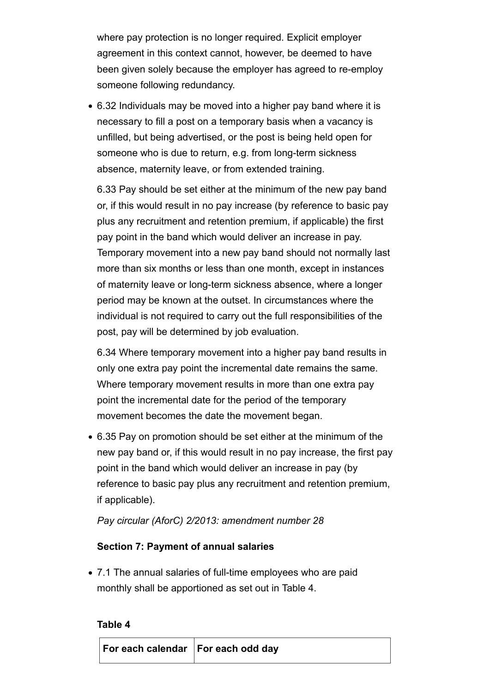where pay protection is no longer required. Explicit employer agreement in this context cannot, however, be deemed to have been given solely because the employer has agreed to re-employ someone following redundancy.

6.32 Individuals may be moved into a higher pay band where it is necessary to fill a post on a temporary basis when a vacancy is unfilled, but being advertised, or the post is being held open for someone who is due to return, e.g. from long-term sickness absence, maternity leave, or from extended training.

6.33 Pay should be set either at the minimum of the new pay band or, if this would result in no pay increase (by reference to basic pay plus any recruitment and retention premium, if applicable) the first pay point in the band which would deliver an increase in pay. Temporary movement into a new pay band should not normally last more than six months or less than one month, except in instances of maternity leave or long-term sickness absence, where a longer period may be known at the outset. In circumstances where the individual is not required to carry out the full responsibilities of the post, pay will be determined by job evaluation.

6.34 Where temporary movement into a higher pay band results in only one extra pay point the incremental date remains the same. Where temporary movement results in more than one extra pay point the incremental date for the period of the temporary movement becomes the date the movement began.

6.35 Pay on promotion should be set either at the minimum of the new pay band or, if this would result in no pay increase, the first pay point in the band which would deliver an increase in pay (by reference to basic pay plus any recruitment and retention premium, if applicable).

*Pay circular (AforC) 2/2013: amendment number 28*

# **Section 7: Payment of annual salaries**

7.1 The annual salaries of full-time employees who are paid monthly shall be apportioned as set out in Table 4.

### **Table 4**

| For each calendar   For each odd day |  |
|--------------------------------------|--|
|                                      |  |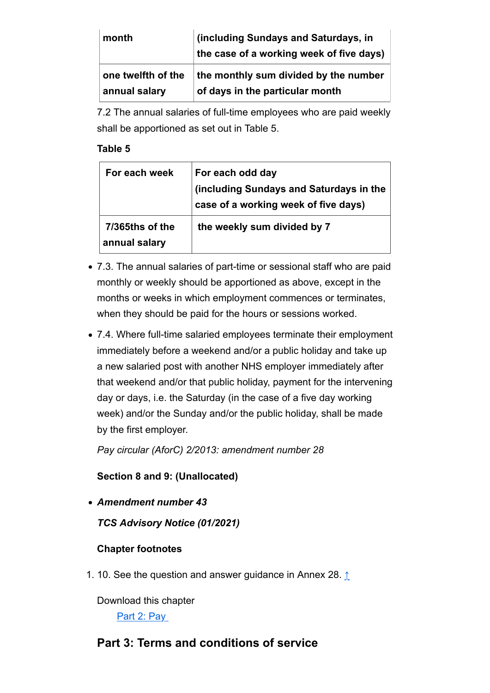| month              | (including Sundays and Saturdays, in<br>the case of a working week of five days) |
|--------------------|----------------------------------------------------------------------------------|
| one twelfth of the | the monthly sum divided by the number                                            |
| annual salary      | $\overline{\phantom{a}}$ of days in the particular month                         |

7.2 The annual salaries of full-time employees who are paid weekly shall be apportioned as set out in Table 5.

### **Table 5**

| For each week                    | For each odd day<br>(including Sundays and Saturdays in the<br>case of a working week of five days) |
|----------------------------------|-----------------------------------------------------------------------------------------------------|
| 7/365ths of the<br>annual salary | the weekly sum divided by 7                                                                         |

- 7.3. The annual salaries of part-time or sessional staff who are paid monthly or weekly should be apportioned as above, except in the months or weeks in which employment commences or terminates, when they should be paid for the hours or sessions worked.
- 7.4. Where full-time salaried employees terminate their employment immediately before a weekend and/or a public holiday and take up a new salaried post with another NHS employer immediately after that weekend and/or that public holiday, payment for the intervening day or days, i.e. the Saturday (in the case of a five day working week) and/or the Sunday and/or the public holiday, shall be made by the first employer.

*Pay circular (AforC) 2/2013: amendment number 28*

**Section 8 and 9: (Unallocated)**

*Amendment number 43*

*TCS Advisory Notice (01/2021)* 

# **Chapter footnotes**

1. 10. See the question and answer guidance in Annex 28. ↑

Download this chapter

Part 2: Pay

# **Part 3: Terms and conditions of service**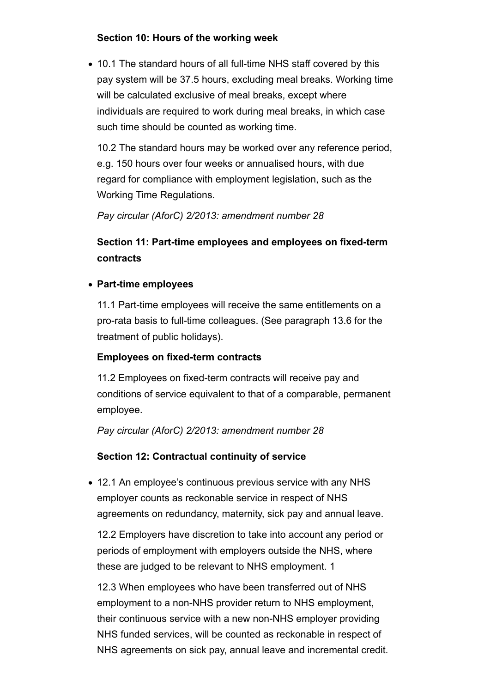## **Section 10: Hours of the working week**

10.1 The standard hours of all full-time NHS staff covered by this pay system will be 37.5 hours, excluding meal breaks. Working time will be calculated exclusive of meal breaks, except where individuals are required to work during meal breaks, in which case such time should be counted as working time.

10.2 The standard hours may be worked over any reference period, e.g. 150 hours over four weeks or annualised hours, with due regard for compliance with employment legislation, such as the Working Time Regulations.

*Pay circular (AforC) 2/2013: amendment number 28*

# **Section 11: Part-time employees and employees on fixed-term contracts**

## **Part-time employees**

11.1 Part-time employees will receive the same entitlements on a pro-rata basis to full-time colleagues. (See paragraph 13.6 for the treatment of public holidays).

## **Employees on fixed-term contracts**

11.2 Employees on fixed-term contracts will receive pay and conditions of service equivalent to that of a comparable, permanent employee.

*Pay circular (AforC) 2/2013: amendment number 28*

# **Section 12: Contractual continuity of service**

12.1 An employee's continuous previous service with any NHS employer counts as reckonable service in respect of NHS agreements on redundancy, maternity, sick pay and annual leave.

12.2 Employers have discretion to take into account any period or periods of employment with employers outside the NHS, where these are judged to be relevant to NHS employment. 1

12.3 When employees who have been transferred out of NHS employment to a non-NHS provider return to NHS employment, their continuous service with a new non-NHS employer providing NHS funded services, will be counted as reckonable in respect of NHS agreements on sick pay, annual leave and incremental credit.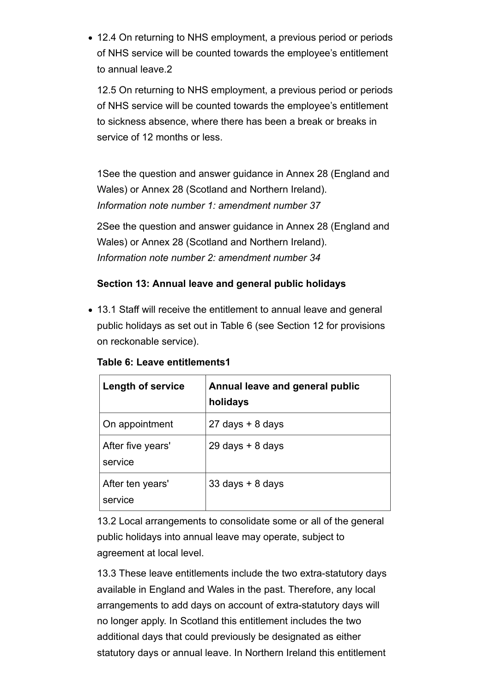12.4 On returning to NHS employment, a previous period or periods of NHS service will be counted towards the employee's entitlement to annual leave.2

12.5 On returning to NHS employment, a previous period or periods of NHS service will be counted towards the employee's entitlement to sickness absence, where there has been a break or breaks in service of 12 months or less.

1See the question and answer guidance in Annex 28 (England and Wales) or Annex 28 (Scotland and Northern Ireland). *Information note number 1: amendment number 37*

2See the question and answer guidance in Annex 28 (England and Wales) or Annex 28 (Scotland and Northern Ireland). *Information note number 2: amendment number 34*

# **Section 13: Annual leave and general public holidays**

13.1 Staff will receive the entitlement to annual leave and general public holidays as set out in Table 6 (see Section 12 for provisions on reckonable service).

| <b>Length of service</b>     | Annual leave and general public<br>holidays |
|------------------------------|---------------------------------------------|
| On appointment               | $27$ days $+ 8$ days                        |
| After five years'<br>service | $29$ days $+ 8$ days                        |
| After ten years'<br>service  | $33$ days $+ 8$ days                        |

**Table 6: Leave entitlements1**

13.2 Local arrangements to consolidate some or all of the general public holidays into annual leave may operate, subject to agreement at local level.

13.3 These leave entitlements include the two extra-statutory days available in England and Wales in the past. Therefore, any local arrangements to add days on account of extra-statutory days will no longer apply. In Scotland this entitlement includes the two additional days that could previously be designated as either statutory days or annual leave. In Northern Ireland this entitlement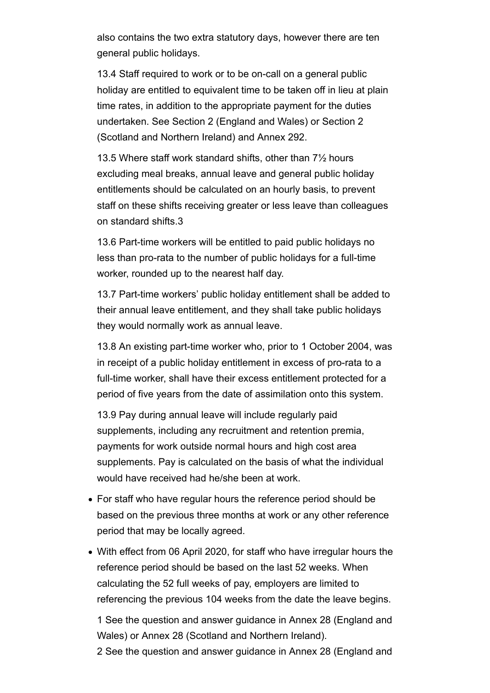also contains the two extra statutory days, however there are ten general public holidays.

13.4 Staff required to work or to be on-call on a general public holiday are entitled to equivalent time to be taken off in lieu at plain time rates, in addition to the appropriate payment for the duties undertaken. See Section 2 (England and Wales) or Section 2 (Scotland and Northern Ireland) and Annex 292.

13.5 Where staff work standard shifts, other than 7½ hours excluding meal breaks, annual leave and general public holiday entitlements should be calculated on an hourly basis, to prevent staff on these shifts receiving greater or less leave than colleagues on standard shifts.3

13.6 Part-time workers will be entitled to paid public holidays no less than pro-rata to the number of public holidays for a full-time worker, rounded up to the nearest half day.

13.7 Part-time workers' public holiday entitlement shall be added to their annual leave entitlement, and they shall take public holidays they would normally work as annual leave.

13.8 An existing part-time worker who, prior to 1 October 2004, was in receipt of a public holiday entitlement in excess of pro-rata to a full-time worker, shall have their excess entitlement protected for a period of five years from the date of assimilation onto this system.

13.9 Pay during annual leave will include regularly paid supplements, including any recruitment and retention premia, payments for work outside normal hours and high cost area supplements. Pay is calculated on the basis of what the individual would have received had he/she been at work.

- For staff who have regular hours the reference period should be based on the previous three months at work or any other reference period that may be locally agreed.
- With effect from 06 April 2020, for staff who have irregular hours the reference period should be based on the last 52 weeks. When calculating the 52 full weeks of pay, employers are limited to referencing the previous 104 weeks from the date the leave begins.

1 See the question and answer guidance in Annex 28 (England and Wales) or Annex 28 (Scotland and Northern Ireland).

2 See the question and answer guidance in Annex 28 (England and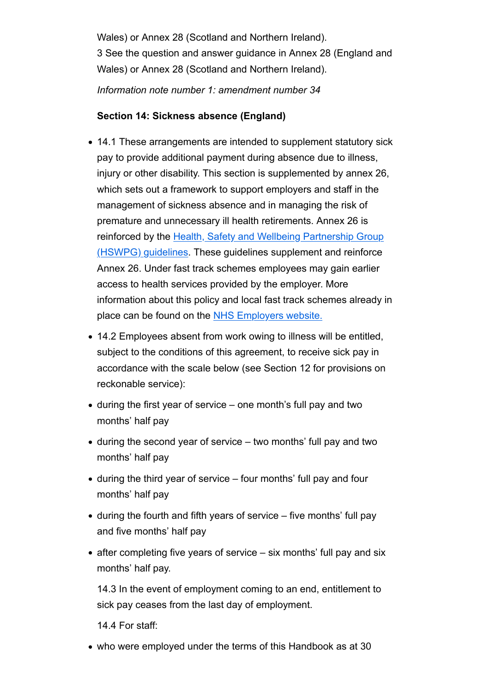Wales) or Annex 28 (Scotland and Northern Ireland). 3 See the question and answer guidance in Annex 28 (England and Wales) or Annex 28 (Scotland and Northern Ireland). *Information note number 1: amendment number 34*

## **Section 14: Sickness absence (England)**

- 14.1 These arrangements are intended to supplement statutory sick pay to provide additional payment during absence due to illness, injury or other disability. This section is supplemented by annex 26, which sets out a framework to support employers and staff in the management of sickness absence and in managing the risk of premature and unnecessary ill health retirements. Annex 26 is reinforced by the Health, Safety and Wellbeing Partnership Group (HSWPG) guidelines. These guidelines supplement and reinforce Annex 26. Under fast track schemes employees may gain earlier access to health services provided by the employer. More information about this policy and local fast track schemes already in place can be found on the NHS Employers website.
- 14.2 Employees absent from work owing to illness will be entitled, subject to the conditions of this agreement, to receive sick pay in accordance with the scale below (see Section 12 for provisions on reckonable service):
- during the first year of service one month's full pay and two months' half pay
- during the second year of service two months' full pay and two months' half pay
- during the third year of service four months' full pay and four months' half pay
- during the fourth and fifth years of service five months' full pay and five months' half pay
- $\bullet$  after completing five years of service  $-$  six months' full pay and six months' half pay.

14.3 In the event of employment coming to an end, entitlement to sick pay ceases from the last day of employment.

14.4 For staff:

who were employed under the terms of this Handbook as at 30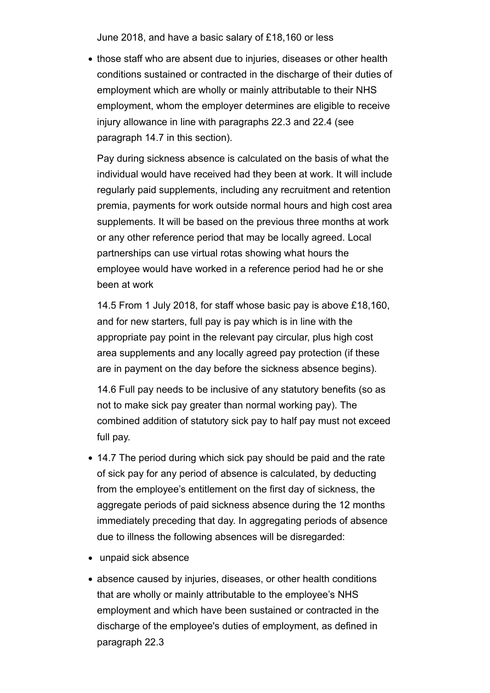June 2018, and have a basic salary of £18,160 or less

• those staff who are absent due to injuries, diseases or other health conditions sustained or contracted in the discharge of their duties of employment which are wholly or mainly attributable to their NHS employment, whom the employer determines are eligible to receive injury allowance in line with paragraphs 22.3 and 22.4 (see paragraph 14.7 in this section).

Pay during sickness absence is calculated on the basis of what the individual would have received had they been at work. It will include regularly paid supplements, including any recruitment and retention premia, payments for work outside normal hours and high cost area supplements. It will be based on the previous three months at work or any other reference period that may be locally agreed. Local partnerships can use virtual rotas showing what hours the employee would have worked in a reference period had he or she been at work

14.5 From 1 July 2018, for staff whose basic pay is above £18,160, and for new starters, full pay is pay which is in line with the appropriate pay point in the relevant pay circular, plus high cost area supplements and any locally agreed pay protection (if these are in payment on the day before the sickness absence begins).

14.6 Full pay needs to be inclusive of any statutory benefits (so as not to make sick pay greater than normal working pay). The combined addition of statutory sick pay to half pay must not exceed full pay.

- 14.7 The period during which sick pay should be paid and the rate of sick pay for any period of absence is calculated, by deducting from the employee's entitlement on the first day of sickness, the aggregate periods of paid sickness absence during the 12 months immediately preceding that day. In aggregating periods of absence due to illness the following absences will be disregarded:
- unpaid sick absence
- absence caused by injuries, diseases, or other health conditions that are wholly or mainly attributable to the employee's NHS employment and which have been sustained or contracted in the discharge of the employee's duties of employment, as defined in paragraph 22.3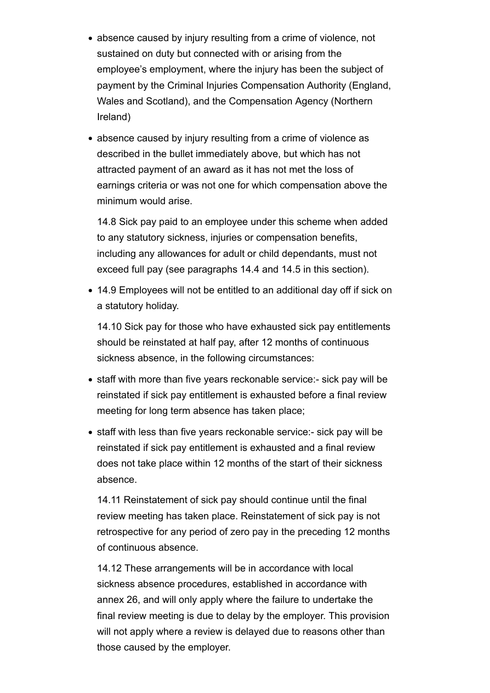- absence caused by injury resulting from a crime of violence, not sustained on duty but connected with or arising from the employee's employment, where the injury has been the subject of payment by the Criminal Injuries Compensation Authority (England, Wales and Scotland), and the Compensation Agency (Northern Ireland)
- absence caused by injury resulting from a crime of violence as described in the bullet immediately above, but which has not attracted payment of an award as it has not met the loss of earnings criteria or was not one for which compensation above the minimum would arise.

14.8 Sick pay paid to an employee under this scheme when added to any statutory sickness, injuries or compensation benefits, including any allowances for adult or child dependants, must not exceed full pay (see paragraphs 14.4 and 14.5 in this section).

14.9 Employees will not be entitled to an additional day off if sick on a statutory holiday.

14.10 Sick pay for those who have exhausted sick pay entitlements should be reinstated at half pay, after 12 months of continuous sickness absence, in the following circumstances:

- staff with more than five years reckonable service:- sick pay will be reinstated if sick pay entitlement is exhausted before a final review meeting for long term absence has taken place;
- staff with less than five years reckonable service:- sick pay will be reinstated if sick pay entitlement is exhausted and a final review does not take place within 12 months of the start of their sickness absence.

14.11 Reinstatement of sick pay should continue until the final review meeting has taken place. Reinstatement of sick pay is not retrospective for any period of zero pay in the preceding 12 months of continuous absence.

14.12 These arrangements will be in accordance with local sickness absence procedures, established in accordance with annex 26, and will only apply where the failure to undertake the final review meeting is due to delay by the employer. This provision will not apply where a review is delayed due to reasons other than those caused by the employer.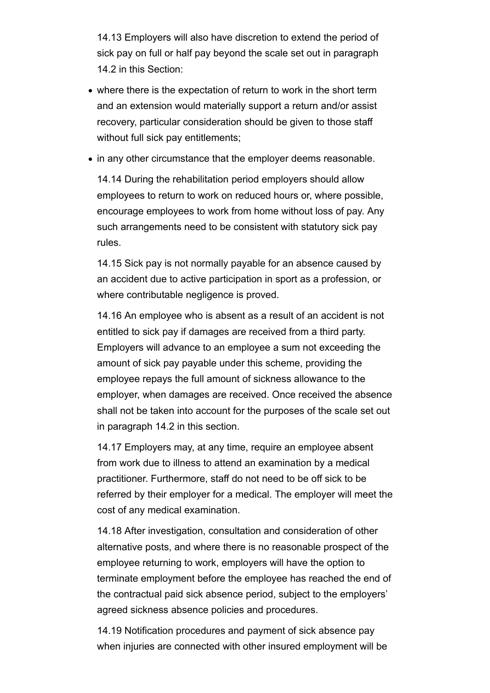14.13 Employers will also have discretion to extend the period of sick pay on full or half pay beyond the scale set out in paragraph 14.2 in this Section:

- where there is the expectation of return to work in the short term and an extension would materially support a return and/or assist recovery, particular consideration should be given to those staff without full sick pay entitlements;
- in any other circumstance that the employer deems reasonable.

14.14 During the rehabilitation period employers should allow employees to return to work on reduced hours or, where possible, encourage employees to work from home without loss of pay. Any such arrangements need to be consistent with statutory sick pay rules.

14.15 Sick pay is not normally payable for an absence caused by an accident due to active participation in sport as a profession, or where contributable negligence is proved.

14.16 An employee who is absent as a result of an accident is not entitled to sick pay if damages are received from a third party. Employers will advance to an employee a sum not exceeding the amount of sick pay payable under this scheme, providing the employee repays the full amount of sickness allowance to the employer, when damages are received. Once received the absence shall not be taken into account for the purposes of the scale set out in paragraph 14.2 in this section.

14.17 Employers may, at any time, require an employee absent from work due to illness to attend an examination by a medical practitioner. Furthermore, staff do not need to be off sick to be referred by their employer for a medical. The employer will meet the cost of any medical examination.

14.18 After investigation, consultation and consideration of other alternative posts, and where there is no reasonable prospect of the employee returning to work, employers will have the option to terminate employment before the employee has reached the end of the contractual paid sick absence period, subject to the employers' agreed sickness absence policies and procedures.

14.19 Notification procedures and payment of sick absence pay when injuries are connected with other insured employment will be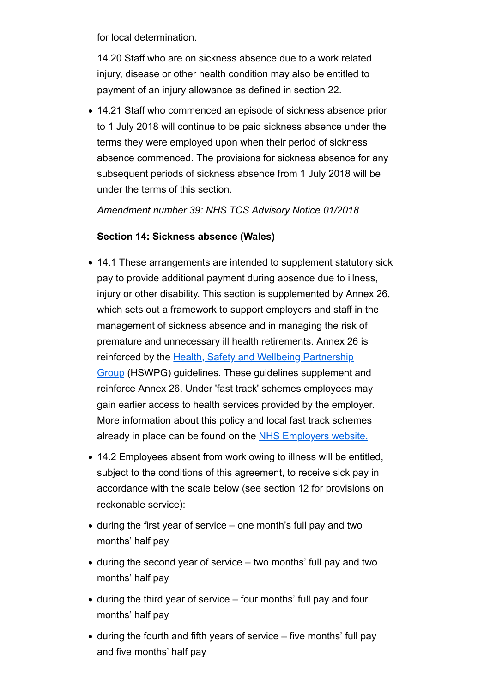for local determination.

14.20 Staff who are on sickness absence due to a work related injury, disease or other health condition may also be entitled to payment of an injury allowance as defined in section 22.

14.21 Staff who commenced an episode of sickness absence prior to 1 July 2018 will continue to be paid sickness absence under the terms they were employed upon when their period of sickness absence commenced. The provisions for sickness absence for any subsequent periods of sickness absence from 1 July 2018 will be under the terms of this section.

*Amendment number 39: NHS TCS Advisory Notice 01/2018*

## **Section 14: Sickness absence (Wales)**

- 14.1 These arrangements are intended to supplement statutory sick pay to provide additional payment during absence due to illness, injury or other disability. This section is supplemented by Annex 26, which sets out a framework to support employers and staff in the management of sickness absence and in managing the risk of premature and unnecessary ill health retirements. Annex 26 is reinforced by the Health, Safety and Wellbeing Partnership Group (HSWPG) guidelines. These guidelines supplement and reinforce Annex 26. Under 'fast track' schemes employees may gain earlier access to health services provided by the employer. More information about this policy and local fast track schemes already in place can be found on the NHS Employers website.
- 14.2 Employees absent from work owing to illness will be entitled, subject to the conditions of this agreement, to receive sick pay in accordance with the scale below (see section 12 for provisions on reckonable service):
- during the first year of service one month's full pay and two months' half pay
- during the second year of service two months' full pay and two months' half pay
- during the third year of service four months' full pay and four months' half pay
- during the fourth and fifth years of service five months' full pay and five months' half pay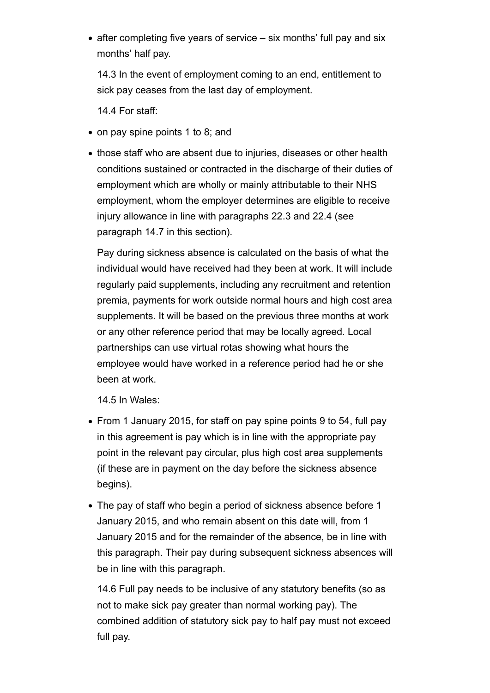• after completing five years of service – six months' full pay and six months' half pay.

14.3 In the event of employment coming to an end, entitlement to sick pay ceases from the last day of employment.

14.4 For staff:

- on pay spine points 1 to 8; and
- those staff who are absent due to injuries, diseases or other health conditions sustained or contracted in the discharge of their duties of employment which are wholly or mainly attributable to their NHS employment, whom the employer determines are eligible to receive injury allowance in line with paragraphs 22.3 and 22.4 (see paragraph 14.7 in this section).

Pay during sickness absence is calculated on the basis of what the individual would have received had they been at work. It will include regularly paid supplements, including any recruitment and retention premia, payments for work outside normal hours and high cost area supplements. It will be based on the previous three months at work or any other reference period that may be locally agreed. Local partnerships can use virtual rotas showing what hours the employee would have worked in a reference period had he or she been at work.

14.5 In Wales:

- From 1 January 2015, for staff on pay spine points 9 to 54, full pay in this agreement is pay which is in line with the appropriate pay point in the relevant pay circular, plus high cost area supplements (if these are in payment on the day before the sickness absence begins).
- The pay of staff who begin a period of sickness absence before 1 January 2015, and who remain absent on this date will, from 1 January 2015 and for the remainder of the absence, be in line with this paragraph. Their pay during subsequent sickness absences will be in line with this paragraph.

14.6 Full pay needs to be inclusive of any statutory benefits (so as not to make sick pay greater than normal working pay). The combined addition of statutory sick pay to half pay must not exceed full pay.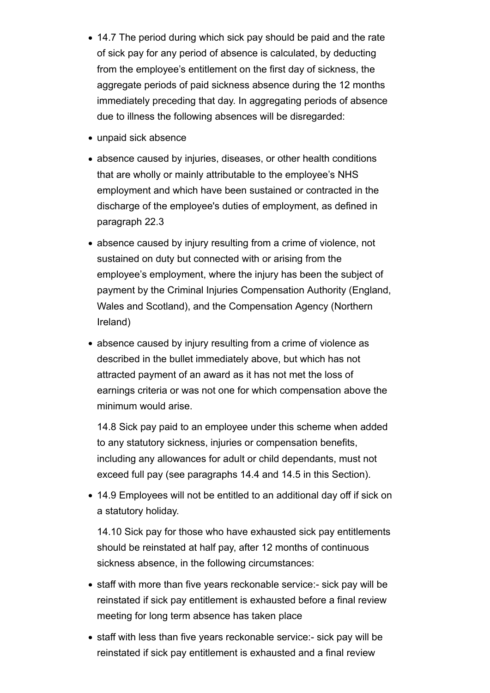- 14.7 The period during which sick pay should be paid and the rate of sick pay for any period of absence is calculated, by deducting from the employee's entitlement on the first day of sickness, the aggregate periods of paid sickness absence during the 12 months immediately preceding that day. In aggregating periods of absence due to illness the following absences will be disregarded:
- unpaid sick absence
- absence caused by injuries, diseases, or other health conditions that are wholly or mainly attributable to the employee's NHS employment and which have been sustained or contracted in the discharge of the employee's duties of employment, as defined in paragraph 22.3
- absence caused by injury resulting from a crime of violence, not sustained on duty but connected with or arising from the employee's employment, where the injury has been the subject of payment by the Criminal Injuries Compensation Authority (England, Wales and Scotland), and the Compensation Agency (Northern Ireland)
- absence caused by injury resulting from a crime of violence as described in the bullet immediately above, but which has not attracted payment of an award as it has not met the loss of earnings criteria or was not one for which compensation above the minimum would arise.

14.8 Sick pay paid to an employee under this scheme when added to any statutory sickness, injuries or compensation benefits, including any allowances for adult or child dependants, must not exceed full pay (see paragraphs 14.4 and 14.5 in this Section).

14.9 Employees will not be entitled to an additional day off if sick on a statutory holiday.

14.10 Sick pay for those who have exhausted sick pay entitlements should be reinstated at half pay, after 12 months of continuous sickness absence, in the following circumstances:

- staff with more than five years reckonable service:- sick pay will be reinstated if sick pay entitlement is exhausted before a final review meeting for long term absence has taken place
- staff with less than five years reckonable service:- sick pay will be reinstated if sick pay entitlement is exhausted and a final review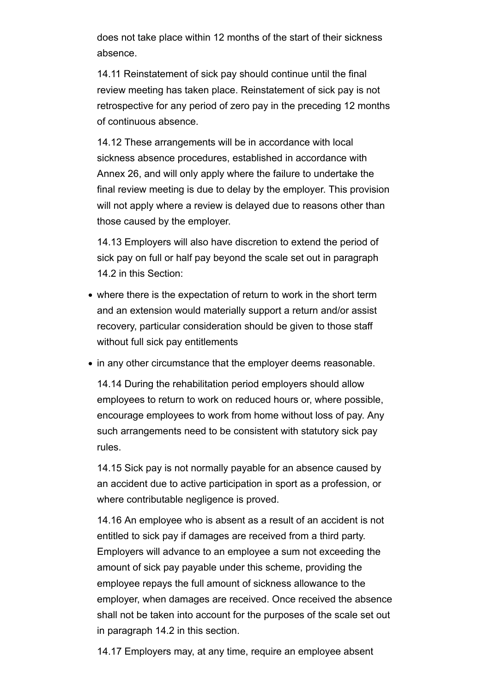does not take place within 12 months of the start of their sickness absence.

14.11 Reinstatement of sick pay should continue until the final review meeting has taken place. Reinstatement of sick pay is not retrospective for any period of zero pay in the preceding 12 months of continuous absence.

14.12 These arrangements will be in accordance with local sickness absence procedures, established in accordance with Annex 26, and will only apply where the failure to undertake the final review meeting is due to delay by the employer. This provision will not apply where a review is delayed due to reasons other than those caused by the employer.

14.13 Employers will also have discretion to extend the period of sick pay on full or half pay beyond the scale set out in paragraph 14.2 in this Section:

- where there is the expectation of return to work in the short term and an extension would materially support a return and/or assist recovery, particular consideration should be given to those staff without full sick pay entitlements
- in any other circumstance that the employer deems reasonable.

14.14 During the rehabilitation period employers should allow employees to return to work on reduced hours or, where possible, encourage employees to work from home without loss of pay. Any such arrangements need to be consistent with statutory sick pay rules.

14.15 Sick pay is not normally payable for an absence caused by an accident due to active participation in sport as a profession, or where contributable negligence is proved.

14.16 An employee who is absent as a result of an accident is not entitled to sick pay if damages are received from a third party. Employers will advance to an employee a sum not exceeding the amount of sick pay payable under this scheme, providing the employee repays the full amount of sickness allowance to the employer, when damages are received. Once received the absence shall not be taken into account for the purposes of the scale set out in paragraph 14.2 in this section.

14.17 Employers may, at any time, require an employee absent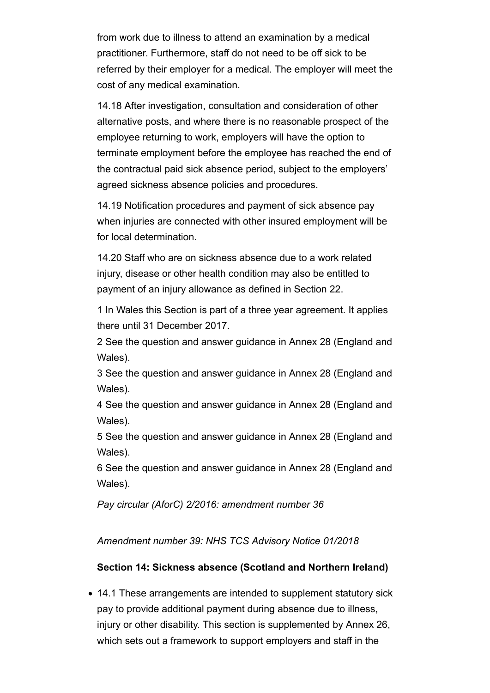from work due to illness to attend an examination by a medical practitioner. Furthermore, staff do not need to be off sick to be referred by their employer for a medical. The employer will meet the cost of any medical examination.

14.18 After investigation, consultation and consideration of other alternative posts, and where there is no reasonable prospect of the employee returning to work, employers will have the option to terminate employment before the employee has reached the end of the contractual paid sick absence period, subject to the employers' agreed sickness absence policies and procedures.

14.19 Notification procedures and payment of sick absence pay when injuries are connected with other insured employment will be for local determination.

14.20 Staff who are on sickness absence due to a work related injury, disease or other health condition may also be entitled to payment of an injury allowance as defined in Section 22.

1 In Wales this Section is part of a three year agreement. It applies there until 31 December 2017.

2 See the question and answer guidance in Annex 28 (England and Wales).

3 See the question and answer guidance in Annex 28 (England and Wales).

4 See the question and answer guidance in Annex 28 (England and Wales).

5 See the question and answer guidance in Annex 28 (England and Wales).

6 See the question and answer guidance in Annex 28 (England and Wales).

*Pay circular (AforC) 2/2016: amendment number 36*

*Amendment number 39: NHS TCS Advisory Notice 01/2018*

## **Section 14: Sickness absence (Scotland and Northern Ireland)**

14.1 These arrangements are intended to supplement statutory sick pay to provide additional payment during absence due to illness, injury or other disability. This section is supplemented by Annex 26, which sets out a framework to support employers and staff in the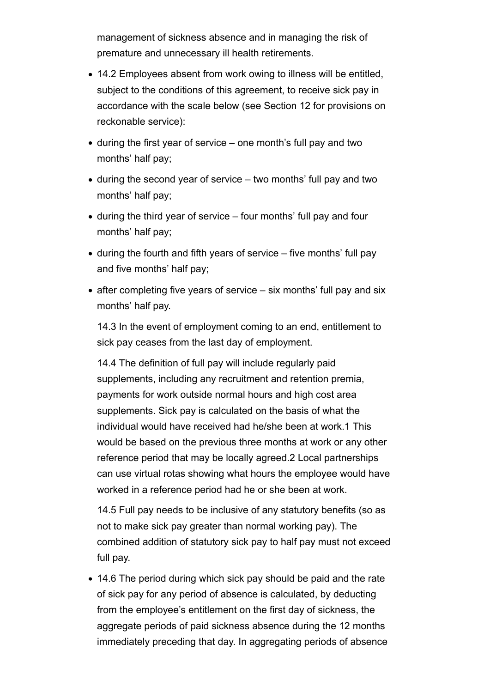management of sickness absence and in managing the risk of premature and unnecessary ill health retirements.

- 14.2 Employees absent from work owing to illness will be entitled, subject to the conditions of this agreement, to receive sick pay in accordance with the scale below (see Section 12 for provisions on reckonable service):
- during the first year of service one month's full pay and two months' half pay;
- during the second year of service two months' full pay and two months' half pay;
- during the third year of service four months' full pay and four months' half pay;
- during the fourth and fifth years of service five months' full pay and five months' half pay;
- $\bullet$  after completing five years of service  $-$  six months' full pay and six months' half pay.

14.3 In the event of employment coming to an end, entitlement to sick pay ceases from the last day of employment.

14.4 The definition of full pay will include regularly paid supplements, including any recruitment and retention premia, payments for work outside normal hours and high cost area supplements. Sick pay is calculated on the basis of what the individual would have received had he/she been at work.1 This would be based on the previous three months at work or any other reference period that may be locally agreed.2 Local partnerships can use virtual rotas showing what hours the employee would have worked in a reference period had he or she been at work.

14.5 Full pay needs to be inclusive of any statutory benefits (so as not to make sick pay greater than normal working pay). The combined addition of statutory sick pay to half pay must not exceed full pay.

14.6 The period during which sick pay should be paid and the rate of sick pay for any period of absence is calculated, by deducting from the employee's entitlement on the first day of sickness, the aggregate periods of paid sickness absence during the 12 months immediately preceding that day. In aggregating periods of absence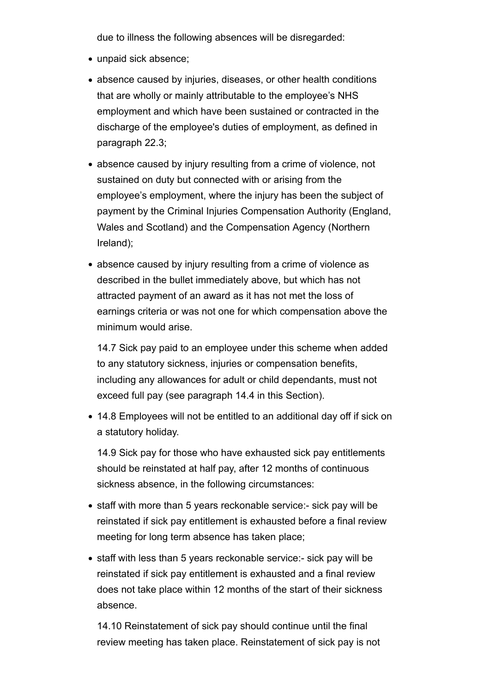due to illness the following absences will be disregarded:

- unpaid sick absence;
- absence caused by injuries, diseases, or other health conditions that are wholly or mainly attributable to the employee's NHS employment and which have been sustained or contracted in the discharge of the employee's duties of employment, as defined in paragraph 22.3;
- absence caused by injury resulting from a crime of violence, not sustained on duty but connected with or arising from the employee's employment, where the injury has been the subject of payment by the Criminal Injuries Compensation Authority (England, Wales and Scotland) and the Compensation Agency (Northern Ireland);
- absence caused by injury resulting from a crime of violence as described in the bullet immediately above, but which has not attracted payment of an award as it has not met the loss of earnings criteria or was not one for which compensation above the minimum would arise.

14.7 Sick pay paid to an employee under this scheme when added to any statutory sickness, injuries or compensation benefits, including any allowances for adult or child dependants, must not exceed full pay (see paragraph 14.4 in this Section).

14.8 Employees will not be entitled to an additional day off if sick on a statutory holiday.

14.9 Sick pay for those who have exhausted sick pay entitlements should be reinstated at half pay, after 12 months of continuous sickness absence, in the following circumstances:

- staff with more than 5 years reckonable service:- sick pay will be reinstated if sick pay entitlement is exhausted before a final review meeting for long term absence has taken place;
- staff with less than 5 years reckonable service:- sick pay will be reinstated if sick pay entitlement is exhausted and a final review does not take place within 12 months of the start of their sickness absence.

14.10 Reinstatement of sick pay should continue until the final review meeting has taken place. Reinstatement of sick pay is not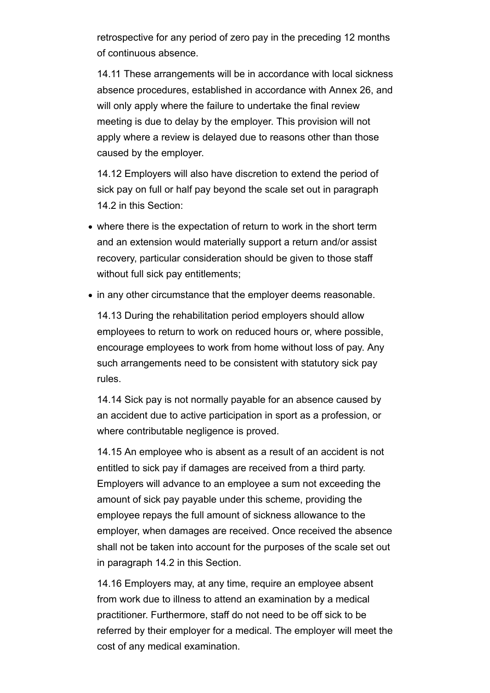retrospective for any period of zero pay in the preceding 12 months of continuous absence.

14.11 These arrangements will be in accordance with local sickness absence procedures, established in accordance with Annex 26, and will only apply where the failure to undertake the final review meeting is due to delay by the employer. This provision will not apply where a review is delayed due to reasons other than those caused by the employer.

14.12 Employers will also have discretion to extend the period of sick pay on full or half pay beyond the scale set out in paragraph 14.2 in this Section:

- where there is the expectation of return to work in the short term and an extension would materially support a return and/or assist recovery, particular consideration should be given to those staff without full sick pay entitlements;
- in any other circumstance that the employer deems reasonable.

14.13 During the rehabilitation period employers should allow employees to return to work on reduced hours or, where possible, encourage employees to work from home without loss of pay. Any such arrangements need to be consistent with statutory sick pay rules.

14.14 Sick pay is not normally payable for an absence caused by an accident due to active participation in sport as a profession, or where contributable negligence is proved.

14.15 An employee who is absent as a result of an accident is not entitled to sick pay if damages are received from a third party. Employers will advance to an employee a sum not exceeding the amount of sick pay payable under this scheme, providing the employee repays the full amount of sickness allowance to the employer, when damages are received. Once received the absence shall not be taken into account for the purposes of the scale set out in paragraph 14.2 in this Section.

14.16 Employers may, at any time, require an employee absent from work due to illness to attend an examination by a medical practitioner. Furthermore, staff do not need to be off sick to be referred by their employer for a medical. The employer will meet the cost of any medical examination.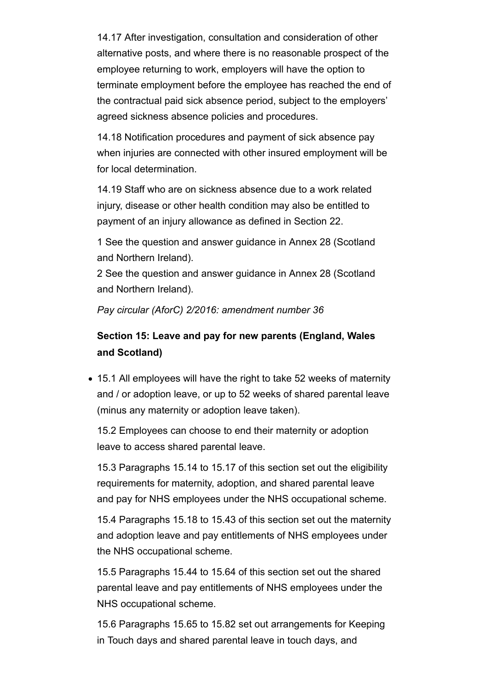14.17 After investigation, consultation and consideration of other alternative posts, and where there is no reasonable prospect of the employee returning to work, employers will have the option to terminate employment before the employee has reached the end of the contractual paid sick absence period, subject to the employers' agreed sickness absence policies and procedures.

14.18 Notification procedures and payment of sick absence pay when injuries are connected with other insured employment will be for local determination.

14.19 Staff who are on sickness absence due to a work related injury, disease or other health condition may also be entitled to payment of an injury allowance as defined in Section 22.

1 See the question and answer guidance in Annex 28 (Scotland and Northern Ireland).

2 See the question and answer guidance in Annex 28 (Scotland and Northern Ireland).

*Pay circular (AforC) 2/2016: amendment number 36*

# **Section 15: Leave and pay for new parents (England, Wales and Scotland)**

15.1 All employees will have the right to take 52 weeks of maternity and / or adoption leave, or up to 52 weeks of shared parental leave (minus any maternity or adoption leave taken).

15.2 Employees can choose to end their maternity or adoption leave to access shared parental leave.

15.3 Paragraphs 15.14 to 15.17 of this section set out the eligibility requirements for maternity, adoption, and shared parental leave and pay for NHS employees under the NHS occupational scheme.

15.4 Paragraphs 15.18 to 15.43 of this section set out the maternity and adoption leave and pay entitlements of NHS employees under the NHS occupational scheme.

15.5 Paragraphs 15.44 to 15.64 of this section set out the shared parental leave and pay entitlements of NHS employees under the NHS occupational scheme.

15.6 Paragraphs 15.65 to 15.82 set out arrangements for Keeping in Touch days and shared parental leave in touch days, and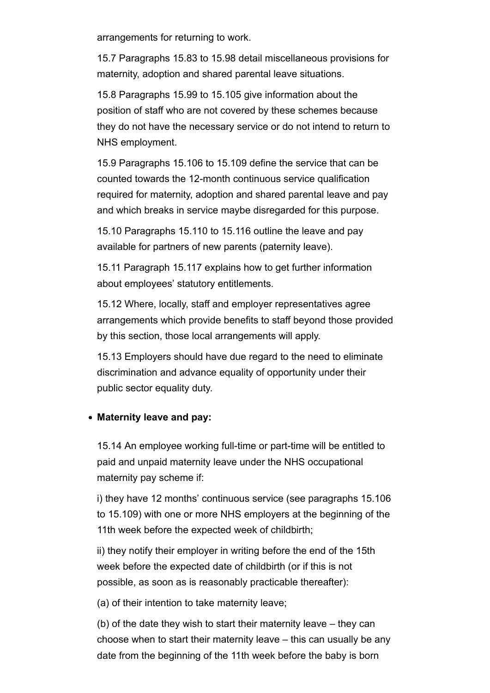arrangements for returning to work.

15.7 Paragraphs 15.83 to 15.98 detail miscellaneous provisions for maternity, adoption and shared parental leave situations.

15.8 Paragraphs 15.99 to 15.105 give information about the position of staff who are not covered by these schemes because they do not have the necessary service or do not intend to return to NHS employment.

15.9 Paragraphs 15.106 to 15.109 define the service that can be counted towards the 12-month continuous service qualification required for maternity, adoption and shared parental leave and pay and which breaks in service maybe disregarded for this purpose.

15.10 Paragraphs 15.110 to 15.116 outline the leave and pay available for partners of new parents (paternity leave).

15.11 Paragraph 15.117 explains how to get further information about employees' statutory entitlements.

15.12 Where, locally, staff and employer representatives agree arrangements which provide benefits to staff beyond those provided by this section, those local arrangements will apply.

15.13 Employers should have due regard to the need to eliminate discrimination and advance equality of opportunity under their public sector equality duty.

### **Maternity leave and pay:**

15.14 An employee working full-time or part-time will be entitled to paid and unpaid maternity leave under the NHS occupational maternity pay scheme if:

i) they have 12 months' continuous service (see paragraphs 15.106 to 15.109) with one or more NHS employers at the beginning of the 11th week before the expected week of childbirth;

ii) they notify their employer in writing before the end of the 15th week before the expected date of childbirth (or if this is not possible, as soon as is reasonably practicable thereafter):

(a) of their intention to take maternity leave;

(b) of the date they wish to start their maternity leave – they can choose when to start their maternity leave – this can usually be any date from the beginning of the 11th week before the baby is born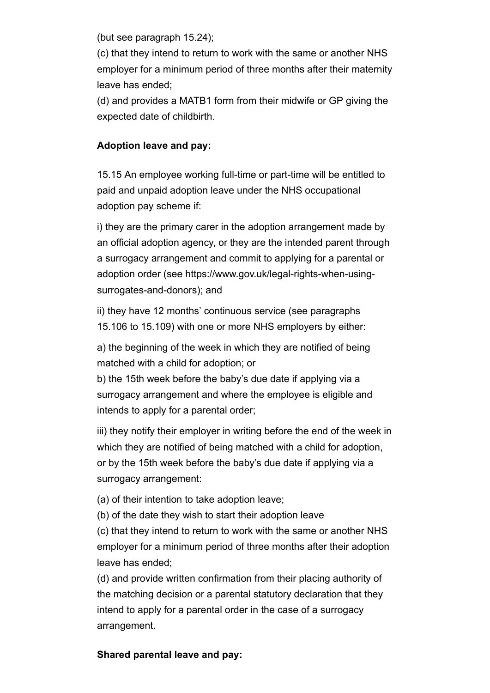(but see paragraph 15.24);

(c) that they intend to return to work with the same or another NHS employer for a minimum period of three months after their maternity leave has ended;

(d) and provides a MATB1 form from their midwife or GP giving the expected date of childbirth.

## **Adoption leave and pay:**

15.15 An employee working full-time or part-time will be entitled to paid and unpaid adoption leave under the NHS occupational adoption pay scheme if:

i) they are the primary carer in the adoption arrangement made by an official adoption agency, or they are the intended parent through a surrogacy arrangement and commit to applying for a parental or adoption order (see https://www.gov.uk/legal-rights-when-usingsurrogates-and-donors); and

ii) they have 12 months' continuous service (see paragraphs 15.106 to 15.109) with one or more NHS employers by either:

a) the beginning of the week in which they are notified of being matched with a child for adoption; or

b) the 15th week before the baby's due date if applying via a surrogacy arrangement and where the employee is eligible and intends to apply for a parental order;

iii) they notify their employer in writing before the end of the week in which they are notified of being matched with a child for adoption, or by the 15th week before the baby's due date if applying via a surrogacy arrangement:

(a) of their intention to take adoption leave;

(b) of the date they wish to start their adoption leave

(c) that they intend to return to work with the same or another NHS employer for a minimum period of three months after their adoption leave has ended;

(d) and provide written confirmation from their placing authority of the matching decision or a parental statutory declaration that they intend to apply for a parental order in the case of a surrogacy arrangement.

## **Shared parental leave and pay:**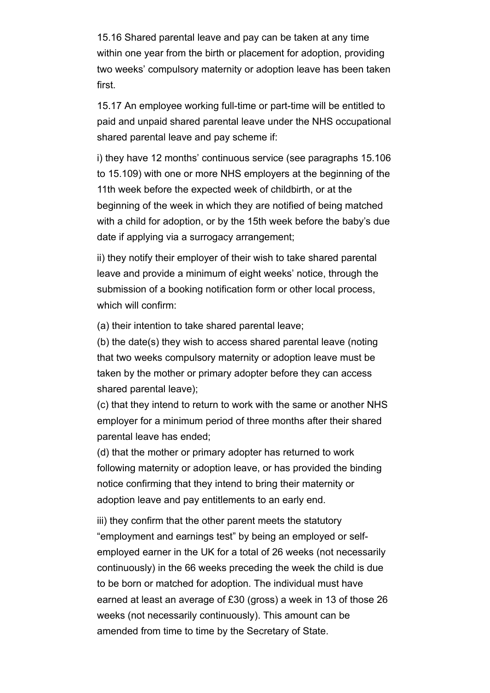15.16 Shared parental leave and pay can be taken at any time within one year from the birth or placement for adoption, providing two weeks' compulsory maternity or adoption leave has been taken first.

15.17 An employee working full-time or part-time will be entitled to paid and unpaid shared parental leave under the NHS occupational shared parental leave and pay scheme if:

i) they have 12 months' continuous service (see paragraphs 15.106 to 15.109) with one or more NHS employers at the beginning of the 11th week before the expected week of childbirth, or at the beginning of the week in which they are notified of being matched with a child for adoption, or by the 15th week before the baby's due date if applying via a surrogacy arrangement;

ii) they notify their employer of their wish to take shared parental leave and provide a minimum of eight weeks' notice, through the submission of a booking notification form or other local process, which will confirm:

(a) their intention to take shared parental leave;

(b) the date(s) they wish to access shared parental leave (noting that two weeks compulsory maternity or adoption leave must be taken by the mother or primary adopter before they can access shared parental leave);

(c) that they intend to return to work with the same or another NHS employer for a minimum period of three months after their shared parental leave has ended;

(d) that the mother or primary adopter has returned to work following maternity or adoption leave, or has provided the binding notice confirming that they intend to bring their maternity or adoption leave and pay entitlements to an early end.

iii) they confirm that the other parent meets the statutory "employment and earnings test" by being an employed or selfemployed earner in the UK for a total of 26 weeks (not necessarily continuously) in the 66 weeks preceding the week the child is due to be born or matched for adoption. The individual must have earned at least an average of £30 (gross) a week in 13 of those 26 weeks (not necessarily continuously). This amount can be amended from time to time by the Secretary of State.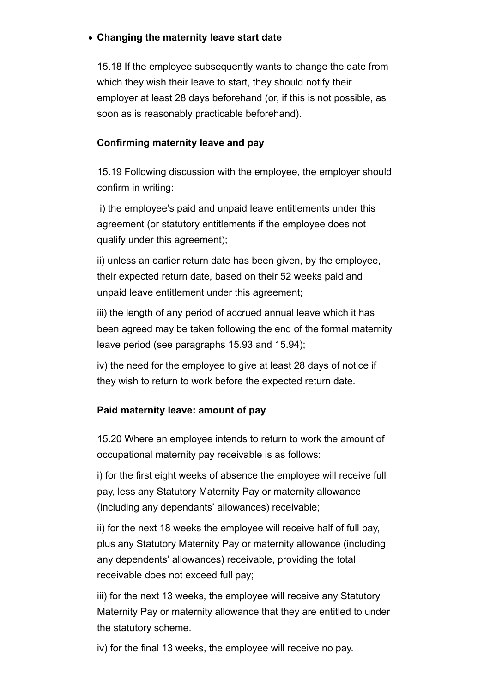## **Changing the maternity leave start date**

15.18 If the employee subsequently wants to change the date from which they wish their leave to start, they should notify their employer at least 28 days beforehand (or, if this is not possible, as soon as is reasonably practicable beforehand).

## **Confirming maternity leave and pay**

15.19 Following discussion with the employee, the employer should confirm in writing:

 i) the employee's paid and unpaid leave entitlements under this agreement (or statutory entitlements if the employee does not qualify under this agreement);

ii) unless an earlier return date has been given, by the employee, their expected return date, based on their 52 weeks paid and unpaid leave entitlement under this agreement;

iii) the length of any period of accrued annual leave which it has been agreed may be taken following the end of the formal maternity leave period (see paragraphs 15.93 and 15.94);

iv) the need for the employee to give at least 28 days of notice if they wish to return to work before the expected return date.

## **Paid maternity leave: amount of pay**

15.20 Where an employee intends to return to work the amount of occupational maternity pay receivable is as follows:

i) for the first eight weeks of absence the employee will receive full pay, less any Statutory Maternity Pay or maternity allowance (including any dependants' allowances) receivable;

ii) for the next 18 weeks the employee will receive half of full pay, plus any Statutory Maternity Pay or maternity allowance (including any dependents' allowances) receivable, providing the total receivable does not exceed full pay;

iii) for the next 13 weeks, the employee will receive any Statutory Maternity Pay or maternity allowance that they are entitled to under the statutory scheme.

iv) for the final 13 weeks, the employee will receive no pay.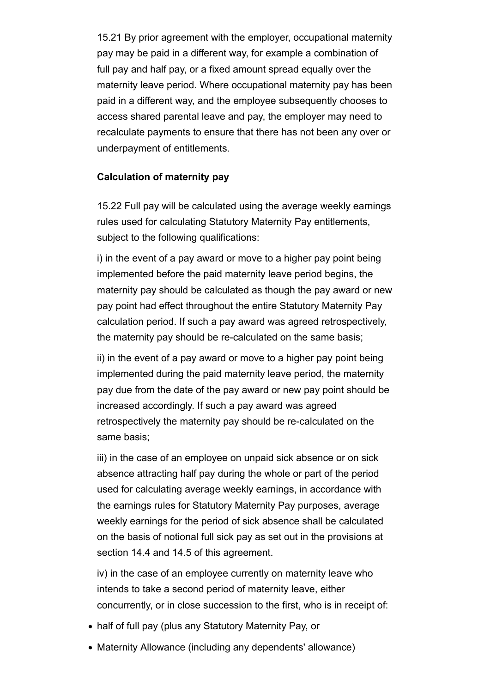15.21 By prior agreement with the employer, occupational maternity pay may be paid in a different way, for example a combination of full pay and half pay, or a fixed amount spread equally over the maternity leave period. Where occupational maternity pay has been paid in a different way, and the employee subsequently chooses to access shared parental leave and pay, the employer may need to recalculate payments to ensure that there has not been any over or underpayment of entitlements.

## **Calculation of maternity pay**

15.22 Full pay will be calculated using the average weekly earnings rules used for calculating Statutory Maternity Pay entitlements, subject to the following qualifications:

i) in the event of a pay award or move to a higher pay point being implemented before the paid maternity leave period begins, the maternity pay should be calculated as though the pay award or new pay point had effect throughout the entire Statutory Maternity Pay calculation period. If such a pay award was agreed retrospectively, the maternity pay should be re-calculated on the same basis;

ii) in the event of a pay award or move to a higher pay point being implemented during the paid maternity leave period, the maternity pay due from the date of the pay award or new pay point should be increased accordingly. If such a pay award was agreed retrospectively the maternity pay should be re-calculated on the same basis;

iii) in the case of an employee on unpaid sick absence or on sick absence attracting half pay during the whole or part of the period used for calculating average weekly earnings, in accordance with the earnings rules for Statutory Maternity Pay purposes, average weekly earnings for the period of sick absence shall be calculated on the basis of notional full sick pay as set out in the provisions at section 14.4 and 14.5 of this agreement.

iv) in the case of an employee currently on maternity leave who intends to take a second period of maternity leave, either concurrently, or in close succession to the first, who is in receipt of:

- half of full pay (plus any Statutory Maternity Pay, or
- Maternity Allowance (including any dependents' allowance)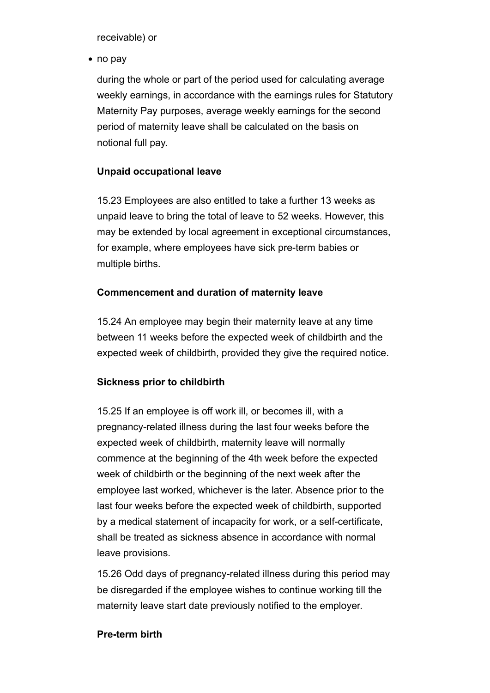receivable) or

• no pay

during the whole or part of the period used for calculating average weekly earnings, in accordance with the earnings rules for Statutory Maternity Pay purposes, average weekly earnings for the second period of maternity leave shall be calculated on the basis on notional full pay.

## **Unpaid occupational leave**

15.23 Employees are also entitled to take a further 13 weeks as unpaid leave to bring the total of leave to 52 weeks. However, this may be extended by local agreement in exceptional circumstances, for example, where employees have sick pre-term babies or multiple births.

## **Commencement and duration of maternity leave**

15.24 An employee may begin their maternity leave at any time between 11 weeks before the expected week of childbirth and the expected week of childbirth, provided they give the required notice.

## **Sickness prior to childbirth**

15.25 If an employee is off work ill, or becomes ill, with a pregnancy-related illness during the last four weeks before the expected week of childbirth, maternity leave will normally commence at the beginning of the 4th week before the expected week of childbirth or the beginning of the next week after the employee last worked, whichever is the later. Absence prior to the last four weeks before the expected week of childbirth, supported by a medical statement of incapacity for work, or a self-certificate, shall be treated as sickness absence in accordance with normal leave provisions.

15.26 Odd days of pregnancy-related illness during this period may be disregarded if the employee wishes to continue working till the maternity leave start date previously notified to the employer.

### **Pre-term birth**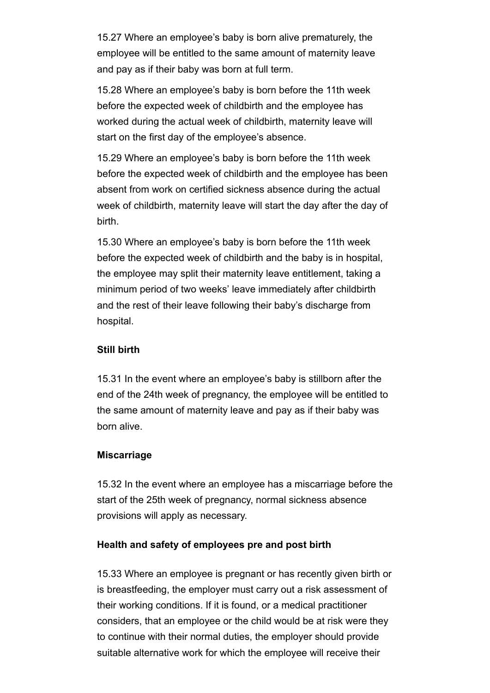15.27 Where an employee's baby is born alive prematurely, the employee will be entitled to the same amount of maternity leave and pay as if their baby was born at full term.

15.28 Where an employee's baby is born before the 11th week before the expected week of childbirth and the employee has worked during the actual week of childbirth, maternity leave will start on the first day of the employee's absence.

15.29 Where an employee's baby is born before the 11th week before the expected week of childbirth and the employee has been absent from work on certified sickness absence during the actual week of childbirth, maternity leave will start the day after the day of birth.

15.30 Where an employee's baby is born before the 11th week before the expected week of childbirth and the baby is in hospital, the employee may split their maternity leave entitlement, taking a minimum period of two weeks' leave immediately after childbirth and the rest of their leave following their baby's discharge from hospital.

### **Still birth**

15.31 In the event where an employee's baby is stillborn after the end of the 24th week of pregnancy, the employee will be entitled to the same amount of maternity leave and pay as if their baby was born alive.

### **Miscarriage**

15.32 In the event where an employee has a miscarriage before the start of the 25th week of pregnancy, normal sickness absence provisions will apply as necessary.

### **Health and safety of employees pre and post birth**

15.33 Where an employee is pregnant or has recently given birth or is breastfeeding, the employer must carry out a risk assessment of their working conditions. If it is found, or a medical practitioner considers, that an employee or the child would be at risk were they to continue with their normal duties, the employer should provide suitable alternative work for which the employee will receive their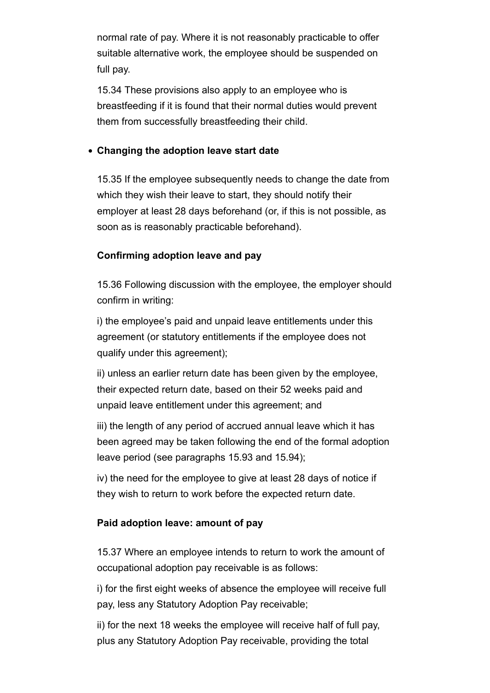normal rate of pay. Where it is not reasonably practicable to offer suitable alternative work, the employee should be suspended on full pay.

15.34 These provisions also apply to an employee who is breastfeeding if it is found that their normal duties would prevent them from successfully breastfeeding their child.

## **Changing the adoption leave start date**

15.35 If the employee subsequently needs to change the date from which they wish their leave to start, they should notify their employer at least 28 days beforehand (or, if this is not possible, as soon as is reasonably practicable beforehand).

## **Confirming adoption leave and pay**

15.36 Following discussion with the employee, the employer should confirm in writing:

i) the employee's paid and unpaid leave entitlements under this agreement (or statutory entitlements if the employee does not qualify under this agreement);

ii) unless an earlier return date has been given by the employee, their expected return date, based on their 52 weeks paid and unpaid leave entitlement under this agreement; and

iii) the length of any period of accrued annual leave which it has been agreed may be taken following the end of the formal adoption leave period (see paragraphs 15.93 and 15.94);

iv) the need for the employee to give at least 28 days of notice if they wish to return to work before the expected return date.

### **Paid adoption leave: amount of pay**

15.37 Where an employee intends to return to work the amount of occupational adoption pay receivable is as follows:

i) for the first eight weeks of absence the employee will receive full pay, less any Statutory Adoption Pay receivable;

ii) for the next 18 weeks the employee will receive half of full pay, plus any Statutory Adoption Pay receivable, providing the total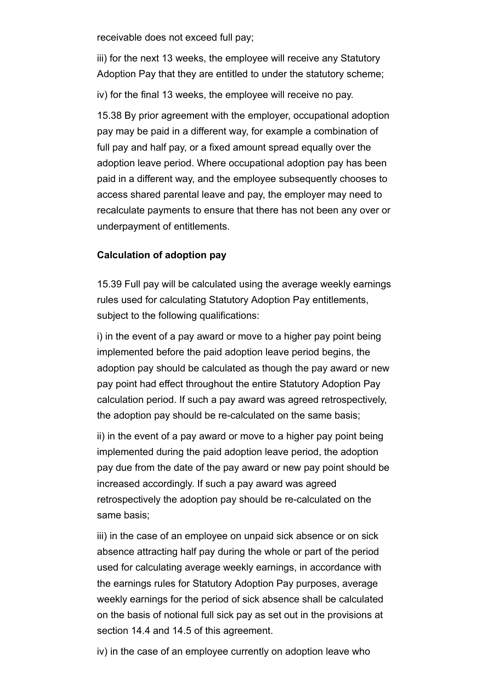receivable does not exceed full pay;

iii) for the next 13 weeks, the employee will receive any Statutory Adoption Pay that they are entitled to under the statutory scheme;

iv) for the final 13 weeks, the employee will receive no pay.

15.38 By prior agreement with the employer, occupational adoption pay may be paid in a different way, for example a combination of full pay and half pay, or a fixed amount spread equally over the adoption leave period. Where occupational adoption pay has been paid in a different way, and the employee subsequently chooses to access shared parental leave and pay, the employer may need to recalculate payments to ensure that there has not been any over or underpayment of entitlements.

### **Calculation of adoption pay**

15.39 Full pay will be calculated using the average weekly earnings rules used for calculating Statutory Adoption Pay entitlements, subject to the following qualifications:

i) in the event of a pay award or move to a higher pay point being implemented before the paid adoption leave period begins, the adoption pay should be calculated as though the pay award or new pay point had effect throughout the entire Statutory Adoption Pay calculation period. If such a pay award was agreed retrospectively, the adoption pay should be re-calculated on the same basis;

ii) in the event of a pay award or move to a higher pay point being implemented during the paid adoption leave period, the adoption pay due from the date of the pay award or new pay point should be increased accordingly. If such a pay award was agreed retrospectively the adoption pay should be re-calculated on the same basis;

iii) in the case of an employee on unpaid sick absence or on sick absence attracting half pay during the whole or part of the period used for calculating average weekly earnings, in accordance with the earnings rules for Statutory Adoption Pay purposes, average weekly earnings for the period of sick absence shall be calculated on the basis of notional full sick pay as set out in the provisions at section 14.4 and 14.5 of this agreement.

iv) in the case of an employee currently on adoption leave who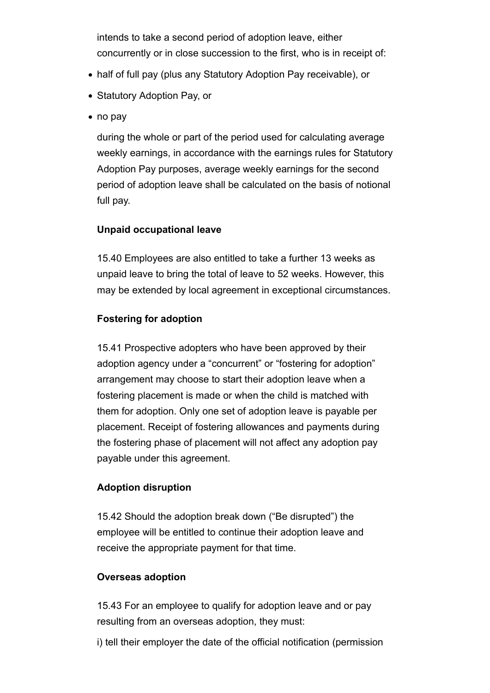intends to take a second period of adoption leave, either concurrently or in close succession to the first, who is in receipt of:

- half of full pay (plus any Statutory Adoption Pay receivable), or
- Statutory Adoption Pay, or
- no pay

during the whole or part of the period used for calculating average weekly earnings, in accordance with the earnings rules for Statutory Adoption Pay purposes, average weekly earnings for the second period of adoption leave shall be calculated on the basis of notional full pay.

## **Unpaid occupational leave**

15.40 Employees are also entitled to take a further 13 weeks as unpaid leave to bring the total of leave to 52 weeks. However, this may be extended by local agreement in exceptional circumstances.

## **Fostering for adoption**

15.41 Prospective adopters who have been approved by their adoption agency under a "concurrent" or "fostering for adoption" arrangement may choose to start their adoption leave when a fostering placement is made or when the child is matched with them for adoption. Only one set of adoption leave is payable per placement. Receipt of fostering allowances and payments during the fostering phase of placement will not affect any adoption pay payable under this agreement.

## **Adoption disruption**

15.42 Should the adoption break down ("Be disrupted") the employee will be entitled to continue their adoption leave and receive the appropriate payment for that time.

### **Overseas adoption**

15.43 For an employee to qualify for adoption leave and or pay resulting from an overseas adoption, they must:

i) tell their employer the date of the official notification (permission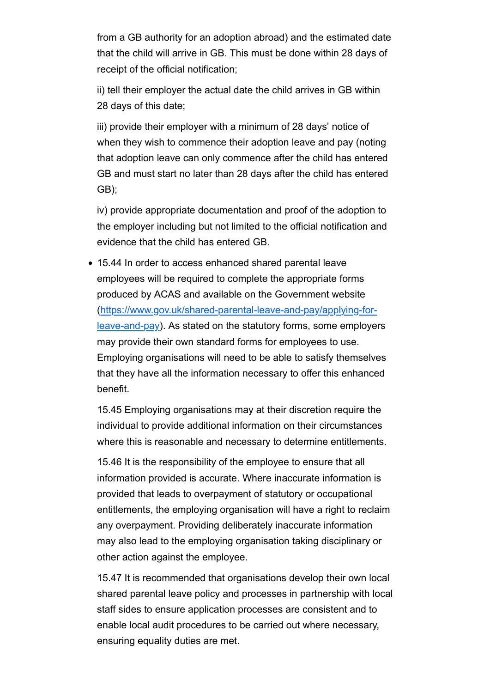from a GB authority for an adoption abroad) and the estimated date that the child will arrive in GB. This must be done within 28 days of receipt of the official notification;

ii) tell their employer the actual date the child arrives in GB within 28 days of this date;

iii) provide their employer with a minimum of 28 days' notice of when they wish to commence their adoption leave and pay (noting that adoption leave can only commence after the child has entered GB and must start no later than 28 days after the child has entered GB);

iv) provide appropriate documentation and proof of the adoption to the employer including but not limited to the official notification and evidence that the child has entered GB.

15.44 In order to access enhanced shared parental leave employees will be required to complete the appropriate forms produced by ACAS and available on the Government website (https://www.gov.uk/shared-parental-leave-and-pay/applying-forleave-and-pay). As stated on the statutory forms, some employers may provide their own standard forms for employees to use. Employing organisations will need to be able to satisfy themselves that they have all the information necessary to offer this enhanced benefit.

15.45 Employing organisations may at their discretion require the individual to provide additional information on their circumstances where this is reasonable and necessary to determine entitlements.

15.46 It is the responsibility of the employee to ensure that all information provided is accurate. Where inaccurate information is provided that leads to overpayment of statutory or occupational entitlements, the employing organisation will have a right to reclaim any overpayment. Providing deliberately inaccurate information may also lead to the employing organisation taking disciplinary or other action against the employee.

15.47 It is recommended that organisations develop their own local shared parental leave policy and processes in partnership with local staff sides to ensure application processes are consistent and to enable local audit procedures to be carried out where necessary, ensuring equality duties are met.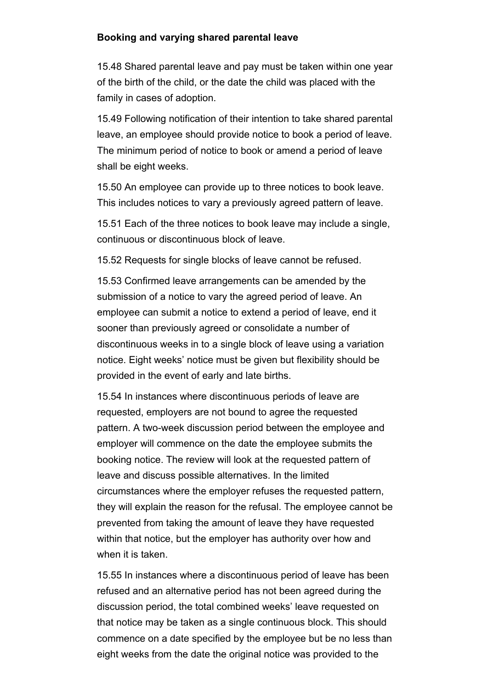#### **Booking and varying shared parental leave**

15.48 Shared parental leave and pay must be taken within one year of the birth of the child, or the date the child was placed with the family in cases of adoption.

15.49 Following notification of their intention to take shared parental leave, an employee should provide notice to book a period of leave. The minimum period of notice to book or amend a period of leave shall be eight weeks.

15.50 An employee can provide up to three notices to book leave. This includes notices to vary a previously agreed pattern of leave.

15.51 Each of the three notices to book leave may include a single, continuous or discontinuous block of leave.

15.52 Requests for single blocks of leave cannot be refused.

15.53 Confirmed leave arrangements can be amended by the submission of a notice to vary the agreed period of leave. An employee can submit a notice to extend a period of leave, end it sooner than previously agreed or consolidate a number of discontinuous weeks in to a single block of leave using a variation notice. Eight weeks' notice must be given but flexibility should be provided in the event of early and late births.

15.54 In instances where discontinuous periods of leave are requested, employers are not bound to agree the requested pattern. A two-week discussion period between the employee and employer will commence on the date the employee submits the booking notice. The review will look at the requested pattern of leave and discuss possible alternatives. In the limited circumstances where the employer refuses the requested pattern, they will explain the reason for the refusal. The employee cannot be prevented from taking the amount of leave they have requested within that notice, but the employer has authority over how and when it is taken.

15.55 In instances where a discontinuous period of leave has been refused and an alternative period has not been agreed during the discussion period, the total combined weeks' leave requested on that notice may be taken as a single continuous block. This should commence on a date specified by the employee but be no less than eight weeks from the date the original notice was provided to the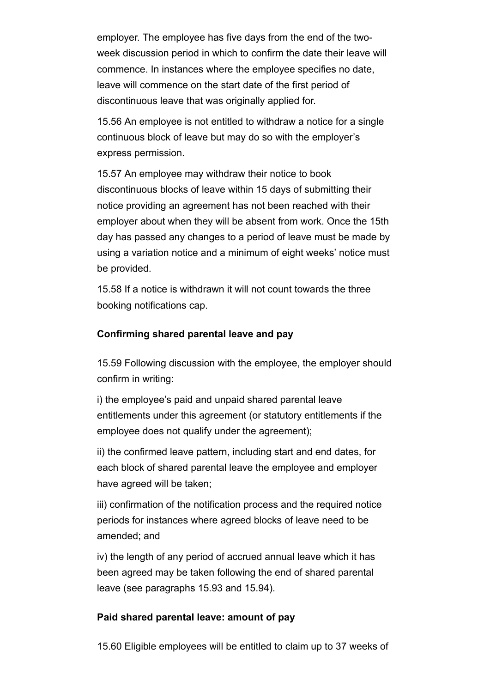employer. The employee has five days from the end of the twoweek discussion period in which to confirm the date their leave will commence. In instances where the employee specifies no date, leave will commence on the start date of the first period of discontinuous leave that was originally applied for.

15.56 An employee is not entitled to withdraw a notice for a single continuous block of leave but may do so with the employer's express permission.

15.57 An employee may withdraw their notice to book discontinuous blocks of leave within 15 days of submitting their notice providing an agreement has not been reached with their employer about when they will be absent from work. Once the 15th day has passed any changes to a period of leave must be made by using a variation notice and a minimum of eight weeks' notice must be provided.

15.58 If a notice is withdrawn it will not count towards the three booking notifications cap.

#### **Confirming shared parental leave and pay**

15.59 Following discussion with the employee, the employer should confirm in writing:

i) the employee's paid and unpaid shared parental leave entitlements under this agreement (or statutory entitlements if the employee does not qualify under the agreement);

ii) the confirmed leave pattern, including start and end dates, for each block of shared parental leave the employee and employer have agreed will be taken;

iii) confirmation of the notification process and the required notice periods for instances where agreed blocks of leave need to be amended; and

iv) the length of any period of accrued annual leave which it has been agreed may be taken following the end of shared parental leave (see paragraphs 15.93 and 15.94).

#### **Paid shared parental leave: amount of pay**

15.60 Eligible employees will be entitled to claim up to 37 weeks of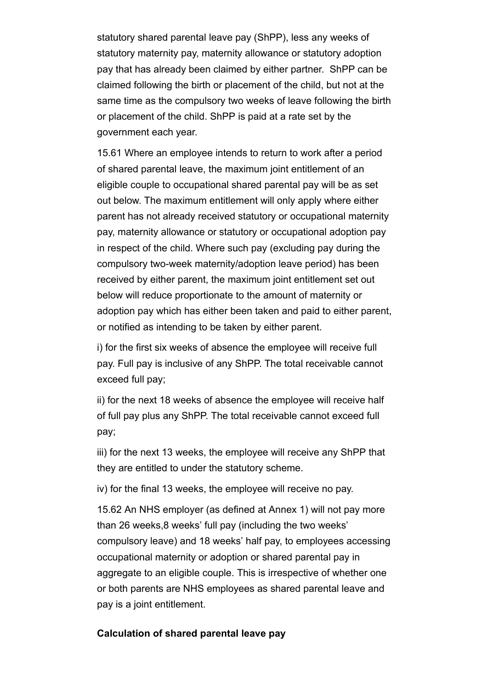statutory shared parental leave pay (ShPP), less any weeks of statutory maternity pay, maternity allowance or statutory adoption pay that has already been claimed by either partner. ShPP can be claimed following the birth or placement of the child, but not at the same time as the compulsory two weeks of leave following the birth or placement of the child. ShPP is paid at a rate set by the government each year.

15.61 Where an employee intends to return to work after a period of shared parental leave, the maximum joint entitlement of an eligible couple to occupational shared parental pay will be as set out below. The maximum entitlement will only apply where either parent has not already received statutory or occupational maternity pay, maternity allowance or statutory or occupational adoption pay in respect of the child. Where such pay (excluding pay during the compulsory two-week maternity/adoption leave period) has been received by either parent, the maximum joint entitlement set out below will reduce proportionate to the amount of maternity or adoption pay which has either been taken and paid to either parent, or notified as intending to be taken by either parent.

i) for the first six weeks of absence the employee will receive full pay. Full pay is inclusive of any ShPP. The total receivable cannot exceed full pay;

ii) for the next 18 weeks of absence the employee will receive half of full pay plus any ShPP. The total receivable cannot exceed full pay;

iii) for the next 13 weeks, the employee will receive any ShPP that they are entitled to under the statutory scheme.

iv) for the final 13 weeks, the employee will receive no pay.

15.62 An NHS employer (as defined at Annex 1) will not pay more than 26 weeks,8 weeks' full pay (including the two weeks' compulsory leave) and 18 weeks' half pay, to employees accessing occupational maternity or adoption or shared parental pay in aggregate to an eligible couple. This is irrespective of whether one or both parents are NHS employees as shared parental leave and pay is a joint entitlement.

#### **Calculation of shared parental leave pay**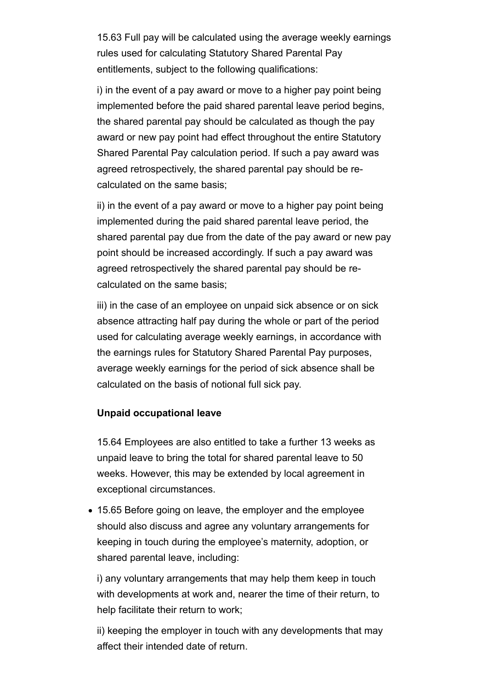15.63 Full pay will be calculated using the average weekly earnings rules used for calculating Statutory Shared Parental Pay entitlements, subject to the following qualifications:

i) in the event of a pay award or move to a higher pay point being implemented before the paid shared parental leave period begins, the shared parental pay should be calculated as though the pay award or new pay point had effect throughout the entire Statutory Shared Parental Pay calculation period. If such a pay award was agreed retrospectively, the shared parental pay should be recalculated on the same basis;

ii) in the event of a pay award or move to a higher pay point being implemented during the paid shared parental leave period, the shared parental pay due from the date of the pay award or new pay point should be increased accordingly. If such a pay award was agreed retrospectively the shared parental pay should be recalculated on the same basis;

iii) in the case of an employee on unpaid sick absence or on sick absence attracting half pay during the whole or part of the period used for calculating average weekly earnings, in accordance with the earnings rules for Statutory Shared Parental Pay purposes, average weekly earnings for the period of sick absence shall be calculated on the basis of notional full sick pay.

#### **Unpaid occupational leave**

15.64 Employees are also entitled to take a further 13 weeks as unpaid leave to bring the total for shared parental leave to 50 weeks. However, this may be extended by local agreement in exceptional circumstances.

15.65 Before going on leave, the employer and the employee should also discuss and agree any voluntary arrangements for keeping in touch during the employee's maternity, adoption, or shared parental leave, including:

i) any voluntary arrangements that may help them keep in touch with developments at work and, nearer the time of their return, to help facilitate their return to work;

ii) keeping the employer in touch with any developments that may affect their intended date of return.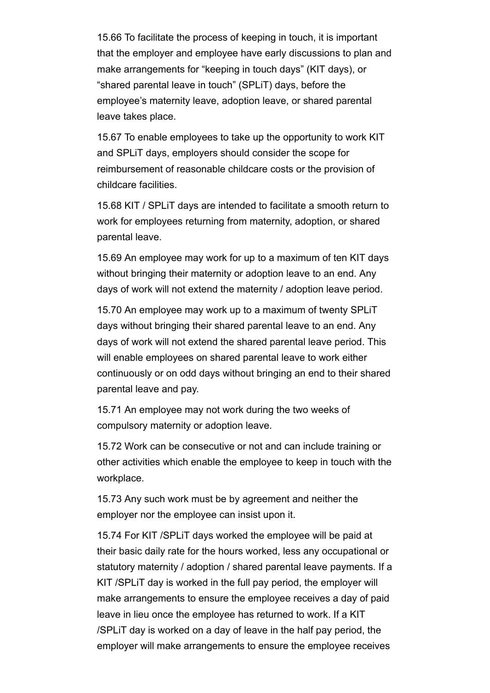15.66 To facilitate the process of keeping in touch, it is important that the employer and employee have early discussions to plan and make arrangements for "keeping in touch days" (KIT days), or "shared parental leave in touch" (SPLiT) days, before the employee's maternity leave, adoption leave, or shared parental leave takes place.

15.67 To enable employees to take up the opportunity to work KIT and SPLiT days, employers should consider the scope for reimbursement of reasonable childcare costs or the provision of childcare facilities.

15.68 KIT / SPLiT days are intended to facilitate a smooth return to work for employees returning from maternity, adoption, or shared parental leave.

15.69 An employee may work for up to a maximum of ten KIT days without bringing their maternity or adoption leave to an end. Any days of work will not extend the maternity / adoption leave period.

15.70 An employee may work up to a maximum of twenty SPLiT days without bringing their shared parental leave to an end. Any days of work will not extend the shared parental leave period. This will enable employees on shared parental leave to work either continuously or on odd days without bringing an end to their shared parental leave and pay.

15.71 An employee may not work during the two weeks of compulsory maternity or adoption leave.

15.72 Work can be consecutive or not and can include training or other activities which enable the employee to keep in touch with the workplace.

15.73 Any such work must be by agreement and neither the employer nor the employee can insist upon it.

15.74 For KIT /SPLiT days worked the employee will be paid at their basic daily rate for the hours worked, less any occupational or statutory maternity / adoption / shared parental leave payments. If a KIT /SPLiT day is worked in the full pay period, the employer will make arrangements to ensure the employee receives a day of paid leave in lieu once the employee has returned to work. If a KIT /SPLiT day is worked on a day of leave in the half pay period, the employer will make arrangements to ensure the employee receives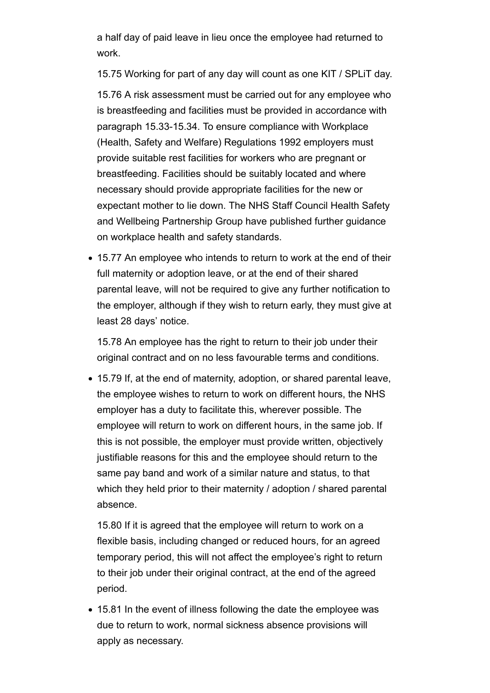a half day of paid leave in lieu once the employee had returned to work.

15.75 Working for part of any day will count as one KIT / SPLiT day. 15.76 A risk assessment must be carried out for any employee who is breastfeeding and facilities must be provided in accordance with paragraph 15.33-15.34. To ensure compliance with Workplace (Health, Safety and Welfare) Regulations 1992 employers must provide suitable rest facilities for workers who are pregnant or breastfeeding. Facilities should be suitably located and where necessary should provide appropriate facilities for the new or expectant mother to lie down. The NHS Staff Council Health Safety and Wellbeing Partnership Group have published further guidance on workplace health and safety standards.

15.77 An employee who intends to return to work at the end of their full maternity or adoption leave, or at the end of their shared parental leave, will not be required to give any further notification to the employer, although if they wish to return early, they must give at least 28 days' notice.

15.78 An employee has the right to return to their job under their original contract and on no less favourable terms and conditions.

15.79 If, at the end of maternity, adoption, or shared parental leave, the employee wishes to return to work on different hours, the NHS employer has a duty to facilitate this, wherever possible. The employee will return to work on different hours, in the same job. If this is not possible, the employer must provide written, objectively justifiable reasons for this and the employee should return to the same pay band and work of a similar nature and status, to that which they held prior to their maternity / adoption / shared parental absence.

15.80 If it is agreed that the employee will return to work on a flexible basis, including changed or reduced hours, for an agreed temporary period, this will not affect the employee's right to return to their job under their original contract, at the end of the agreed period.

15.81 In the event of illness following the date the employee was due to return to work, normal sickness absence provisions will apply as necessary.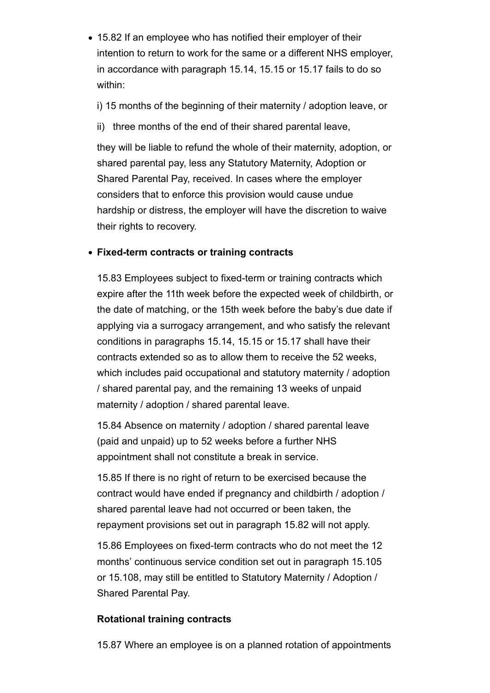- 15.82 If an employee who has notified their employer of their intention to return to work for the same or a different NHS employer, in accordance with paragraph 15.14, 15.15 or 15.17 fails to do so within:
	- i) 15 months of the beginning of their maternity / adoption leave, or
	- ii) three months of the end of their shared parental leave,

they will be liable to refund the whole of their maternity, adoption, or shared parental pay, less any Statutory Maternity, Adoption or Shared Parental Pay, received. In cases where the employer considers that to enforce this provision would cause undue hardship or distress, the employer will have the discretion to waive their rights to recovery.

# **Fixed-term contracts or training contracts**

15.83 Employees subject to fixed-term or training contracts which expire after the 11th week before the expected week of childbirth, or the date of matching, or the 15th week before the baby's due date if applying via a surrogacy arrangement, and who satisfy the relevant conditions in paragraphs 15.14, 15.15 or 15.17 shall have their contracts extended so as to allow them to receive the 52 weeks, which includes paid occupational and statutory maternity / adoption / shared parental pay, and the remaining 13 weeks of unpaid maternity / adoption / shared parental leave.

15.84 Absence on maternity / adoption / shared parental leave (paid and unpaid) up to 52 weeks before a further NHS appointment shall not constitute a break in service.

15.85 If there is no right of return to be exercised because the contract would have ended if pregnancy and childbirth / adoption / shared parental leave had not occurred or been taken, the repayment provisions set out in paragraph 15.82 will not apply.

15.86 Employees on fixed-term contracts who do not meet the 12 months' continuous service condition set out in paragraph 15.105 or 15.108, may still be entitled to Statutory Maternity / Adoption / Shared Parental Pay.

# **Rotational training contracts**

15.87 Where an employee is on a planned rotation of appointments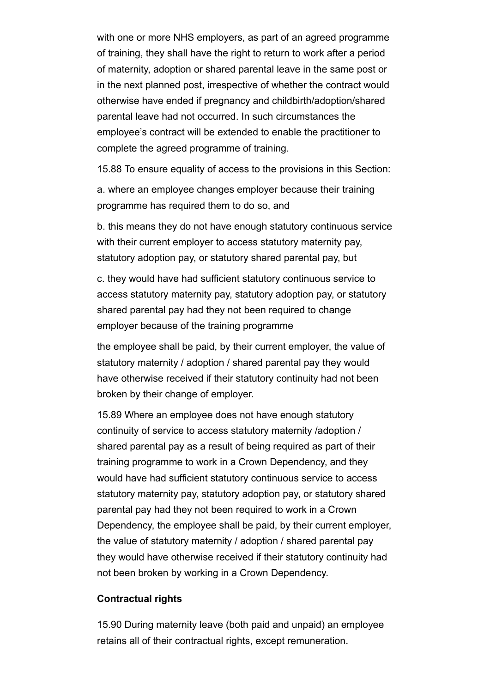with one or more NHS employers, as part of an agreed programme of training, they shall have the right to return to work after a period of maternity, adoption or shared parental leave in the same post or in the next planned post, irrespective of whether the contract would otherwise have ended if pregnancy and childbirth/adoption/shared parental leave had not occurred. In such circumstances the employee's contract will be extended to enable the practitioner to complete the agreed programme of training.

15.88 To ensure equality of access to the provisions in this Section:

a. where an employee changes employer because their training programme has required them to do so, and

b. this means they do not have enough statutory continuous service with their current employer to access statutory maternity pay, statutory adoption pay, or statutory shared parental pay, but

c. they would have had sufficient statutory continuous service to access statutory maternity pay, statutory adoption pay, or statutory shared parental pay had they not been required to change employer because of the training programme

the employee shall be paid, by their current employer, the value of statutory maternity / adoption / shared parental pay they would have otherwise received if their statutory continuity had not been broken by their change of employer.

15.89 Where an employee does not have enough statutory continuity of service to access statutory maternity /adoption / shared parental pay as a result of being required as part of their training programme to work in a Crown Dependency, and they would have had sufficient statutory continuous service to access statutory maternity pay, statutory adoption pay, or statutory shared parental pay had they not been required to work in a Crown Dependency, the employee shall be paid, by their current employer, the value of statutory maternity / adoption / shared parental pay they would have otherwise received if their statutory continuity had not been broken by working in a Crown Dependency.

#### **Contractual rights**

15.90 During maternity leave (both paid and unpaid) an employee retains all of their contractual rights, except remuneration.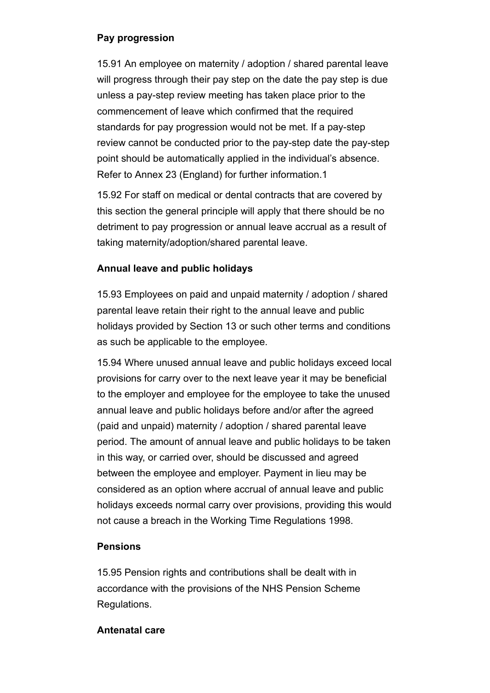## **Pay progression**

15.91 An employee on maternity / adoption / shared parental leave will progress through their pay step on the date the pay step is due unless a pay-step review meeting has taken place prior to the commencement of leave which confirmed that the required standards for pay progression would not be met. If a pay-step review cannot be conducted prior to the pay-step date the pay-step point should be automatically applied in the individual's absence. Refer to Annex 23 (England) for further information.1

15.92 For staff on medical or dental contracts that are covered by this section the general principle will apply that there should be no detriment to pay progression or annual leave accrual as a result of taking maternity/adoption/shared parental leave.

## **Annual leave and public holidays**

15.93 Employees on paid and unpaid maternity / adoption / shared parental leave retain their right to the annual leave and public holidays provided by Section 13 or such other terms and conditions as such be applicable to the employee.

15.94 Where unused annual leave and public holidays exceed local provisions for carry over to the next leave year it may be beneficial to the employer and employee for the employee to take the unused annual leave and public holidays before and/or after the agreed (paid and unpaid) maternity / adoption / shared parental leave period. The amount of annual leave and public holidays to be taken in this way, or carried over, should be discussed and agreed between the employee and employer. Payment in lieu may be considered as an option where accrual of annual leave and public holidays exceeds normal carry over provisions, providing this would not cause a breach in the Working Time Regulations 1998.

## **Pensions**

15.95 Pension rights and contributions shall be dealt with in accordance with the provisions of the NHS Pension Scheme Regulations.

## **Antenatal care**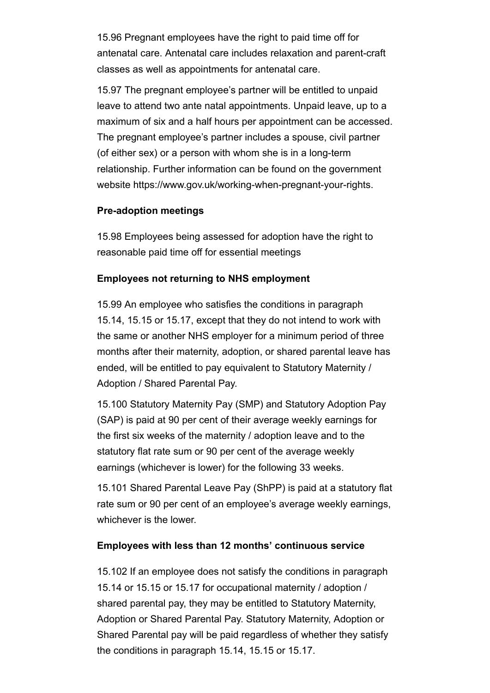15.96 Pregnant employees have the right to paid time off for antenatal care. Antenatal care includes relaxation and parent-craft classes as well as appointments for antenatal care.

15.97 The pregnant employee's partner will be entitled to unpaid leave to attend two ante natal appointments. Unpaid leave, up to a maximum of six and a half hours per appointment can be accessed. The pregnant employee's partner includes a spouse, civil partner (of either sex) or a person with whom she is in a long-term relationship. Further information can be found on the government website https://www.gov.uk/working-when-pregnant-your-rights.

#### **Pre-adoption meetings**

15.98 Employees being assessed for adoption have the right to reasonable paid time off for essential meetings

#### **Employees not returning to NHS employment**

15.99 An employee who satisfies the conditions in paragraph 15.14, 15.15 or 15.17, except that they do not intend to work with the same or another NHS employer for a minimum period of three months after their maternity, adoption, or shared parental leave has ended, will be entitled to pay equivalent to Statutory Maternity / Adoption / Shared Parental Pay.

15.100 Statutory Maternity Pay (SMP) and Statutory Adoption Pay (SAP) is paid at 90 per cent of their average weekly earnings for the first six weeks of the maternity / adoption leave and to the statutory flat rate sum or 90 per cent of the average weekly earnings (whichever is lower) for the following 33 weeks.

15.101 Shared Parental Leave Pay (ShPP) is paid at a statutory flat rate sum or 90 per cent of an employee's average weekly earnings, whichever is the lower.

## **Employees with less than 12 months' continuous service**

15.102 If an employee does not satisfy the conditions in paragraph 15.14 or 15.15 or 15.17 for occupational maternity / adoption / shared parental pay, they may be entitled to Statutory Maternity, Adoption or Shared Parental Pay. Statutory Maternity, Adoption or Shared Parental pay will be paid regardless of whether they satisfy the conditions in paragraph 15.14, 15.15 or 15.17.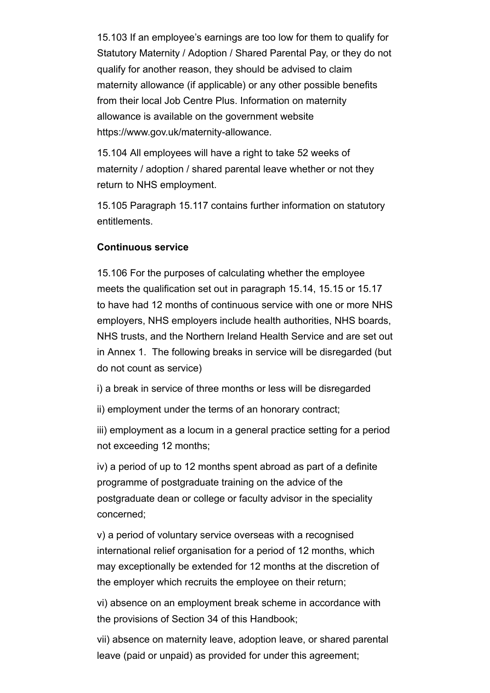15.103 If an employee's earnings are too low for them to qualify for Statutory Maternity / Adoption / Shared Parental Pay, or they do not qualify for another reason, they should be advised to claim maternity allowance (if applicable) or any other possible benefits from their local Job Centre Plus. Information on maternity allowance is available on the government website https://www.gov.uk/maternity-allowance.

15.104 All employees will have a right to take 52 weeks of maternity / adoption / shared parental leave whether or not they return to NHS employment.

15.105 Paragraph 15.117 contains further information on statutory entitlements.

#### **Continuous service**

15.106 For the purposes of calculating whether the employee meets the qualification set out in paragraph 15.14, 15.15 or 15.17 to have had 12 months of continuous service with one or more NHS employers, NHS employers include health authorities, NHS boards, NHS trusts, and the Northern Ireland Health Service and are set out in Annex 1. The following breaks in service will be disregarded (but do not count as service)

i) a break in service of three months or less will be disregarded

ii) employment under the terms of an honorary contract;

iii) employment as a locum in a general practice setting for a period not exceeding 12 months;

iv) a period of up to 12 months spent abroad as part of a definite programme of postgraduate training on the advice of the postgraduate dean or college or faculty advisor in the speciality concerned;

v) a period of voluntary service overseas with a recognised international relief organisation for a period of 12 months, which may exceptionally be extended for 12 months at the discretion of the employer which recruits the employee on their return;

vi) absence on an employment break scheme in accordance with the provisions of Section 34 of this Handbook;

vii) absence on maternity leave, adoption leave, or shared parental leave (paid or unpaid) as provided for under this agreement;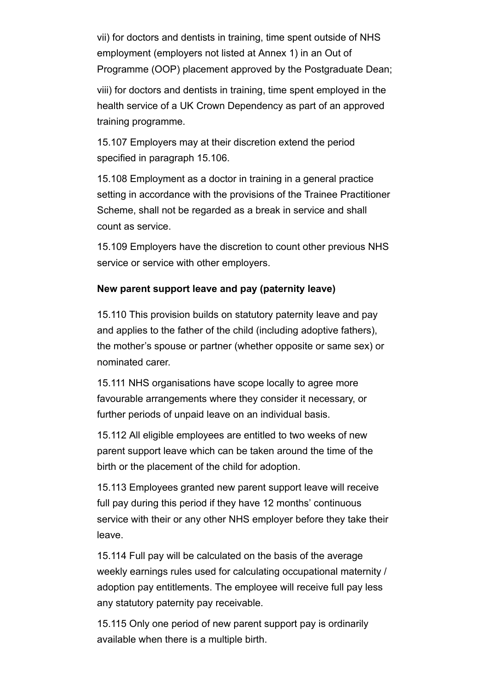vii) for doctors and dentists in training, time spent outside of NHS employment (employers not listed at Annex 1) in an Out of Programme (OOP) placement approved by the Postgraduate Dean;

viii) for doctors and dentists in training, time spent employed in the health service of a UK Crown Dependency as part of an approved training programme.

15.107 Employers may at their discretion extend the period specified in paragraph 15.106.

15.108 Employment as a doctor in training in a general practice setting in accordance with the provisions of the Trainee Practitioner Scheme, shall not be regarded as a break in service and shall count as service.

15.109 Employers have the discretion to count other previous NHS service or service with other employers.

#### **New parent support leave and pay (paternity leave)**

15.110 This provision builds on statutory paternity leave and pay and applies to the father of the child (including adoptive fathers), the mother's spouse or partner (whether opposite or same sex) or nominated carer.

15.111 NHS organisations have scope locally to agree more favourable arrangements where they consider it necessary, or further periods of unpaid leave on an individual basis.

15.112 All eligible employees are entitled to two weeks of new parent support leave which can be taken around the time of the birth or the placement of the child for adoption.

15.113 Employees granted new parent support leave will receive full pay during this period if they have 12 months' continuous service with their or any other NHS employer before they take their leave.

15.114 Full pay will be calculated on the basis of the average weekly earnings rules used for calculating occupational maternity / adoption pay entitlements. The employee will receive full pay less any statutory paternity pay receivable.

15.115 Only one period of new parent support pay is ordinarily available when there is a multiple birth.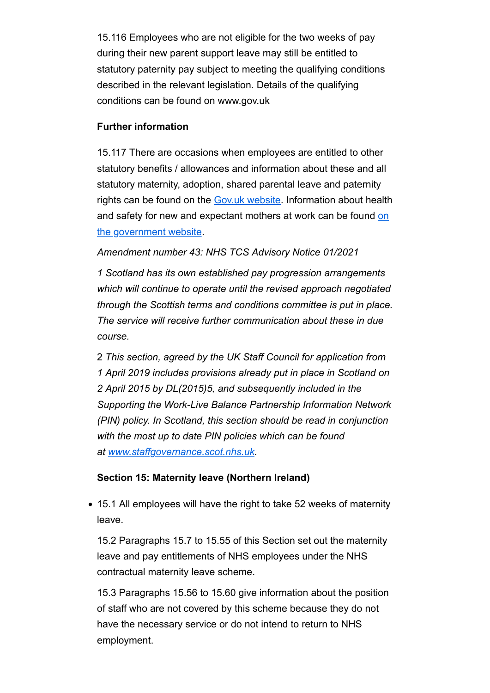15.116 Employees who are not eligible for the two weeks of pay during their new parent support leave may still be entitled to statutory paternity pay subject to meeting the qualifying conditions described in the relevant legislation. Details of the qualifying conditions can be found on www.gov.uk

#### **Further information**

15.117 There are occasions when employees are entitled to other statutory benefits / allowances and information about these and all statutory maternity, adoption, shared parental leave and paternity rights can be found on the Gov.uk website. Information about health and safety for new and expectant mothers at work can be found on the government website.

#### *Amendment number 43: NHS TCS Advisory Notice 01/2021*

*1 Scotland has its own established pay progression arrangements which will continue to operate until the revised approach negotiated through the Scottish terms and conditions committee is put in place. The service will receive further communication about these in due course.* 

2 *This section, agreed by the UK Staff Council for application from 1 April 2019 includes provisions already put in place in Scotland on 2 April 2015 by DL(2015)5, and subsequently included in the Supporting the Work-Live Balance Partnership Information Network (PIN) policy. In Scotland, this section should be read in conjunction with the most up to date PIN policies which can be found at www.staffgovernance.scot.nhs.uk.*

## **Section 15: Maternity leave (Northern Ireland)**

15.1 All employees will have the right to take 52 weeks of maternity leave.

15.2 Paragraphs 15.7 to 15.55 of this Section set out the maternity leave and pay entitlements of NHS employees under the NHS contractual maternity leave scheme.

15.3 Paragraphs 15.56 to 15.60 give information about the position of staff who are not covered by this scheme because they do not have the necessary service or do not intend to return to NHS employment.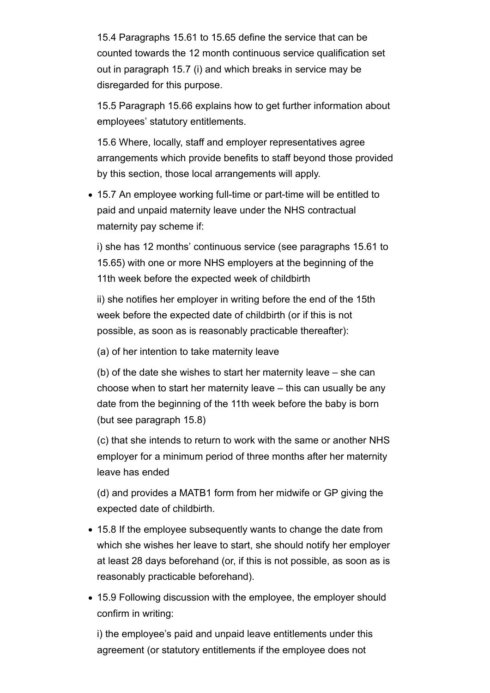15.4 Paragraphs 15.61 to 15.65 define the service that can be counted towards the 12 month continuous service qualification set out in paragraph 15.7 (i) and which breaks in service may be disregarded for this purpose.

15.5 Paragraph 15.66 explains how to get further information about employees' statutory entitlements.

15.6 Where, locally, staff and employer representatives agree arrangements which provide benefits to staff beyond those provided by this section, those local arrangements will apply.

15.7 An employee working full-time or part-time will be entitled to paid and unpaid maternity leave under the NHS contractual maternity pay scheme if:

i) she has 12 months' continuous service (see paragraphs 15.61 to 15.65) with one or more NHS employers at the beginning of the 11th week before the expected week of childbirth

ii) she notifies her employer in writing before the end of the 15th week before the expected date of childbirth (or if this is not possible, as soon as is reasonably practicable thereafter):

(a) of her intention to take maternity leave

(b) of the date she wishes to start her maternity leave – she can choose when to start her maternity leave – this can usually be any date from the beginning of the 11th week before the baby is born (but see paragraph 15.8)

(c) that she intends to return to work with the same or another NHS employer for a minimum period of three months after her maternity leave has ended

(d) and provides a MATB1 form from her midwife or GP giving the expected date of childbirth.

- 15.8 If the employee subsequently wants to change the date from which she wishes her leave to start, she should notify her employer at least 28 days beforehand (or, if this is not possible, as soon as is reasonably practicable beforehand).
- 15.9 Following discussion with the employee, the employer should confirm in writing:

i) the employee's paid and unpaid leave entitlements under this agreement (or statutory entitlements if the employee does not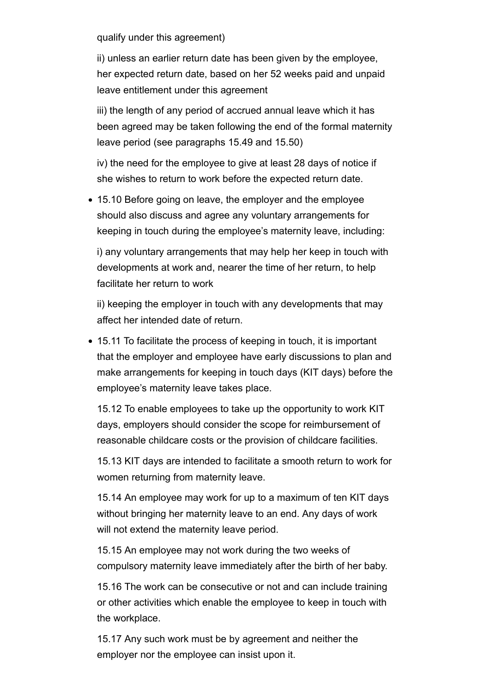qualify under this agreement)

ii) unless an earlier return date has been given by the employee, her expected return date, based on her 52 weeks paid and unpaid leave entitlement under this agreement

iii) the length of any period of accrued annual leave which it has been agreed may be taken following the end of the formal maternity leave period (see paragraphs 15.49 and 15.50)

iv) the need for the employee to give at least 28 days of notice if she wishes to return to work before the expected return date.

15.10 Before going on leave, the employer and the employee should also discuss and agree any voluntary arrangements for keeping in touch during the employee's maternity leave, including:

i) any voluntary arrangements that may help her keep in touch with developments at work and, nearer the time of her return, to help facilitate her return to work

ii) keeping the employer in touch with any developments that may affect her intended date of return.

• 15.11 To facilitate the process of keeping in touch, it is important that the employer and employee have early discussions to plan and make arrangements for keeping in touch days (KIT days) before the employee's maternity leave takes place.

15.12 To enable employees to take up the opportunity to work KIT days, employers should consider the scope for reimbursement of reasonable childcare costs or the provision of childcare facilities.

15.13 KIT days are intended to facilitate a smooth return to work for women returning from maternity leave.

15.14 An employee may work for up to a maximum of ten KIT days without bringing her maternity leave to an end. Any days of work will not extend the maternity leave period.

15.15 An employee may not work during the two weeks of compulsory maternity leave immediately after the birth of her baby.

15.16 The work can be consecutive or not and can include training or other activities which enable the employee to keep in touch with the workplace.

15.17 Any such work must be by agreement and neither the employer nor the employee can insist upon it.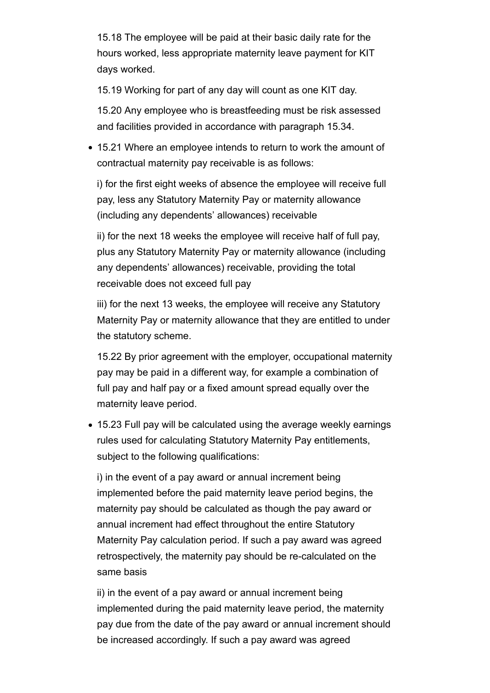15.18 The employee will be paid at their basic daily rate for the hours worked, less appropriate maternity leave payment for KIT days worked.

15.19 Working for part of any day will count as one KIT day.

15.20 Any employee who is breastfeeding must be risk assessed and facilities provided in accordance with paragraph 15.34.

15.21 Where an employee intends to return to work the amount of contractual maternity pay receivable is as follows:

i) for the first eight weeks of absence the employee will receive full pay, less any Statutory Maternity Pay or maternity allowance (including any dependents' allowances) receivable

ii) for the next 18 weeks the employee will receive half of full pay, plus any Statutory Maternity Pay or maternity allowance (including any dependents' allowances) receivable, providing the total receivable does not exceed full pay

iii) for the next 13 weeks, the employee will receive any Statutory Maternity Pay or maternity allowance that they are entitled to under the statutory scheme.

15.22 By prior agreement with the employer, occupational maternity pay may be paid in a different way, for example a combination of full pay and half pay or a fixed amount spread equally over the maternity leave period.

15.23 Full pay will be calculated using the average weekly earnings rules used for calculating Statutory Maternity Pay entitlements, subject to the following qualifications:

i) in the event of a pay award or annual increment being implemented before the paid maternity leave period begins, the maternity pay should be calculated as though the pay award or annual increment had effect throughout the entire Statutory Maternity Pay calculation period. If such a pay award was agreed retrospectively, the maternity pay should be re-calculated on the same basis

ii) in the event of a pay award or annual increment being implemented during the paid maternity leave period, the maternity pay due from the date of the pay award or annual increment should be increased accordingly. If such a pay award was agreed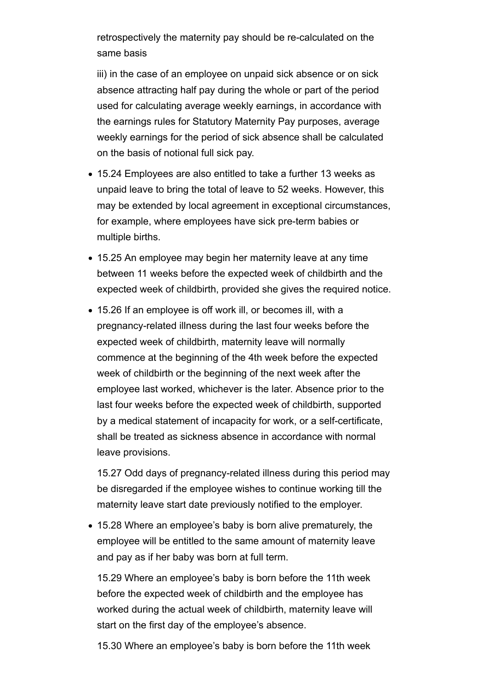retrospectively the maternity pay should be re-calculated on the same basis

iii) in the case of an employee on unpaid sick absence or on sick absence attracting half pay during the whole or part of the period used for calculating average weekly earnings, in accordance with the earnings rules for Statutory Maternity Pay purposes, average weekly earnings for the period of sick absence shall be calculated on the basis of notional full sick pay.

- 15.24 Employees are also entitled to take a further 13 weeks as unpaid leave to bring the total of leave to 52 weeks. However, this may be extended by local agreement in exceptional circumstances, for example, where employees have sick pre-term babies or multiple births.
- 15.25 An employee may begin her maternity leave at any time between 11 weeks before the expected week of childbirth and the expected week of childbirth, provided she gives the required notice.
- 15.26 If an employee is off work ill, or becomes ill, with a pregnancy-related illness during the last four weeks before the expected week of childbirth, maternity leave will normally commence at the beginning of the 4th week before the expected week of childbirth or the beginning of the next week after the employee last worked, whichever is the later. Absence prior to the last four weeks before the expected week of childbirth, supported by a medical statement of incapacity for work, or a self-certificate, shall be treated as sickness absence in accordance with normal leave provisions.

15.27 Odd days of pregnancy-related illness during this period may be disregarded if the employee wishes to continue working till the maternity leave start date previously notified to the employer.

15.28 Where an employee's baby is born alive prematurely, the employee will be entitled to the same amount of maternity leave and pay as if her baby was born at full term.

15.29 Where an employee's baby is born before the 11th week before the expected week of childbirth and the employee has worked during the actual week of childbirth, maternity leave will start on the first day of the employee's absence.

15.30 Where an employee's baby is born before the 11th week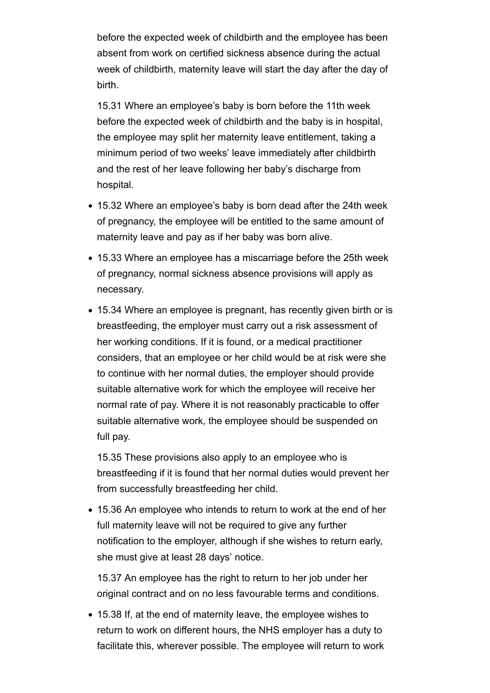before the expected week of childbirth and the employee has been absent from work on certified sickness absence during the actual week of childbirth, maternity leave will start the day after the day of birth.

15.31 Where an employee's baby is born before the 11th week before the expected week of childbirth and the baby is in hospital, the employee may split her maternity leave entitlement, taking a minimum period of two weeks' leave immediately after childbirth and the rest of her leave following her baby's discharge from hospital.

- 15.32 Where an employee's baby is born dead after the 24th week of pregnancy, the employee will be entitled to the same amount of maternity leave and pay as if her baby was born alive.
- 15.33 Where an employee has a miscarriage before the 25th week of pregnancy, normal sickness absence provisions will apply as necessary.
- 15.34 Where an employee is pregnant, has recently given birth or is breastfeeding, the employer must carry out a risk assessment of her working conditions. If it is found, or a medical practitioner considers, that an employee or her child would be at risk were she to continue with her normal duties, the employer should provide suitable alternative work for which the employee will receive her normal rate of pay. Where it is not reasonably practicable to offer suitable alternative work, the employee should be suspended on full pay.

15.35 These provisions also apply to an employee who is breastfeeding if it is found that her normal duties would prevent her from successfully breastfeeding her child.

15.36 An employee who intends to return to work at the end of her full maternity leave will not be required to give any further notification to the employer, although if she wishes to return early, she must give at least 28 days' notice.

15.37 An employee has the right to return to her job under her original contract and on no less favourable terms and conditions.

15.38 If, at the end of maternity leave, the employee wishes to return to work on different hours, the NHS employer has a duty to facilitate this, wherever possible. The employee will return to work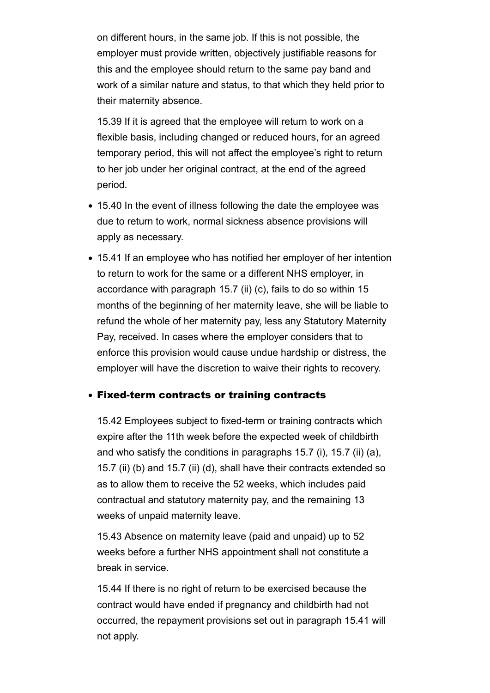on different hours, in the same job. If this is not possible, the employer must provide written, objectively justifiable reasons for this and the employee should return to the same pay band and work of a similar nature and status, to that which they held prior to their maternity absence.

15.39 If it is agreed that the employee will return to work on a flexible basis, including changed or reduced hours, for an agreed temporary period, this will not affect the employee's right to return to her job under her original contract, at the end of the agreed period.

- 15.40 In the event of illness following the date the employee was due to return to work, normal sickness absence provisions will apply as necessary.
- 15.41 If an employee who has notified her employer of her intention to return to work for the same or a different NHS employer, in accordance with paragraph 15.7 (ii) (c), fails to do so within 15 months of the beginning of her maternity leave, she will be liable to refund the whole of her maternity pay, less any Statutory Maternity Pay, received. In cases where the employer considers that to enforce this provision would cause undue hardship or distress, the employer will have the discretion to waive their rights to recovery.

#### Fixed-term contracts or training contracts

15.42 Employees subject to fixed-term or training contracts which expire after the 11th week before the expected week of childbirth and who satisfy the conditions in paragraphs 15.7 (i), 15.7 (ii) (a), 15.7 (ii) (b) and 15.7 (ii) (d), shall have their contracts extended so as to allow them to receive the 52 weeks, which includes paid contractual and statutory maternity pay, and the remaining 13 weeks of unpaid maternity leave.

15.43 Absence on maternity leave (paid and unpaid) up to 52 weeks before a further NHS appointment shall not constitute a break in service.

15.44 If there is no right of return to be exercised because the contract would have ended if pregnancy and childbirth had not occurred, the repayment provisions set out in paragraph 15.41 will not apply.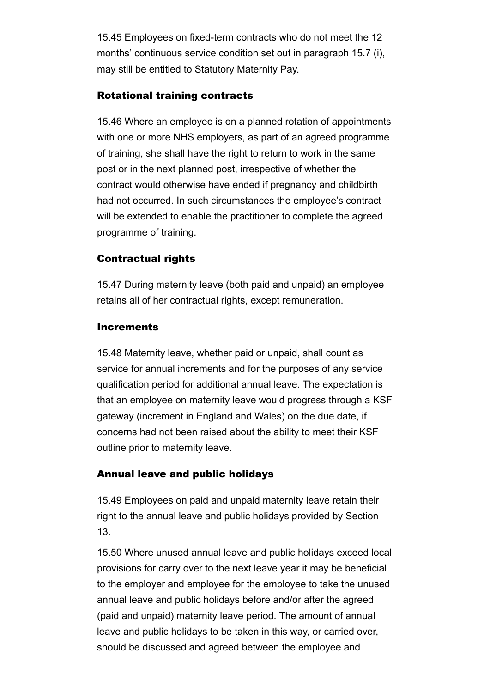15.45 Employees on fixed-term contracts who do not meet the 12 months' continuous service condition set out in paragraph 15.7 (i), may still be entitled to Statutory Maternity Pay.

#### Rotational training contracts

15.46 Where an employee is on a planned rotation of appointments with one or more NHS employers, as part of an agreed programme of training, she shall have the right to return to work in the same post or in the next planned post, irrespective of whether the contract would otherwise have ended if pregnancy and childbirth had not occurred. In such circumstances the employee's contract will be extended to enable the practitioner to complete the agreed programme of training.

## Contractual rights

15.47 During maternity leave (both paid and unpaid) an employee retains all of her contractual rights, except remuneration.

#### **Increments**

15.48 Maternity leave, whether paid or unpaid, shall count as service for annual increments and for the purposes of any service qualification period for additional annual leave. The expectation is that an employee on maternity leave would progress through a KSF gateway (increment in England and Wales) on the due date, if concerns had not been raised about the ability to meet their KSF outline prior to maternity leave.

## Annual leave and public holidays

15.49 Employees on paid and unpaid maternity leave retain their right to the annual leave and public holidays provided by Section 13.

15.50 Where unused annual leave and public holidays exceed local provisions for carry over to the next leave year it may be beneficial to the employer and employee for the employee to take the unused annual leave and public holidays before and/or after the agreed (paid and unpaid) maternity leave period. The amount of annual leave and public holidays to be taken in this way, or carried over, should be discussed and agreed between the employee and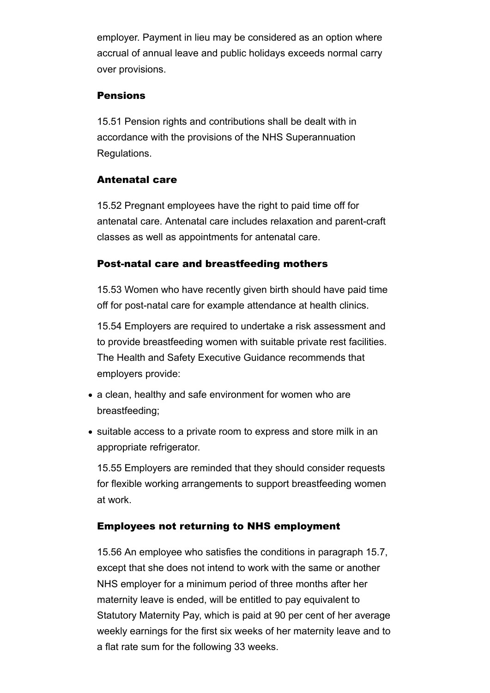employer. Payment in lieu may be considered as an option where accrual of annual leave and public holidays exceeds normal carry over provisions.

#### **Pensions**

15.51 Pension rights and contributions shall be dealt with in accordance with the provisions of the NHS Superannuation Regulations.

#### Antenatal care

15.52 Pregnant employees have the right to paid time off for antenatal care. Antenatal care includes relaxation and parent-craft classes as well as appointments for antenatal care.

#### Post-natal care and breastfeeding mothers

15.53 Women who have recently given birth should have paid time off for post-natal care for example attendance at health clinics.

15.54 Employers are required to undertake a risk assessment and to provide breastfeeding women with suitable private rest facilities. The Health and Safety Executive Guidance recommends that employers provide:

- a clean, healthy and safe environment for women who are breastfeeding;
- suitable access to a private room to express and store milk in an appropriate refrigerator.

15.55 Employers are reminded that they should consider requests for flexible working arrangements to support breastfeeding women at work.

## Employees not returning to NHS employment

15.56 An employee who satisfies the conditions in paragraph 15.7, except that she does not intend to work with the same or another NHS employer for a minimum period of three months after her maternity leave is ended, will be entitled to pay equivalent to Statutory Maternity Pay, which is paid at 90 per cent of her average weekly earnings for the first six weeks of her maternity leave and to a flat rate sum for the following 33 weeks.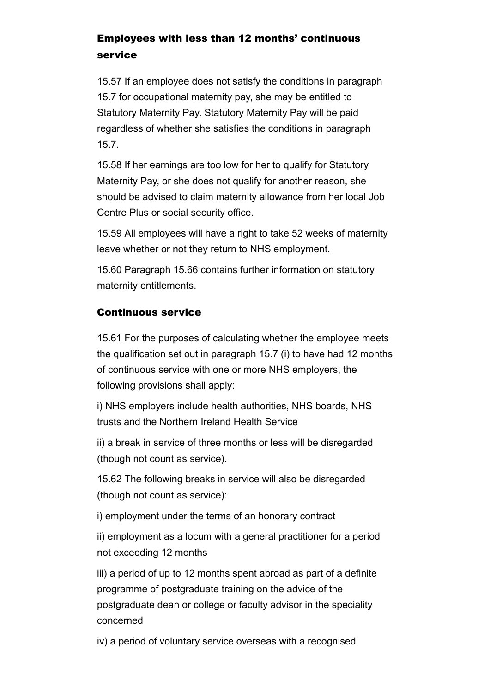# Employees with less than 12 months' continuous service

15.57 If an employee does not satisfy the conditions in paragraph 15.7 for occupational maternity pay, she may be entitled to Statutory Maternity Pay. Statutory Maternity Pay will be paid regardless of whether she satisfies the conditions in paragraph 15.7.

15.58 If her earnings are too low for her to qualify for Statutory Maternity Pay, or she does not qualify for another reason, she should be advised to claim maternity allowance from her local Job Centre Plus or social security office.

15.59 All employees will have a right to take 52 weeks of maternity leave whether or not they return to NHS employment.

15.60 Paragraph 15.66 contains further information on statutory maternity entitlements.

## Continuous service

15.61 For the purposes of calculating whether the employee meets the qualification set out in paragraph 15.7 (i) to have had 12 months of continuous service with one or more NHS employers, the following provisions shall apply:

i) NHS employers include health authorities, NHS boards, NHS trusts and the Northern Ireland Health Service

ii) a break in service of three months or less will be disregarded (though not count as service).

15.62 The following breaks in service will also be disregarded (though not count as service):

i) employment under the terms of an honorary contract

ii) employment as a locum with a general practitioner for a period not exceeding 12 months

iii) a period of up to 12 months spent abroad as part of a definite programme of postgraduate training on the advice of the postgraduate dean or college or faculty advisor in the speciality concerned

iv) a period of voluntary service overseas with a recognised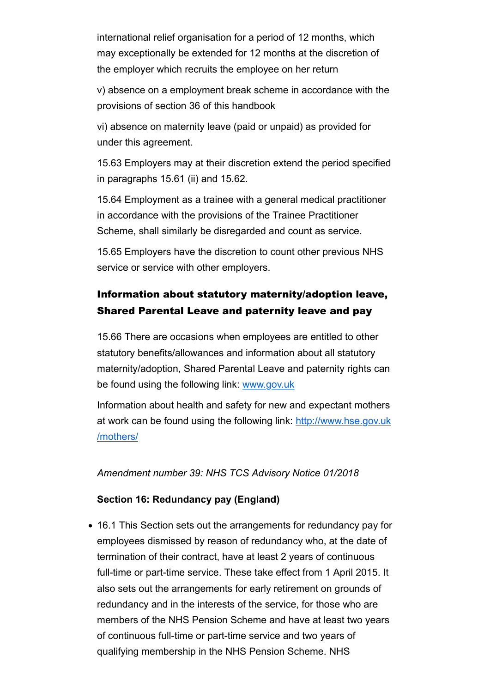international relief organisation for a period of 12 months, which may exceptionally be extended for 12 months at the discretion of the employer which recruits the employee on her return

v) absence on a employment break scheme in accordance with the provisions of section 36 of this handbook

vi) absence on maternity leave (paid or unpaid) as provided for under this agreement.

15.63 Employers may at their discretion extend the period specified in paragraphs 15.61 (ii) and 15.62.

15.64 Employment as a trainee with a general medical practitioner in accordance with the provisions of the Trainee Practitioner Scheme, shall similarly be disregarded and count as service.

15.65 Employers have the discretion to count other previous NHS service or service with other employers.

# Information about statutory maternity/adoption leave, Shared Parental Leave and paternity leave and pay

15.66 There are occasions when employees are entitled to other statutory benefits/allowances and information about all statutory maternity/adoption, Shared Parental Leave and paternity rights can be found using the following link: www.gov.uk

Information about health and safety for new and expectant mothers at work can be found using the following link: http://www.hse.gov.uk /mothers/

*Amendment number 39: NHS TCS Advisory Notice 01/2018*

#### **Section 16: Redundancy pay (England)**

16.1 This Section sets out the arrangements for redundancy pay for employees dismissed by reason of redundancy who, at the date of termination of their contract, have at least 2 years of continuous full-time or part-time service. These take effect from 1 April 2015. It also sets out the arrangements for early retirement on grounds of redundancy and in the interests of the service, for those who are members of the NHS Pension Scheme and have at least two years of continuous full-time or part-time service and two years of qualifying membership in the NHS Pension Scheme. NHS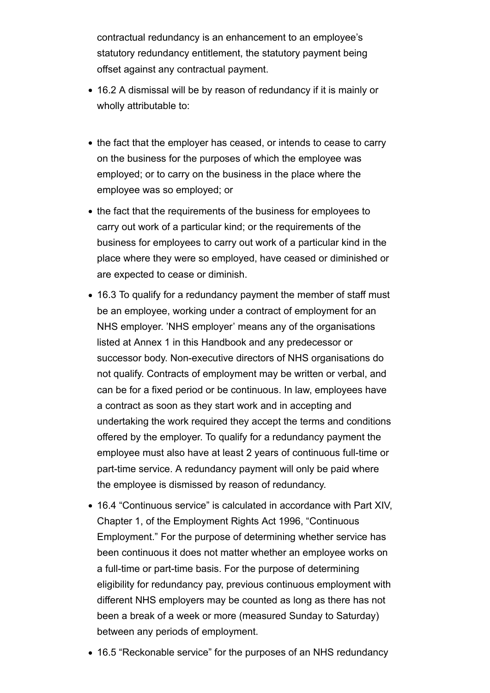contractual redundancy is an enhancement to an employee's statutory redundancy entitlement, the statutory payment being offset against any contractual payment.

- 16.2 A dismissal will be by reason of redundancy if it is mainly or wholly attributable to:
- the fact that the employer has ceased, or intends to cease to carry on the business for the purposes of which the employee was employed; or to carry on the business in the place where the employee was so employed; or
- the fact that the requirements of the business for employees to carry out work of a particular kind; or the requirements of the business for employees to carry out work of a particular kind in the place where they were so employed, have ceased or diminished or are expected to cease or diminish.
- 16.3 To qualify for a redundancy payment the member of staff must be an employee, working under a contract of employment for an NHS employer. 'NHS employer' means any of the organisations listed at Annex 1 in this Handbook and any predecessor or successor body. Non-executive directors of NHS organisations do not qualify. Contracts of employment may be written or verbal, and can be for a fixed period or be continuous. In law, employees have a contract as soon as they start work and in accepting and undertaking the work required they accept the terms and conditions offered by the employer. To qualify for a redundancy payment the employee must also have at least 2 years of continuous full-time or part-time service. A redundancy payment will only be paid where the employee is dismissed by reason of redundancy.
- 16.4 "Continuous service" is calculated in accordance with Part XIV, Chapter 1, of the Employment Rights Act 1996, "Continuous Employment." For the purpose of determining whether service has been continuous it does not matter whether an employee works on a full-time or part-time basis. For the purpose of determining eligibility for redundancy pay, previous continuous employment with different NHS employers may be counted as long as there has not been a break of a week or more (measured Sunday to Saturday) between any periods of employment.
- 16.5 "Reckonable service" for the purposes of an NHS redundancy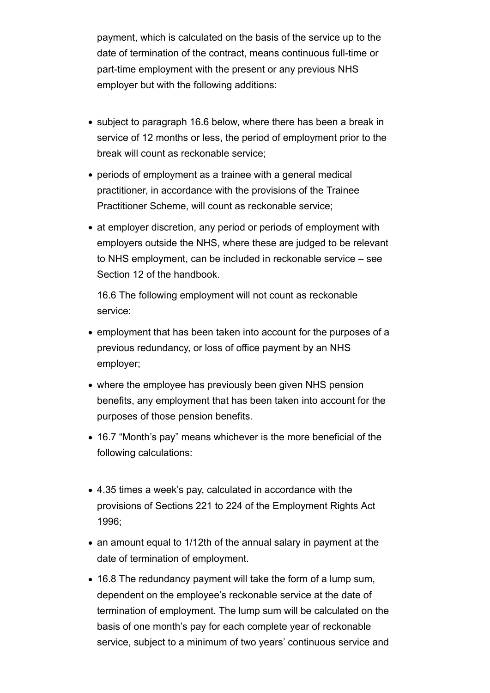payment, which is calculated on the basis of the service up to the date of termination of the contract, means continuous full-time or part-time employment with the present or any previous NHS employer but with the following additions:

- subject to paragraph 16.6 below, where there has been a break in service of 12 months or less, the period of employment prior to the break will count as reckonable service;
- periods of employment as a trainee with a general medical practitioner, in accordance with the provisions of the Trainee Practitioner Scheme, will count as reckonable service;
- at employer discretion, any period or periods of employment with employers outside the NHS, where these are judged to be relevant to NHS employment, can be included in reckonable service – see Section 12 of the handbook.

16.6 The following employment will not count as reckonable service:

- employment that has been taken into account for the purposes of a previous redundancy, or loss of office payment by an NHS employer;
- where the employee has previously been given NHS pension benefits, any employment that has been taken into account for the purposes of those pension benefits.
- 16.7 "Month's pay" means whichever is the more beneficial of the following calculations:
- 4.35 times a week's pay, calculated in accordance with the provisions of Sections 221 to 224 of the Employment Rights Act 1996;
- an amount equal to 1/12th of the annual salary in payment at the date of termination of employment.
- 16.8 The redundancy payment will take the form of a lump sum, dependent on the employee's reckonable service at the date of termination of employment. The lump sum will be calculated on the basis of one month's pay for each complete year of reckonable service, subject to a minimum of two years' continuous service and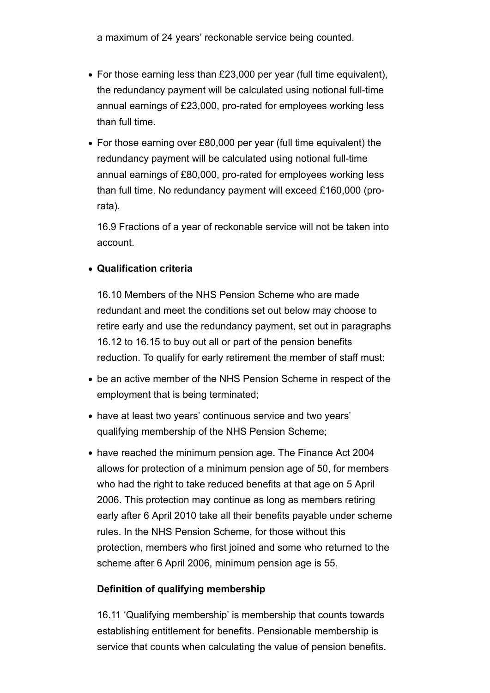a maximum of 24 years' reckonable service being counted.

- For those earning less than £23,000 per year (full time equivalent), the redundancy payment will be calculated using notional full-time annual earnings of £23,000, pro-rated for employees working less than full time.
- For those earning over £80,000 per year (full time equivalent) the redundancy payment will be calculated using notional full-time annual earnings of £80,000, pro-rated for employees working less than full time. No redundancy payment will exceed £160,000 (prorata).

16.9 Fractions of a year of reckonable service will not be taken into account.

## **Qualification criteria**

16.10 Members of the NHS Pension Scheme who are made redundant and meet the conditions set out below may choose to retire early and use the redundancy payment, set out in paragraphs 16.12 to 16.15 to buy out all or part of the pension benefits reduction. To qualify for early retirement the member of staff must:

- be an active member of the NHS Pension Scheme in respect of the employment that is being terminated;
- have at least two vears' continuous service and two vears' qualifying membership of the NHS Pension Scheme;
- have reached the minimum pension age. The Finance Act 2004 allows for protection of a minimum pension age of 50, for members who had the right to take reduced benefits at that age on 5 April 2006. This protection may continue as long as members retiring early after 6 April 2010 take all their benefits payable under scheme rules. In the NHS Pension Scheme, for those without this protection, members who first joined and some who returned to the scheme after 6 April 2006, minimum pension age is 55.

## **Definition of qualifying membership**

16.11 'Qualifying membership' is membership that counts towards establishing entitlement for benefits. Pensionable membership is service that counts when calculating the value of pension benefits.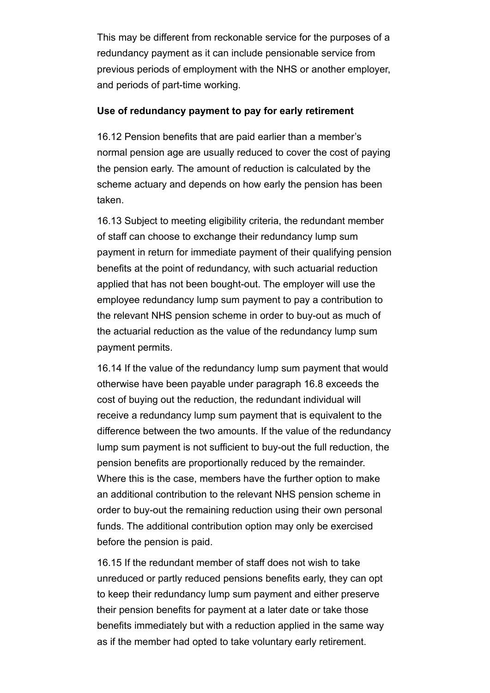This may be different from reckonable service for the purposes of a redundancy payment as it can include pensionable service from previous periods of employment with the NHS or another employer, and periods of part-time working.

#### **Use of redundancy payment to pay for early retirement**

16.12 Pension benefits that are paid earlier than a member's normal pension age are usually reduced to cover the cost of paying the pension early. The amount of reduction is calculated by the scheme actuary and depends on how early the pension has been taken.

16.13 Subject to meeting eligibility criteria, the redundant member of staff can choose to exchange their redundancy lump sum payment in return for immediate payment of their qualifying pension benefits at the point of redundancy, with such actuarial reduction applied that has not been bought-out. The employer will use the employee redundancy lump sum payment to pay a contribution to the relevant NHS pension scheme in order to buy-out as much of the actuarial reduction as the value of the redundancy lump sum payment permits.

16.14 If the value of the redundancy lump sum payment that would otherwise have been payable under paragraph 16.8 exceeds the cost of buying out the reduction, the redundant individual will receive a redundancy lump sum payment that is equivalent to the difference between the two amounts. If the value of the redundancy lump sum payment is not sufficient to buy-out the full reduction, the pension benefits are proportionally reduced by the remainder. Where this is the case, members have the further option to make an additional contribution to the relevant NHS pension scheme in order to buy-out the remaining reduction using their own personal funds. The additional contribution option may only be exercised before the pension is paid.

16.15 If the redundant member of staff does not wish to take unreduced or partly reduced pensions benefits early, they can opt to keep their redundancy lump sum payment and either preserve their pension benefits for payment at a later date or take those benefits immediately but with a reduction applied in the same way as if the member had opted to take voluntary early retirement.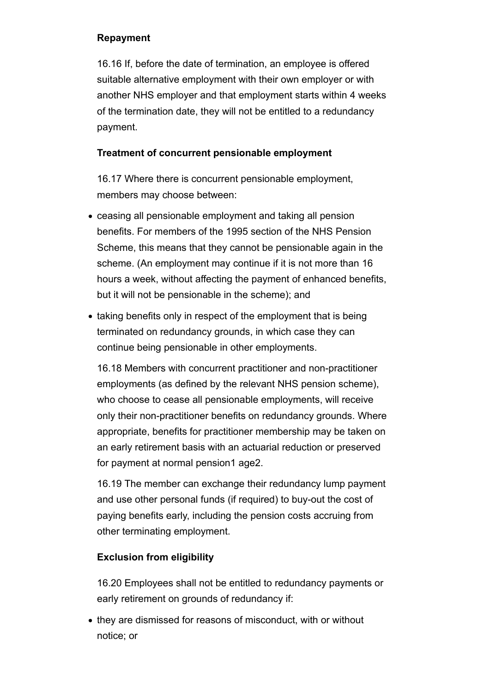## **Repayment**

16.16 If, before the date of termination, an employee is offered suitable alternative employment with their own employer or with another NHS employer and that employment starts within 4 weeks of the termination date, they will not be entitled to a redundancy payment.

## **Treatment of concurrent pensionable employment**

16.17 Where there is concurrent pensionable employment, members may choose between:

- ceasing all pensionable employment and taking all pension benefits. For members of the 1995 section of the NHS Pension Scheme, this means that they cannot be pensionable again in the scheme. (An employment may continue if it is not more than 16 hours a week, without affecting the payment of enhanced benefits, but it will not be pensionable in the scheme); and
- taking benefits only in respect of the employment that is being terminated on redundancy grounds, in which case they can continue being pensionable in other employments.

16.18 Members with concurrent practitioner and non-practitioner employments (as defined by the relevant NHS pension scheme), who choose to cease all pensionable employments, will receive only their non-practitioner benefits on redundancy grounds. Where appropriate, benefits for practitioner membership may be taken on an early retirement basis with an actuarial reduction or preserved for payment at normal pension1 age2.

16.19 The member can exchange their redundancy lump payment and use other personal funds (if required) to buy-out the cost of paying benefits early, including the pension costs accruing from other terminating employment.

# **Exclusion from eligibility**

16.20 Employees shall not be entitled to redundancy payments or early retirement on grounds of redundancy if:

• they are dismissed for reasons of misconduct, with or without notice; or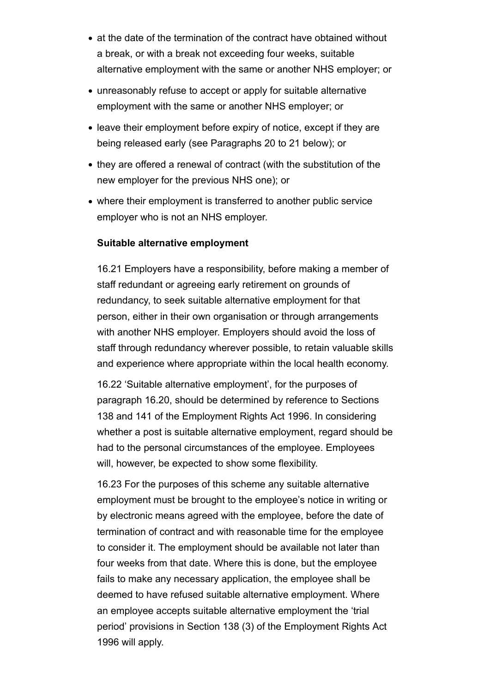- at the date of the termination of the contract have obtained without a break, or with a break not exceeding four weeks, suitable alternative employment with the same or another NHS employer; or
- unreasonably refuse to accept or apply for suitable alternative employment with the same or another NHS employer; or
- leave their employment before expiry of notice, except if they are being released early (see Paragraphs 20 to 21 below); or
- they are offered a renewal of contract (with the substitution of the new employer for the previous NHS one); or
- where their employment is transferred to another public service employer who is not an NHS employer.

#### **Suitable alternative employment**

16.21 Employers have a responsibility, before making a member of staff redundant or agreeing early retirement on grounds of redundancy, to seek suitable alternative employment for that person, either in their own organisation or through arrangements with another NHS employer. Employers should avoid the loss of staff through redundancy wherever possible, to retain valuable skills and experience where appropriate within the local health economy.

16.22 'Suitable alternative employment', for the purposes of paragraph 16.20, should be determined by reference to Sections 138 and 141 of the Employment Rights Act 1996. In considering whether a post is suitable alternative employment, regard should be had to the personal circumstances of the employee. Employees will, however, be expected to show some flexibility.

16.23 For the purposes of this scheme any suitable alternative employment must be brought to the employee's notice in writing or by electronic means agreed with the employee, before the date of termination of contract and with reasonable time for the employee to consider it. The employment should be available not later than four weeks from that date. Where this is done, but the employee fails to make any necessary application, the employee shall be deemed to have refused suitable alternative employment. Where an employee accepts suitable alternative employment the 'trial period' provisions in Section 138 (3) of the Employment Rights Act 1996 will apply.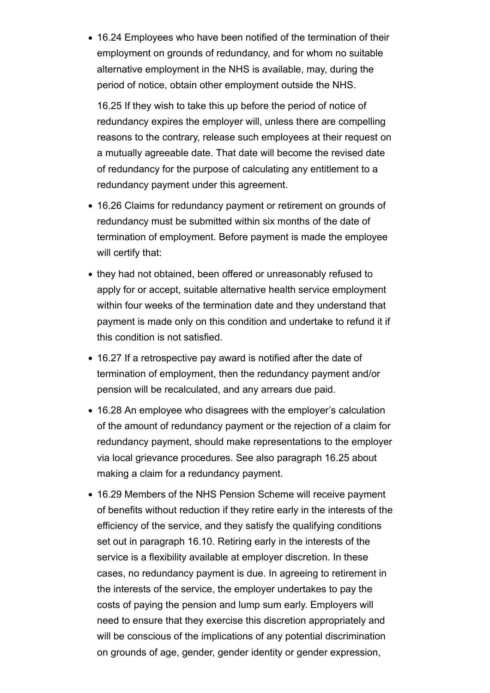16.24 Employees who have been notified of the termination of their employment on grounds of redundancy, and for whom no suitable alternative employment in the NHS is available, may, during the period of notice, obtain other employment outside the NHS.

16.25 If they wish to take this up before the period of notice of redundancy expires the employer will, unless there are compelling reasons to the contrary, release such employees at their request on a mutually agreeable date. That date will become the revised date of redundancy for the purpose of calculating any entitlement to a redundancy payment under this agreement.

- 16.26 Claims for redundancy payment or retirement on grounds of redundancy must be submitted within six months of the date of termination of employment. Before payment is made the employee will certify that:
- they had not obtained, been offered or unreasonably refused to apply for or accept, suitable alternative health service employment within four weeks of the termination date and they understand that payment is made only on this condition and undertake to refund it if this condition is not satisfied.
- 16.27 If a retrospective pay award is notified after the date of termination of employment, then the redundancy payment and/or pension will be recalculated, and any arrears due paid.
- 16.28 An employee who disagrees with the employer's calculation of the amount of redundancy payment or the rejection of a claim for redundancy payment, should make representations to the employer via local grievance procedures. See also paragraph 16.25 about making a claim for a redundancy payment.
- 16.29 Members of the NHS Pension Scheme will receive payment of benefits without reduction if they retire early in the interests of the efficiency of the service, and they satisfy the qualifying conditions set out in paragraph 16.10. Retiring early in the interests of the service is a flexibility available at employer discretion. In these cases, no redundancy payment is due. In agreeing to retirement in the interests of the service, the employer undertakes to pay the costs of paying the pension and lump sum early. Employers will need to ensure that they exercise this discretion appropriately and will be conscious of the implications of any potential discrimination on grounds of age, gender, gender identity or gender expression,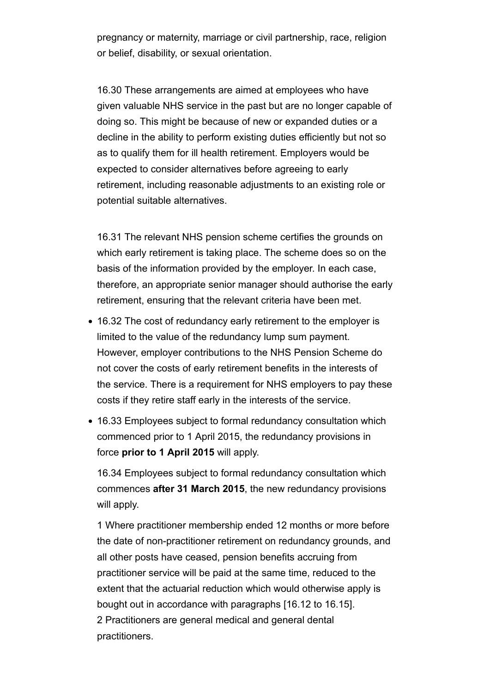pregnancy or maternity, marriage or civil partnership, race, religion or belief, disability, or sexual orientation.

16.30 These arrangements are aimed at employees who have given valuable NHS service in the past but are no longer capable of doing so. This might be because of new or expanded duties or a decline in the ability to perform existing duties efficiently but not so as to qualify them for ill health retirement. Employers would be expected to consider alternatives before agreeing to early retirement, including reasonable adjustments to an existing role or potential suitable alternatives.

16.31 The relevant NHS pension scheme certifies the grounds on which early retirement is taking place. The scheme does so on the basis of the information provided by the employer. In each case, therefore, an appropriate senior manager should authorise the early retirement, ensuring that the relevant criteria have been met.

- 16.32 The cost of redundancy early retirement to the employer is limited to the value of the redundancy lump sum payment. However, employer contributions to the NHS Pension Scheme do not cover the costs of early retirement benefits in the interests of the service. There is a requirement for NHS employers to pay these costs if they retire staff early in the interests of the service.
- 16.33 Employees subject to formal redundancy consultation which commenced prior to 1 April 2015, the redundancy provisions in force **prior to 1 April 2015** will apply.

16.34 Employees subject to formal redundancy consultation which commences **after 31 March 2015**, the new redundancy provisions will apply.

1 Where practitioner membership ended 12 months or more before the date of non-practitioner retirement on redundancy grounds, and all other posts have ceased, pension benefits accruing from practitioner service will be paid at the same time, reduced to the extent that the actuarial reduction which would otherwise apply is bought out in accordance with paragraphs [16.12 to 16.15]. 2 Practitioners are general medical and general dental practitioners.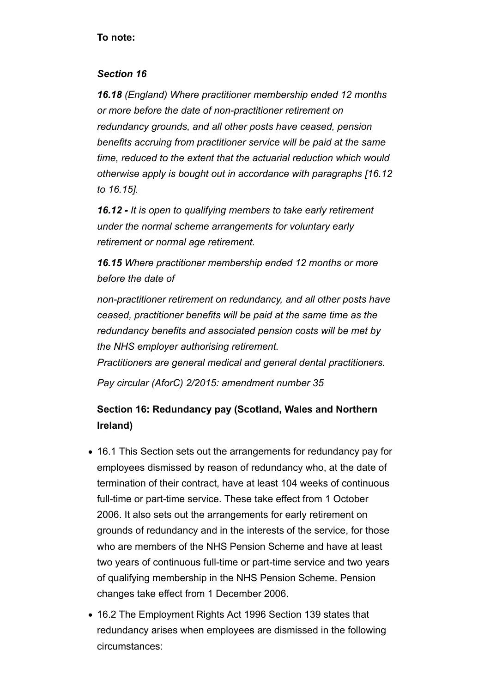#### **To note:**

#### *Section 16*

*16.18 (England) Where practitioner membership ended 12 months or more before the date of non-practitioner retirement on redundancy grounds, and all other posts have ceased, pension benefits accruing from practitioner service will be paid at the same time, reduced to the extent that the actuarial reduction which would otherwise apply is bought out in accordance with paragraphs [16.12 to 16.15].*

*16.12 - It is open to qualifying members to take early retirement under the normal scheme arrangements for voluntary early retirement or normal age retirement.*

*16.15 Where practitioner membership ended 12 months or more before the date of* 

*non-practitioner retirement on redundancy, and all other posts have ceased, practitioner benefits will be paid at the same time as the redundancy benefits and associated pension costs will be met by the NHS employer authorising retirement.*

*Practitioners are general medical and general dental practitioners.*

*Pay circular (AforC) 2/2015: amendment number 35*

# **Section 16: Redundancy pay (Scotland, Wales and Northern Ireland)**

- 16.1 This Section sets out the arrangements for redundancy pay for employees dismissed by reason of redundancy who, at the date of termination of their contract, have at least 104 weeks of continuous full-time or part-time service. These take effect from 1 October 2006. It also sets out the arrangements for early retirement on grounds of redundancy and in the interests of the service, for those who are members of the NHS Pension Scheme and have at least two years of continuous full-time or part-time service and two years of qualifying membership in the NHS Pension Scheme. Pension changes take effect from 1 December 2006.
- 16.2 The Employment Rights Act 1996 Section 139 states that redundancy arises when employees are dismissed in the following circumstances: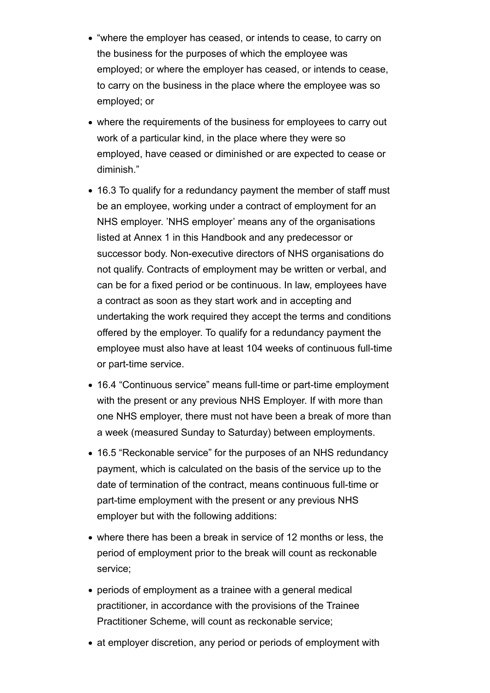- "where the employer has ceased, or intends to cease, to carry on the business for the purposes of which the employee was employed; or where the employer has ceased, or intends to cease, to carry on the business in the place where the employee was so employed; or
- where the requirements of the business for employees to carry out work of a particular kind, in the place where they were so employed, have ceased or diminished or are expected to cease or diminish."
- 16.3 To qualify for a redundancy payment the member of staff must be an employee, working under a contract of employment for an NHS employer. 'NHS employer' means any of the organisations listed at Annex 1 in this Handbook and any predecessor or successor body. Non-executive directors of NHS organisations do not qualify. Contracts of employment may be written or verbal, and can be for a fixed period or be continuous. In law, employees have a contract as soon as they start work and in accepting and undertaking the work required they accept the terms and conditions offered by the employer. To qualify for a redundancy payment the employee must also have at least 104 weeks of continuous full-time or part-time service.
- 16.4 "Continuous service" means full-time or part-time employment with the present or any previous NHS Employer. If with more than one NHS employer, there must not have been a break of more than a week (measured Sunday to Saturday) between employments.
- 16.5 "Reckonable service" for the purposes of an NHS redundancy payment, which is calculated on the basis of the service up to the date of termination of the contract, means continuous full-time or part-time employment with the present or any previous NHS employer but with the following additions:
- where there has been a break in service of 12 months or less, the period of employment prior to the break will count as reckonable service;
- periods of employment as a trainee with a general medical practitioner, in accordance with the provisions of the Trainee Practitioner Scheme, will count as reckonable service;
- at employer discretion, any period or periods of employment with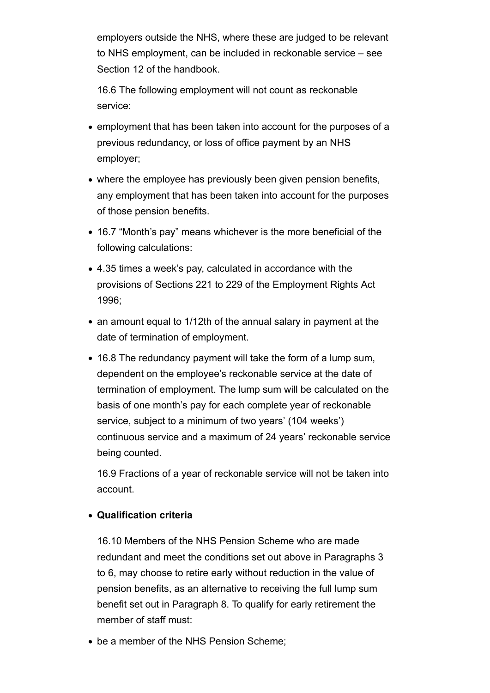employers outside the NHS, where these are judged to be relevant to NHS employment, can be included in reckonable service – see Section 12 of the handbook.

16.6 The following employment will not count as reckonable service:

- employment that has been taken into account for the purposes of a previous redundancy, or loss of office payment by an NHS employer;
- where the employee has previously been given pension benefits, any employment that has been taken into account for the purposes of those pension benefits.
- 16.7 "Month's pay" means whichever is the more beneficial of the following calculations:
- 4.35 times a week's pay, calculated in accordance with the provisions of Sections 221 to 229 of the Employment Rights Act 1996;
- an amount equal to 1/12th of the annual salary in payment at the date of termination of employment.
- 16.8 The redundancy payment will take the form of a lump sum, dependent on the employee's reckonable service at the date of termination of employment. The lump sum will be calculated on the basis of one month's pay for each complete year of reckonable service, subject to a minimum of two years' (104 weeks') continuous service and a maximum of 24 years' reckonable service being counted.

16.9 Fractions of a year of reckonable service will not be taken into account.

## **Qualification criteria**

16.10 Members of the NHS Pension Scheme who are made redundant and meet the conditions set out above in Paragraphs 3 to 6, may choose to retire early without reduction in the value of pension benefits, as an alternative to receiving the full lump sum benefit set out in Paragraph 8. To qualify for early retirement the member of staff must:

be a member of the NHS Pension Scheme;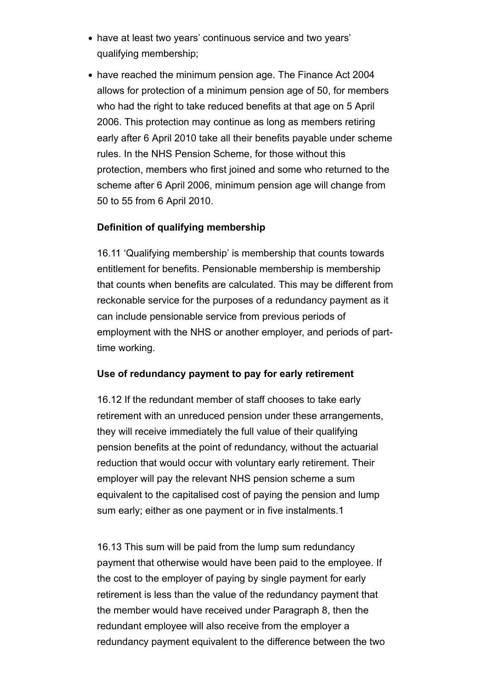- have at least two years' continuous service and two years' qualifying membership;
- have reached the minimum pension age. The Finance Act 2004 allows for protection of a minimum pension age of 50, for members who had the right to take reduced benefits at that age on 5 April 2006. This protection may continue as long as members retiring early after 6 April 2010 take all their benefits payable under scheme rules. In the NHS Pension Scheme, for those without this protection, members who first joined and some who returned to the scheme after 6 April 2006, minimum pension age will change from 50 to 55 from 6 April 2010.

## **Definition of qualifying membership**

16.11 'Qualifying membership' is membership that counts towards entitlement for benefits. Pensionable membership is membership that counts when benefits are calculated. This may be different from reckonable service for the purposes of a redundancy payment as it can include pensionable service from previous periods of employment with the NHS or another employer, and periods of parttime working.

#### **Use of redundancy payment to pay for early retirement**

16.12 If the redundant member of staff chooses to take early retirement with an unreduced pension under these arrangements, they will receive immediately the full value of their qualifying pension benefits at the point of redundancy, without the actuarial reduction that would occur with voluntary early retirement. Their employer will pay the relevant NHS pension scheme a sum equivalent to the capitalised cost of paying the pension and lump sum early; either as one payment or in five instalments.1

16.13 This sum will be paid from the lump sum redundancy payment that otherwise would have been paid to the employee. If the cost to the employer of paying by single payment for early retirement is less than the value of the redundancy payment that the member would have received under Paragraph 8, then the redundant employee will also receive from the employer a redundancy payment equivalent to the difference between the two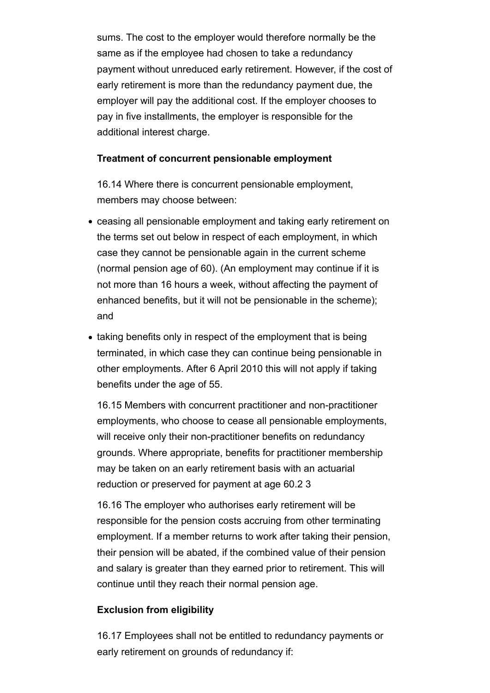sums. The cost to the employer would therefore normally be the same as if the employee had chosen to take a redundancy payment without unreduced early retirement. However, if the cost of early retirement is more than the redundancy payment due, the employer will pay the additional cost. If the employer chooses to pay in five installments, the employer is responsible for the additional interest charge.

#### **Treatment of concurrent pensionable employment**

16.14 Where there is concurrent pensionable employment, members may choose between:

- ceasing all pensionable employment and taking early retirement on the terms set out below in respect of each employment, in which case they cannot be pensionable again in the current scheme (normal pension age of 60). (An employment may continue if it is not more than 16 hours a week, without affecting the payment of enhanced benefits, but it will not be pensionable in the scheme); and
- taking benefits only in respect of the employment that is being terminated, in which case they can continue being pensionable in other employments. After 6 April 2010 this will not apply if taking benefits under the age of 55.

16.15 Members with concurrent practitioner and non-practitioner employments, who choose to cease all pensionable employments, will receive only their non-practitioner benefits on redundancy grounds. Where appropriate, benefits for practitioner membership may be taken on an early retirement basis with an actuarial reduction or preserved for payment at age 60.2 3

16.16 The employer who authorises early retirement will be responsible for the pension costs accruing from other terminating employment. If a member returns to work after taking their pension, their pension will be abated, if the combined value of their pension and salary is greater than they earned prior to retirement. This will continue until they reach their normal pension age.

#### **Exclusion from eligibility**

16.17 Employees shall not be entitled to redundancy payments or early retirement on grounds of redundancy if: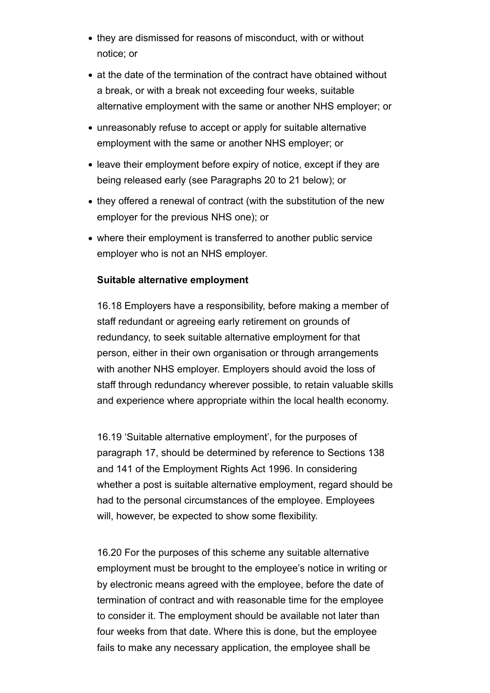- they are dismissed for reasons of misconduct, with or without notice; or
- at the date of the termination of the contract have obtained without a break, or with a break not exceeding four weeks, suitable alternative employment with the same or another NHS employer; or
- unreasonably refuse to accept or apply for suitable alternative employment with the same or another NHS employer; or
- leave their employment before expiry of notice, except if they are being released early (see Paragraphs 20 to 21 below); or
- they offered a renewal of contract (with the substitution of the new employer for the previous NHS one); or
- where their employment is transferred to another public service employer who is not an NHS employer.

#### **Suitable alternative employment**

16.18 Employers have a responsibility, before making a member of staff redundant or agreeing early retirement on grounds of redundancy, to seek suitable alternative employment for that person, either in their own organisation or through arrangements with another NHS employer. Employers should avoid the loss of staff through redundancy wherever possible, to retain valuable skills and experience where appropriate within the local health economy.

16.19 'Suitable alternative employment', for the purposes of paragraph 17, should be determined by reference to Sections 138 and 141 of the Employment Rights Act 1996. In considering whether a post is suitable alternative employment, regard should be had to the personal circumstances of the employee. Employees will, however, be expected to show some flexibility.

16.20 For the purposes of this scheme any suitable alternative employment must be brought to the employee's notice in writing or by electronic means agreed with the employee, before the date of termination of contract and with reasonable time for the employee to consider it. The employment should be available not later than four weeks from that date. Where this is done, but the employee fails to make any necessary application, the employee shall be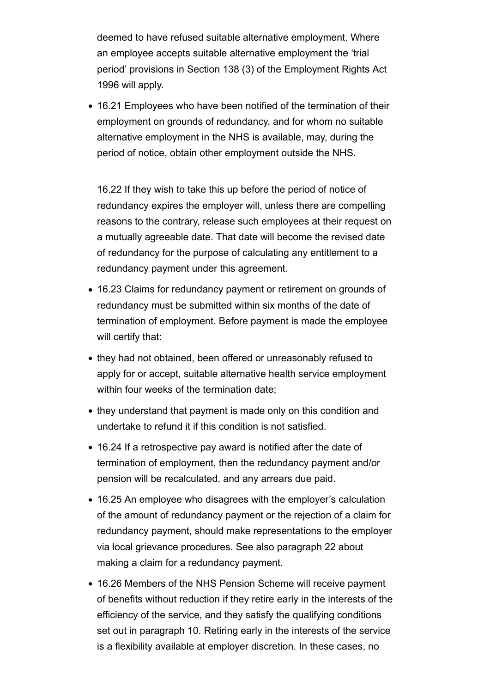deemed to have refused suitable alternative employment. Where an employee accepts suitable alternative employment the 'trial period' provisions in Section 138 (3) of the Employment Rights Act 1996 will apply.

16.21 Employees who have been notified of the termination of their employment on grounds of redundancy, and for whom no suitable alternative employment in the NHS is available, may, during the period of notice, obtain other employment outside the NHS.

16.22 If they wish to take this up before the period of notice of redundancy expires the employer will, unless there are compelling reasons to the contrary, release such employees at their request on a mutually agreeable date. That date will become the revised date of redundancy for the purpose of calculating any entitlement to a redundancy payment under this agreement.

- 16.23 Claims for redundancy payment or retirement on grounds of redundancy must be submitted within six months of the date of termination of employment. Before payment is made the employee will certify that:
- they had not obtained, been offered or unreasonably refused to apply for or accept, suitable alternative health service employment within four weeks of the termination date;
- they understand that payment is made only on this condition and undertake to refund it if this condition is not satisfied.
- 16.24 If a retrospective pay award is notified after the date of termination of employment, then the redundancy payment and/or pension will be recalculated, and any arrears due paid.
- 16.25 An employee who disagrees with the employer's calculation of the amount of redundancy payment or the rejection of a claim for redundancy payment, should make representations to the employer via local grievance procedures. See also paragraph 22 about making a claim for a redundancy payment.
- 16.26 Members of the NHS Pension Scheme will receive payment of benefits without reduction if they retire early in the interests of the efficiency of the service, and they satisfy the qualifying conditions set out in paragraph 10. Retiring early in the interests of the service is a flexibility available at employer discretion. In these cases, no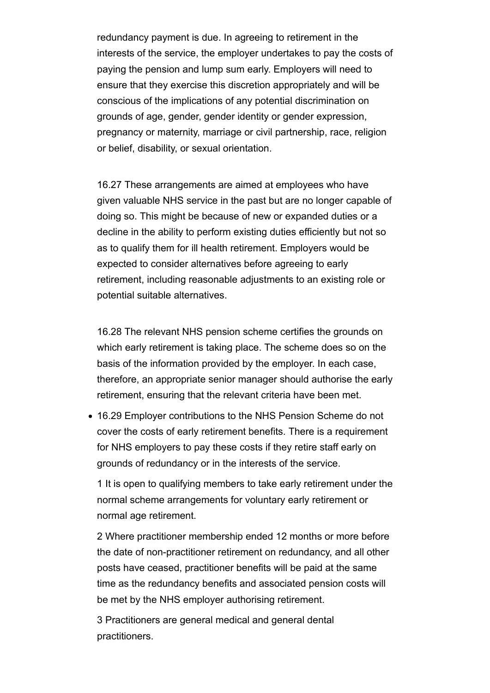redundancy payment is due. In agreeing to retirement in the interests of the service, the employer undertakes to pay the costs of paying the pension and lump sum early. Employers will need to ensure that they exercise this discretion appropriately and will be conscious of the implications of any potential discrimination on grounds of age, gender, gender identity or gender expression, pregnancy or maternity, marriage or civil partnership, race, religion or belief, disability, or sexual orientation.

16.27 These arrangements are aimed at employees who have given valuable NHS service in the past but are no longer capable of doing so. This might be because of new or expanded duties or a decline in the ability to perform existing duties efficiently but not so as to qualify them for ill health retirement. Employers would be expected to consider alternatives before agreeing to early retirement, including reasonable adjustments to an existing role or potential suitable alternatives.

16.28 The relevant NHS pension scheme certifies the grounds on which early retirement is taking place. The scheme does so on the basis of the information provided by the employer. In each case, therefore, an appropriate senior manager should authorise the early retirement, ensuring that the relevant criteria have been met.

16.29 Employer contributions to the NHS Pension Scheme do not cover the costs of early retirement benefits. There is a requirement for NHS employers to pay these costs if they retire staff early on grounds of redundancy or in the interests of the service.

1 It is open to qualifying members to take early retirement under the normal scheme arrangements for voluntary early retirement or normal age retirement.

2 Where practitioner membership ended 12 months or more before the date of non-practitioner retirement on redundancy, and all other posts have ceased, practitioner benefits will be paid at the same time as the redundancy benefits and associated pension costs will be met by the NHS employer authorising retirement.

3 Practitioners are general medical and general dental practitioners.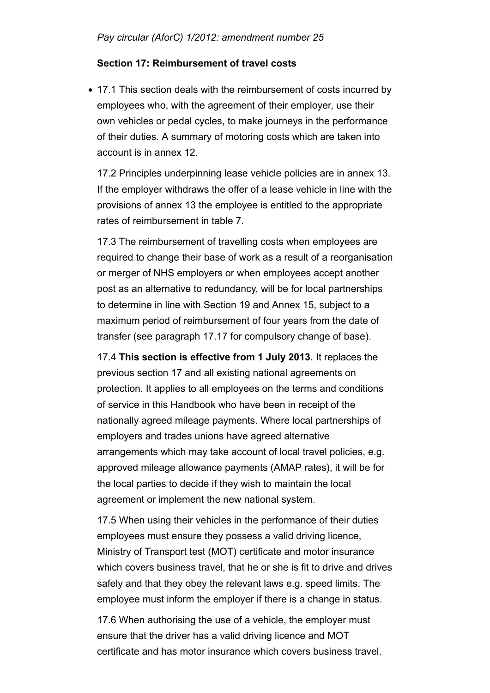### **Section 17: Reimbursement of travel costs**

• 17.1 This section deals with the reimbursement of costs incurred by employees who, with the agreement of their employer, use their own vehicles or pedal cycles, to make journeys in the performance of their duties. A summary of motoring costs which are taken into account is in annex 12.

17.2 Principles underpinning lease vehicle policies are in annex 13. If the employer withdraws the offer of a lease vehicle in line with the provisions of annex 13 the employee is entitled to the appropriate rates of reimbursement in table 7.

17.3 The reimbursement of travelling costs when employees are required to change their base of work as a result of a reorganisation or merger of NHS employers or when employees accept another post as an alternative to redundancy, will be for local partnerships to determine in line with Section 19 and Annex 15, subject to a maximum period of reimbursement of four years from the date of transfer (see paragraph 17.17 for compulsory change of base).

17.4 **This section is effective from 1 July 2013**. It replaces the previous section 17 and all existing national agreements on protection. It applies to all employees on the terms and conditions of service in this Handbook who have been in receipt of the nationally agreed mileage payments. Where local partnerships of employers and trades unions have agreed alternative arrangements which may take account of local travel policies, e.g. approved mileage allowance payments (AMAP rates), it will be for the local parties to decide if they wish to maintain the local agreement or implement the new national system.

17.5 When using their vehicles in the performance of their duties employees must ensure they possess a valid driving licence, Ministry of Transport test (MOT) certificate and motor insurance which covers business travel, that he or she is fit to drive and drives safely and that they obey the relevant laws e.g. speed limits. The employee must inform the employer if there is a change in status.

17.6 When authorising the use of a vehicle, the employer must ensure that the driver has a valid driving licence and MOT certificate and has motor insurance which covers business travel.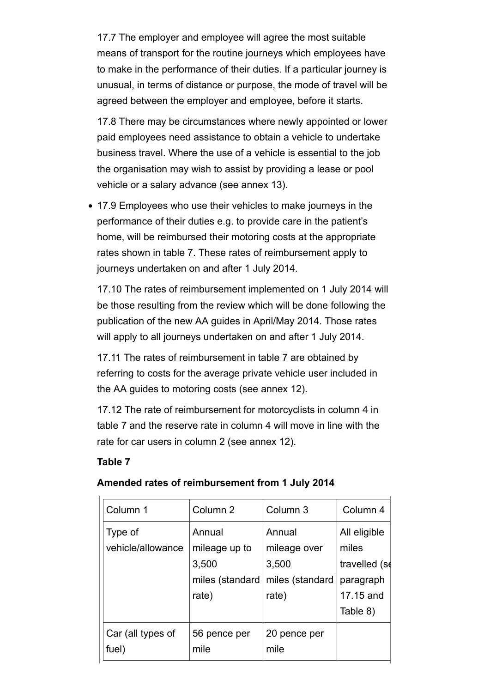17.7 The employer and employee will agree the most suitable means of transport for the routine journeys which employees have to make in the performance of their duties. If a particular journey is unusual, in terms of distance or purpose, the mode of travel will be agreed between the employer and employee, before it starts.

17.8 There may be circumstances where newly appointed or lower paid employees need assistance to obtain a vehicle to undertake business travel. Where the use of a vehicle is essential to the job the organisation may wish to assist by providing a lease or pool vehicle or a salary advance (see annex 13).

17.9 Employees who use their vehicles to make journeys in the performance of their duties e.g. to provide care in the patient's home, will be reimbursed their motoring costs at the appropriate rates shown in table 7. These rates of reimbursement apply to journeys undertaken on and after 1 July 2014.

17.10 The rates of reimbursement implemented on 1 July 2014 will be those resulting from the review which will be done following the publication of the new AA guides in April/May 2014. Those rates will apply to all journeys undertaken on and after 1 July 2014.

17.11 The rates of reimbursement in table 7 are obtained by referring to costs for the average private vehicle user included in the AA guides to motoring costs (see annex 12).

17.12 The rate of reimbursement for motorcyclists in column 4 in table 7 and the reserve rate in column 4 will move in line with the rate for car users in column 2 (see annex 12).

#### **Table 7**

| Column 1                     | Column <sub>2</sub>                                          | Column 3                                                    | Column 4                                                                     |
|------------------------------|--------------------------------------------------------------|-------------------------------------------------------------|------------------------------------------------------------------------------|
| Type of<br>vehicle/allowance | Annual<br>mileage up to<br>3,500<br>miles (standard<br>rate) | Annual<br>mileage over<br>3,500<br>miles (standard<br>rate) | All eligible<br>miles<br>travelled (se<br>paragraph<br>17.15 and<br>Table 8) |
| Car (all types of<br>fuel)   | 56 pence per<br>mile                                         | 20 pence per<br>mile                                        |                                                                              |

### **Amended rates of reimbursement from 1 July 2014**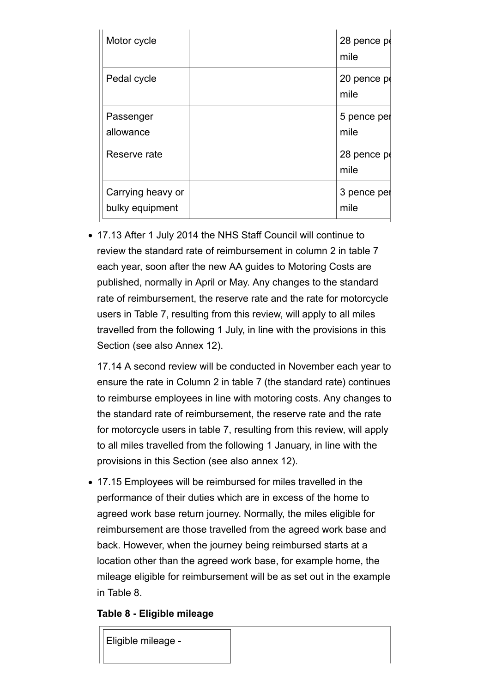| Motor cycle                          | 28 pence po<br>mile |
|--------------------------------------|---------------------|
| Pedal cycle                          | 20 pence po<br>mile |
| Passenger<br>allowance               | 5 pence per<br>mile |
| Reserve rate                         | 28 pence pe<br>mile |
| Carrying heavy or<br>bulky equipment | 3 pence per<br>mile |

17.13 After 1 July 2014 the NHS Staff Council will continue to review the standard rate of reimbursement in column 2 in table 7 each year, soon after the new AA guides to Motoring Costs are published, normally in April or May. Any changes to the standard rate of reimbursement, the reserve rate and the rate for motorcycle users in Table 7, resulting from this review, will apply to all miles travelled from the following 1 July, in line with the provisions in this Section (see also Annex 12).

17.14 A second review will be conducted in November each year to ensure the rate in Column 2 in table 7 (the standard rate) continues to reimburse employees in line with motoring costs. Any changes to the standard rate of reimbursement, the reserve rate and the rate for motorcycle users in table 7, resulting from this review, will apply to all miles travelled from the following 1 January, in line with the provisions in this Section (see also annex 12).

17.15 Employees will be reimbursed for miles travelled in the performance of their duties which are in excess of the home to agreed work base return journey. Normally, the miles eligible for reimbursement are those travelled from the agreed work base and back. However, when the journey being reimbursed starts at a location other than the agreed work base, for example home, the mileage eligible for reimbursement will be as set out in the example in Table 8.

### **Table 8 - Eligible mileage**

Eligible mileage -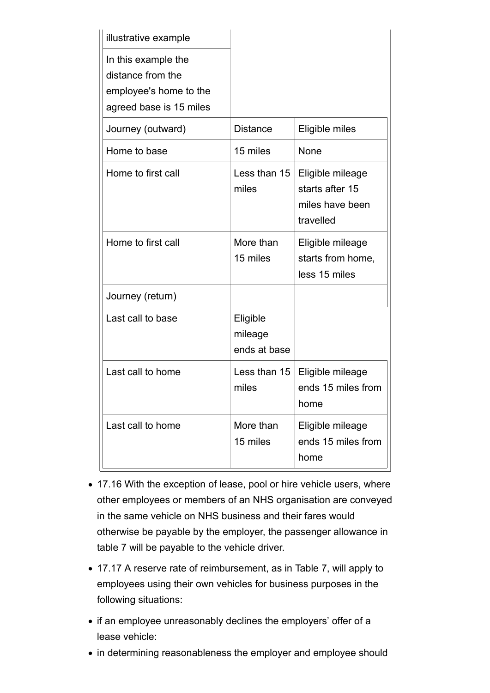| illustrative example                                                                          |                                     |                                                                     |
|-----------------------------------------------------------------------------------------------|-------------------------------------|---------------------------------------------------------------------|
| In this example the<br>distance from the<br>employee's home to the<br>agreed base is 15 miles |                                     |                                                                     |
| Journey (outward)                                                                             | <b>Distance</b>                     | Eligible miles                                                      |
| Home to base                                                                                  | 15 miles                            | None                                                                |
| Home to first call                                                                            | Less than 15<br>miles               | Eligible mileage<br>starts after 15<br>miles have been<br>travelled |
| Home to first call                                                                            | More than<br>15 miles               | Eligible mileage<br>starts from home,<br>less 15 miles              |
| Journey (return)                                                                              |                                     |                                                                     |
| Last call to base                                                                             | Eligible<br>mileage<br>ends at base |                                                                     |
| Last call to home                                                                             | Less than 15<br>miles               | Eligible mileage<br>ends 15 miles from<br>home                      |
| Last call to home                                                                             | More than<br>15 miles               | Eligible mileage<br>ends 15 miles from<br>home                      |

- 17.16 With the exception of lease, pool or hire vehicle users, where other employees or members of an NHS organisation are conveyed in the same vehicle on NHS business and their fares would otherwise be payable by the employer, the passenger allowance in table 7 will be payable to the vehicle driver.
- 17.17 A reserve rate of reimbursement, as in Table 7, will apply to employees using their own vehicles for business purposes in the following situations:
- if an employee unreasonably declines the employers' offer of a lease vehicle:
- in determining reasonableness the employer and employee should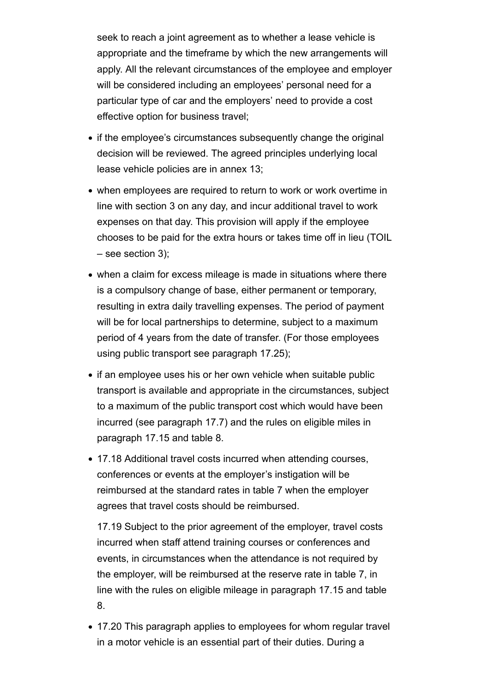seek to reach a joint agreement as to whether a lease vehicle is appropriate and the timeframe by which the new arrangements will apply. All the relevant circumstances of the employee and employer will be considered including an employees' personal need for a particular type of car and the employers' need to provide a cost effective option for business travel;

- if the employee's circumstances subsequently change the original decision will be reviewed. The agreed principles underlying local lease vehicle policies are in annex 13;
- when employees are required to return to work or work overtime in line with section 3 on any day, and incur additional travel to work expenses on that day. This provision will apply if the employee chooses to be paid for the extra hours or takes time off in lieu (TOIL – see section 3);
- when a claim for excess mileage is made in situations where there is a compulsory change of base, either permanent or temporary, resulting in extra daily travelling expenses. The period of payment will be for local partnerships to determine, subject to a maximum period of 4 years from the date of transfer. (For those employees using public transport see paragraph 17.25);
- if an employee uses his or her own vehicle when suitable public transport is available and appropriate in the circumstances, subject to a maximum of the public transport cost which would have been incurred (see paragraph 17.7) and the rules on eligible miles in paragraph 17.15 and table 8.
- 17.18 Additional travel costs incurred when attending courses, conferences or events at the employer's instigation will be reimbursed at the standard rates in table 7 when the employer agrees that travel costs should be reimbursed.

17.19 Subject to the prior agreement of the employer, travel costs incurred when staff attend training courses or conferences and events, in circumstances when the attendance is not required by the employer, will be reimbursed at the reserve rate in table 7, in line with the rules on eligible mileage in paragraph 17.15 and table 8.

17.20 This paragraph applies to employees for whom regular travel in a motor vehicle is an essential part of their duties. During a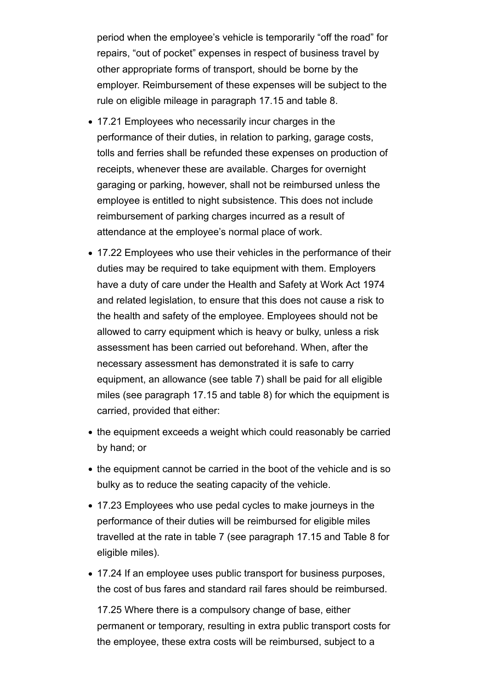period when the employee's vehicle is temporarily "off the road" for repairs, "out of pocket" expenses in respect of business travel by other appropriate forms of transport, should be borne by the employer. Reimbursement of these expenses will be subject to the rule on eligible mileage in paragraph 17.15 and table 8.

- 17.21 Employees who necessarily incur charges in the performance of their duties, in relation to parking, garage costs, tolls and ferries shall be refunded these expenses on production of receipts, whenever these are available. Charges for overnight garaging or parking, however, shall not be reimbursed unless the employee is entitled to night subsistence. This does not include reimbursement of parking charges incurred as a result of attendance at the employee's normal place of work.
- 17.22 Employees who use their vehicles in the performance of their duties may be required to take equipment with them. Employers have a duty of care under the Health and Safety at Work Act 1974 and related legislation, to ensure that this does not cause a risk to the health and safety of the employee. Employees should not be allowed to carry equipment which is heavy or bulky, unless a risk assessment has been carried out beforehand. When, after the necessary assessment has demonstrated it is safe to carry equipment, an allowance (see table 7) shall be paid for all eligible miles (see paragraph 17.15 and table 8) for which the equipment is carried, provided that either:
- the equipment exceeds a weight which could reasonably be carried by hand; or
- the equipment cannot be carried in the boot of the vehicle and is so bulky as to reduce the seating capacity of the vehicle.
- 17.23 Employees who use pedal cycles to make journeys in the performance of their duties will be reimbursed for eligible miles travelled at the rate in table 7 (see paragraph 17.15 and Table 8 for eligible miles).
- 17.24 If an employee uses public transport for business purposes, the cost of bus fares and standard rail fares should be reimbursed.

17.25 Where there is a compulsory change of base, either permanent or temporary, resulting in extra public transport costs for the employee, these extra costs will be reimbursed, subject to a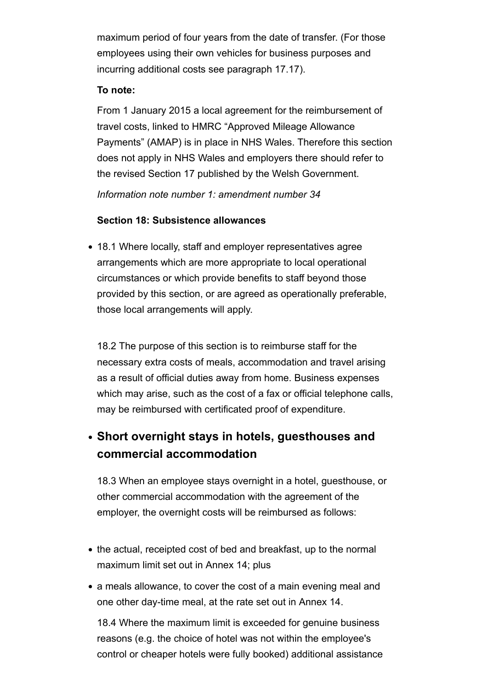maximum period of four years from the date of transfer. (For those employees using their own vehicles for business purposes and incurring additional costs see paragraph 17.17).

### **To note:**

From 1 January 2015 a local agreement for the reimbursement of travel costs, linked to HMRC "Approved Mileage Allowance Payments" (AMAP) is in place in NHS Wales. Therefore this section does not apply in NHS Wales and employers there should refer to the revised Section 17 published by the Welsh Government.

*Information note number 1: amendment number 34*

### **Section 18: Subsistence allowances**

18.1 Where locally, staff and employer representatives agree arrangements which are more appropriate to local operational circumstances or which provide benefits to staff beyond those provided by this section, or are agreed as operationally preferable, those local arrangements will apply.

18.2 The purpose of this section is to reimburse staff for the necessary extra costs of meals, accommodation and travel arising as a result of official duties away from home. Business expenses which may arise, such as the cost of a fax or official telephone calls, may be reimbursed with certificated proof of expenditure.

# **Short overnight stays in hotels, guesthouses and commercial accommodation**

18.3 When an employee stays overnight in a hotel, guesthouse, or other commercial accommodation with the agreement of the employer, the overnight costs will be reimbursed as follows:

- the actual, receipted cost of bed and breakfast, up to the normal maximum limit set out in Annex 14; plus
- a meals allowance, to cover the cost of a main evening meal and one other day-time meal, at the rate set out in Annex 14.

18.4 Where the maximum limit is exceeded for genuine business reasons (e.g. the choice of hotel was not within the employee's control or cheaper hotels were fully booked) additional assistance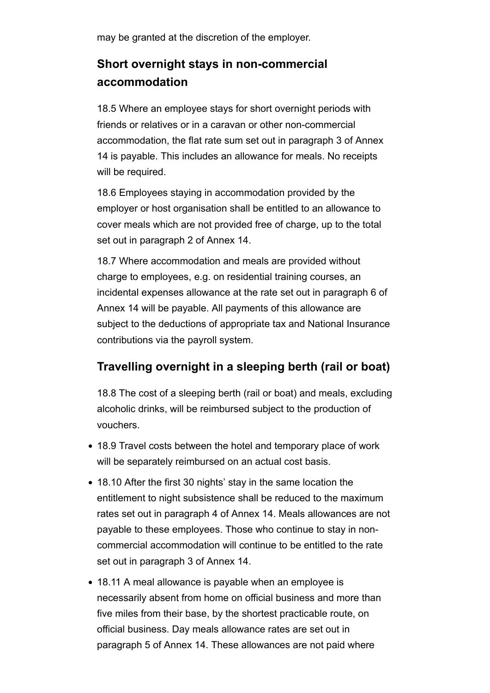may be granted at the discretion of the employer.

# **Short overnight stays in non-commercial accommodation**

18.5 Where an employee stays for short overnight periods with friends or relatives or in a caravan or other non-commercial accommodation, the flat rate sum set out in paragraph 3 of Annex 14 is payable. This includes an allowance for meals. No receipts will be required.

18.6 Employees staying in accommodation provided by the employer or host organisation shall be entitled to an allowance to cover meals which are not provided free of charge, up to the total set out in paragraph 2 of Annex 14.

18.7 Where accommodation and meals are provided without charge to employees, e.g. on residential training courses, an incidental expenses allowance at the rate set out in paragraph 6 of Annex 14 will be payable. All payments of this allowance are subject to the deductions of appropriate tax and National Insurance contributions via the payroll system.

# **Travelling overnight in a sleeping berth (rail or boat)**

18.8 The cost of a sleeping berth (rail or boat) and meals, excluding alcoholic drinks, will be reimbursed subject to the production of vouchers.

- 18.9 Travel costs between the hotel and temporary place of work will be separately reimbursed on an actual cost basis.
- 18.10 After the first 30 nights' stay in the same location the entitlement to night subsistence shall be reduced to the maximum rates set out in paragraph 4 of Annex 14. Meals allowances are not payable to these employees. Those who continue to stay in noncommercial accommodation will continue to be entitled to the rate set out in paragraph 3 of Annex 14.
- 18.11 A meal allowance is payable when an employee is necessarily absent from home on official business and more than five miles from their base, by the shortest practicable route, on official business. Day meals allowance rates are set out in paragraph 5 of Annex 14. These allowances are not paid where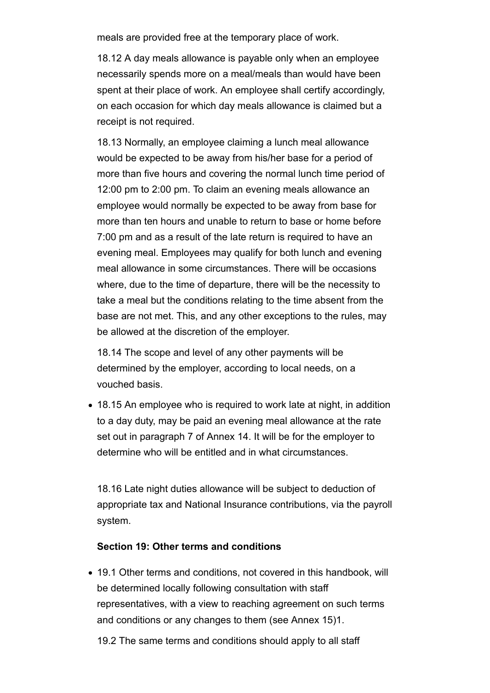meals are provided free at the temporary place of work.

18.12 A day meals allowance is payable only when an employee necessarily spends more on a meal/meals than would have been spent at their place of work. An employee shall certify accordingly, on each occasion for which day meals allowance is claimed but a receipt is not required.

18.13 Normally, an employee claiming a lunch meal allowance would be expected to be away from his/her base for a period of more than five hours and covering the normal lunch time period of 12:00 pm to 2:00 pm. To claim an evening meals allowance an employee would normally be expected to be away from base for more than ten hours and unable to return to base or home before 7:00 pm and as a result of the late return is required to have an evening meal. Employees may qualify for both lunch and evening meal allowance in some circumstances. There will be occasions where, due to the time of departure, there will be the necessity to take a meal but the conditions relating to the time absent from the base are not met. This, and any other exceptions to the rules, may be allowed at the discretion of the employer.

18.14 The scope and level of any other payments will be determined by the employer, according to local needs, on a vouched basis.

18.15 An employee who is required to work late at night, in addition to a day duty, may be paid an evening meal allowance at the rate set out in paragraph 7 of Annex 14. It will be for the employer to determine who will be entitled and in what circumstances.

18.16 Late night duties allowance will be subject to deduction of appropriate tax and National Insurance contributions, via the payroll system.

### **Section 19: Other terms and conditions**

19.1 Other terms and conditions, not covered in this handbook, will be determined locally following consultation with staff representatives, with a view to reaching agreement on such terms and conditions or any changes to them (see Annex 15)1.

19.2 The same terms and conditions should apply to all staff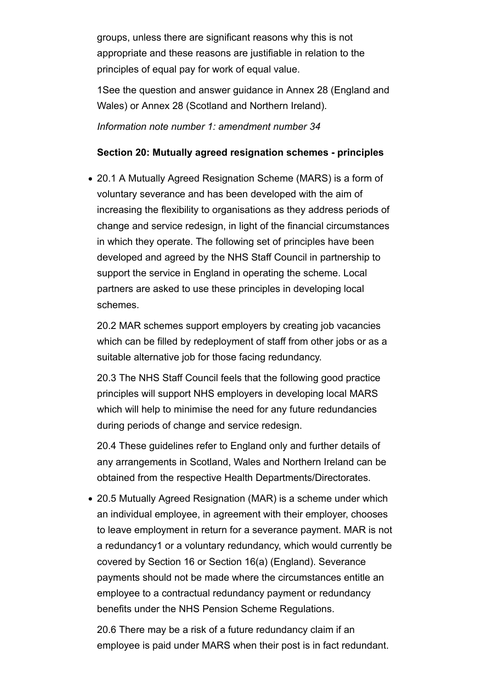groups, unless there are significant reasons why this is not appropriate and these reasons are justifiable in relation to the principles of equal pay for work of equal value.

1See the question and answer guidance in Annex 28 (England and Wales) or Annex 28 (Scotland and Northern Ireland). *Information note number 1: amendment number 34*

### **Section 20: Mutually agreed resignation schemes - principles**

20.1 A Mutually Agreed Resignation Scheme (MARS) is a form of voluntary severance and has been developed with the aim of increasing the flexibility to organisations as they address periods of change and service redesign, in light of the financial circumstances in which they operate. The following set of principles have been developed and agreed by the NHS Staff Council in partnership to support the service in England in operating the scheme. Local partners are asked to use these principles in developing local schemes.

20.2 MAR schemes support employers by creating job vacancies which can be filled by redeployment of staff from other jobs or as a suitable alternative job for those facing redundancy.

20.3 The NHS Staff Council feels that the following good practice principles will support NHS employers in developing local MARS which will help to minimise the need for any future redundancies during periods of change and service redesign.

20.4 These guidelines refer to England only and further details of any arrangements in Scotland, Wales and Northern Ireland can be obtained from the respective Health Departments/Directorates.

20.5 Mutually Agreed Resignation (MAR) is a scheme under which an individual employee, in agreement with their employer, chooses to leave employment in return for a severance payment. MAR is not a redundancy1 or a voluntary redundancy, which would currently be covered by Section 16 or Section 16(a) (England). Severance payments should not be made where the circumstances entitle an employee to a contractual redundancy payment or redundancy benefits under the NHS Pension Scheme Regulations.

20.6 There may be a risk of a future redundancy claim if an employee is paid under MARS when their post is in fact redundant.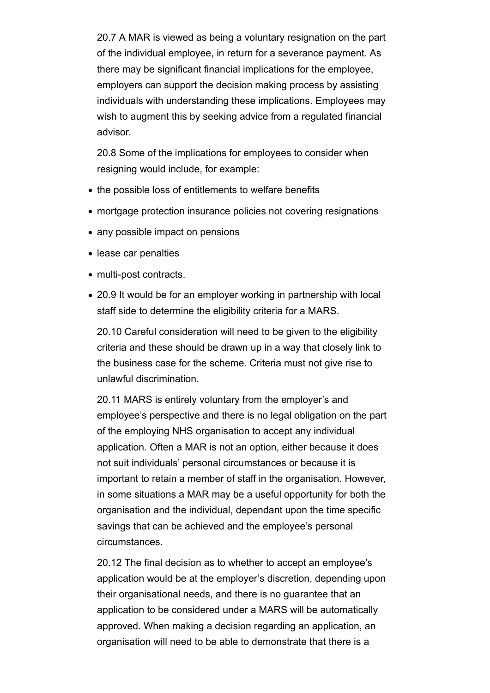20.7 A MAR is viewed as being a voluntary resignation on the part of the individual employee, in return for a severance payment. As there may be significant financial implications for the employee, employers can support the decision making process by assisting individuals with understanding these implications. Employees may wish to augment this by seeking advice from a regulated financial advisor.

20.8 Some of the implications for employees to consider when resigning would include, for example:

- the possible loss of entitlements to welfare benefits
- mortgage protection insurance policies not covering resignations
- any possible impact on pensions
- lease car penalties
- multi-post contracts.
- 20.9 It would be for an employer working in partnership with local staff side to determine the eligibility criteria for a MARS.

20.10 Careful consideration will need to be given to the eligibility criteria and these should be drawn up in a way that closely link to the business case for the scheme. Criteria must not give rise to unlawful discrimination.

20.11 MARS is entirely voluntary from the employer's and employee's perspective and there is no legal obligation on the part of the employing NHS organisation to accept any individual application. Often a MAR is not an option, either because it does not suit individuals' personal circumstances or because it is important to retain a member of staff in the organisation. However, in some situations a MAR may be a useful opportunity for both the organisation and the individual, dependant upon the time specific savings that can be achieved and the employee's personal circumstances.

20.12 The final decision as to whether to accept an employee's application would be at the employer's discretion, depending upon their organisational needs, and there is no guarantee that an application to be considered under a MARS will be automatically approved. When making a decision regarding an application, an organisation will need to be able to demonstrate that there is a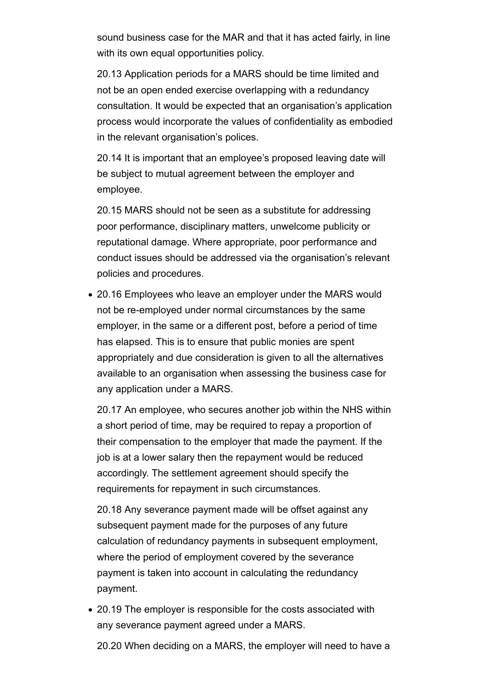sound business case for the MAR and that it has acted fairly, in line with its own equal opportunities policy.

20.13 Application periods for a MARS should be time limited and not be an open ended exercise overlapping with a redundancy consultation. It would be expected that an organisation's application process would incorporate the values of confidentiality as embodied in the relevant organisation's polices.

20.14 It is important that an employee's proposed leaving date will be subject to mutual agreement between the employer and employee.

20.15 MARS should not be seen as a substitute for addressing poor performance, disciplinary matters, unwelcome publicity or reputational damage. Where appropriate, poor performance and conduct issues should be addressed via the organisation's relevant policies and procedures.

20.16 Employees who leave an employer under the MARS would not be re-employed under normal circumstances by the same employer, in the same or a different post, before a period of time has elapsed. This is to ensure that public monies are spent appropriately and due consideration is given to all the alternatives available to an organisation when assessing the business case for any application under a MARS.

20.17 An employee, who secures another job within the NHS within a short period of time, may be required to repay a proportion of their compensation to the employer that made the payment. If the job is at a lower salary then the repayment would be reduced accordingly. The settlement agreement should specify the requirements for repayment in such circumstances.

20.18 Any severance payment made will be offset against any subsequent payment made for the purposes of any future calculation of redundancy payments in subsequent employment, where the period of employment covered by the severance payment is taken into account in calculating the redundancy payment.

20.19 The employer is responsible for the costs associated with any severance payment agreed under a MARS.

20.20 When deciding on a MARS, the employer will need to have a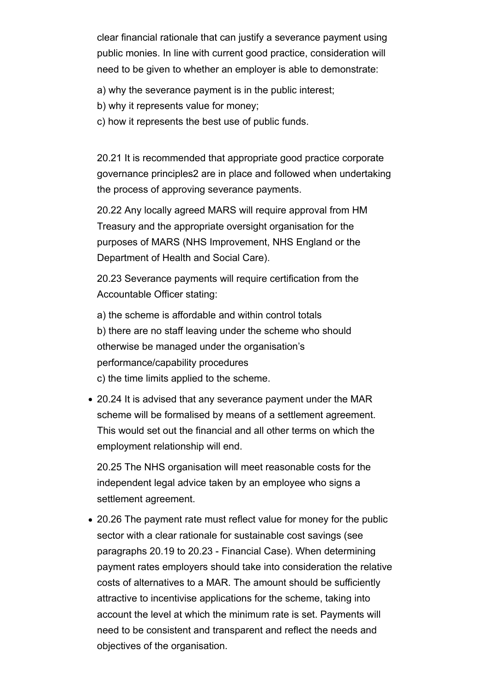clear financial rationale that can justify a severance payment using public monies. In line with current good practice, consideration will need to be given to whether an employer is able to demonstrate:

a) why the severance payment is in the public interest;

- b) why it represents value for money;
- c) how it represents the best use of public funds.

20.21 It is recommended that appropriate good practice corporate governance principles2 are in place and followed when undertaking the process of approving severance payments.

20.22 Any locally agreed MARS will require approval from HM Treasury and the appropriate oversight organisation for the purposes of MARS (NHS Improvement, NHS England or the Department of Health and Social Care).

20.23 Severance payments will require certification from the Accountable Officer stating:

a) the scheme is affordable and within control totals b) there are no staff leaving under the scheme who should otherwise be managed under the organisation's performance/capability procedures c) the time limits applied to the scheme.

20.24 It is advised that any severance payment under the MAR scheme will be formalised by means of a settlement agreement. This would set out the financial and all other terms on which the employment relationship will end.

20.25 The NHS organisation will meet reasonable costs for the independent legal advice taken by an employee who signs a settlement agreement.

20.26 The payment rate must reflect value for money for the public sector with a clear rationale for sustainable cost savings (see paragraphs 20.19 to 20.23 - Financial Case). When determining payment rates employers should take into consideration the relative costs of alternatives to a MAR. The amount should be sufficiently attractive to incentivise applications for the scheme, taking into account the level at which the minimum rate is set. Payments will need to be consistent and transparent and reflect the needs and objectives of the organisation.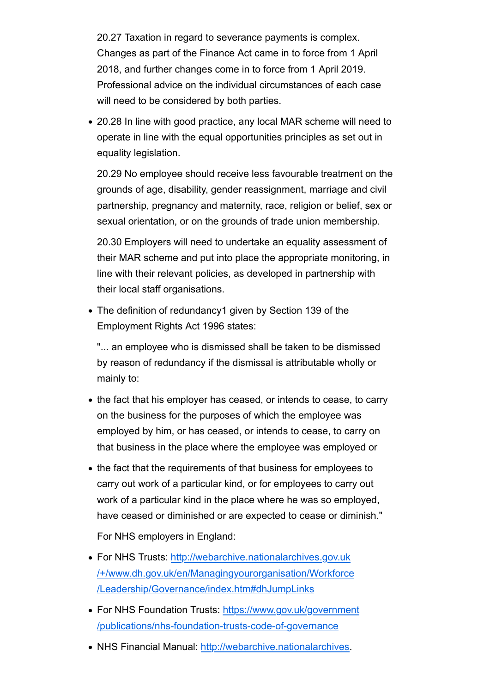20.27 Taxation in regard to severance payments is complex. Changes as part of the Finance Act came in to force from 1 April 2018, and further changes come in to force from 1 April 2019. Professional advice on the individual circumstances of each case will need to be considered by both parties.

20.28 In line with good practice, any local MAR scheme will need to operate in line with the equal opportunities principles as set out in equality legislation.

20.29 No employee should receive less favourable treatment on the grounds of age, disability, gender reassignment, marriage and civil partnership, pregnancy and maternity, race, religion or belief, sex or sexual orientation, or on the grounds of trade union membership.

20.30 Employers will need to undertake an equality assessment of their MAR scheme and put into place the appropriate monitoring, in line with their relevant policies, as developed in partnership with their local staff organisations.

The definition of redundancy1 given by Section 139 of the Employment Rights Act 1996 states:

"... an employee who is dismissed shall be taken to be dismissed by reason of redundancy if the dismissal is attributable wholly or mainly to:

- the fact that his employer has ceased, or intends to cease, to carry on the business for the purposes of which the employee was employed by him, or has ceased, or intends to cease, to carry on that business in the place where the employee was employed or
- the fact that the requirements of that business for employees to carry out work of a particular kind, or for employees to carry out work of a particular kind in the place where he was so employed, have ceased or diminished or are expected to cease or diminish."

For NHS employers in England:

- For NHS Trusts: http://webarchive.nationalarchives.gov.uk /+/www.dh.gov.uk/en/Managingyourorganisation/Workforce /Leadership/Governance/index.htm#dhJumpLinks
- For NHS Foundation Trusts: https://www.gov.uk/government /publications/nhs-foundation-trusts-code-of-governance
- NHS Financial Manual: http://webarchive.nationalarchives.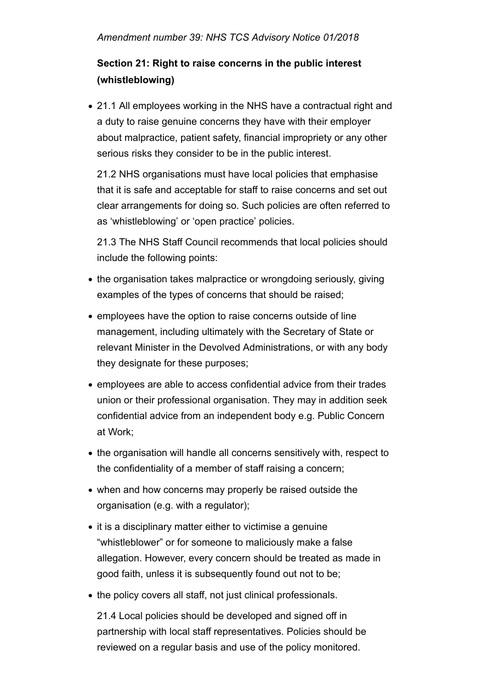# **Section 21: Right to raise concerns in the public interest (whistleblowing)**

21.1 All employees working in the NHS have a contractual right and a duty to raise genuine concerns they have with their employer about malpractice, patient safety, financial impropriety or any other serious risks they consider to be in the public interest.

21.2 NHS organisations must have local policies that emphasise that it is safe and acceptable for staff to raise concerns and set out clear arrangements for doing so. Such policies are often referred to as 'whistleblowing' or 'open practice' policies.

21.3 The NHS Staff Council recommends that local policies should include the following points:

- the organisation takes malpractice or wrongdoing seriously, giving examples of the types of concerns that should be raised;
- employees have the option to raise concerns outside of line management, including ultimately with the Secretary of State or relevant Minister in the Devolved Administrations, or with any body they designate for these purposes;
- employees are able to access confidential advice from their trades union or their professional organisation. They may in addition seek confidential advice from an independent body e.g. Public Concern at Work;
- the organisation will handle all concerns sensitively with, respect to the confidentiality of a member of staff raising a concern;
- when and how concerns may properly be raised outside the organisation (e.g. with a regulator);
- it is a disciplinary matter either to victimise a genuine "whistleblower" or for someone to maliciously make a false allegation. However, every concern should be treated as made in good faith, unless it is subsequently found out not to be;
- the policy covers all staff, not just clinical professionals.

21.4 Local policies should be developed and signed off in partnership with local staff representatives. Policies should be reviewed on a regular basis and use of the policy monitored.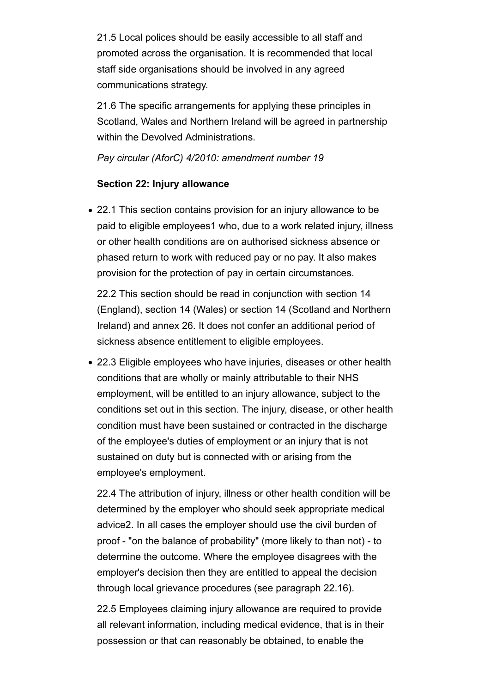21.5 Local polices should be easily accessible to all staff and promoted across the organisation. It is recommended that local staff side organisations should be involved in any agreed communications strategy.

21.6 The specific arrangements for applying these principles in Scotland, Wales and Northern Ireland will be agreed in partnership within the Devolved Administrations.

### *Pay circular (AforC) 4/2010: amendment number 19*

#### **Section 22: Injury allowance**

22.1 This section contains provision for an injury allowance to be paid to eligible employees1 who, due to a work related injury, illness or other health conditions are on authorised sickness absence or phased return to work with reduced pay or no pay. It also makes provision for the protection of pay in certain circumstances.

22.2 This section should be read in conjunction with section 14 (England), section 14 (Wales) or section 14 (Scotland and Northern Ireland) and annex 26. It does not confer an additional period of sickness absence entitlement to eligible employees.

22.3 Eligible employees who have injuries, diseases or other health conditions that are wholly or mainly attributable to their NHS employment, will be entitled to an injury allowance, subject to the conditions set out in this section. The injury, disease, or other health condition must have been sustained or contracted in the discharge of the employee's duties of employment or an injury that is not sustained on duty but is connected with or arising from the employee's employment.

22.4 The attribution of injury, illness or other health condition will be determined by the employer who should seek appropriate medical advice2. In all cases the employer should use the civil burden of proof - "on the balance of probability" (more likely to than not) - to determine the outcome. Where the employee disagrees with the employer's decision then they are entitled to appeal the decision through local grievance procedures (see paragraph 22.16).

22.5 Employees claiming injury allowance are required to provide all relevant information, including medical evidence, that is in their possession or that can reasonably be obtained, to enable the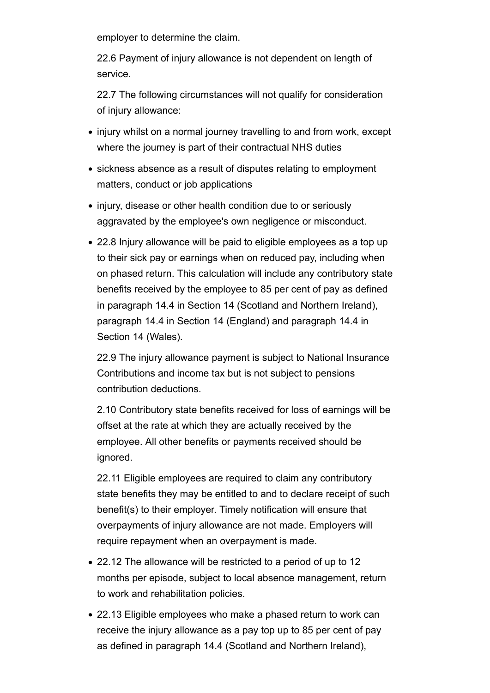employer to determine the claim.

22.6 Payment of injury allowance is not dependent on length of service.

22.7 The following circumstances will not qualify for consideration of injury allowance:

- injury whilst on a normal journey travelling to and from work, except where the journey is part of their contractual NHS duties
- sickness absence as a result of disputes relating to employment matters, conduct or job applications
- injury, disease or other health condition due to or seriously aggravated by the employee's own negligence or misconduct.
- 22.8 Injury allowance will be paid to eligible employees as a top up to their sick pay or earnings when on reduced pay, including when on phased return. This calculation will include any contributory state benefits received by the employee to 85 per cent of pay as defined in paragraph 14.4 in Section 14 (Scotland and Northern Ireland), paragraph 14.4 in Section 14 (England) and paragraph 14.4 in Section 14 (Wales).

22.9 The injury allowance payment is subject to National Insurance Contributions and income tax but is not subject to pensions contribution deductions.

2.10 Contributory state benefits received for loss of earnings will be offset at the rate at which they are actually received by the employee. All other benefits or payments received should be ignored.

22.11 Eligible employees are required to claim any contributory state benefits they may be entitled to and to declare receipt of such benefit(s) to their employer. Timely notification will ensure that overpayments of injury allowance are not made. Employers will require repayment when an overpayment is made.

- 22.12 The allowance will be restricted to a period of up to 12 months per episode, subject to local absence management, return to work and rehabilitation policies.
- 22.13 Eligible employees who make a phased return to work can receive the injury allowance as a pay top up to 85 per cent of pay as defined in paragraph 14.4 (Scotland and Northern Ireland),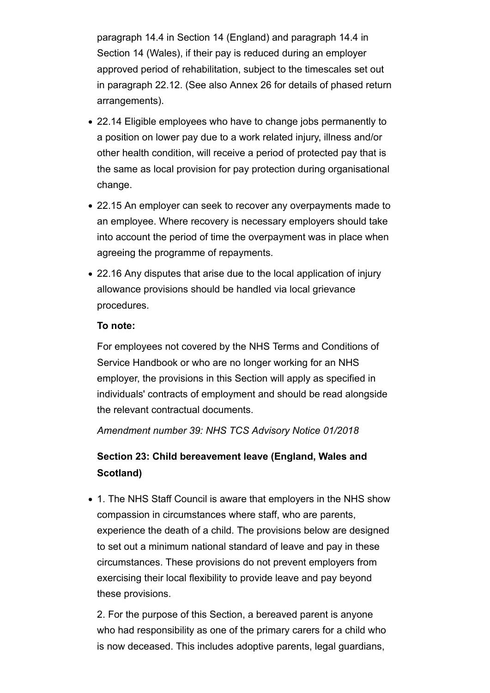paragraph 14.4 in Section 14 (England) and paragraph 14.4 in Section 14 (Wales), if their pay is reduced during an employer approved period of rehabilitation, subject to the timescales set out in paragraph 22.12. (See also Annex 26 for details of phased return arrangements).

- 22.14 Eligible employees who have to change jobs permanently to a position on lower pay due to a work related injury, illness and/or other health condition, will receive a period of protected pay that is the same as local provision for pay protection during organisational change.
- 22.15 An employer can seek to recover any overpayments made to an employee. Where recovery is necessary employers should take into account the period of time the overpayment was in place when agreeing the programme of repayments.
- 22.16 Any disputes that arise due to the local application of injury allowance provisions should be handled via local grievance procedures.

#### **To note:**

For employees not covered by the NHS Terms and Conditions of Service Handbook or who are no longer working for an NHS employer, the provisions in this Section will apply as specified in individuals' contracts of employment and should be read alongside the relevant contractual documents.

*Amendment number 39: NHS TCS Advisory Notice 01/2018*

## **Section 23: Child bereavement leave (England, Wales and Scotland)**

1. The NHS Staff Council is aware that employers in the NHS show compassion in circumstances where staff, who are parents, experience the death of a child. The provisions below are designed to set out a minimum national standard of leave and pay in these circumstances. These provisions do not prevent employers from exercising their local flexibility to provide leave and pay beyond these provisions.

2. For the purpose of this Section, a bereaved parent is anyone who had responsibility as one of the primary carers for a child who is now deceased. This includes adoptive parents, legal guardians,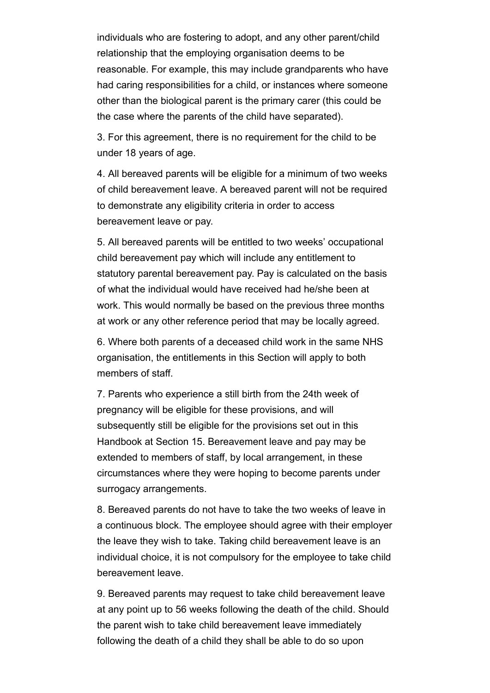individuals who are fostering to adopt, and any other parent/child relationship that the employing organisation deems to be reasonable. For example, this may include grandparents who have had caring responsibilities for a child, or instances where someone other than the biological parent is the primary carer (this could be the case where the parents of the child have separated).

3. For this agreement, there is no requirement for the child to be under 18 years of age.

4. All bereaved parents will be eligible for a minimum of two weeks of child bereavement leave. A bereaved parent will not be required to demonstrate any eligibility criteria in order to access bereavement leave or pay.

5. All bereaved parents will be entitled to two weeks' occupational child bereavement pay which will include any entitlement to statutory parental bereavement pay. Pay is calculated on the basis of what the individual would have received had he/she been at work. This would normally be based on the previous three months at work or any other reference period that may be locally agreed.

6. Where both parents of a deceased child work in the same NHS organisation, the entitlements in this Section will apply to both members of staff.

7. Parents who experience a still birth from the 24th week of pregnancy will be eligible for these provisions, and will subsequently still be eligible for the provisions set out in this Handbook at Section 15. Bereavement leave and pay may be extended to members of staff, by local arrangement, in these circumstances where they were hoping to become parents under surrogacy arrangements.

8. Bereaved parents do not have to take the two weeks of leave in a continuous block. The employee should agree with their employer the leave they wish to take. Taking child bereavement leave is an individual choice, it is not compulsory for the employee to take child bereavement leave.

9. Bereaved parents may request to take child bereavement leave at any point up to 56 weeks following the death of the child. Should the parent wish to take child bereavement leave immediately following the death of a child they shall be able to do so upon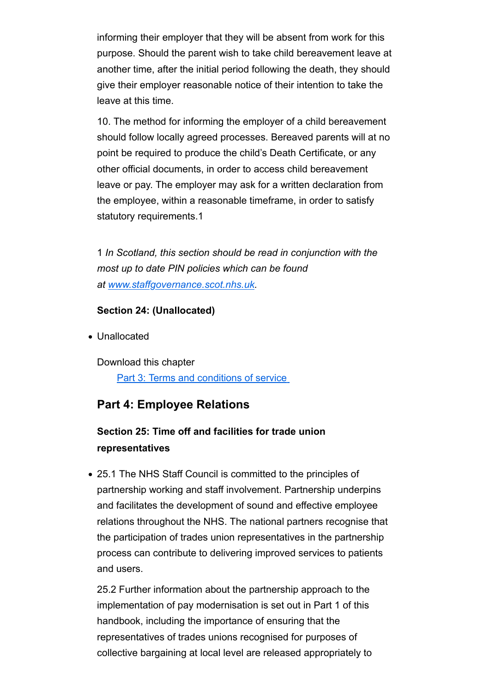informing their employer that they will be absent from work for this purpose. Should the parent wish to take child bereavement leave at another time, after the initial period following the death, they should give their employer reasonable notice of their intention to take the leave at this time.

10. The method for informing the employer of a child bereavement should follow locally agreed processes. Bereaved parents will at no point be required to produce the child's Death Certificate, or any other official documents, in order to access child bereavement leave or pay. The employer may ask for a written declaration from the employee, within a reasonable timeframe, in order to satisfy statutory requirements.1

1 *In Scotland, this section should be read in conjunction with the most up to date PIN policies which can be found at www.staffgovernance.scot.nhs.uk.* 

### **Section 24: (Unallocated)**

Unallocated

Download this chapter Part 3: Terms and conditions of service

### **Part 4: Employee Relations**

## **Section 25: Time off and facilities for trade union representatives**

25.1 The NHS Staff Council is committed to the principles of partnership working and staff involvement. Partnership underpins and facilitates the development of sound and effective employee relations throughout the NHS. The national partners recognise that the participation of trades union representatives in the partnership process can contribute to delivering improved services to patients and users.

25.2 Further information about the partnership approach to the implementation of pay modernisation is set out in Part 1 of this handbook, including the importance of ensuring that the representatives of trades unions recognised for purposes of collective bargaining at local level are released appropriately to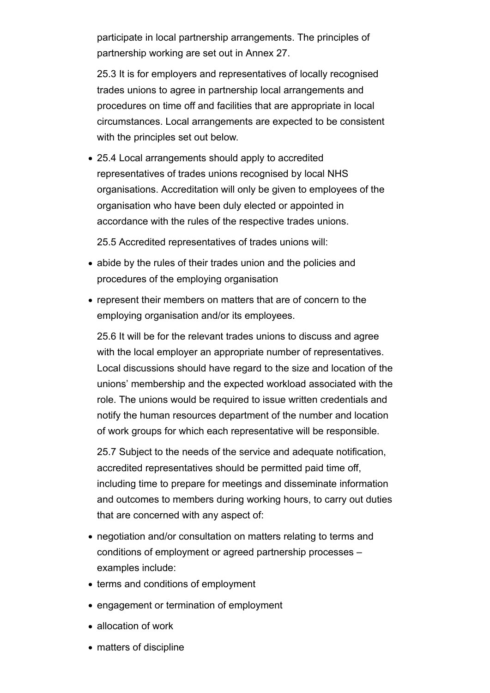participate in local partnership arrangements. The principles of partnership working are set out in Annex 27.

25.3 It is for employers and representatives of locally recognised trades unions to agree in partnership local arrangements and procedures on time off and facilities that are appropriate in local circumstances. Local arrangements are expected to be consistent with the principles set out below.

25.4 Local arrangements should apply to accredited representatives of trades unions recognised by local NHS organisations. Accreditation will only be given to employees of the organisation who have been duly elected or appointed in accordance with the rules of the respective trades unions.

25.5 Accredited representatives of trades unions will:

- abide by the rules of their trades union and the policies and procedures of the employing organisation
- represent their members on matters that are of concern to the employing organisation and/or its employees.

25.6 It will be for the relevant trades unions to discuss and agree with the local employer an appropriate number of representatives. Local discussions should have regard to the size and location of the unions' membership and the expected workload associated with the role. The unions would be required to issue written credentials and notify the human resources department of the number and location of work groups for which each representative will be responsible.

25.7 Subject to the needs of the service and adequate notification, accredited representatives should be permitted paid time off, including time to prepare for meetings and disseminate information and outcomes to members during working hours, to carry out duties that are concerned with any aspect of:

- negotiation and/or consultation on matters relating to terms and conditions of employment or agreed partnership processes – examples include:
- terms and conditions of employment
- engagement or termination of employment
- allocation of work
- matters of discipline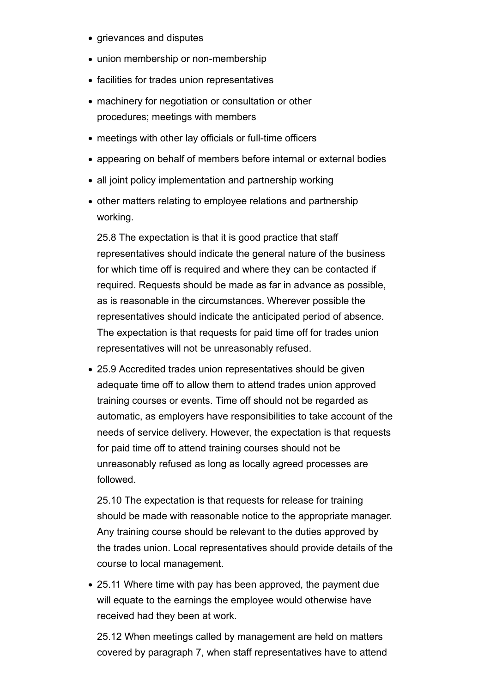- grievances and disputes
- union membership or non-membership
- facilities for trades union representatives
- machinery for negotiation or consultation or other procedures; meetings with members
- meetings with other lay officials or full-time officers
- appearing on behalf of members before internal or external bodies
- all joint policy implementation and partnership working
- other matters relating to employee relations and partnership working.

25.8 The expectation is that it is good practice that staff representatives should indicate the general nature of the business for which time off is required and where they can be contacted if required. Requests should be made as far in advance as possible, as is reasonable in the circumstances. Wherever possible the representatives should indicate the anticipated period of absence. The expectation is that requests for paid time off for trades union representatives will not be unreasonably refused.

25.9 Accredited trades union representatives should be given adequate time off to allow them to attend trades union approved training courses or events. Time off should not be regarded as automatic, as employers have responsibilities to take account of the needs of service delivery. However, the expectation is that requests for paid time off to attend training courses should not be unreasonably refused as long as locally agreed processes are followed.

25.10 The expectation is that requests for release for training should be made with reasonable notice to the appropriate manager. Any training course should be relevant to the duties approved by the trades union. Local representatives should provide details of the course to local management.

25.11 Where time with pay has been approved, the payment due will equate to the earnings the employee would otherwise have received had they been at work.

25.12 When meetings called by management are held on matters covered by paragraph 7, when staff representatives have to attend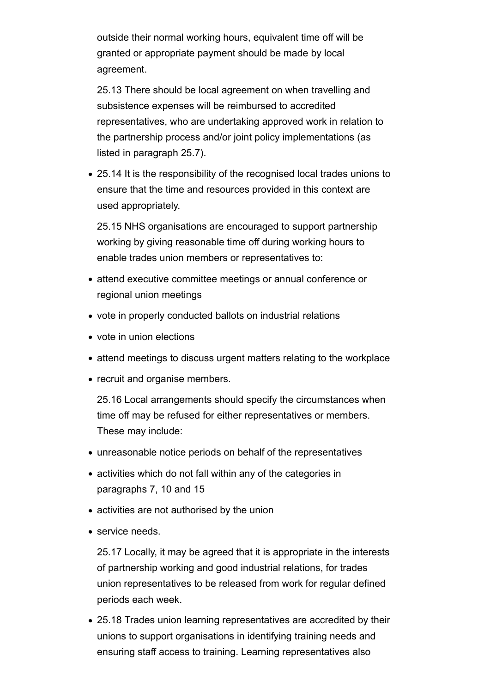outside their normal working hours, equivalent time off will be granted or appropriate payment should be made by local agreement.

25.13 There should be local agreement on when travelling and subsistence expenses will be reimbursed to accredited representatives, who are undertaking approved work in relation to the partnership process and/or joint policy implementations (as listed in paragraph 25.7).

25.14 It is the responsibility of the recognised local trades unions to ensure that the time and resources provided in this context are used appropriately.

25.15 NHS organisations are encouraged to support partnership working by giving reasonable time off during working hours to enable trades union members or representatives to:

- attend executive committee meetings or annual conference or regional union meetings
- vote in properly conducted ballots on industrial relations
- vote in union elections
- attend meetings to discuss urgent matters relating to the workplace
- recruit and organise members.

25.16 Local arrangements should specify the circumstances when time off may be refused for either representatives or members. These may include:

- unreasonable notice periods on behalf of the representatives
- activities which do not fall within any of the categories in paragraphs 7, 10 and 15
- activities are not authorised by the union
- service needs.

25.17 Locally, it may be agreed that it is appropriate in the interests of partnership working and good industrial relations, for trades union representatives to be released from work for regular defined periods each week.

25.18 Trades union learning representatives are accredited by their unions to support organisations in identifying training needs and ensuring staff access to training. Learning representatives also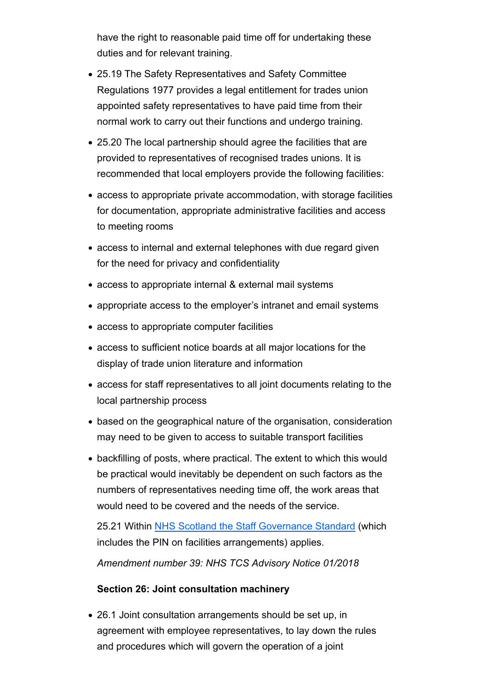have the right to reasonable paid time off for undertaking these duties and for relevant training.

- 25.19 The Safety Representatives and Safety Committee Regulations 1977 provides a legal entitlement for trades union appointed safety representatives to have paid time from their normal work to carry out their functions and undergo training.
- 25.20 The local partnership should agree the facilities that are provided to representatives of recognised trades unions. It is recommended that local employers provide the following facilities:
- access to appropriate private accommodation, with storage facilities for documentation, appropriate administrative facilities and access to meeting rooms
- access to internal and external telephones with due regard given for the need for privacy and confidentiality
- access to appropriate internal & external mail systems
- appropriate access to the employer's intranet and email systems
- access to appropriate computer facilities
- access to sufficient notice boards at all major locations for the display of trade union literature and information
- access for staff representatives to all joint documents relating to the local partnership process
- based on the geographical nature of the organisation, consideration may need to be given to access to suitable transport facilities
- backfilling of posts, where practical. The extent to which this would be practical would inevitably be dependent on such factors as the numbers of representatives needing time off, the work areas that would need to be covered and the needs of the service.

25.21 Within NHS Scotland the Staff Governance Standard (which includes the PIN on facilities arrangements) applies.

*Amendment number 39: NHS TCS Advisory Notice 01/2018*

### **Section 26: Joint consultation machinery**

26.1 Joint consultation arrangements should be set up, in agreement with employee representatives, to lay down the rules and procedures which will govern the operation of a joint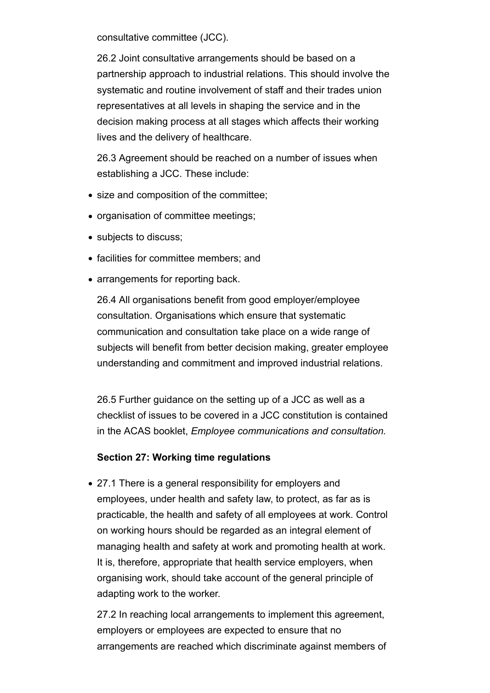consultative committee (JCC).

26.2 Joint consultative arrangements should be based on a partnership approach to industrial relations. This should involve the systematic and routine involvement of staff and their trades union representatives at all levels in shaping the service and in the decision making process at all stages which affects their working lives and the delivery of healthcare.

26.3 Agreement should be reached on a number of issues when establishing a JCC. These include:

- size and composition of the committee:
- organisation of committee meetings;
- subjects to discuss;
- facilities for committee members; and
- arrangements for reporting back.

26.4 All organisations benefit from good employer/employee consultation. Organisations which ensure that systematic communication and consultation take place on a wide range of subjects will benefit from better decision making, greater employee understanding and commitment and improved industrial relations.

26.5 Further guidance on the setting up of a JCC as well as a checklist of issues to be covered in a JCC constitution is contained in the ACAS booklet, *Employee communications and consultation.*

### **Section 27: Working time regulations**

27.1 There is a general responsibility for employers and employees, under health and safety law, to protect, as far as is practicable, the health and safety of all employees at work. Control on working hours should be regarded as an integral element of managing health and safety at work and promoting health at work. It is, therefore, appropriate that health service employers, when organising work, should take account of the general principle of adapting work to the worker.

27.2 In reaching local arrangements to implement this agreement, employers or employees are expected to ensure that no arrangements are reached which discriminate against members of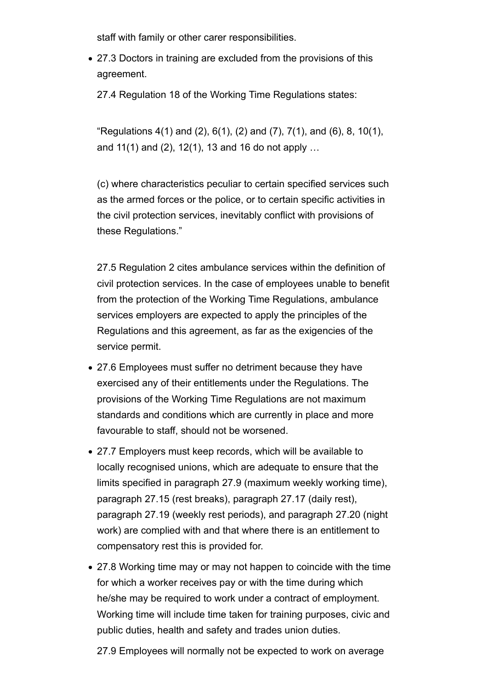staff with family or other carer responsibilities.

27.3 Doctors in training are excluded from the provisions of this agreement.

27.4 Regulation 18 of the Working Time Regulations states:

"Regulations  $4(1)$  and  $(2)$ ,  $6(1)$ ,  $(2)$  and  $(7)$ ,  $7(1)$ , and  $(6)$ ,  $8$ ,  $10(1)$ , and 11(1) and (2), 12(1), 13 and 16 do not apply …

(c) where characteristics peculiar to certain specified services such as the armed forces or the police, or to certain specific activities in the civil protection services, inevitably conflict with provisions of these Regulations."

27.5 Regulation 2 cites ambulance services within the definition of civil protection services. In the case of employees unable to benefit from the protection of the Working Time Regulations, ambulance services employers are expected to apply the principles of the Regulations and this agreement, as far as the exigencies of the service permit.

- 27.6 Employees must suffer no detriment because they have exercised any of their entitlements under the Regulations. The provisions of the Working Time Regulations are not maximum standards and conditions which are currently in place and more favourable to staff, should not be worsened.
- 27.7 Employers must keep records, which will be available to locally recognised unions, which are adequate to ensure that the limits specified in paragraph 27.9 (maximum weekly working time), paragraph 27.15 (rest breaks), paragraph 27.17 (daily rest), paragraph 27.19 (weekly rest periods), and paragraph 27.20 (night work) are complied with and that where there is an entitlement to compensatory rest this is provided for.
- 27.8 Working time may or may not happen to coincide with the time for which a worker receives pay or with the time during which he/she may be required to work under a contract of employment. Working time will include time taken for training purposes, civic and public duties, health and safety and trades union duties.

27.9 Employees will normally not be expected to work on average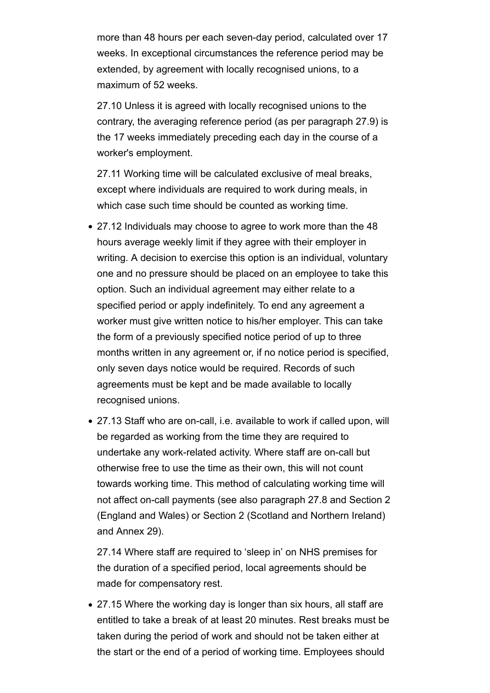more than 48 hours per each seven-day period, calculated over 17 weeks. In exceptional circumstances the reference period may be extended, by agreement with locally recognised unions, to a maximum of 52 weeks.

27.10 Unless it is agreed with locally recognised unions to the contrary, the averaging reference period (as per paragraph 27.9) is the 17 weeks immediately preceding each day in the course of a worker's employment.

27.11 Working time will be calculated exclusive of meal breaks, except where individuals are required to work during meals, in which case such time should be counted as working time.

- 27.12 Individuals may choose to agree to work more than the 48 hours average weekly limit if they agree with their employer in writing. A decision to exercise this option is an individual, voluntary one and no pressure should be placed on an employee to take this option. Such an individual agreement may either relate to a specified period or apply indefinitely. To end any agreement a worker must give written notice to his/her employer. This can take the form of a previously specified notice period of up to three months written in any agreement or, if no notice period is specified, only seven days notice would be required. Records of such agreements must be kept and be made available to locally recognised unions.
- 27.13 Staff who are on-call, i.e. available to work if called upon, will be regarded as working from the time they are required to undertake any work-related activity. Where staff are on-call but otherwise free to use the time as their own, this will not count towards working time. This method of calculating working time will not affect on-call payments (see also paragraph 27.8 and Section 2 (England and Wales) or Section 2 (Scotland and Northern Ireland) and Annex 29).

27.14 Where staff are required to 'sleep in' on NHS premises for the duration of a specified period, local agreements should be made for compensatory rest.

27.15 Where the working day is longer than six hours, all staff are entitled to take a break of at least 20 minutes. Rest breaks must be taken during the period of work and should not be taken either at the start or the end of a period of working time. Employees should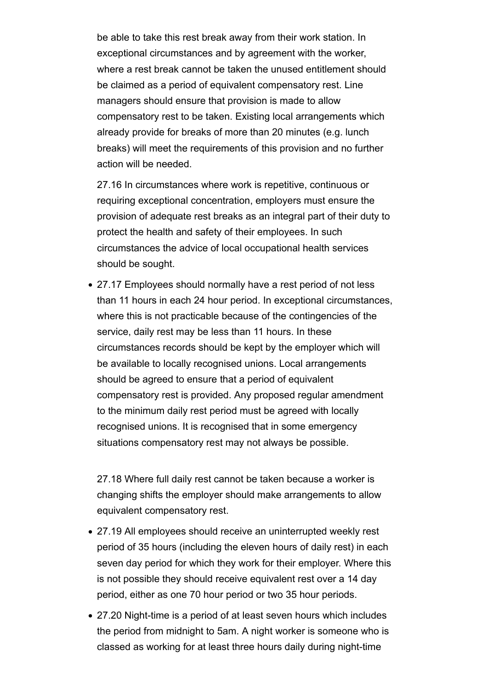be able to take this rest break away from their work station. In exceptional circumstances and by agreement with the worker, where a rest break cannot be taken the unused entitlement should be claimed as a period of equivalent compensatory rest. Line managers should ensure that provision is made to allow compensatory rest to be taken. Existing local arrangements which already provide for breaks of more than 20 minutes (e.g. lunch breaks) will meet the requirements of this provision and no further action will be needed.

27.16 In circumstances where work is repetitive, continuous or requiring exceptional concentration, employers must ensure the provision of adequate rest breaks as an integral part of their duty to protect the health and safety of their employees. In such circumstances the advice of local occupational health services should be sought.

27.17 Employees should normally have a rest period of not less than 11 hours in each 24 hour period. In exceptional circumstances, where this is not practicable because of the contingencies of the service, daily rest may be less than 11 hours. In these circumstances records should be kept by the employer which will be available to locally recognised unions. Local arrangements should be agreed to ensure that a period of equivalent compensatory rest is provided. Any proposed regular amendment to the minimum daily rest period must be agreed with locally recognised unions. It is recognised that in some emergency situations compensatory rest may not always be possible.

27.18 Where full daily rest cannot be taken because a worker is changing shifts the employer should make arrangements to allow equivalent compensatory rest.

- 27.19 All employees should receive an uninterrupted weekly rest period of 35 hours (including the eleven hours of daily rest) in each seven day period for which they work for their employer. Where this is not possible they should receive equivalent rest over a 14 day period, either as one 70 hour period or two 35 hour periods.
- 27.20 Night-time is a period of at least seven hours which includes the period from midnight to 5am. A night worker is someone who is classed as working for at least three hours daily during night-time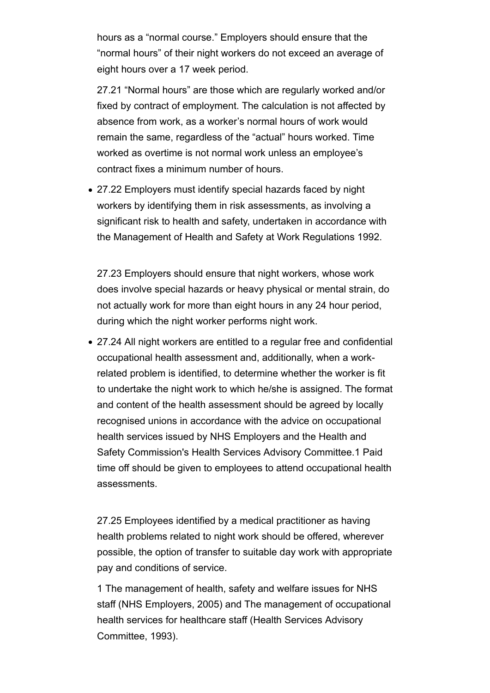hours as a "normal course." Employers should ensure that the "normal hours" of their night workers do not exceed an average of eight hours over a 17 week period.

27.21 "Normal hours" are those which are regularly worked and/or fixed by contract of employment. The calculation is not affected by absence from work, as a worker's normal hours of work would remain the same, regardless of the "actual" hours worked. Time worked as overtime is not normal work unless an employee's contract fixes a minimum number of hours.

27.22 Employers must identify special hazards faced by night workers by identifying them in risk assessments, as involving a significant risk to health and safety, undertaken in accordance with the Management of Health and Safety at Work Regulations 1992.

27.23 Employers should ensure that night workers, whose work does involve special hazards or heavy physical or mental strain, do not actually work for more than eight hours in any 24 hour period, during which the night worker performs night work.

27.24 All night workers are entitled to a regular free and confidential occupational health assessment and, additionally, when a workrelated problem is identified, to determine whether the worker is fit to undertake the night work to which he/she is assigned. The format and content of the health assessment should be agreed by locally recognised unions in accordance with the advice on occupational health services issued by NHS Employers and the Health and Safety Commission's Health Services Advisory Committee.1 Paid time off should be given to employees to attend occupational health assessments.

27.25 Employees identified by a medical practitioner as having health problems related to night work should be offered, wherever possible, the option of transfer to suitable day work with appropriate pay and conditions of service.

1 The management of health, safety and welfare issues for NHS staff (NHS Employers, 2005) and The management of occupational health services for healthcare staff (Health Services Advisory Committee, 1993).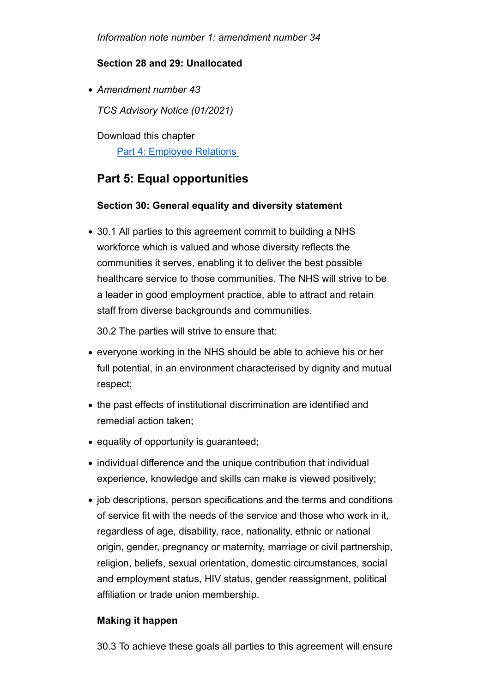*Information note number 1: amendment number 34*

### **Section 28 and 29: Unallocated**

*Amendment number 43*

*TCS Advisory Notice (01/2021)* 

Download this chapter Part 4: Employee Relations

## **Part 5: Equal opportunities**

### **Section 30: General equality and diversity statement**

30.1 All parties to this agreement commit to building a NHS workforce which is valued and whose diversity reflects the communities it serves, enabling it to deliver the best possible healthcare service to those communities. The NHS will strive to be a leader in good employment practice, able to attract and retain staff from diverse backgrounds and communities.

30.2 The parties will strive to ensure that:

- everyone working in the NHS should be able to achieve his or her full potential, in an environment characterised by dignity and mutual respect;
- the past effects of institutional discrimination are identified and remedial action taken;
- equality of opportunity is guaranteed;
- individual difference and the unique contribution that individual experience, knowledge and skills can make is viewed positively;
- job descriptions, person specifications and the terms and conditions of service fit with the needs of the service and those who work in it, regardless of age, disability, race, nationality, ethnic or national origin, gender, pregnancy or maternity, marriage or civil partnership, religion, beliefs, sexual orientation, domestic circumstances, social and employment status, HIV status, gender reassignment, political affiliation or trade union membership.

### **Making it happen**

30.3 To achieve these goals all parties to this agreement will ensure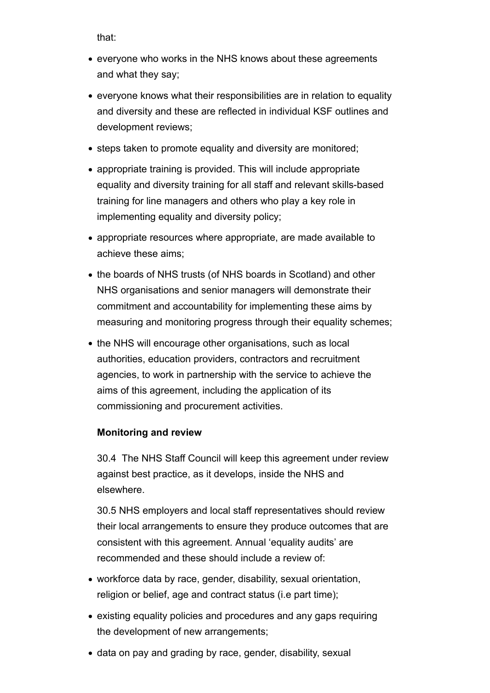that:

- everyone who works in the NHS knows about these agreements and what they say;
- everyone knows what their responsibilities are in relation to equality and diversity and these are reflected in individual KSF outlines and development reviews;
- steps taken to promote equality and diversity are monitored;
- appropriate training is provided. This will include appropriate equality and diversity training for all staff and relevant skills-based training for line managers and others who play a key role in implementing equality and diversity policy;
- appropriate resources where appropriate, are made available to achieve these aims;
- the boards of NHS trusts (of NHS boards in Scotland) and other NHS organisations and senior managers will demonstrate their commitment and accountability for implementing these aims by measuring and monitoring progress through their equality schemes;
- the NHS will encourage other organisations, such as local authorities, education providers, contractors and recruitment agencies, to work in partnership with the service to achieve the aims of this agreement, including the application of its commissioning and procurement activities.

### **Monitoring and review**

30.4 The NHS Staff Council will keep this agreement under review against best practice, as it develops, inside the NHS and elsewhere.

30.5 NHS employers and local staff representatives should review their local arrangements to ensure they produce outcomes that are consistent with this agreement. Annual 'equality audits' are recommended and these should include a review of:

- workforce data by race, gender, disability, sexual orientation, religion or belief, age and contract status (i.e part time);
- existing equality policies and procedures and any gaps requiring the development of new arrangements;
- data on pay and grading by race, gender, disability, sexual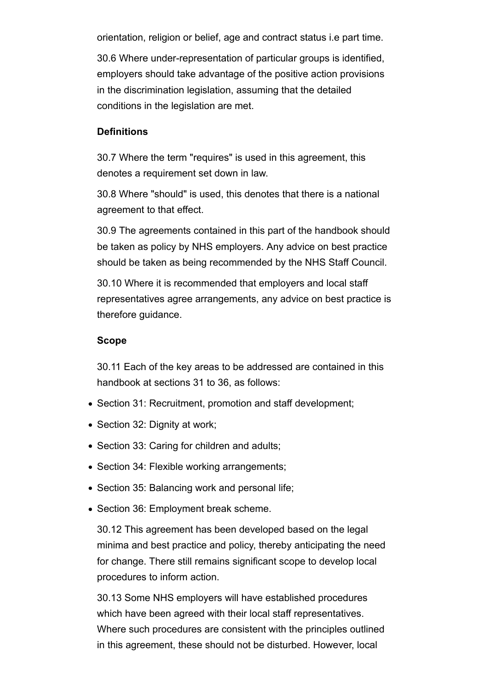orientation, religion or belief, age and contract status i.e part time.

30.6 Where under-representation of particular groups is identified, employers should take advantage of the positive action provisions in the discrimination legislation, assuming that the detailed conditions in the legislation are met.

### **Definitions**

30.7 Where the term "requires" is used in this agreement, this denotes a requirement set down in law.

30.8 Where "should" is used, this denotes that there is a national agreement to that effect.

30.9 The agreements contained in this part of the handbook should be taken as policy by NHS employers. Any advice on best practice should be taken as being recommended by the NHS Staff Council.

30.10 Where it is recommended that employers and local staff representatives agree arrangements, any advice on best practice is therefore guidance.

#### **Scope**

30.11 Each of the key areas to be addressed are contained in this handbook at sections 31 to 36, as follows:

- Section 31: Recruitment, promotion and staff development;
- Section 32: Dignity at work;
- Section 33: Caring for children and adults;
- Section 34: Flexible working arrangements;
- Section 35: Balancing work and personal life;
- Section 36: Employment break scheme.

30.12 This agreement has been developed based on the legal minima and best practice and policy, thereby anticipating the need for change. There still remains significant scope to develop local procedures to inform action.

30.13 Some NHS employers will have established procedures which have been agreed with their local staff representatives. Where such procedures are consistent with the principles outlined in this agreement, these should not be disturbed. However, local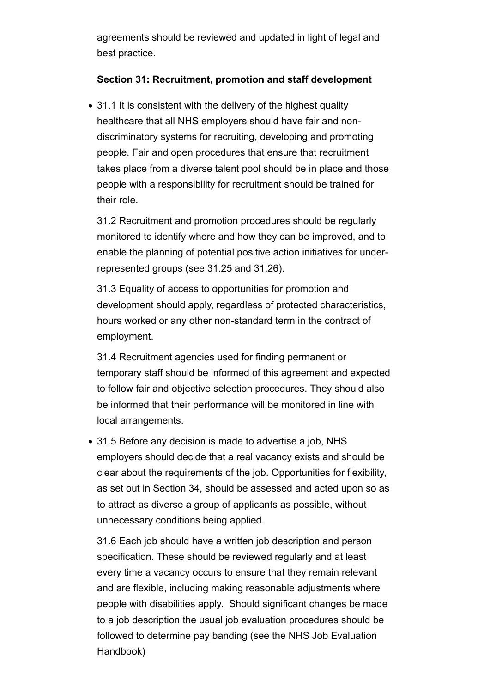agreements should be reviewed and updated in light of legal and best practice.

### **Section 31: Recruitment, promotion and staff development**

• 31.1 It is consistent with the delivery of the highest quality healthcare that all NHS employers should have fair and nondiscriminatory systems for recruiting, developing and promoting people. Fair and open procedures that ensure that recruitment takes place from a diverse talent pool should be in place and those people with a responsibility for recruitment should be trained for their role.

31.2 Recruitment and promotion procedures should be regularly monitored to identify where and how they can be improved, and to enable the planning of potential positive action initiatives for underrepresented groups (see 31.25 and 31.26).

31.3 Equality of access to opportunities for promotion and development should apply, regardless of protected characteristics, hours worked or any other non-standard term in the contract of employment.

31.4 Recruitment agencies used for finding permanent or temporary staff should be informed of this agreement and expected to follow fair and objective selection procedures. They should also be informed that their performance will be monitored in line with local arrangements.

31.5 Before any decision is made to advertise a job, NHS employers should decide that a real vacancy exists and should be clear about the requirements of the job. Opportunities for flexibility, as set out in Section 34, should be assessed and acted upon so as to attract as diverse a group of applicants as possible, without unnecessary conditions being applied.

31.6 Each job should have a written job description and person specification. These should be reviewed regularly and at least every time a vacancy occurs to ensure that they remain relevant and are flexible, including making reasonable adjustments where people with disabilities apply. Should significant changes be made to a job description the usual job evaluation procedures should be followed to determine pay banding (see the NHS Job Evaluation Handbook)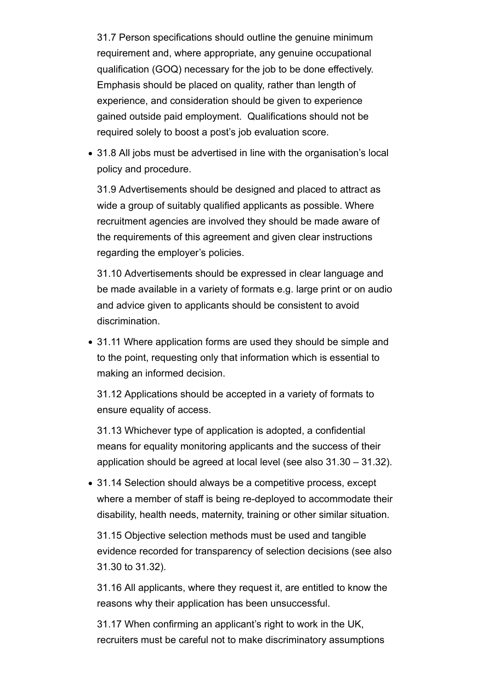31.7 Person specifications should outline the genuine minimum requirement and, where appropriate, any genuine occupational qualification (GOQ) necessary for the job to be done effectively. Emphasis should be placed on quality, rather than length of experience, and consideration should be given to experience gained outside paid employment. Qualifications should not be required solely to boost a post's job evaluation score.

31.8 All jobs must be advertised in line with the organisation's local policy and procedure.

31.9 Advertisements should be designed and placed to attract as wide a group of suitably qualified applicants as possible. Where recruitment agencies are involved they should be made aware of the requirements of this agreement and given clear instructions regarding the employer's policies.

31.10 Advertisements should be expressed in clear language and be made available in a variety of formats e.g. large print or on audio and advice given to applicants should be consistent to avoid discrimination.

31.11 Where application forms are used they should be simple and to the point, requesting only that information which is essential to making an informed decision.

31.12 Applications should be accepted in a variety of formats to ensure equality of access.

31.13 Whichever type of application is adopted, a confidential means for equality monitoring applicants and the success of their application should be agreed at local level (see also 31.30 – 31.32).

31.14 Selection should always be a competitive process, except where a member of staff is being re-deployed to accommodate their disability, health needs, maternity, training or other similar situation.

31.15 Objective selection methods must be used and tangible evidence recorded for transparency of selection decisions (see also 31.30 to 31.32).

31.16 All applicants, where they request it, are entitled to know the reasons why their application has been unsuccessful.

31.17 When confirming an applicant's right to work in the UK, recruiters must be careful not to make discriminatory assumptions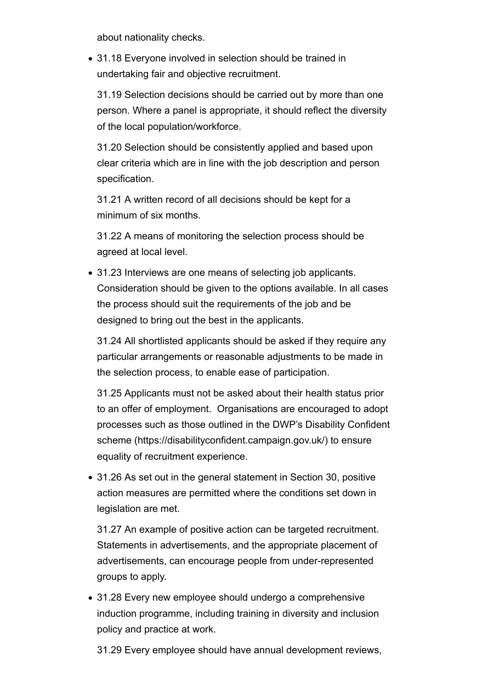about nationality checks.

31.18 Everyone involved in selection should be trained in undertaking fair and objective recruitment.

31.19 Selection decisions should be carried out by more than one person. Where a panel is appropriate, it should reflect the diversity of the local population/workforce.

31.20 Selection should be consistently applied and based upon clear criteria which are in line with the job description and person specification.

31.21 A written record of all decisions should be kept for a minimum of six months.

31.22 A means of monitoring the selection process should be agreed at local level.

31.23 Interviews are one means of selecting job applicants. Consideration should be given to the options available. In all cases the process should suit the requirements of the job and be designed to bring out the best in the applicants.

31.24 All shortlisted applicants should be asked if they require any particular arrangements or reasonable adjustments to be made in the selection process, to enable ease of participation.

31.25 Applicants must not be asked about their health status prior to an offer of employment. Organisations are encouraged to adopt processes such as those outlined in the DWP's Disability Confident scheme (https://disabilityconfident.campaign.gov.uk/) to ensure equality of recruitment experience.

31.26 As set out in the general statement in Section 30, positive action measures are permitted where the conditions set down in legislation are met.

31.27 An example of positive action can be targeted recruitment. Statements in advertisements, and the appropriate placement of advertisements, can encourage people from under-represented groups to apply.

31.28 Every new employee should undergo a comprehensive induction programme, including training in diversity and inclusion policy and practice at work.

31.29 Every employee should have annual development reviews,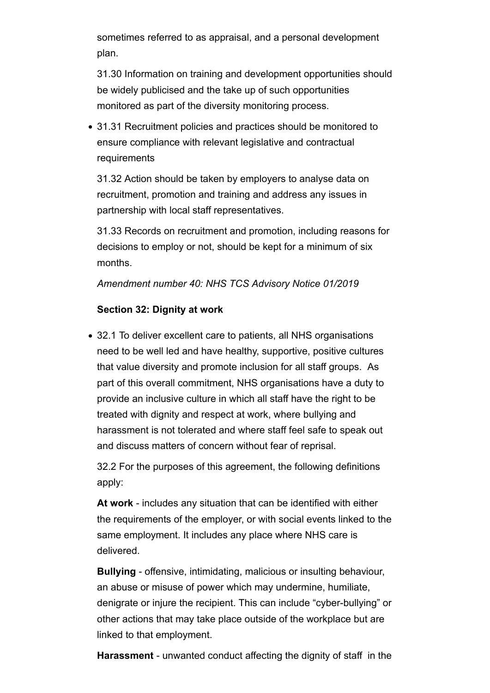sometimes referred to as appraisal, and a personal development plan.

31.30 Information on training and development opportunities should be widely publicised and the take up of such opportunities monitored as part of the diversity monitoring process.

31.31 Recruitment policies and practices should be monitored to ensure compliance with relevant legislative and contractual requirements

31.32 Action should be taken by employers to analyse data on recruitment, promotion and training and address any issues in partnership with local staff representatives.

31.33 Records on recruitment and promotion, including reasons for decisions to employ or not, should be kept for a minimum of six months.

### *Amendment number 40: NHS TCS Advisory Notice 01/2019*

### **Section 32: Dignity at work**

32.1 To deliver excellent care to patients, all NHS organisations need to be well led and have healthy, supportive, positive cultures that value diversity and promote inclusion for all staff groups. As part of this overall commitment, NHS organisations have a duty to provide an inclusive culture in which all staff have the right to be treated with dignity and respect at work, where bullying and harassment is not tolerated and where staff feel safe to speak out and discuss matters of concern without fear of reprisal.

32.2 For the purposes of this agreement, the following definitions apply:

**At work** - includes any situation that can be identified with either the requirements of the employer, or with social events linked to the same employment. It includes any place where NHS care is delivered.

**Bullying** - offensive, intimidating, malicious or insulting behaviour, an abuse or misuse of power which may undermine, humiliate, denigrate or injure the recipient. This can include "cyber-bullying" or other actions that may take place outside of the workplace but are linked to that employment.

**Harassment** - unwanted conduct affecting the dignity of staff in the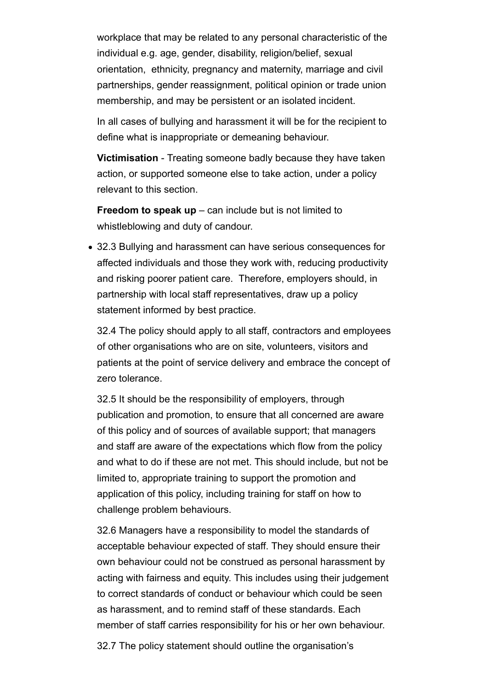workplace that may be related to any personal characteristic of the individual e.g. age, gender, disability, religion/belief, sexual orientation, ethnicity, pregnancy and maternity, marriage and civil partnerships, gender reassignment, political opinion or trade union membership, and may be persistent or an isolated incident.

In all cases of bullying and harassment it will be for the recipient to define what is inappropriate or demeaning behaviour.

**Victimisation** - Treating someone badly because they have taken action, or supported someone else to take action, under a policy relevant to this section.

**Freedom to speak up** – can include but is not limited to whistleblowing and duty of candour.

32.3 Bullying and harassment can have serious consequences for affected individuals and those they work with, reducing productivity and risking poorer patient care. Therefore, employers should, in partnership with local staff representatives, draw up a policy statement informed by best practice.

32.4 The policy should apply to all staff, contractors and employees of other organisations who are on site, volunteers, visitors and patients at the point of service delivery and embrace the concept of zero tolerance.

32.5 It should be the responsibility of employers, through publication and promotion, to ensure that all concerned are aware of this policy and of sources of available support; that managers and staff are aware of the expectations which flow from the policy and what to do if these are not met. This should include, but not be limited to, appropriate training to support the promotion and application of this policy, including training for staff on how to challenge problem behaviours.

32.6 Managers have a responsibility to model the standards of acceptable behaviour expected of staff. They should ensure their own behaviour could not be construed as personal harassment by acting with fairness and equity. This includes using their judgement to correct standards of conduct or behaviour which could be seen as harassment, and to remind staff of these standards. Each member of staff carries responsibility for his or her own behaviour.

32.7 The policy statement should outline the organisation's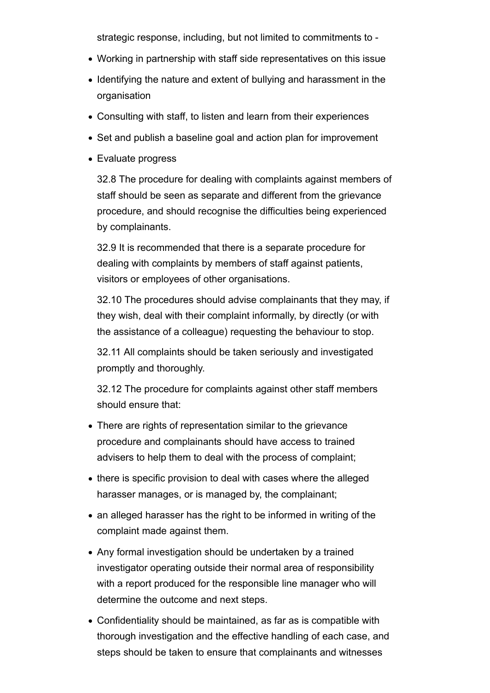strategic response, including, but not limited to commitments to -

- Working in partnership with staff side representatives on this issue
- Identifying the nature and extent of bullying and harassment in the organisation
- Consulting with staff, to listen and learn from their experiences
- Set and publish a baseline goal and action plan for improvement
- Evaluate progress

32.8 The procedure for dealing with complaints against members of staff should be seen as separate and different from the grievance procedure, and should recognise the difficulties being experienced by complainants.

32.9 It is recommended that there is a separate procedure for dealing with complaints by members of staff against patients, visitors or employees of other organisations.

32.10 The procedures should advise complainants that they may, if they wish, deal with their complaint informally, by directly (or with the assistance of a colleague) requesting the behaviour to stop.

32.11 All complaints should be taken seriously and investigated promptly and thoroughly.

32.12 The procedure for complaints against other staff members should ensure that:

- There are rights of representation similar to the grievance procedure and complainants should have access to trained advisers to help them to deal with the process of complaint;
- there is specific provision to deal with cases where the alleged harasser manages, or is managed by, the complainant;
- an alleged harasser has the right to be informed in writing of the complaint made against them.
- Any formal investigation should be undertaken by a trained investigator operating outside their normal area of responsibility with a report produced for the responsible line manager who will determine the outcome and next steps.
- Confidentiality should be maintained, as far as is compatible with thorough investigation and the effective handling of each case, and steps should be taken to ensure that complainants and witnesses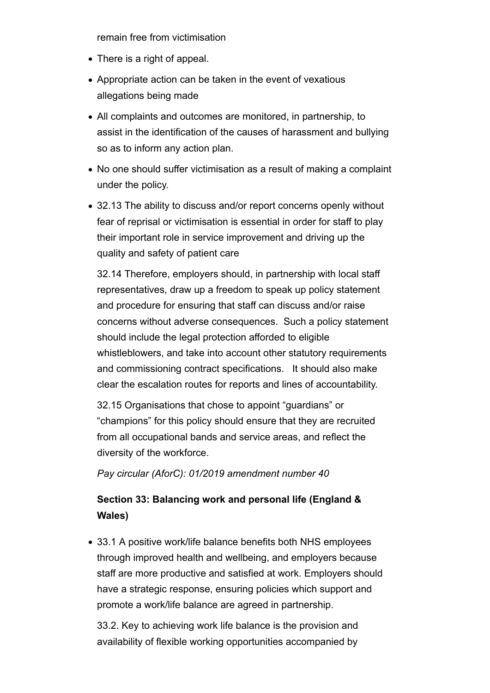remain free from victimisation

- There is a right of appeal.
- Appropriate action can be taken in the event of vexatious allegations being made
- All complaints and outcomes are monitored, in partnership, to assist in the identification of the causes of harassment and bullying so as to inform any action plan.
- No one should suffer victimisation as a result of making a complaint under the policy.
- 32.13 The ability to discuss and/or report concerns openly without fear of reprisal or victimisation is essential in order for staff to play their important role in service improvement and driving up the quality and safety of patient care

32.14 Therefore, employers should, in partnership with local staff representatives, draw up a freedom to speak up policy statement and procedure for ensuring that staff can discuss and/or raise concerns without adverse consequences. Such a policy statement should include the legal protection afforded to eligible whistleblowers, and take into account other statutory requirements and commissioning contract specifications. It should also make clear the escalation routes for reports and lines of accountability.

32.15 Organisations that chose to appoint "guardians" or "champions" for this policy should ensure that they are recruited from all occupational bands and service areas, and reflect the diversity of the workforce.

*Pay circular (AforC): 01/2019 amendment number 40*

# **Section 33: Balancing work and personal life (England & Wales)**

33.1 A positive work/life balance benefits both NHS employees through improved health and wellbeing, and employers because staff are more productive and satisfied at work. Employers should have a strategic response, ensuring policies which support and promote a work/life balance are agreed in partnership.

33.2. Key to achieving work life balance is the provision and availability of flexible working opportunities accompanied by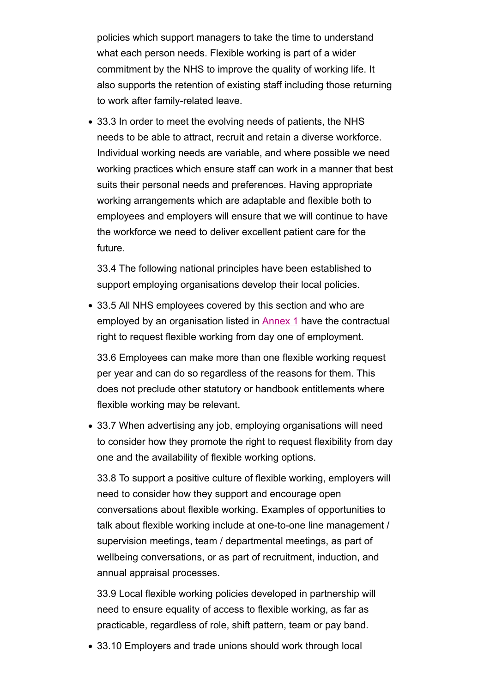policies which support managers to take the time to understand what each person needs. Flexible working is part of a wider commitment by the NHS to improve the quality of working life. It also supports the retention of existing staff including those returning to work after family-related leave.

33.3 In order to meet the evolving needs of patients, the NHS needs to be able to attract, recruit and retain a diverse workforce. Individual working needs are variable, and where possible we need working practices which ensure staff can work in a manner that best suits their personal needs and preferences. Having appropriate working arrangements which are adaptable and flexible both to employees and employers will ensure that we will continue to have the workforce we need to deliver excellent patient care for the future.

33.4 The following national principles have been established to support employing organisations develop their local policies.

33.5 All NHS employees covered by this section and who are employed by an organisation listed in Annex 1 have the contractual right to request flexible working from day one of employment.

33.6 Employees can make more than one flexible working request per year and can do so regardless of the reasons for them. This does not preclude other statutory or handbook entitlements where flexible working may be relevant.

33.7 When advertising any job, employing organisations will need to consider how they promote the right to request flexibility from day one and the availability of flexible working options.

33.8 To support a positive culture of flexible working, employers will need to consider how they support and encourage open conversations about flexible working. Examples of opportunities to talk about flexible working include at one-to-one line management / supervision meetings, team / departmental meetings, as part of wellbeing conversations, or as part of recruitment, induction, and annual appraisal processes.

33.9 Local flexible working policies developed in partnership will need to ensure equality of access to flexible working, as far as practicable, regardless of role, shift pattern, team or pay band.

33.10 Employers and trade unions should work through local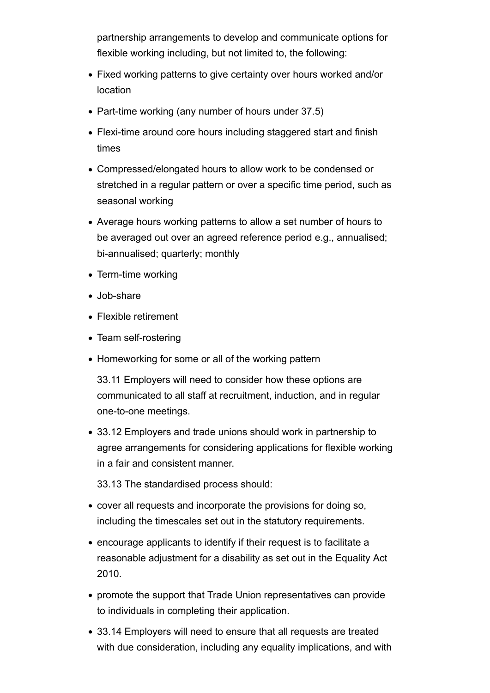partnership arrangements to develop and communicate options for flexible working including, but not limited to, the following:

- Fixed working patterns to give certainty over hours worked and/or location
- Part-time working (any number of hours under 37.5)
- Flexi-time around core hours including staggered start and finish times
- Compressed/elongated hours to allow work to be condensed or stretched in a regular pattern or over a specific time period, such as seasonal working
- Average hours working patterns to allow a set number of hours to be averaged out over an agreed reference period e.g., annualised; bi-annualised; quarterly; monthly
- Term-time working
- Job-share
- Flexible retirement
- Team self-rostering
- Homeworking for some or all of the working pattern

33.11 Employers will need to consider how these options are communicated to all staff at recruitment, induction, and in regular one-to-one meetings.

33.12 Employers and trade unions should work in partnership to agree arrangements for considering applications for flexible working in a fair and consistent manner.

33.13 The standardised process should:

- cover all requests and incorporate the provisions for doing so, including the timescales set out in the statutory requirements.
- encourage applicants to identify if their request is to facilitate a reasonable adjustment for a disability as set out in the Equality Act 2010.
- promote the support that Trade Union representatives can provide to individuals in completing their application.
- 33.14 Employers will need to ensure that all requests are treated with due consideration, including any equality implications, and with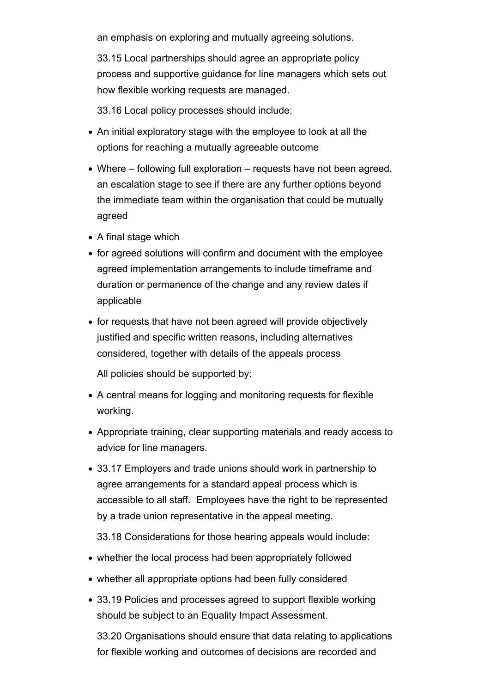an emphasis on exploring and mutually agreeing solutions.

33.15 Local partnerships should agree an appropriate policy process and supportive guidance for line managers which sets out how flexible working requests are managed.

33.16 Local policy processes should include:

- An initial exploratory stage with the employee to look at all the options for reaching a mutually agreeable outcome
- Where following full exploration requests have not been agreed, an escalation stage to see if there are any further options beyond the immediate team within the organisation that could be mutually agreed
- A final stage which
- for agreed solutions will confirm and document with the employee agreed implementation arrangements to include timeframe and duration or permanence of the change and any review dates if applicable
- for requests that have not been agreed will provide objectively justified and specific written reasons, including alternatives considered, together with details of the appeals process

All policies should be supported by:

- A central means for logging and monitoring requests for flexible working.
- Appropriate training, clear supporting materials and ready access to advice for line managers.
- 33.17 Employers and trade unions should work in partnership to agree arrangements for a standard appeal process which is accessible to all staff. Employees have the right to be represented by a trade union representative in the appeal meeting.

33.18 Considerations for those hearing appeals would include:

- whether the local process had been appropriately followed
- whether all appropriate options had been fully considered
- 33.19 Policies and processes agreed to support flexible working should be subject to an Equality Impact Assessment.

33.20 Organisations should ensure that data relating to applications for flexible working and outcomes of decisions are recorded and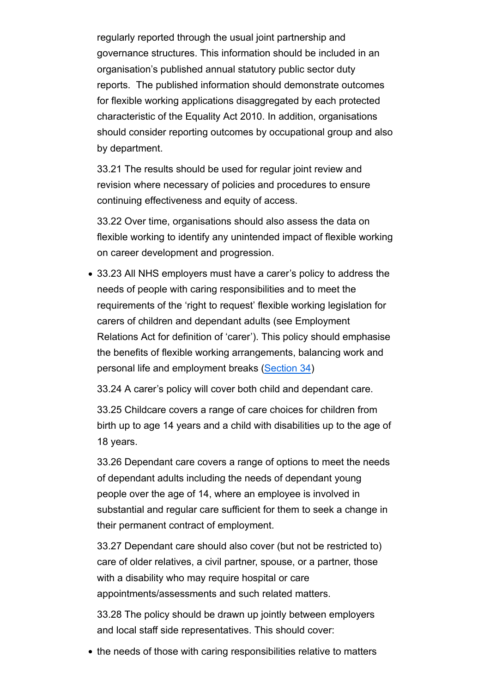regularly reported through the usual joint partnership and governance structures. This information should be included in an organisation's published annual statutory public sector duty reports. The published information should demonstrate outcomes for flexible working applications disaggregated by each protected characteristic of the Equality Act 2010. In addition, organisations should consider reporting outcomes by occupational group and also by department.

33.21 The results should be used for regular joint review and revision where necessary of policies and procedures to ensure continuing effectiveness and equity of access.

33.22 Over time, organisations should also assess the data on flexible working to identify any unintended impact of flexible working on career development and progression.

33.23 All NHS employers must have a carer's policy to address the needs of people with caring responsibilities and to meet the requirements of the 'right to request' flexible working legislation for carers of children and dependant adults (see Employment Relations Act for definition of 'carer'). This policy should emphasise the benefits of flexible working arrangements, balancing work and personal life and employment breaks (Section 34)

33.24 A carer's policy will cover both child and dependant care.

33.25 Childcare covers a range of care choices for children from birth up to age 14 years and a child with disabilities up to the age of 18 years.

33.26 Dependant care covers a range of options to meet the needs of dependant adults including the needs of dependant young people over the age of 14, where an employee is involved in substantial and regular care sufficient for them to seek a change in their permanent contract of employment.

33.27 Dependant care should also cover (but not be restricted to) care of older relatives, a civil partner, spouse, or a partner, those with a disability who may require hospital or care appointments/assessments and such related matters.

33.28 The policy should be drawn up jointly between employers and local staff side representatives. This should cover:

• the needs of those with caring responsibilities relative to matters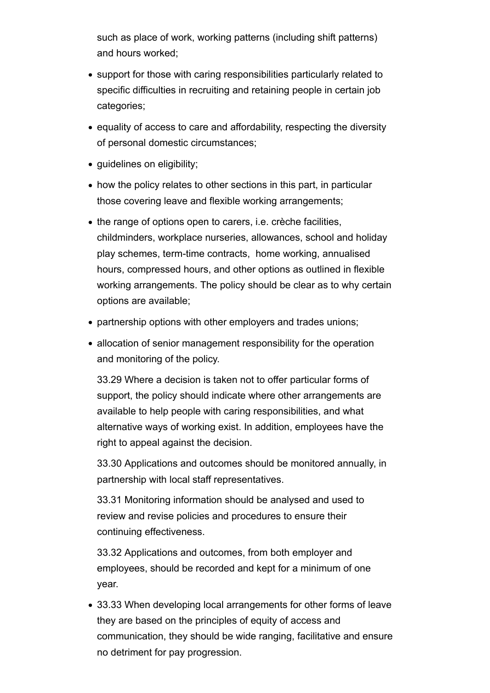such as place of work, working patterns (including shift patterns) and hours worked;

- support for those with caring responsibilities particularly related to specific difficulties in recruiting and retaining people in certain job categories;
- equality of access to care and affordability, respecting the diversity of personal domestic circumstances;
- guidelines on eligibility;
- how the policy relates to other sections in this part, in particular those covering leave and flexible working arrangements;
- the range of options open to carers, i.e. crèche facilities, childminders, workplace nurseries, allowances, school and holiday play schemes, term-time contracts, home working, annualised hours, compressed hours, and other options as outlined in flexible working arrangements. The policy should be clear as to why certain options are available;
- partnership options with other employers and trades unions;
- allocation of senior management responsibility for the operation and monitoring of the policy.

33.29 Where a decision is taken not to offer particular forms of support, the policy should indicate where other arrangements are available to help people with caring responsibilities, and what alternative ways of working exist. In addition, employees have the right to appeal against the decision.

33.30 Applications and outcomes should be monitored annually, in partnership with local staff representatives.

33.31 Monitoring information should be analysed and used to review and revise policies and procedures to ensure their continuing effectiveness.

33.32 Applications and outcomes, from both employer and employees, should be recorded and kept for a minimum of one year.

33.33 When developing local arrangements for other forms of leave they are based on the principles of equity of access and communication, they should be wide ranging, facilitative and ensure no detriment for pay progression.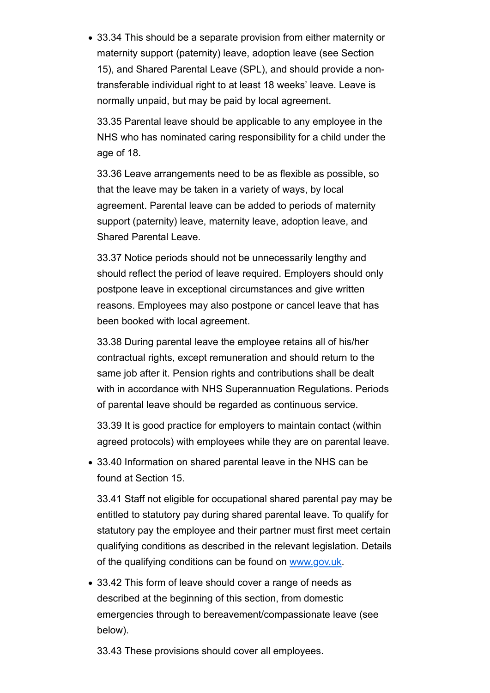33.34 This should be a separate provision from either maternity or maternity support (paternity) leave, adoption leave (see Section 15), and Shared Parental Leave (SPL), and should provide a nontransferable individual right to at least 18 weeks' leave. Leave is normally unpaid, but may be paid by local agreement.

33.35 Parental leave should be applicable to any employee in the NHS who has nominated caring responsibility for a child under the age of 18.

33.36 Leave arrangements need to be as flexible as possible, so that the leave may be taken in a variety of ways, by local agreement. Parental leave can be added to periods of maternity support (paternity) leave, maternity leave, adoption leave, and Shared Parental Leave.

33.37 Notice periods should not be unnecessarily lengthy and should reflect the period of leave required. Employers should only postpone leave in exceptional circumstances and give written reasons. Employees may also postpone or cancel leave that has been booked with local agreement.

33.38 During parental leave the employee retains all of his/her contractual rights, except remuneration and should return to the same job after it. Pension rights and contributions shall be dealt with in accordance with NHS Superannuation Regulations. Periods of parental leave should be regarded as continuous service.

33.39 It is good practice for employers to maintain contact (within agreed protocols) with employees while they are on parental leave.

33.40 Information on shared parental leave in the NHS can be found at Section 15.

33.41 Staff not eligible for occupational shared parental pay may be entitled to statutory pay during shared parental leave. To qualify for statutory pay the employee and their partner must first meet certain qualifying conditions as described in the relevant legislation. Details of the qualifying conditions can be found on www.gov.uk.

33.42 This form of leave should cover a range of needs as described at the beginning of this section, from domestic emergencies through to bereavement/compassionate leave (see below).

33.43 These provisions should cover all employees.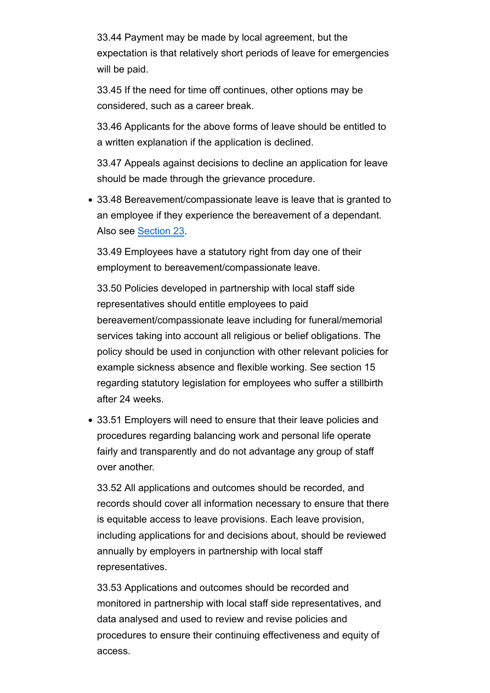33.44 Payment may be made by local agreement, but the expectation is that relatively short periods of leave for emergencies will be paid.

33.45 If the need for time off continues, other options may be considered, such as a career break.

33.46 Applicants for the above forms of leave should be entitled to a written explanation if the application is declined.

33.47 Appeals against decisions to decline an application for leave should be made through the grievance procedure.

33.48 Bereavement/compassionate leave is leave that is granted to an employee if they experience the bereavement of a dependant. Also see Section 23.

33.49 Employees have a statutory right from day one of their employment to bereavement/compassionate leave.

33.50 Policies developed in partnership with local staff side representatives should entitle employees to paid bereavement/compassionate leave including for funeral/memorial services taking into account all religious or belief obligations. The policy should be used in conjunction with other relevant policies for example sickness absence and flexible working. See section 15 regarding statutory legislation for employees who suffer a stillbirth after 24 weeks.

33.51 Employers will need to ensure that their leave policies and procedures regarding balancing work and personal life operate fairly and transparently and do not advantage any group of staff over another.

33.52 All applications and outcomes should be recorded, and records should cover all information necessary to ensure that there is equitable access to leave provisions. Each leave provision, including applications for and decisions about, should be reviewed annually by employers in partnership with local staff representatives.

33.53 Applications and outcomes should be recorded and monitored in partnership with local staff side representatives, and data analysed and used to review and revise policies and procedures to ensure their continuing effectiveness and equity of access.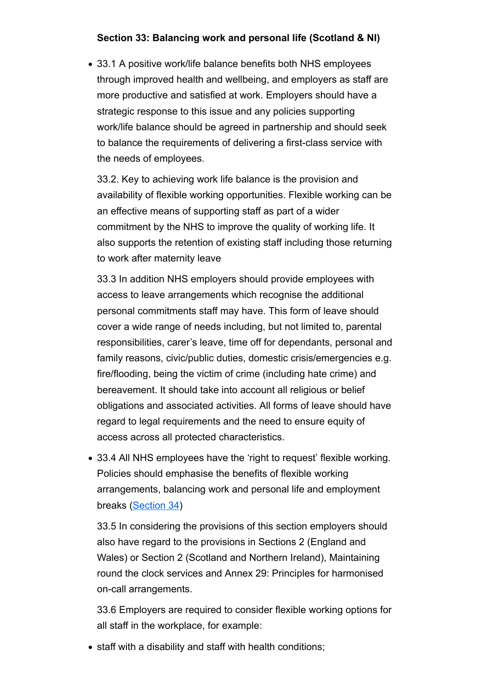#### **Section 33: Balancing work and personal life (Scotland & NI)**

33.1 A positive work/life balance benefits both NHS employees through improved health and wellbeing, and employers as staff are more productive and satisfied at work. Employers should have a strategic response to this issue and any policies supporting work/life balance should be agreed in partnership and should seek to balance the requirements of delivering a first-class service with the needs of employees.

33.2. Key to achieving work life balance is the provision and availability of flexible working opportunities. Flexible working can be an effective means of supporting staff as part of a wider commitment by the NHS to improve the quality of working life. It also supports the retention of existing staff including those returning to work after maternity leave

33.3 In addition NHS employers should provide employees with access to leave arrangements which recognise the additional personal commitments staff may have. This form of leave should cover a wide range of needs including, but not limited to, parental responsibilities, carer's leave, time off for dependants, personal and family reasons, civic/public duties, domestic crisis/emergencies e.g. fire/flooding, being the victim of crime (including hate crime) and bereavement. It should take into account all religious or belief obligations and associated activities. All forms of leave should have regard to legal requirements and the need to ensure equity of access across all protected characteristics.

33.4 All NHS employees have the 'right to request' flexible working. Policies should emphasise the benefits of flexible working arrangements, balancing work and personal life and employment breaks (Section 34)

33.5 In considering the provisions of this section employers should also have regard to the provisions in Sections 2 (England and Wales) or Section 2 (Scotland and Northern Ireland), Maintaining round the clock services and Annex 29: Principles for harmonised on-call arrangements.

33.6 Employers are required to consider flexible working options for all staff in the workplace, for example:

• staff with a disability and staff with health conditions;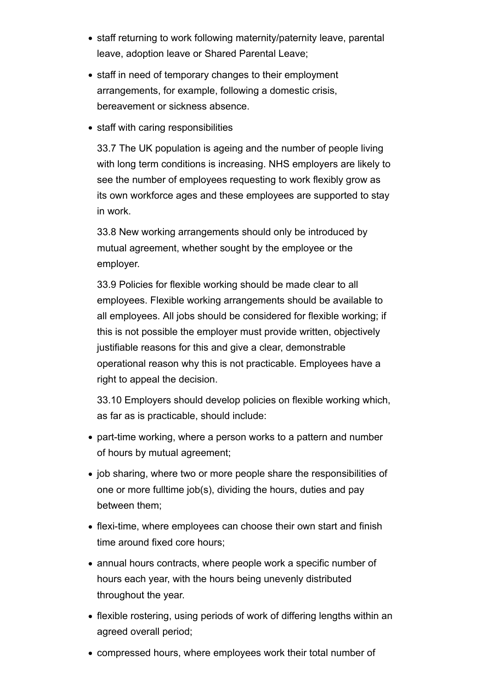- staff returning to work following maternity/paternity leave, parental leave, adoption leave or Shared Parental Leave;
- staff in need of temporary changes to their employment arrangements, for example, following a domestic crisis, bereavement or sickness absence.
- staff with caring responsibilities

33.7 The UK population is ageing and the number of people living with long term conditions is increasing. NHS employers are likely to see the number of employees requesting to work flexibly grow as its own workforce ages and these employees are supported to stay in work.

33.8 New working arrangements should only be introduced by mutual agreement, whether sought by the employee or the employer.

33.9 Policies for flexible working should be made clear to all employees. Flexible working arrangements should be available to all employees. All jobs should be considered for flexible working; if this is not possible the employer must provide written, objectively justifiable reasons for this and give a clear, demonstrable operational reason why this is not practicable. Employees have a right to appeal the decision.

33.10 Employers should develop policies on flexible working which, as far as is practicable, should include:

- part-time working, where a person works to a pattern and number of hours by mutual agreement;
- job sharing, where two or more people share the responsibilities of one or more fulltime job(s), dividing the hours, duties and pay between them;
- flexi-time, where employees can choose their own start and finish time around fixed core hours;
- annual hours contracts, where people work a specific number of hours each year, with the hours being unevenly distributed throughout the year.
- flexible rostering, using periods of work of differing lengths within an agreed overall period;
- compressed hours, where employees work their total number of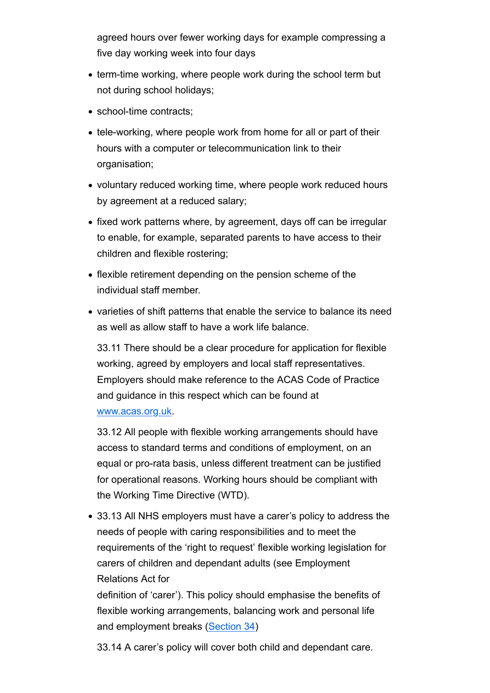agreed hours over fewer working days for example compressing a five day working week into four days

- term-time working, where people work during the school term but not during school holidays;
- school-time contracts;
- tele-working, where people work from home for all or part of their hours with a computer or telecommunication link to their organisation;
- voluntary reduced working time, where people work reduced hours by agreement at a reduced salary;
- fixed work patterns where, by agreement, days off can be irregular to enable, for example, separated parents to have access to their children and flexible rostering;
- flexible retirement depending on the pension scheme of the individual staff member.
- varieties of shift patterns that enable the service to balance its need as well as allow staff to have a work life balance.

33.11 There should be a clear procedure for application for flexible working, agreed by employers and local staff representatives. Employers should make reference to the ACAS Code of Practice and guidance in this respect which can be found at www.acas.org.uk.

33.12 All people with flexible working arrangements should have access to standard terms and conditions of employment, on an equal or pro-rata basis, unless different treatment can be justified for operational reasons. Working hours should be compliant with the Working Time Directive (WTD).

33.13 All NHS employers must have a carer's policy to address the needs of people with caring responsibilities and to meet the requirements of the 'right to request' flexible working legislation for carers of children and dependant adults (see Employment Relations Act for

definition of 'carer'). This policy should emphasise the benefits of flexible working arrangements, balancing work and personal life and employment breaks (Section 34)

33.14 A carer's policy will cover both child and dependant care.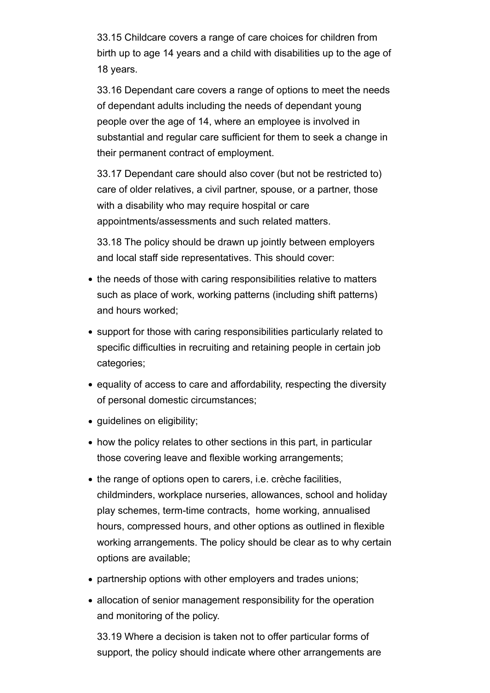33.15 Childcare covers a range of care choices for children from birth up to age 14 years and a child with disabilities up to the age of 18 years.

33.16 Dependant care covers a range of options to meet the needs of dependant adults including the needs of dependant young people over the age of 14, where an employee is involved in substantial and regular care sufficient for them to seek a change in their permanent contract of employment.

33.17 Dependant care should also cover (but not be restricted to) care of older relatives, a civil partner, spouse, or a partner, those with a disability who may require hospital or care appointments/assessments and such related matters.

33.18 The policy should be drawn up jointly between employers and local staff side representatives. This should cover:

- the needs of those with caring responsibilities relative to matters such as place of work, working patterns (including shift patterns) and hours worked;
- support for those with caring responsibilities particularly related to specific difficulties in recruiting and retaining people in certain job categories;
- equality of access to care and affordability, respecting the diversity of personal domestic circumstances;
- guidelines on eligibility;
- how the policy relates to other sections in this part, in particular those covering leave and flexible working arrangements;
- the range of options open to carers, i.e. crèche facilities, childminders, workplace nurseries, allowances, school and holiday play schemes, term-time contracts, home working, annualised hours, compressed hours, and other options as outlined in flexible working arrangements. The policy should be clear as to why certain options are available;
- partnership options with other employers and trades unions;
- allocation of senior management responsibility for the operation and monitoring of the policy.

33.19 Where a decision is taken not to offer particular forms of support, the policy should indicate where other arrangements are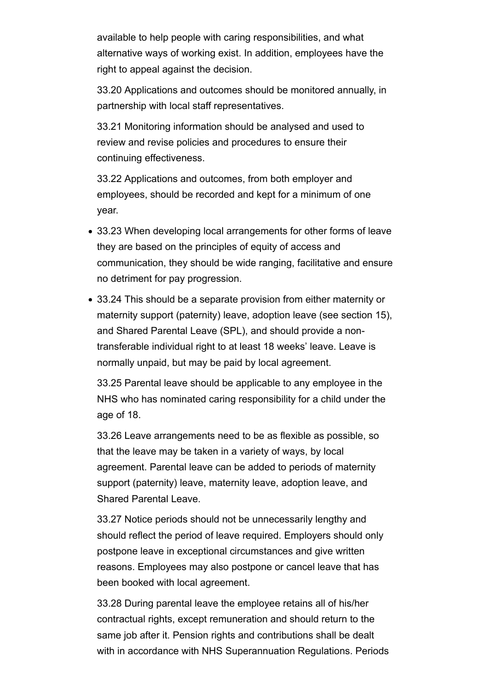available to help people with caring responsibilities, and what alternative ways of working exist. In addition, employees have the right to appeal against the decision.

33.20 Applications and outcomes should be monitored annually, in partnership with local staff representatives.

33.21 Monitoring information should be analysed and used to review and revise policies and procedures to ensure their continuing effectiveness.

33.22 Applications and outcomes, from both employer and employees, should be recorded and kept for a minimum of one year.

- 33.23 When developing local arrangements for other forms of leave they are based on the principles of equity of access and communication, they should be wide ranging, facilitative and ensure no detriment for pay progression.
- 33.24 This should be a separate provision from either maternity or maternity support (paternity) leave, adoption leave (see section 15), and Shared Parental Leave (SPL), and should provide a nontransferable individual right to at least 18 weeks' leave. Leave is normally unpaid, but may be paid by local agreement.

33.25 Parental leave should be applicable to any employee in the NHS who has nominated caring responsibility for a child under the age of 18.

33.26 Leave arrangements need to be as flexible as possible, so that the leave may be taken in a variety of ways, by local agreement. Parental leave can be added to periods of maternity support (paternity) leave, maternity leave, adoption leave, and Shared Parental Leave.

33.27 Notice periods should not be unnecessarily lengthy and should reflect the period of leave required. Employers should only postpone leave in exceptional circumstances and give written reasons. Employees may also postpone or cancel leave that has been booked with local agreement.

33.28 During parental leave the employee retains all of his/her contractual rights, except remuneration and should return to the same job after it. Pension rights and contributions shall be dealt with in accordance with NHS Superannuation Regulations. Periods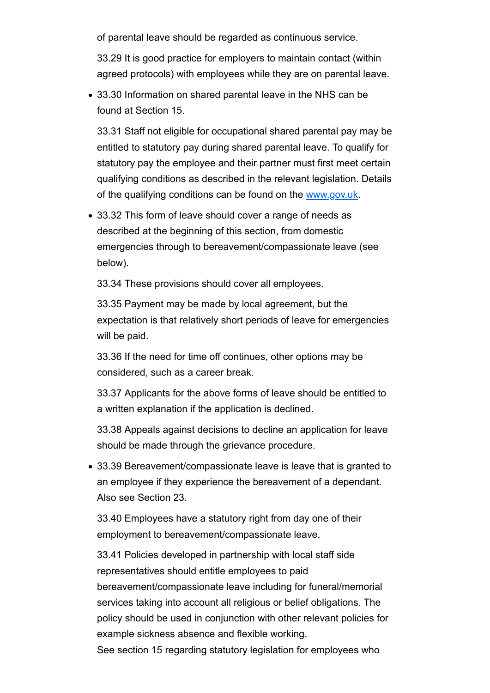of parental leave should be regarded as continuous service.

33.29 It is good practice for employers to maintain contact (within agreed protocols) with employees while they are on parental leave.

33.30 Information on shared parental leave in the NHS can be found at Section 15.

33.31 Staff not eligible for occupational shared parental pay may be entitled to statutory pay during shared parental leave. To qualify for statutory pay the employee and their partner must first meet certain qualifying conditions as described in the relevant legislation. Details of the qualifying conditions can be found on the www.gov.uk.

33.32 This form of leave should cover a range of needs as described at the beginning of this section, from domestic emergencies through to bereavement/compassionate leave (see below).

33.34 These provisions should cover all employees.

33.35 Payment may be made by local agreement, but the expectation is that relatively short periods of leave for emergencies will be paid.

33.36 If the need for time off continues, other options may be considered, such as a career break.

33.37 Applicants for the above forms of leave should be entitled to a written explanation if the application is declined.

33.38 Appeals against decisions to decline an application for leave should be made through the grievance procedure.

33.39 Bereavement/compassionate leave is leave that is granted to an employee if they experience the bereavement of a dependant. Also see Section 23.

33.40 Employees have a statutory right from day one of their employment to bereavement/compassionate leave.

33.41 Policies developed in partnership with local staff side representatives should entitle employees to paid bereavement/compassionate leave including for funeral/memorial services taking into account all religious or belief obligations. The policy should be used in conjunction with other relevant policies for example sickness absence and flexible working. See section 15 regarding statutory legislation for employees who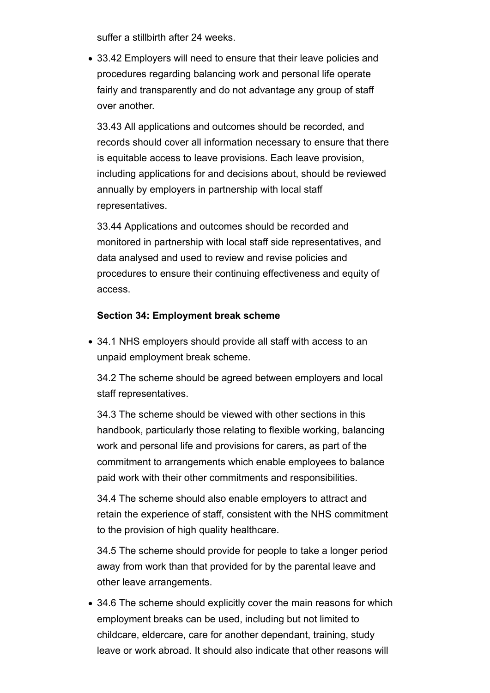suffer a stillbirth after 24 weeks.

33.42 Employers will need to ensure that their leave policies and procedures regarding balancing work and personal life operate fairly and transparently and do not advantage any group of staff over another.

33.43 All applications and outcomes should be recorded, and records should cover all information necessary to ensure that there is equitable access to leave provisions. Each leave provision, including applications for and decisions about, should be reviewed annually by employers in partnership with local staff representatives.

33.44 Applications and outcomes should be recorded and monitored in partnership with local staff side representatives, and data analysed and used to review and revise policies and procedures to ensure their continuing effectiveness and equity of access.

#### **Section 34: Employment break scheme**

34.1 NHS employers should provide all staff with access to an unpaid employment break scheme.

34.2 The scheme should be agreed between employers and local staff representatives.

34.3 The scheme should be viewed with other sections in this handbook, particularly those relating to flexible working, balancing work and personal life and provisions for carers, as part of the commitment to arrangements which enable employees to balance paid work with their other commitments and responsibilities.

34.4 The scheme should also enable employers to attract and retain the experience of staff, consistent with the NHS commitment to the provision of high quality healthcare.

34.5 The scheme should provide for people to take a longer period away from work than that provided for by the parental leave and other leave arrangements.

34.6 The scheme should explicitly cover the main reasons for which employment breaks can be used, including but not limited to childcare, eldercare, care for another dependant, training, study leave or work abroad. It should also indicate that other reasons will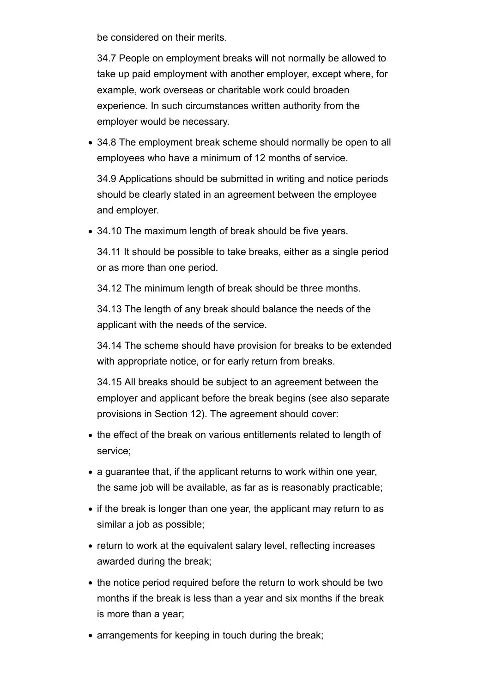be considered on their merits.

34.7 People on employment breaks will not normally be allowed to take up paid employment with another employer, except where, for example, work overseas or charitable work could broaden experience. In such circumstances written authority from the employer would be necessary.

34.8 The employment break scheme should normally be open to all employees who have a minimum of 12 months of service.

34.9 Applications should be submitted in writing and notice periods should be clearly stated in an agreement between the employee and employer.

34.10 The maximum length of break should be five years.

34.11 It should be possible to take breaks, either as a single period or as more than one period.

34.12 The minimum length of break should be three months.

34.13 The length of any break should balance the needs of the applicant with the needs of the service.

34.14 The scheme should have provision for breaks to be extended with appropriate notice, or for early return from breaks.

34.15 All breaks should be subject to an agreement between the employer and applicant before the break begins (see also separate provisions in Section 12). The agreement should cover:

- the effect of the break on various entitlements related to length of service;
- a guarantee that, if the applicant returns to work within one year, the same job will be available, as far as is reasonably practicable;
- if the break is longer than one year, the applicant may return to as similar a job as possible;
- return to work at the equivalent salary level, reflecting increases awarded during the break;
- the notice period required before the return to work should be two months if the break is less than a year and six months if the break is more than a year;
- arrangements for keeping in touch during the break;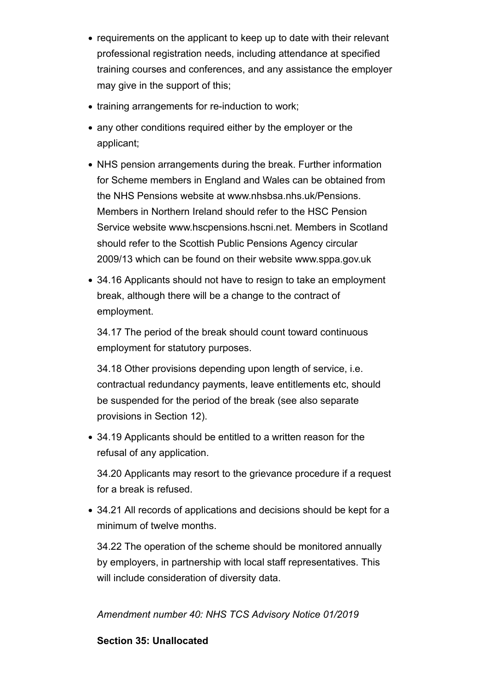- requirements on the applicant to keep up to date with their relevant professional registration needs, including attendance at specified training courses and conferences, and any assistance the employer may give in the support of this;
- training arrangements for re-induction to work;
- any other conditions required either by the employer or the applicant;
- NHS pension arrangements during the break. Further information for Scheme members in England and Wales can be obtained from the NHS Pensions website at www.nhsbsa.nhs.uk/Pensions. Members in Northern Ireland should refer to the HSC Pension Service website www.hscpensions.hscni.net. Members in Scotland should refer to the Scottish Public Pensions Agency circular 2009/13 which can be found on their website www.sppa.gov.uk
- 34.16 Applicants should not have to resign to take an employment break, although there will be a change to the contract of employment.

34.17 The period of the break should count toward continuous employment for statutory purposes.

34.18 Other provisions depending upon length of service, i.e. contractual redundancy payments, leave entitlements etc, should be suspended for the period of the break (see also separate provisions in Section 12).

34.19 Applicants should be entitled to a written reason for the refusal of any application.

34.20 Applicants may resort to the grievance procedure if a request for a break is refused.

34.21 All records of applications and decisions should be kept for a minimum of twelve months.

34.22 The operation of the scheme should be monitored annually by employers, in partnership with local staff representatives. This will include consideration of diversity data.

*Amendment number 40: NHS TCS Advisory Notice 01/2019*

### **Section 35: Unallocated**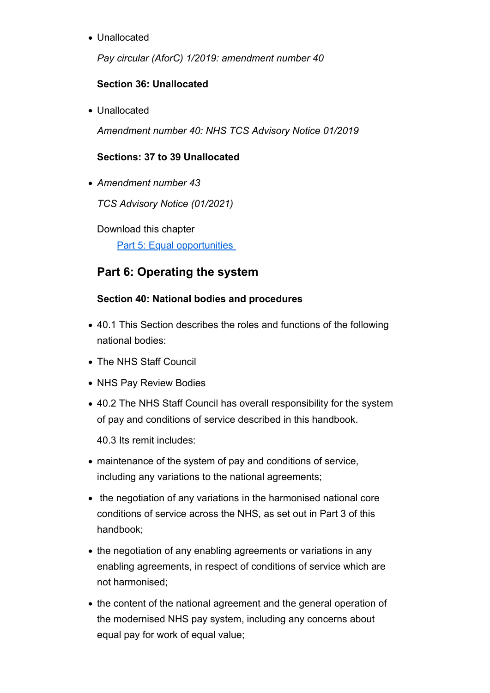• Unallocated

*Pay circular (AforC) 1/2019: amendment number 40*

### **Section 36: Unallocated**

• Unallocated

*Amendment number 40: NHS TCS Advisory Notice 01/2019*

### **Sections: 37 to 39 Unallocated**

*Amendment number 43*

*TCS Advisory Notice (01/2021)* 

Download this chapter

Part 5: Equal opportunities

# **Part 6: Operating the system**

### **Section 40: National bodies and procedures**

- 40.1 This Section describes the roles and functions of the following national bodies:
- The NHS Staff Council
- NHS Pay Review Bodies
- 40.2 The NHS Staff Council has overall responsibility for the system of pay and conditions of service described in this handbook.

40.3 Its remit includes:

- maintenance of the system of pay and conditions of service, including any variations to the national agreements;
- the negotiation of any variations in the harmonised national core conditions of service across the NHS, as set out in Part 3 of this handbook;
- the negotiation of any enabling agreements or variations in any enabling agreements, in respect of conditions of service which are not harmonised;
- the content of the national agreement and the general operation of the modernised NHS pay system, including any concerns about equal pay for work of equal value;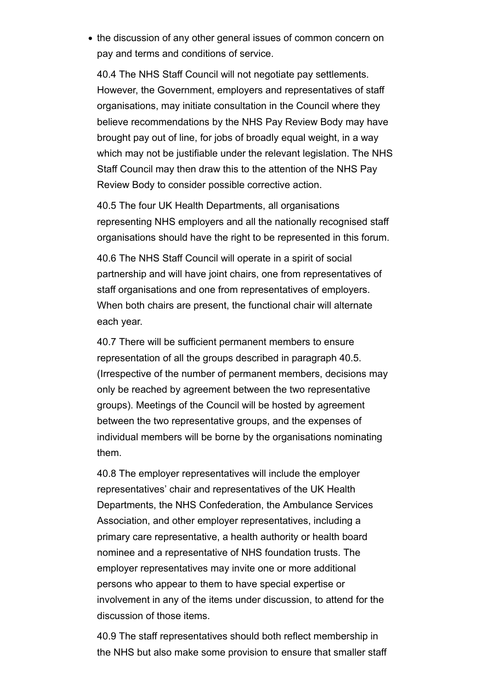• the discussion of any other general issues of common concern on pay and terms and conditions of service.

40.4 The NHS Staff Council will not negotiate pay settlements. However, the Government, employers and representatives of staff organisations, may initiate consultation in the Council where they believe recommendations by the NHS Pay Review Body may have brought pay out of line, for jobs of broadly equal weight, in a way which may not be justifiable under the relevant legislation. The NHS Staff Council may then draw this to the attention of the NHS Pay Review Body to consider possible corrective action.

40.5 The four UK Health Departments, all organisations representing NHS employers and all the nationally recognised staff organisations should have the right to be represented in this forum.

40.6 The NHS Staff Council will operate in a spirit of social partnership and will have joint chairs, one from representatives of staff organisations and one from representatives of employers. When both chairs are present, the functional chair will alternate each year.

40.7 There will be sufficient permanent members to ensure representation of all the groups described in paragraph 40.5. (Irrespective of the number of permanent members, decisions may only be reached by agreement between the two representative groups). Meetings of the Council will be hosted by agreement between the two representative groups, and the expenses of individual members will be borne by the organisations nominating them.

40.8 The employer representatives will include the employer representatives' chair and representatives of the UK Health Departments, the NHS Confederation, the Ambulance Services Association, and other employer representatives, including a primary care representative, a health authority or health board nominee and a representative of NHS foundation trusts. The employer representatives may invite one or more additional persons who appear to them to have special expertise or involvement in any of the items under discussion, to attend for the discussion of those items.

40.9 The staff representatives should both reflect membership in the NHS but also make some provision to ensure that smaller staff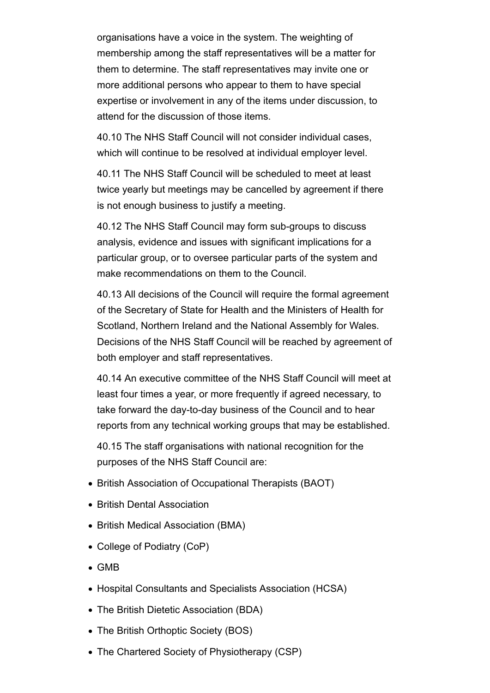organisations have a voice in the system. The weighting of membership among the staff representatives will be a matter for them to determine. The staff representatives may invite one or more additional persons who appear to them to have special expertise or involvement in any of the items under discussion, to attend for the discussion of those items.

40.10 The NHS Staff Council will not consider individual cases, which will continue to be resolved at individual employer level.

40.11 The NHS Staff Council will be scheduled to meet at least twice yearly but meetings may be cancelled by agreement if there is not enough business to justify a meeting.

40.12 The NHS Staff Council may form sub-groups to discuss analysis, evidence and issues with significant implications for a particular group, or to oversee particular parts of the system and make recommendations on them to the Council.

40.13 All decisions of the Council will require the formal agreement of the Secretary of State for Health and the Ministers of Health for Scotland, Northern Ireland and the National Assembly for Wales. Decisions of the NHS Staff Council will be reached by agreement of both employer and staff representatives.

40.14 An executive committee of the NHS Staff Council will meet at least four times a year, or more frequently if agreed necessary, to take forward the day-to-day business of the Council and to hear reports from any technical working groups that may be established.

40.15 The staff organisations with national recognition for the purposes of the NHS Staff Council are:

- British Association of Occupational Therapists (BAOT)
- British Dental Association
- British Medical Association (BMA)
- College of Podiatry (CoP)
- GMB
- Hospital Consultants and Specialists Association (HCSA)
- The British Dietetic Association (BDA)
- The British Orthoptic Society (BOS)
- The Chartered Society of Physiotherapy (CSP)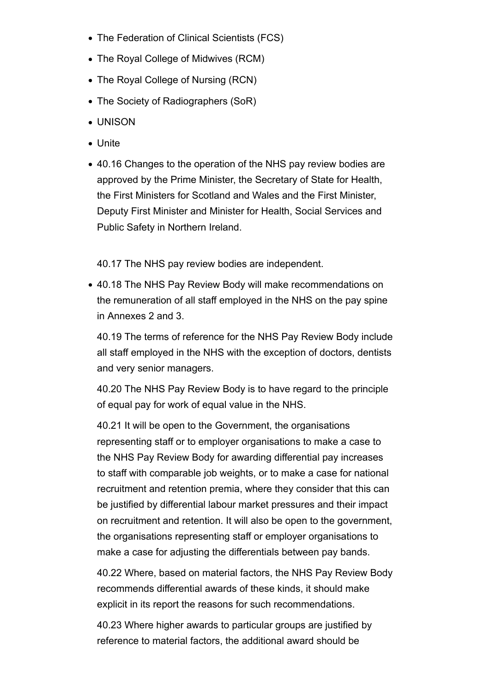- The Federation of Clinical Scientists (FCS)
- The Royal College of Midwives (RCM)
- The Royal College of Nursing (RCN)
- The Society of Radiographers (SoR)
- UNISON
- Unite
- 40.16 Changes to the operation of the NHS pay review bodies are approved by the Prime Minister, the Secretary of State for Health, the First Ministers for Scotland and Wales and the First Minister, Deputy First Minister and Minister for Health, Social Services and Public Safety in Northern Ireland.

40.17 The NHS pay review bodies are independent.

40.18 The NHS Pay Review Body will make recommendations on the remuneration of all staff employed in the NHS on the pay spine in Annexes 2 and 3.

40.19 The terms of reference for the NHS Pay Review Body include all staff employed in the NHS with the exception of doctors, dentists and very senior managers.

40.20 The NHS Pay Review Body is to have regard to the principle of equal pay for work of equal value in the NHS.

40.21 It will be open to the Government, the organisations representing staff or to employer organisations to make a case to the NHS Pay Review Body for awarding differential pay increases to staff with comparable job weights, or to make a case for national recruitment and retention premia, where they consider that this can be justified by differential labour market pressures and their impact on recruitment and retention. It will also be open to the government, the organisations representing staff or employer organisations to make a case for adjusting the differentials between pay bands.

40.22 Where, based on material factors, the NHS Pay Review Body recommends differential awards of these kinds, it should make explicit in its report the reasons for such recommendations.

40.23 Where higher awards to particular groups are justified by reference to material factors, the additional award should be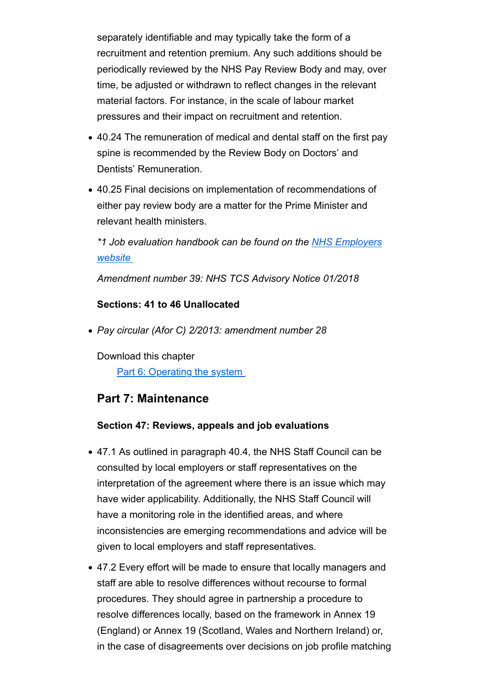separately identifiable and may typically take the form of a recruitment and retention premium. Any such additions should be periodically reviewed by the NHS Pay Review Body and may, over time, be adjusted or withdrawn to reflect changes in the relevant material factors. For instance, in the scale of labour market pressures and their impact on recruitment and retention.

- 40.24 The remuneration of medical and dental staff on the first pay spine is recommended by the Review Body on Doctors' and Dentists' Remuneration.
- 40.25 Final decisions on implementation of recommendations of either pay review body are a matter for the Prime Minister and relevant health ministers.

*\*1 Job evaluation handbook can be found on the NHS Employers website* 

*Amendment number 39: NHS TCS Advisory Notice 01/2018*

### **Sections: 41 to 46 Unallocated**

*Pay circular (Afor C) 2/2013: amendment number 28* 

Download this chapter

Part 6: Operating the system

## **Part 7: Maintenance**

#### **Section 47: Reviews, appeals and job evaluations**

- 47.1 As outlined in paragraph 40.4, the NHS Staff Council can be consulted by local employers or staff representatives on the interpretation of the agreement where there is an issue which may have wider applicability. Additionally, the NHS Staff Council will have a monitoring role in the identified areas, and where inconsistencies are emerging recommendations and advice will be given to local employers and staff representatives.
- 47.2 Every effort will be made to ensure that locally managers and staff are able to resolve differences without recourse to formal procedures. They should agree in partnership a procedure to resolve differences locally, based on the framework in Annex 19 (England) or Annex 19 (Scotland, Wales and Northern Ireland) or, in the case of disagreements over decisions on job profile matching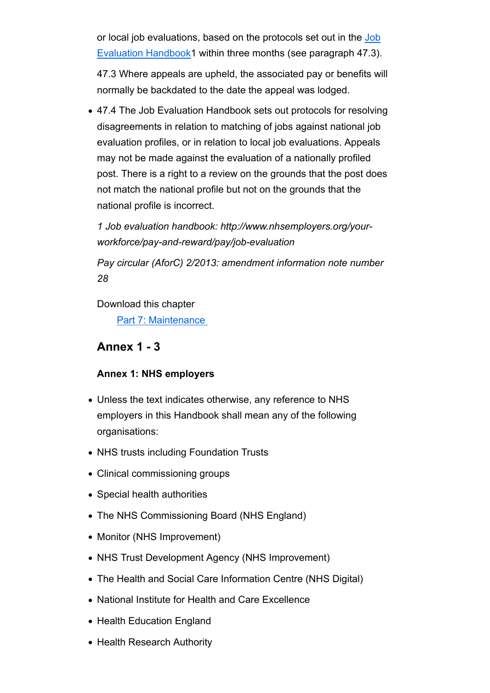or local job evaluations, based on the protocols set out in the Job Evaluation Handbook1 within three months (see paragraph 47.3).

47.3 Where appeals are upheld, the associated pay or benefits will normally be backdated to the date the appeal was lodged.

47.4 The Job Evaluation Handbook sets out protocols for resolving disagreements in relation to matching of jobs against national job evaluation profiles, or in relation to local job evaluations. Appeals may not be made against the evaluation of a nationally profiled post. There is a right to a review on the grounds that the post does not match the national profile but not on the grounds that the national profile is incorrect.

*1 Job evaluation handbook: http://www.nhsemployers.org/yourworkforce/pay-and-reward/pay/job-evaluation*

*Pay circular (AforC) 2/2013: amendment information note number 28*

Download this chapter

Part 7: Maintenance

## **Annex 1 - 3**

### **Annex 1: NHS employers**

- Unless the text indicates otherwise, any reference to NHS employers in this Handbook shall mean any of the following organisations:
- NHS trusts including Foundation Trusts
- Clinical commissioning groups
- Special health authorities
- The NHS Commissioning Board (NHS England)
- Monitor (NHS Improvement)
- NHS Trust Development Agency (NHS Improvement)
- The Health and Social Care Information Centre (NHS Digital)
- National Institute for Health and Care Excellence
- Health Education England
- Health Research Authority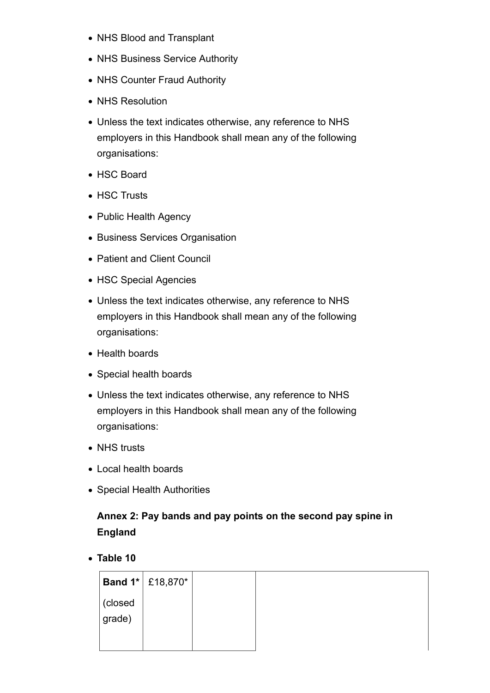- NHS Blood and Transplant
- NHS Business Service Authority
- NHS Counter Fraud Authority
- NHS Resolution
- Unless the text indicates otherwise, any reference to NHS employers in this Handbook shall mean any of the following organisations:
- HSC Board
- HSC Trusts
- Public Health Agency
- Business Services Organisation
- Patient and Client Council
- HSC Special Agencies
- Unless the text indicates otherwise, any reference to NHS employers in this Handbook shall mean any of the following organisations:
- Health boards
- Special health boards
- Unless the text indicates otherwise, any reference to NHS employers in this Handbook shall mean any of the following organisations:
- NHS trusts
- Local health boards
- Special Health Authorities

# **Annex 2: Pay bands and pay points on the second pay spine in England**

**Table 10**

|            | <b>Band 1*</b> £18,870* |  |
|------------|-------------------------|--|
| (closed    |                         |  |
| $ $ grade) |                         |  |
|            |                         |  |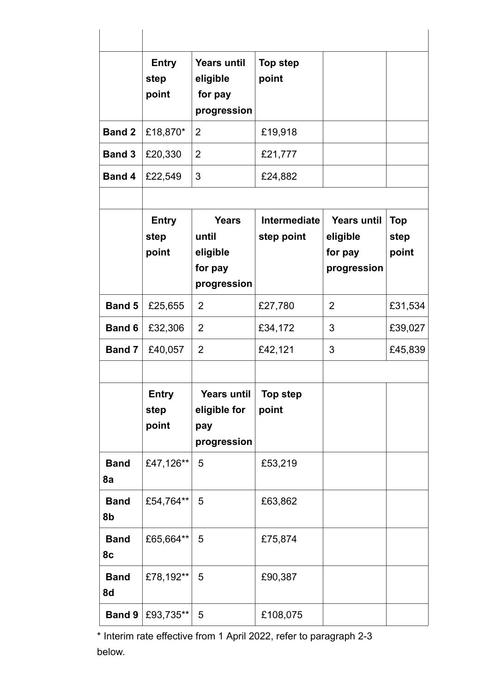|                   | <b>Entry</b><br>step<br>point | <b>Years until</b><br>eligible<br>for pay<br>progression    | <b>Top step</b><br>point   |                                                          |                             |
|-------------------|-------------------------------|-------------------------------------------------------------|----------------------------|----------------------------------------------------------|-----------------------------|
| <b>Band 2</b>     | £18,870*                      | $\overline{2}$                                              | £19,918                    |                                                          |                             |
| <b>Band 3</b>     | £20,330                       | $\overline{2}$                                              | £21,777                    |                                                          |                             |
| <b>Band 4</b>     | £22,549                       | 3                                                           | £24,882                    |                                                          |                             |
|                   |                               |                                                             |                            |                                                          |                             |
|                   | <b>Entry</b><br>step<br>point | <b>Years</b><br>until<br>eligible<br>for pay<br>progression | Intermediate<br>step point | <b>Years until</b><br>eligible<br>for pay<br>progression | <b>Top</b><br>step<br>point |
| <b>Band 5</b>     | £25,655                       | $\overline{2}$                                              | £27,780                    | 2                                                        | £31,534                     |
| <b>Band 6</b>     | £32,306                       | $\overline{2}$                                              | £34,172                    | 3                                                        | £39,027                     |
| <b>Band 7</b>     | £40,057                       | $\overline{2}$                                              | £42,121                    | 3                                                        | £45,839                     |
|                   |                               |                                                             |                            |                                                          |                             |
|                   | <b>Entry</b><br>step<br>point | <b>Years until</b><br>eligible for<br>pay<br>progression    | <b>Top step</b><br>point   |                                                          |                             |
| <b>Band</b><br>8а | £47,126**                     | 5                                                           | £53,219                    |                                                          |                             |
| <b>Band</b><br>8b | £54,764**                     | 5                                                           | £63,862                    |                                                          |                             |
| <b>Band</b><br>8c | £65,664**                     | 5                                                           | £75,874                    |                                                          |                             |
| <b>Band</b><br>8d | £78,192**                     | 5                                                           | £90,387                    |                                                          |                             |
| <b>Band 9</b>     | £93,735**                     | 5                                                           | £108,075                   |                                                          |                             |

\* Interim rate effective from 1 April 2022, refer to paragraph 2-3 below.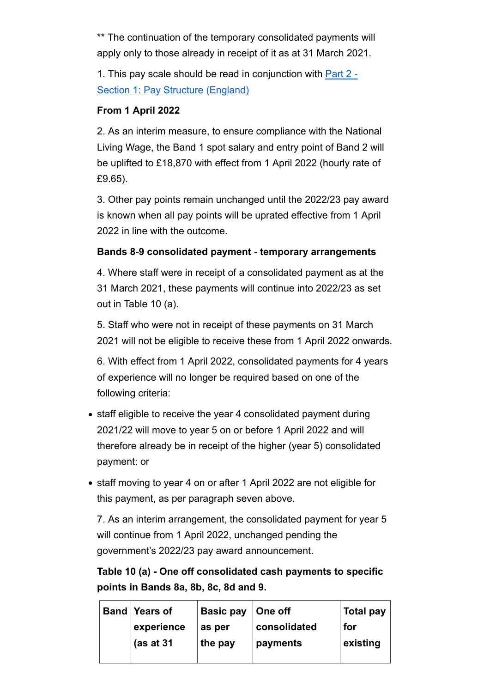\*\* The continuation of the temporary consolidated payments will apply only to those already in receipt of it as at 31 March 2021.

1. This pay scale should be read in conjunction with Part 2 - Section 1: Pay Structure (England)

### **From 1 April 2022**

2. As an interim measure, to ensure compliance with the National Living Wage, the Band 1 spot salary and entry point of Band 2 will be uplifted to £18,870 with effect from 1 April 2022 (hourly rate of £9.65).

3. Other pay points remain unchanged until the 2022/23 pay award is known when all pay points will be uprated effective from 1 April 2022 in line with the outcome.

### **Bands 8-9 consolidated payment - temporary arrangements**

4. Where staff were in receipt of a consolidated payment as at the 31 March 2021, these payments will continue into 2022/23 as set out in Table 10 (a).

5. Staff who were not in receipt of these payments on 31 March 2021 will not be eligible to receive these from 1 April 2022 onwards.

6. With effect from 1 April 2022, consolidated payments for 4 years of experience will no longer be required based on one of the following criteria:

- staff eligible to receive the year 4 consolidated payment during 2021/22 will move to year 5 on or before 1 April 2022 and will therefore already be in receipt of the higher (year 5) consolidated payment: or
- staff moving to year 4 on or after 1 April 2022 are not eligible for this payment, as per paragraph seven above.

7. As an interim arrangement, the consolidated payment for year 5 will continue from 1 April 2022, unchanged pending the government's 2022/23 pay award announcement.

**Table 10 (a) - One off consolidated cash payments to specific points in Bands 8a, 8b, 8c, 8d and 9.**

| <b>Band Years of</b> | <b>Basic pay</b> | ∣One off     | Total pay |
|----------------------|------------------|--------------|-----------|
| experience           | as per           | consolidated | for       |
| (as at $31$          | the pay          | payments     | existing  |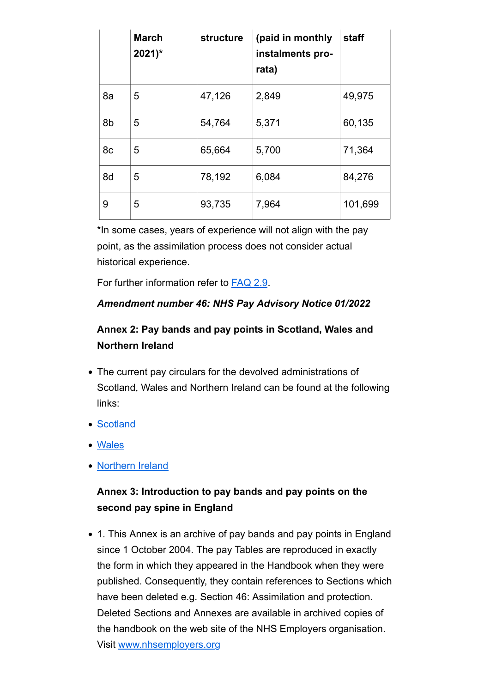|    | <b>March</b><br>$2021$ <sup>*</sup> | structure | (paid in monthly<br>instalments pro-<br>rata) | staff   |
|----|-------------------------------------|-----------|-----------------------------------------------|---------|
| 8a | 5                                   | 47,126    | 2,849                                         | 49,975  |
| 8b | 5                                   | 54,764    | 5,371                                         | 60,135  |
| 8c | 5                                   | 65,664    | 5,700                                         | 71,364  |
| 8d | 5                                   | 78,192    | 6,084                                         | 84,276  |
| 9  | 5                                   | 93,735    | 7,964                                         | 101,699 |

\*In some cases, years of experience will not align with the pay point, as the assimilation process does not consider actual historical experience.

For further information refer to FAQ 2.9.

### *Amendment number 46: NHS Pay Advisory Notice 01/2022*

# **Annex 2: Pay bands and pay points in Scotland, Wales and Northern Ireland**

- The current pay circulars for the devolved administrations of Scotland, Wales and Northern Ireland can be found at the following links:
- Scotland
- Wales
- Northern Ireland

# **Annex 3: Introduction to pay bands and pay points on the second pay spine in England**

• 1. This Annex is an archive of pay bands and pay points in England since 1 October 2004. The pay Tables are reproduced in exactly the form in which they appeared in the Handbook when they were published. Consequently, they contain references to Sections which have been deleted e.g. Section 46: Assimilation and protection. Deleted Sections and Annexes are available in archived copies of the handbook on the web site of the NHS Employers organisation. Visit www.nhsemployers.org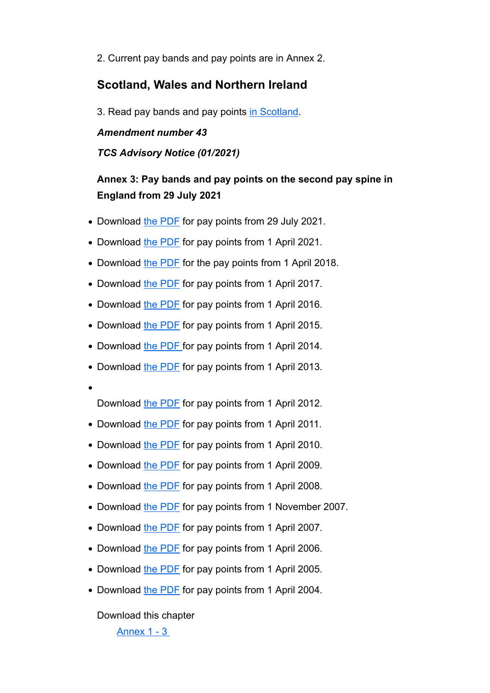2. Current pay bands and pay points are in Annex 2.

### **Scotland, Wales and Northern Ireland**

3. Read pay bands and pay points in Scotland.

#### *Amendment number 43*

#### *TCS Advisory Notice (01/2021)*

## **Annex 3: Pay bands and pay points on the second pay spine in England from 29 July 2021**

- Download the PDF for pay points from 29 July 2021.
- Download the PDF for pay points from 1 April 2021.
- Download the PDF for the pay points from 1 April 2018.
- Download the PDF for pay points from 1 April 2017.
- Download the PDF for pay points from 1 April 2016.
- Download the PDF for pay points from 1 April 2015.
- Download the PDF for pay points from 1 April 2014.
- Download the PDF for pay points from 1 April 2013.
- 

Download the PDF for pay points from 1 April 2012.

- Download the PDF for pay points from 1 April 2011.
- Download the PDF for pay points from 1 April 2010.
- Download the PDF for pay points from 1 April 2009.
- Download the PDF for pay points from 1 April 2008.
- Download the PDF for pay points from 1 November 2007.
- Download the PDF for pay points from 1 April 2007.
- Download the PDF for pay points from 1 April 2006.
- Download the PDF for pay points from 1 April 2005.
- Download the PDF for pay points from 1 April 2004.

Download this chapter

Annex 1 - 3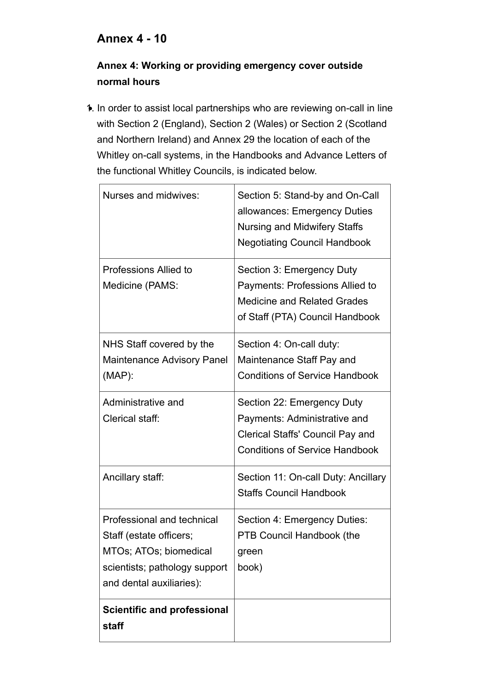# **Annex 4 - 10**

# **Annex 4: Working or providing emergency cover outside normal hours**

1. In order to assist local partnerships who are reviewing on-call in line with Section 2 (England), Section 2 (Wales) or Section 2 (Scotland and Northern Ireland) and Annex 29 the location of each of the Whitley on-call systems, in the Handbooks and Advance Letters of the functional Whitley Councils, is indicated below.

| <b>Scientific and professional</b><br>staff                                                                                                  |                                                                                                                                               |
|----------------------------------------------------------------------------------------------------------------------------------------------|-----------------------------------------------------------------------------------------------------------------------------------------------|
| Professional and technical<br>Staff (estate officers;<br>MTOs; ATOs; biomedical<br>scientists; pathology support<br>and dental auxiliaries): | Section 4: Emergency Duties:<br><b>PTB Council Handbook (the</b><br>green<br>book)                                                            |
| Ancillary staff:                                                                                                                             | Section 11: On-call Duty: Ancillary<br><b>Staffs Council Handbook</b>                                                                         |
| Administrative and<br>Clerical staff:                                                                                                        | Section 22: Emergency Duty<br>Payments: Administrative and<br>Clerical Staffs' Council Pay and<br><b>Conditions of Service Handbook</b>       |
| NHS Staff covered by the<br><b>Maintenance Advisory Panel</b><br>$(MAP)$ :                                                                   | Section 4: On-call duty:<br>Maintenance Staff Pay and<br><b>Conditions of Service Handbook</b>                                                |
| Professions Allied to<br>Medicine (PAMS:                                                                                                     | Section 3: Emergency Duty<br>Payments: Professions Allied to<br><b>Medicine and Related Grades</b><br>of Staff (PTA) Council Handbook         |
| Nurses and midwives:                                                                                                                         | Section 5: Stand-by and On-Call<br>allowances: Emergency Duties<br><b>Nursing and Midwifery Staffs</b><br><b>Negotiating Council Handbook</b> |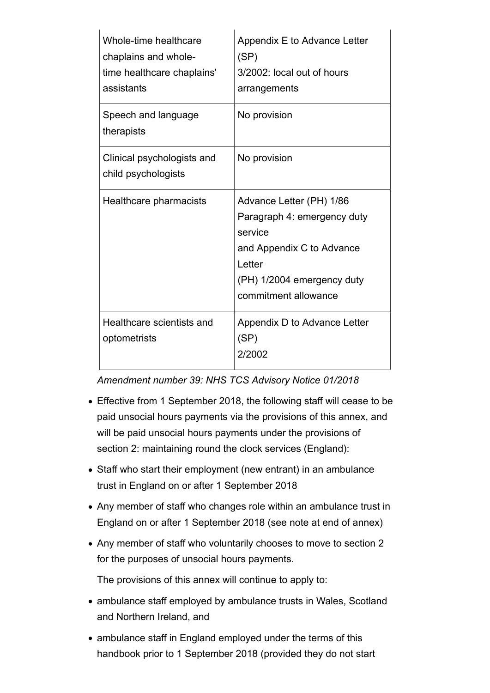| Whole-time healthcare<br>chaplains and whole-<br>time healthcare chaplains'<br>assistants | Appendix E to Advance Letter<br>(SP)<br>3/2002: local out of hours<br>arrangements                                                                              |
|-------------------------------------------------------------------------------------------|-----------------------------------------------------------------------------------------------------------------------------------------------------------------|
| Speech and language<br>therapists                                                         | No provision                                                                                                                                                    |
| Clinical psychologists and<br>child psychologists                                         | No provision                                                                                                                                                    |
| Healthcare pharmacists                                                                    | Advance Letter (PH) 1/86<br>Paragraph 4: emergency duty<br>service<br>and Appendix C to Advance<br>Letter<br>(PH) 1/2004 emergency duty<br>commitment allowance |
| Healthcare scientists and<br>optometrists                                                 | Appendix D to Advance Letter<br>(SP)<br>2/2002                                                                                                                  |

*Amendment number 39: NHS TCS Advisory Notice 01/2018*

- Effective from 1 September 2018, the following staff will cease to be paid unsocial hours payments via the provisions of this annex, and will be paid unsocial hours payments under the provisions of section 2: maintaining round the clock services (England):
- Staff who start their employment (new entrant) in an ambulance trust in England on or after 1 September 2018
- Any member of staff who changes role within an ambulance trust in England on or after 1 September 2018 (see note at end of annex)
- Any member of staff who voluntarily chooses to move to section 2 for the purposes of unsocial hours payments.

The provisions of this annex will continue to apply to:

- ambulance staff employed by ambulance trusts in Wales, Scotland and Northern Ireland, and
- ambulance staff in England employed under the terms of this handbook prior to 1 September 2018 (provided they do not start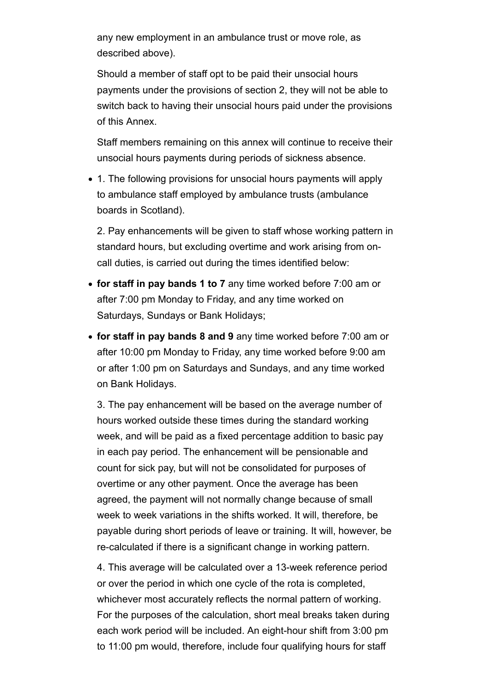any new employment in an ambulance trust or move role, as described above).

Should a member of staff opt to be paid their unsocial hours payments under the provisions of section 2, they will not be able to switch back to having their unsocial hours paid under the provisions of this Annex.

Staff members remaining on this annex will continue to receive their unsocial hours payments during periods of sickness absence.

1. The following provisions for unsocial hours payments will apply to ambulance staff employed by ambulance trusts (ambulance boards in Scotland).

2. Pay enhancements will be given to staff whose working pattern in standard hours, but excluding overtime and work arising from oncall duties, is carried out during the times identified below:

- **for staff in pay bands 1 to 7** any time worked before 7:00 am or after 7:00 pm Monday to Friday, and any time worked on Saturdays, Sundays or Bank Holidays;
- **for staff in pay bands 8 and 9** any time worked before 7:00 am or after 10:00 pm Monday to Friday, any time worked before 9:00 am or after 1:00 pm on Saturdays and Sundays, and any time worked on Bank Holidays.

3. The pay enhancement will be based on the average number of hours worked outside these times during the standard working week, and will be paid as a fixed percentage addition to basic pay in each pay period. The enhancement will be pensionable and count for sick pay, but will not be consolidated for purposes of overtime or any other payment. Once the average has been agreed, the payment will not normally change because of small week to week variations in the shifts worked. It will, therefore, be payable during short periods of leave or training. It will, however, be re-calculated if there is a significant change in working pattern.

4. This average will be calculated over a 13-week reference period or over the period in which one cycle of the rota is completed, whichever most accurately reflects the normal pattern of working. For the purposes of the calculation, short meal breaks taken during each work period will be included. An eight-hour shift from 3:00 pm to 11:00 pm would, therefore, include four qualifying hours for staff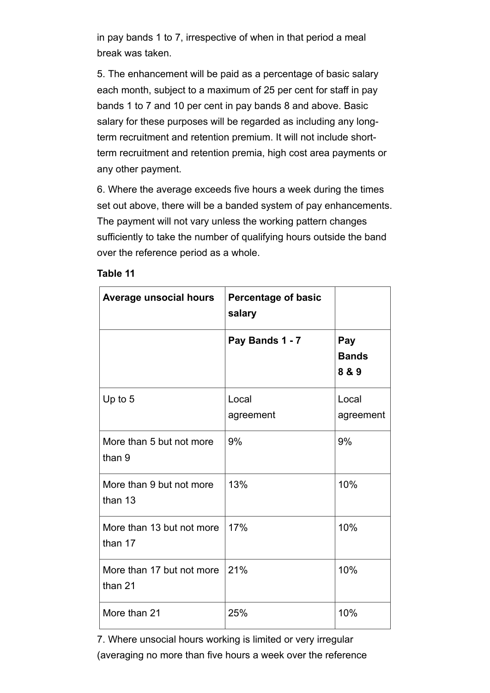in pay bands 1 to 7, irrespective of when in that period a meal break was taken.

5. The enhancement will be paid as a percentage of basic salary each month, subject to a maximum of 25 per cent for staff in pay bands 1 to 7 and 10 per cent in pay bands 8 and above. Basic salary for these purposes will be regarded as including any longterm recruitment and retention premium. It will not include shortterm recruitment and retention premia, high cost area payments or any other payment.

6. Where the average exceeds five hours a week during the times set out above, there will be a banded system of pay enhancements. The payment will not vary unless the working pattern changes sufficiently to take the number of qualifying hours outside the band over the reference period as a whole.

| <b>Average unsocial hours</b>        | <b>Percentage of basic</b><br>salary |                              |
|--------------------------------------|--------------------------------------|------------------------------|
|                                      | Pay Bands 1 - 7                      | Pay<br><b>Bands</b><br>8 & 9 |
| Up to 5                              | Local<br>agreement                   | Local<br>agreement           |
| More than 5 but not more<br>than 9   | 9%                                   | 9%                           |
| More than 9 but not more<br>than 13  | 13%                                  | 10%                          |
| More than 13 but not more<br>than 17 | 17%                                  | 10%                          |
| More than 17 but not more<br>than 21 | 21%                                  | 10%                          |
| More than 21                         | 25%                                  | 10%                          |

#### **Table 11**

7. Where unsocial hours working is limited or very irregular (averaging no more than five hours a week over the reference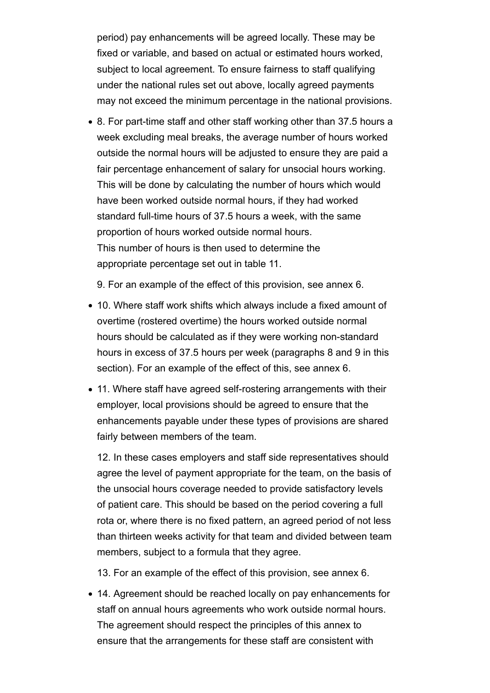period) pay enhancements will be agreed locally. These may be fixed or variable, and based on actual or estimated hours worked, subject to local agreement. To ensure fairness to staff qualifying under the national rules set out above, locally agreed payments may not exceed the minimum percentage in the national provisions.

• 8. For part-time staff and other staff working other than 37.5 hours a week excluding meal breaks, the average number of hours worked outside the normal hours will be adjusted to ensure they are paid a fair percentage enhancement of salary for unsocial hours working. This will be done by calculating the number of hours which would have been worked outside normal hours, if they had worked standard full-time hours of 37.5 hours a week, with the same proportion of hours worked outside normal hours. This number of hours is then used to determine the appropriate percentage set out in table 11.

9. For an example of the effect of this provision, see annex 6.

- 10. Where staff work shifts which always include a fixed amount of overtime (rostered overtime) the hours worked outside normal hours should be calculated as if they were working non-standard hours in excess of 37.5 hours per week (paragraphs 8 and 9 in this section). For an example of the effect of this, see annex 6.
- 11. Where staff have agreed self-rostering arrangements with their employer, local provisions should be agreed to ensure that the enhancements payable under these types of provisions are shared fairly between members of the team.

12. In these cases employers and staff side representatives should agree the level of payment appropriate for the team, on the basis of the unsocial hours coverage needed to provide satisfactory levels of patient care. This should be based on the period covering a full rota or, where there is no fixed pattern, an agreed period of not less than thirteen weeks activity for that team and divided between team members, subject to a formula that they agree.

13. For an example of the effect of this provision, see annex 6.

14. Agreement should be reached locally on pay enhancements for staff on annual hours agreements who work outside normal hours. The agreement should respect the principles of this annex to ensure that the arrangements for these staff are consistent with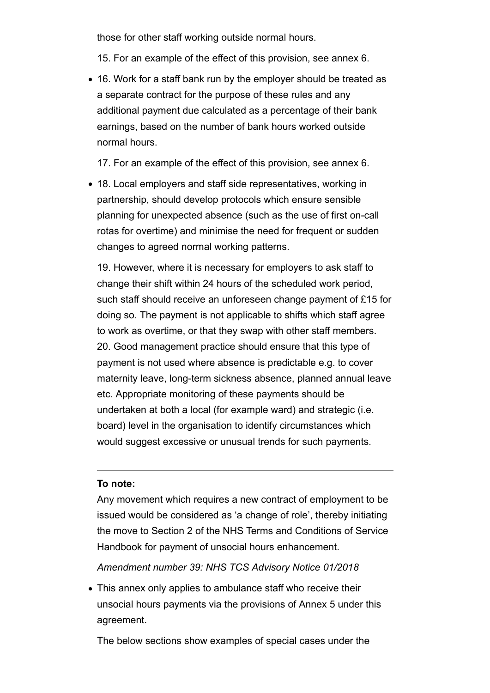those for other staff working outside normal hours.

15. For an example of the effect of this provision, see annex 6.

16. Work for a staff bank run by the employer should be treated as a separate contract for the purpose of these rules and any additional payment due calculated as a percentage of their bank earnings, based on the number of bank hours worked outside normal hours.

17. For an example of the effect of this provision, see annex 6.

18. Local employers and staff side representatives, working in partnership, should develop protocols which ensure sensible planning for unexpected absence (such as the use of first on-call rotas for overtime) and minimise the need for frequent or sudden changes to agreed normal working patterns.

19. However, where it is necessary for employers to ask staff to change their shift within 24 hours of the scheduled work period, such staff should receive an unforeseen change payment of £15 for doing so. The payment is not applicable to shifts which staff agree to work as overtime, or that they swap with other staff members. 20. Good management practice should ensure that this type of payment is not used where absence is predictable e.g. to cover maternity leave, long-term sickness absence, planned annual leave etc. Appropriate monitoring of these payments should be undertaken at both a local (for example ward) and strategic (i.e. board) level in the organisation to identify circumstances which would suggest excessive or unusual trends for such payments.

#### **To note:**

Any movement which requires a new contract of employment to be issued would be considered as 'a change of role', thereby initiating the move to Section 2 of the NHS Terms and Conditions of Service Handbook for payment of unsocial hours enhancement.

*Amendment number 39: NHS TCS Advisory Notice 01/2018*

This annex only applies to ambulance staff who receive their unsocial hours payments via the provisions of Annex 5 under this agreement.

The below sections show examples of special cases under the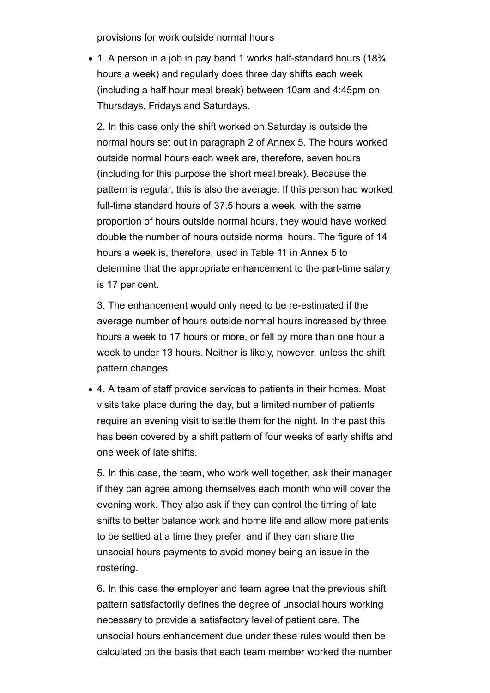provisions for work outside normal hours

• 1. A person in a job in pay band 1 works half-standard hours (18<sup>3</sup>/4) hours a week) and regularly does three day shifts each week (including a half hour meal break) between 10am and 4:45pm on Thursdays, Fridays and Saturdays.

2. In this case only the shift worked on Saturday is outside the normal hours set out in paragraph 2 of Annex 5. The hours worked outside normal hours each week are, therefore, seven hours (including for this purpose the short meal break). Because the pattern is regular, this is also the average. If this person had worked full-time standard hours of 37.5 hours a week, with the same proportion of hours outside normal hours, they would have worked double the number of hours outside normal hours. The figure of 14 hours a week is, therefore, used in Table 11 in Annex 5 to determine that the appropriate enhancement to the part-time salary is 17 per cent.

3. The enhancement would only need to be re-estimated if the average number of hours outside normal hours increased by three hours a week to 17 hours or more, or fell by more than one hour a week to under 13 hours. Neither is likely, however, unless the shift pattern changes.

4. A team of staff provide services to patients in their homes. Most visits take place during the day, but a limited number of patients require an evening visit to settle them for the night. In the past this has been covered by a shift pattern of four weeks of early shifts and one week of late shifts.

5. In this case, the team, who work well together, ask their manager if they can agree among themselves each month who will cover the evening work. They also ask if they can control the timing of late shifts to better balance work and home life and allow more patients to be settled at a time they prefer, and if they can share the unsocial hours payments to avoid money being an issue in the rostering.

6. In this case the employer and team agree that the previous shift pattern satisfactorily defines the degree of unsocial hours working necessary to provide a satisfactory level of patient care. The unsocial hours enhancement due under these rules would then be calculated on the basis that each team member worked the number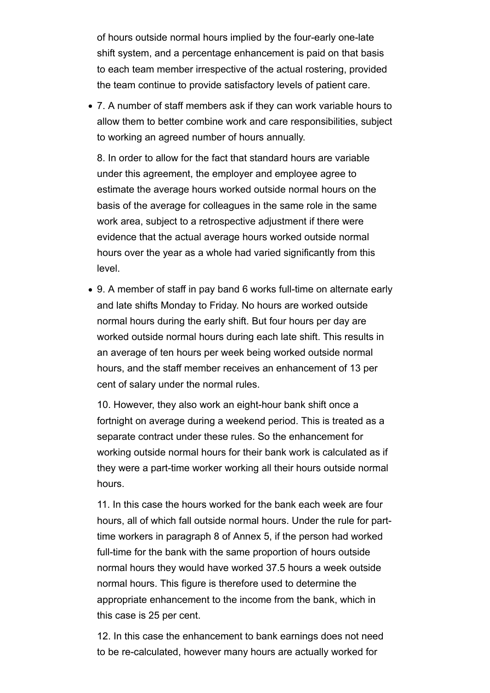of hours outside normal hours implied by the four-early one-late shift system, and a percentage enhancement is paid on that basis to each team member irrespective of the actual rostering, provided the team continue to provide satisfactory levels of patient care.

7. A number of staff members ask if they can work variable hours to allow them to better combine work and care responsibilities, subject to working an agreed number of hours annually.

8. In order to allow for the fact that standard hours are variable under this agreement, the employer and employee agree to estimate the average hours worked outside normal hours on the basis of the average for colleagues in the same role in the same work area, subject to a retrospective adjustment if there were evidence that the actual average hours worked outside normal hours over the year as a whole had varied significantly from this level.

9. A member of staff in pay band 6 works full-time on alternate early and late shifts Monday to Friday. No hours are worked outside normal hours during the early shift. But four hours per day are worked outside normal hours during each late shift. This results in an average of ten hours per week being worked outside normal hours, and the staff member receives an enhancement of 13 per cent of salary under the normal rules.

10. However, they also work an eight-hour bank shift once a fortnight on average during a weekend period. This is treated as a separate contract under these rules. So the enhancement for working outside normal hours for their bank work is calculated as if they were a part-time worker working all their hours outside normal hours.

11. In this case the hours worked for the bank each week are four hours, all of which fall outside normal hours. Under the rule for parttime workers in paragraph 8 of Annex 5, if the person had worked full-time for the bank with the same proportion of hours outside normal hours they would have worked 37.5 hours a week outside normal hours. This figure is therefore used to determine the appropriate enhancement to the income from the bank, which in this case is 25 per cent.

12. In this case the enhancement to bank earnings does not need to be re-calculated, however many hours are actually worked for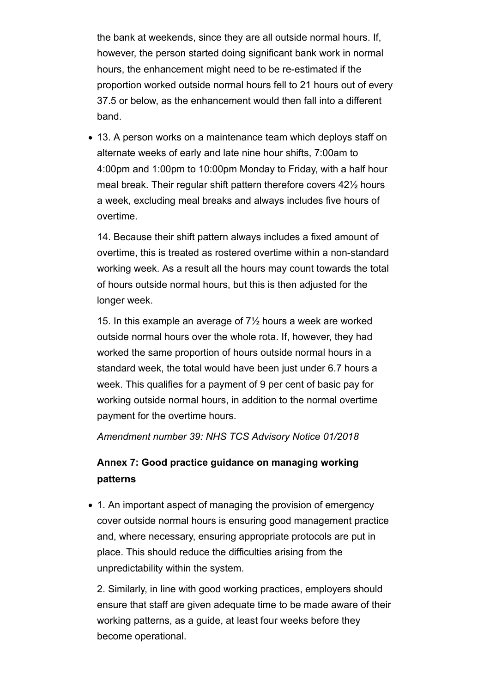the bank at weekends, since they are all outside normal hours. If, however, the person started doing significant bank work in normal hours, the enhancement might need to be re-estimated if the proportion worked outside normal hours fell to 21 hours out of every 37.5 or below, as the enhancement would then fall into a different band.

13. A person works on a maintenance team which deploys staff on alternate weeks of early and late nine hour shifts, 7:00am to 4:00pm and 1:00pm to 10:00pm Monday to Friday, with a half hour meal break. Their regular shift pattern therefore covers 42½ hours a week, excluding meal breaks and always includes five hours of overtime.

14. Because their shift pattern always includes a fixed amount of overtime, this is treated as rostered overtime within a non-standard working week. As a result all the hours may count towards the total of hours outside normal hours, but this is then adjusted for the longer week.

15. In this example an average of 7½ hours a week are worked outside normal hours over the whole rota. If, however, they had worked the same proportion of hours outside normal hours in a standard week, the total would have been just under 6.7 hours a week. This qualifies for a payment of 9 per cent of basic pay for working outside normal hours, in addition to the normal overtime payment for the overtime hours.

*Amendment number 39: NHS TCS Advisory Notice 01/2018*

# **Annex 7: Good practice guidance on managing working patterns**

• 1. An important aspect of managing the provision of emergency cover outside normal hours is ensuring good management practice and, where necessary, ensuring appropriate protocols are put in place. This should reduce the difficulties arising from the unpredictability within the system.

2. Similarly, in line with good working practices, employers should ensure that staff are given adequate time to be made aware of their working patterns, as a guide, at least four weeks before they become operational.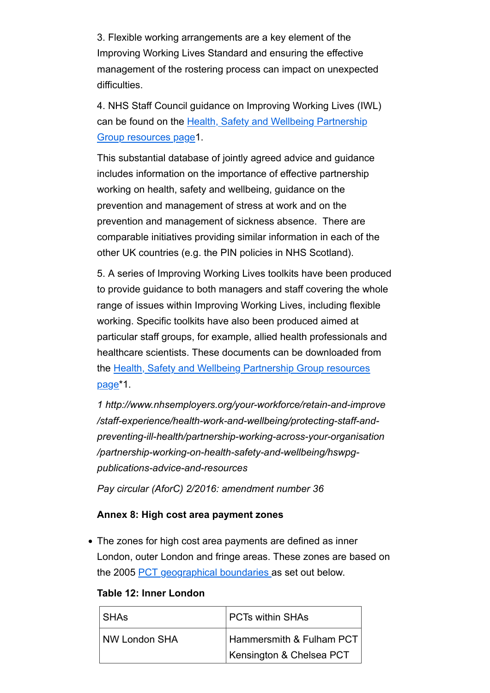3. Flexible working arrangements are a key element of the Improving Working Lives Standard and ensuring the effective management of the rostering process can impact on unexpected difficulties.

4. NHS Staff Council guidance on Improving Working Lives (IWL) can be found on the Health, Safety and Wellbeing Partnership Group resources page1.

This substantial database of jointly agreed advice and guidance includes information on the importance of effective partnership working on health, safety and wellbeing, guidance on the prevention and management of stress at work and on the prevention and management of sickness absence. There are comparable initiatives providing similar information in each of the other UK countries (e.g. the PIN policies in NHS Scotland).

5. A series of Improving Working Lives toolkits have been produced to provide guidance to both managers and staff covering the whole range of issues within Improving Working Lives, including flexible working. Specific toolkits have also been produced aimed at particular staff groups, for example, allied health professionals and healthcare scientists. These documents can be downloaded from the Health, Safety and Wellbeing Partnership Group resources page\*1.

*1 http://www.nhsemployers.org/your-workforce/retain-and-improve /staff-experience/health-work-and-wellbeing/protecting-staff-andpreventing-ill-health/partnership-working-across-your-organisation /partnership-working-on-health-safety-and-wellbeing/hswpgpublications-advice-and-resources* 

*Pay circular (AforC) 2/2016: amendment number 36*

#### **Annex 8: High cost area payment zones**

The zones for high cost area payments are defined as inner London, outer London and fringe areas. These zones are based on the 2005 PCT geographical boundaries as set out below.

| Table 12: Inner London |
|------------------------|
|------------------------|

| <b>SHAs</b>   | <b>PCTs within SHAs</b>  |  |  |
|---------------|--------------------------|--|--|
| NW London SHA | Hammersmith & Fulham PCT |  |  |
|               | Kensington & Chelsea PCT |  |  |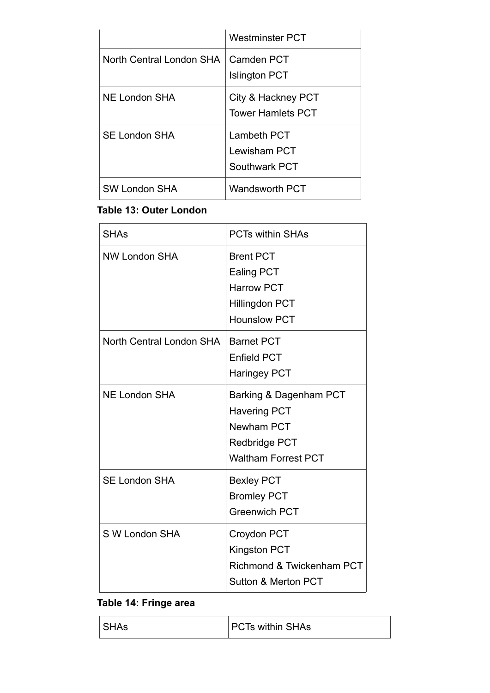|                          | <b>Westminster PCT</b>                         |
|--------------------------|------------------------------------------------|
| North Central London SHA | l Camden PCT<br><b>Islington PCT</b>           |
| <b>NE London SHA</b>     | City & Hackney PCT<br><b>Tower Hamlets PCT</b> |
| <b>SE London SHA</b>     | Lambeth PCT<br>Lewisham PCT<br>Southwark PCT   |
| <b>SW London SHA</b>     | <b>Wandsworth PCT</b>                          |

# **Table 13: Outer London**

| <b>SHAs</b>              | <b>PCTs within SHAs</b>                                                                                    |
|--------------------------|------------------------------------------------------------------------------------------------------------|
| <b>NW London SHA</b>     | <b>Brent PCT</b><br><b>Ealing PCT</b><br><b>Harrow PCT</b><br><b>Hillingdon PCT</b><br><b>Hounslow PCT</b> |
| North Central London SHA | <b>Barnet PCT</b><br><b>Enfield PCT</b><br><b>Haringey PCT</b>                                             |
| <b>NE London SHA</b>     | Barking & Dagenham PCT<br><b>Havering PCT</b><br>Newham PCT<br>Redbridge PCT<br><b>Waltham Forrest PCT</b> |
| <b>SE London SHA</b>     | <b>Bexley PCT</b><br><b>Bromley PCT</b><br><b>Greenwich PCT</b>                                            |
| S W London SHA           | Croydon PCT<br><b>Kingston PCT</b><br>Richmond & Twickenham PCT<br>Sutton & Merton PCT                     |

## **Table 14: Fringe area**

| SHAs | <b>PCTs within SHAs</b> |
|------|-------------------------|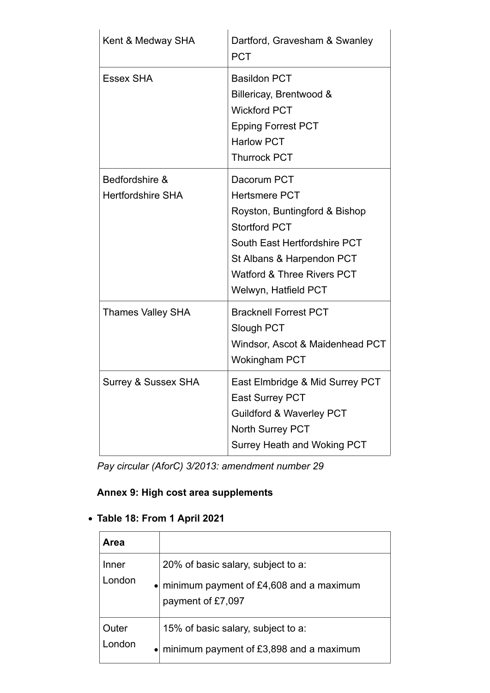| Kent & Medway SHA                          | Dartford, Gravesham & Swanley<br><b>PCT</b>                                                                                                                                                                                |
|--------------------------------------------|----------------------------------------------------------------------------------------------------------------------------------------------------------------------------------------------------------------------------|
| <b>Essex SHA</b>                           | <b>Basildon PCT</b><br>Billericay, Brentwood &<br><b>Wickford PCT</b><br><b>Epping Forrest PCT</b><br><b>Harlow PCT</b><br><b>Thurrock PCT</b>                                                                             |
| Bedfordshire &<br><b>Hertfordshire SHA</b> | Dacorum PCT<br><b>Hertsmere PCT</b><br>Royston, Buntingford & Bishop<br><b>Stortford PCT</b><br>South East Hertfordshire PCT<br>St Albans & Harpendon PCT<br><b>Watford &amp; Three Rivers PCT</b><br>Welwyn, Hatfield PCT |
| <b>Thames Valley SHA</b>                   | <b>Bracknell Forrest PCT</b><br>Slough PCT<br>Windsor, Ascot & Maidenhead PCT<br><b>Wokingham PCT</b>                                                                                                                      |
| <b>Surrey &amp; Sussex SHA</b>             | East Elmbridge & Mid Surrey PCT<br><b>East Surrey PCT</b><br><b>Guildford &amp; Waverley PCT</b><br><b>North Surrey PCT</b><br><b>Surrey Heath and Woking PCT</b>                                                          |

*Pay circular (AforC) 3/2013: amendment number 29*

# **Annex 9: High cost area supplements**

# **Table 18: From 1 April 2021**

| <b>Area</b> |                                         |
|-------------|-----------------------------------------|
| Inner       | 20% of basic salary, subject to a:      |
| London      | minimum payment of £4,608 and a maximum |
| $\bullet$   | payment of £7,097                       |
| Outer       | 15% of basic salary, subject to a:      |
| London      | minimum payment of £3,898 and a maximum |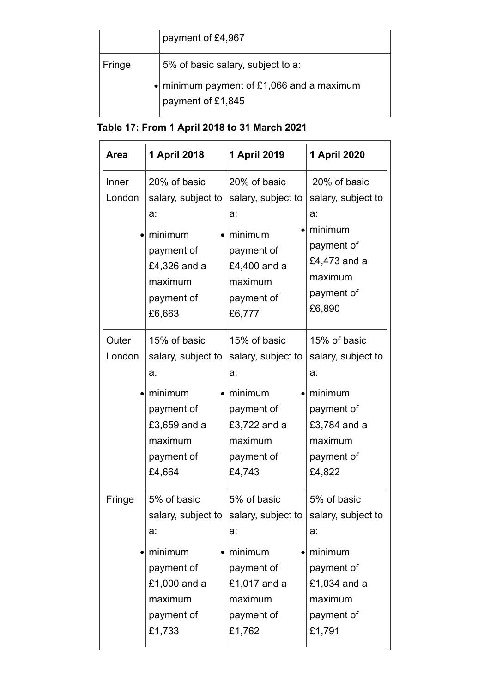|        | payment of £4,967                                                      |
|--------|------------------------------------------------------------------------|
| Fringe | 5% of basic salary, subject to a:                                      |
|        | $\bullet$ minimum payment of £1,066 and a maximum<br>payment of £1,845 |

|  |  |  |  | Table 17: From 1 April 2018 to 31 March 2021 |  |
|--|--|--|--|----------------------------------------------|--|
|  |  |  |  |                                              |  |

| <b>Area</b>     | 1 April 2018                                                                                                         | 1 April 2019                                                                                                         | 1 April 2020                                                                                                         |
|-----------------|----------------------------------------------------------------------------------------------------------------------|----------------------------------------------------------------------------------------------------------------------|----------------------------------------------------------------------------------------------------------------------|
| Inner<br>London | 20% of basic<br>salary, subject to<br>a:<br>minimum<br>payment of<br>£4,326 and a<br>maximum<br>payment of<br>£6,663 | 20% of basic<br>salary, subject to<br>a:<br>minimum<br>payment of<br>£4,400 and a<br>maximum<br>payment of<br>£6,777 | 20% of basic<br>salary, subject to<br>a:<br>minimum<br>payment of<br>£4,473 and a<br>maximum<br>payment of<br>£6,890 |
| Outer<br>London | 15% of basic<br>salary, subject to<br>a:<br>minimum<br>payment of<br>£3,659 and a<br>maximum<br>payment of<br>£4,664 | 15% of basic<br>salary, subject to<br>a:<br>minimum<br>payment of<br>£3,722 and a<br>maximum<br>payment of<br>£4,743 | 15% of basic<br>salary, subject to<br>a:<br>minimum<br>payment of<br>£3,784 and a<br>maximum<br>payment of<br>£4,822 |
| Fringe          | 5% of basic<br>salary, subject to<br>a:<br>minimum<br>payment of<br>£1,000 and a<br>maximum<br>payment of<br>£1,733  | 5% of basic<br>salary, subject to<br>a:<br>minimum<br>payment of<br>£1,017 and a<br>maximum<br>payment of<br>£1,762  | 5% of basic<br>salary, subject to<br>a:<br>minimum<br>payment of<br>£1,034 and a<br>maximum<br>payment of<br>£1,791  |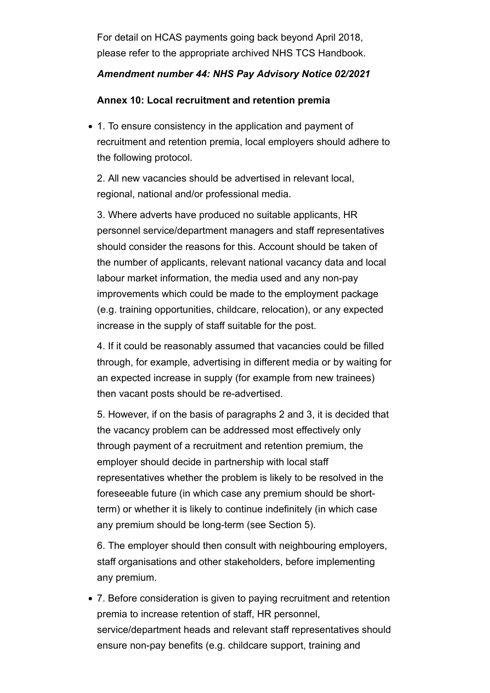For detail on HCAS payments going back beyond April 2018, please refer to the appropriate archived NHS TCS Handbook.

## *Amendment number 44: NHS Pay Advisory Notice 02/2021*

## **Annex 10: Local recruitment and retention premia**

1. To ensure consistency in the application and payment of recruitment and retention premia, local employers should adhere to the following protocol.

2. All new vacancies should be advertised in relevant local, regional, national and/or professional media.

3. Where adverts have produced no suitable applicants, HR personnel service/department managers and staff representatives should consider the reasons for this. Account should be taken of the number of applicants, relevant national vacancy data and local labour market information, the media used and any non-pay improvements which could be made to the employment package (e.g. training opportunities, childcare, relocation), or any expected increase in the supply of staff suitable for the post.

4. If it could be reasonably assumed that vacancies could be filled through, for example, advertising in different media or by waiting for an expected increase in supply (for example from new trainees) then vacant posts should be re-advertised.

5. However, if on the basis of paragraphs 2 and 3, it is decided that the vacancy problem can be addressed most effectively only through payment of a recruitment and retention premium, the employer should decide in partnership with local staff representatives whether the problem is likely to be resolved in the foreseeable future (in which case any premium should be shortterm) or whether it is likely to continue indefinitely (in which case any premium should be long-term (see Section 5).

6. The employer should then consult with neighbouring employers, staff organisations and other stakeholders, before implementing any premium.

7. Before consideration is given to paying recruitment and retention premia to increase retention of staff, HR personnel, service/department heads and relevant staff representatives should ensure non-pay benefits (e.g. childcare support, training and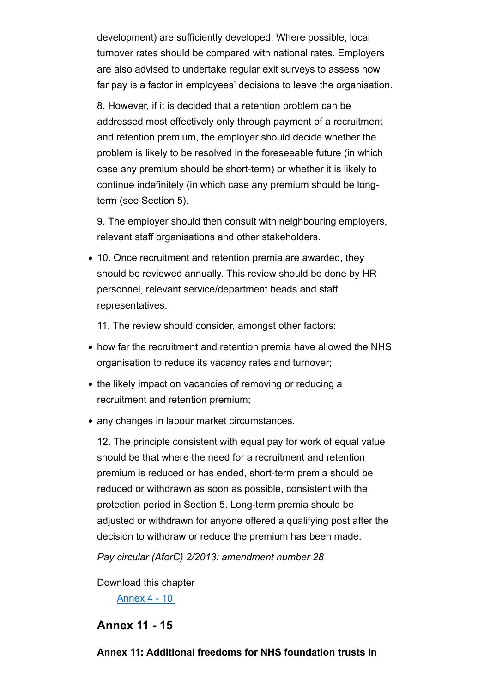development) are sufficiently developed. Where possible, local turnover rates should be compared with national rates. Employers are also advised to undertake regular exit surveys to assess how far pay is a factor in employees' decisions to leave the organisation.

8. However, if it is decided that a retention problem can be addressed most effectively only through payment of a recruitment and retention premium, the employer should decide whether the problem is likely to be resolved in the foreseeable future (in which case any premium should be short-term) or whether it is likely to continue indefinitely (in which case any premium should be longterm (see Section 5).

9. The employer should then consult with neighbouring employers, relevant staff organisations and other stakeholders.

10. Once recruitment and retention premia are awarded, they should be reviewed annually. This review should be done by HR personnel, relevant service/department heads and staff representatives.

11. The review should consider, amongst other factors:

- how far the recruitment and retention premia have allowed the NHS organisation to reduce its vacancy rates and turnover;
- the likely impact on vacancies of removing or reducing a recruitment and retention premium;
- any changes in labour market circumstances.

12. The principle consistent with equal pay for work of equal value should be that where the need for a recruitment and retention premium is reduced or has ended, short-term premia should be reduced or withdrawn as soon as possible, consistent with the protection period in Section 5. Long-term premia should be adjusted or withdrawn for anyone offered a qualifying post after the decision to withdraw or reduce the premium has been made.

*Pay circular (AforC) 2/2013: amendment number 28*

Download this chapter

Annex 4 - 10

# **Annex 11 - 15**

## **Annex 11: Additional freedoms for NHS foundation trusts in**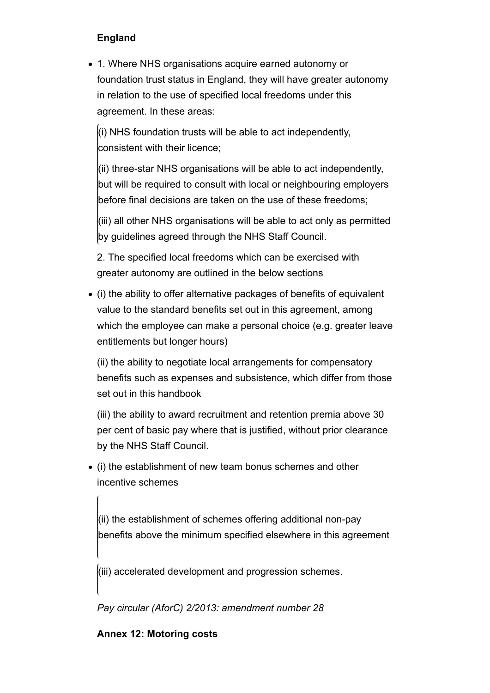# **England**

1. Where NHS organisations acquire earned autonomy or foundation trust status in England, they will have greater autonomy in relation to the use of specified local freedoms under this agreement. In these areas:

 $\vert$ (i) NHS foundation trusts will be able to act independently, consistent with their licence;

(ii) three-star NHS organisations will be able to act independently, but will be required to consult with local or neighbouring employers before final decisions are taken on the use of these freedoms;

(iii) all other NHS organisations will be able to act only as permitted by guidelines agreed through the NHS Staff Council.

2. The specified local freedoms which can be exercised with greater autonomy are outlined in the below sections

• (i) the ability to offer alternative packages of benefits of equivalent value to the standard benefits set out in this agreement, among which the employee can make a personal choice (e.g. greater leave entitlements but longer hours)

(ii) the ability to negotiate local arrangements for compensatory benefits such as expenses and subsistence, which differ from those set out in this handbook

(iii) the ability to award recruitment and retention premia above 30 per cent of basic pay where that is justified, without prior clearance by the NHS Staff Council.

(i) the establishment of new team bonus schemes and other incentive schemes

(ii) the establishment of schemes offering additional non-pay benefits above the minimum specified elsewhere in this agreement

(iii) accelerated development and progression schemes.

*Pay circular (AforC) 2/2013: amendment number 28*

## **Annex 12: Motoring costs**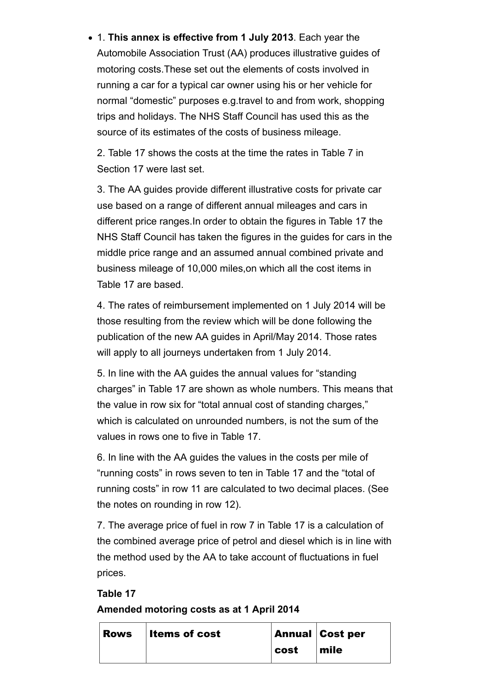1. **This annex is effective from 1 July 2013**. Each year the Automobile Association Trust (AA) produces illustrative guides of motoring costs.These set out the elements of costs involved in running a car for a typical car owner using his or her vehicle for normal "domestic" purposes e.g.travel to and from work, shopping trips and holidays. The NHS Staff Council has used this as the source of its estimates of the costs of business mileage.

2. Table 17 shows the costs at the time the rates in Table 7 in Section 17 were last set.

3. The AA guides provide different illustrative costs for private car use based on a range of different annual mileages and cars in different price ranges.In order to obtain the figures in Table 17 the NHS Staff Council has taken the figures in the guides for cars in the middle price range and an assumed annual combined private and business mileage of 10,000 miles,on which all the cost items in Table 17 are based.

4. The rates of reimbursement implemented on 1 July 2014 will be those resulting from the review which will be done following the publication of the new AA guides in April/May 2014. Those rates will apply to all journeys undertaken from 1 July 2014.

5. In line with the AA guides the annual values for "standing charges" in Table 17 are shown as whole numbers. This means that the value in row six for "total annual cost of standing charges," which is calculated on unrounded numbers, is not the sum of the values in rows one to five in Table 17.

6. In line with the AA guides the values in the costs per mile of "running costs" in rows seven to ten in Table 17 and the "total of running costs" in row 11 are calculated to two decimal places. (See the notes on rounding in row 12).

7. The average price of fuel in row 7 in Table 17 is a calculation of the combined average price of petrol and diesel which is in line with the method used by the AA to take account of fluctuations in fuel prices.

**Table 17 Amended motoring costs as at 1 April 2014**

| <b>Rows</b> Items of cost |      | <b>Annual Cost per</b> |
|---------------------------|------|------------------------|
|                           | cost | $\mathsf{mile}$        |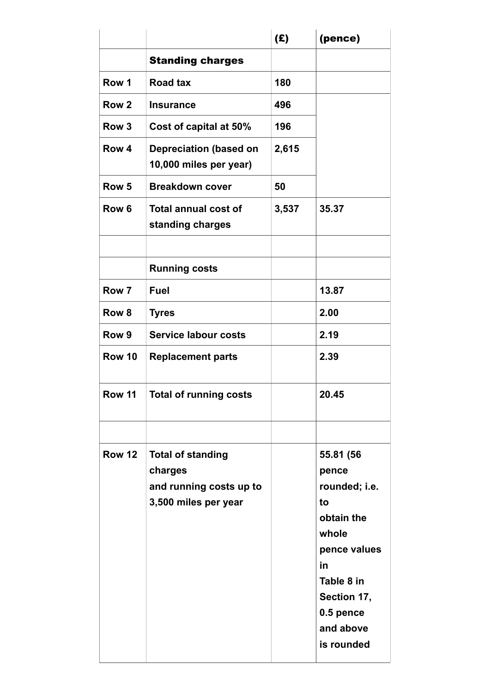|                  |                                                                                        | (E)   | (pence)                                                                                                                                                     |
|------------------|----------------------------------------------------------------------------------------|-------|-------------------------------------------------------------------------------------------------------------------------------------------------------------|
|                  | <b>Standing charges</b>                                                                |       |                                                                                                                                                             |
| Row 1            | <b>Road tax</b>                                                                        | 180   |                                                                                                                                                             |
| Row <sub>2</sub> | <b>Insurance</b>                                                                       | 496   |                                                                                                                                                             |
| Row <sub>3</sub> | Cost of capital at 50%                                                                 | 196   |                                                                                                                                                             |
| Row <sub>4</sub> | <b>Depreciation (based on</b><br>10,000 miles per year)                                | 2,615 |                                                                                                                                                             |
| Row <sub>5</sub> | <b>Breakdown cover</b>                                                                 | 50    |                                                                                                                                                             |
| Row <sub>6</sub> | <b>Total annual cost of</b><br>standing charges                                        | 3,537 | 35.37                                                                                                                                                       |
|                  |                                                                                        |       |                                                                                                                                                             |
|                  | <b>Running costs</b>                                                                   |       |                                                                                                                                                             |
| Row 7            | <b>Fuel</b>                                                                            |       | 13.87                                                                                                                                                       |
| Row 8            | <b>Tyres</b>                                                                           |       | 2.00                                                                                                                                                        |
| Row 9            | <b>Service labour costs</b>                                                            |       | 2.19                                                                                                                                                        |
| <b>Row 10</b>    | <b>Replacement parts</b>                                                               |       | 2.39                                                                                                                                                        |
| Row 11           | <b>Total of running costs</b>                                                          |       | 20.45                                                                                                                                                       |
|                  |                                                                                        |       |                                                                                                                                                             |
| <b>Row 12</b>    | <b>Total of standing</b><br>charges<br>and running costs up to<br>3,500 miles per year |       | 55.81 (56<br>pence<br>rounded; i.e.<br>to<br>obtain the<br>whole<br>pence values<br>in<br>Table 8 in<br>Section 17,<br>0.5 pence<br>and above<br>is rounded |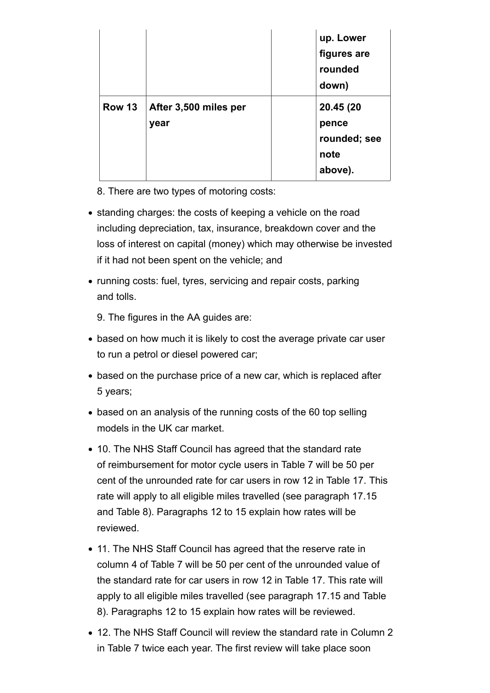|        |                               | up. Lower<br>figures are<br>rounded<br>down)          |
|--------|-------------------------------|-------------------------------------------------------|
| Row 13 | After 3,500 miles per<br>year | 20.45 (20<br>pence<br>rounded; see<br>note<br>above). |

8. There are two types of motoring costs:

- standing charges: the costs of keeping a vehicle on the road including depreciation, tax, insurance, breakdown cover and the loss of interest on capital (money) which may otherwise be invested if it had not been spent on the vehicle; and
- running costs: fuel, tyres, servicing and repair costs, parking and tolls.

9. The figures in the AA guides are:

- based on how much it is likely to cost the average private car user to run a petrol or diesel powered car;
- based on the purchase price of a new car, which is replaced after 5 years;
- based on an analysis of the running costs of the 60 top selling models in the UK car market.
- 10. The NHS Staff Council has agreed that the standard rate of reimbursement for motor cycle users in Table 7 will be 50 per cent of the unrounded rate for car users in row 12 in Table 17. This rate will apply to all eligible miles travelled (see paragraph 17.15 and Table 8). Paragraphs 12 to 15 explain how rates will be reviewed.
- 11. The NHS Staff Council has agreed that the reserve rate in column 4 of Table 7 will be 50 per cent of the unrounded value of the standard rate for car users in row 12 in Table 17. This rate will apply to all eligible miles travelled (see paragraph 17.15 and Table 8). Paragraphs 12 to 15 explain how rates will be reviewed.
- 12. The NHS Staff Council will review the standard rate in Column 2 in Table 7 twice each year. The first review will take place soon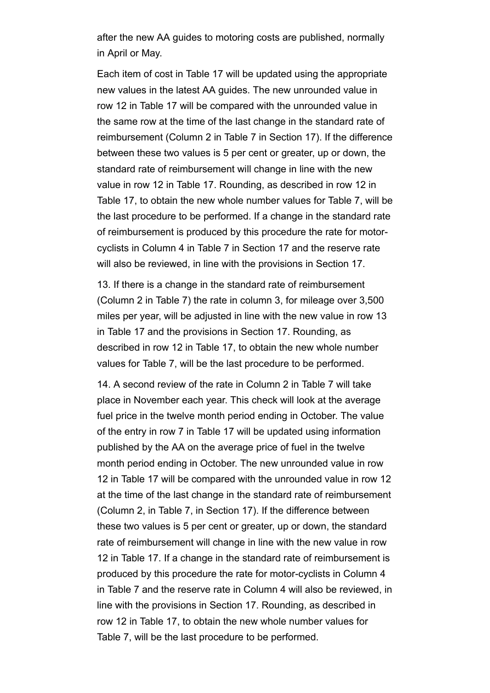after the new AA guides to motoring costs are published, normally in April or May.

Each item of cost in Table 17 will be updated using the appropriate new values in the latest AA guides. The new unrounded value in row 12 in Table 17 will be compared with the unrounded value in the same row at the time of the last change in the standard rate of reimbursement (Column 2 in Table 7 in Section 17). If the difference between these two values is 5 per cent or greater, up or down, the standard rate of reimbursement will change in line with the new value in row 12 in Table 17. Rounding, as described in row 12 in Table 17, to obtain the new whole number values for Table 7, will be the last procedure to be performed. If a change in the standard rate of reimbursement is produced by this procedure the rate for motorcyclists in Column 4 in Table 7 in Section 17 and the reserve rate will also be reviewed, in line with the provisions in Section 17.

13. If there is a change in the standard rate of reimbursement (Column 2 in Table 7) the rate in column 3, for mileage over 3,500 miles per year, will be adjusted in line with the new value in row 13 in Table 17 and the provisions in Section 17. Rounding, as described in row 12 in Table 17, to obtain the new whole number values for Table 7, will be the last procedure to be performed.

14. A second review of the rate in Column 2 in Table 7 will take place in November each year. This check will look at the average fuel price in the twelve month period ending in October. The value of the entry in row 7 in Table 17 will be updated using information published by the AA on the average price of fuel in the twelve month period ending in October. The new unrounded value in row 12 in Table 17 will be compared with the unrounded value in row 12 at the time of the last change in the standard rate of reimbursement (Column 2, in Table 7, in Section 17). If the difference between these two values is 5 per cent or greater, up or down, the standard rate of reimbursement will change in line with the new value in row 12 in Table 17. If a change in the standard rate of reimbursement is produced by this procedure the rate for motor-cyclists in Column 4 in Table 7 and the reserve rate in Column 4 will also be reviewed, in line with the provisions in Section 17. Rounding, as described in row 12 in Table 17, to obtain the new whole number values for Table 7, will be the last procedure to be performed.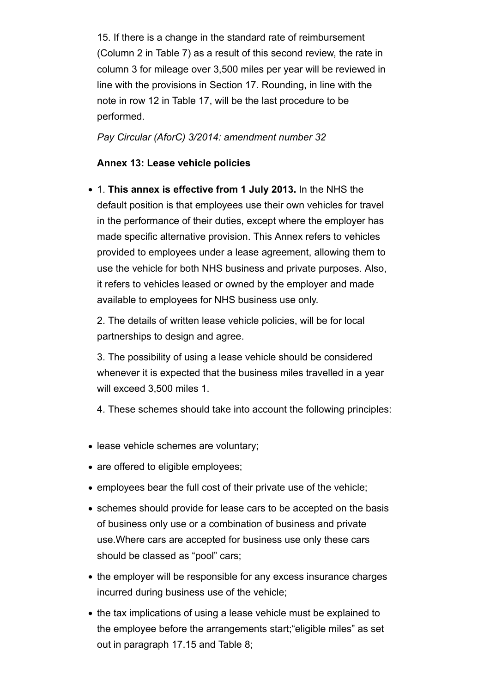15. If there is a change in the standard rate of reimbursement (Column 2 in Table 7) as a result of this second review, the rate in column 3 for mileage over 3,500 miles per year will be reviewed in line with the provisions in Section 17. Rounding, in line with the note in row 12 in Table 17, will be the last procedure to be performed.

*Pay Circular (AforC) 3/2014: amendment number 32*

#### **Annex 13: Lease vehicle policies**

1. **This annex is effective from 1 July 2013.** In the NHS the default position is that employees use their own vehicles for travel in the performance of their duties, except where the employer has made specific alternative provision. This Annex refers to vehicles provided to employees under a lease agreement, allowing them to use the vehicle for both NHS business and private purposes. Also, it refers to vehicles leased or owned by the employer and made available to employees for NHS business use only.

2. The details of written lease vehicle policies, will be for local partnerships to design and agree.

3. The possibility of using a lease vehicle should be considered whenever it is expected that the business miles travelled in a year will exceed 3,500 miles 1.

4. These schemes should take into account the following principles:

- lease vehicle schemes are voluntary;
- are offered to eligible employees;
- employees bear the full cost of their private use of the vehicle;
- schemes should provide for lease cars to be accepted on the basis of business only use or a combination of business and private use.Where cars are accepted for business use only these cars should be classed as "pool" cars;
- the employer will be responsible for any excess insurance charges incurred during business use of the vehicle;
- the tax implications of using a lease vehicle must be explained to the employee before the arrangements start;"eligible miles" as set out in paragraph 17.15 and Table 8;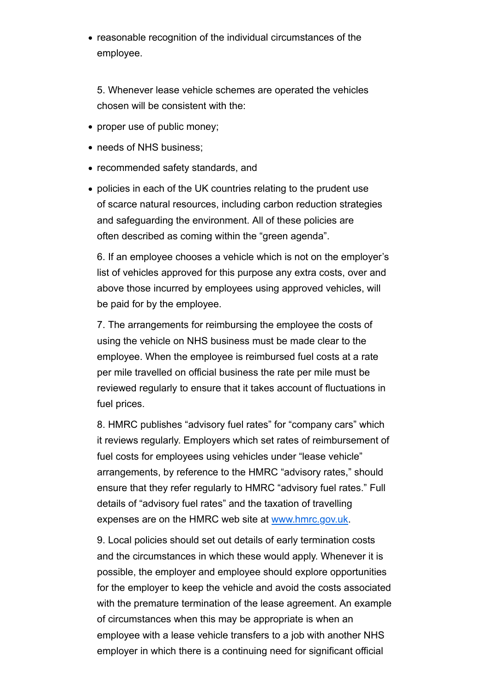• reasonable recognition of the individual circumstances of the employee.

5. Whenever lease vehicle schemes are operated the vehicles chosen will be consistent with the:

- proper use of public money:
- needs of NHS business;
- recommended safety standards, and
- policies in each of the UK countries relating to the prudent use of scarce natural resources, including carbon reduction strategies and safeguarding the environment. All of these policies are often described as coming within the "green agenda".

6. If an employee chooses a vehicle which is not on the employer's list of vehicles approved for this purpose any extra costs, over and above those incurred by employees using approved vehicles, will be paid for by the employee.

7. The arrangements for reimbursing the employee the costs of using the vehicle on NHS business must be made clear to the employee. When the employee is reimbursed fuel costs at a rate per mile travelled on official business the rate per mile must be reviewed regularly to ensure that it takes account of fluctuations in fuel prices.

8. HMRC publishes "advisory fuel rates" for "company cars" which it reviews regularly. Employers which set rates of reimbursement of fuel costs for employees using vehicles under "lease vehicle" arrangements, by reference to the HMRC "advisory rates," should ensure that they refer regularly to HMRC "advisory fuel rates." Full details of "advisory fuel rates" and the taxation of travelling expenses are on the HMRC web site at www.hmrc.gov.uk.

9. Local policies should set out details of early termination costs and the circumstances in which these would apply. Whenever it is possible, the employer and employee should explore opportunities for the employer to keep the vehicle and avoid the costs associated with the premature termination of the lease agreement. An example of circumstances when this may be appropriate is when an employee with a lease vehicle transfers to a job with another NHS employer in which there is a continuing need for significant official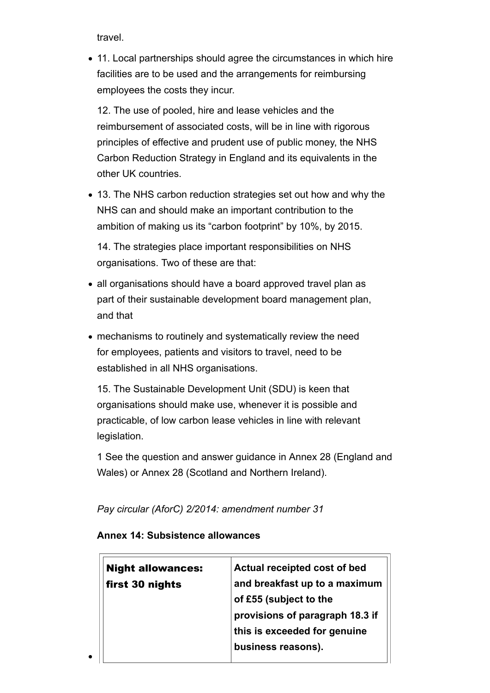travel.

• 11. Local partnerships should agree the circumstances in which hire facilities are to be used and the arrangements for reimbursing employees the costs they incur.

12. The use of pooled, hire and lease vehicles and the reimbursement of associated costs, will be in line with rigorous principles of effective and prudent use of public money, the NHS Carbon Reduction Strategy in England and its equivalents in the other UK countries.

13. The NHS carbon reduction strategies set out how and why the NHS can and should make an important contribution to the ambition of making us its "carbon footprint" by 10%, by 2015.

14. The strategies place important responsibilities on NHS organisations. Two of these are that:

- all organisations should have a board approved travel plan as part of their sustainable development board management plan, and that
- mechanisms to routinely and systematically review the need for employees, patients and visitors to travel, need to be established in all NHS organisations.

15. The Sustainable Development Unit (SDU) is keen that organisations should make use, whenever it is possible and practicable, of low carbon lease vehicles in line with relevant legislation.

1 See the question and answer guidance in Annex 28 (England and Wales) or Annex 28 (Scotland and Northern Ireland).

*Pay circular (AforC) 2/2014: amendment number 31*

#### **Annex 14: Subsistence allowances**

| <b>Night allowances:</b> | Actual receipted cost of bed    |
|--------------------------|---------------------------------|
| first 30 nights          | and breakfast up to a maximum   |
|                          | of £55 (subject to the          |
|                          | provisions of paragraph 18.3 if |
|                          | this is exceeded for genuine    |
|                          | business reasons).              |
|                          |                                 |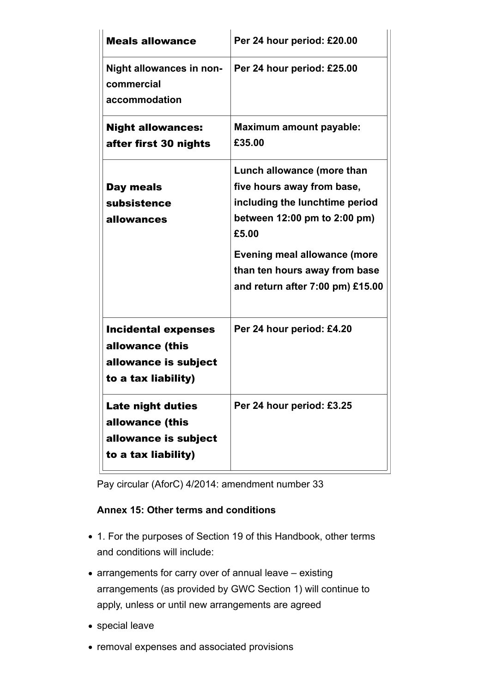| <b>Meals allowance</b>                                                                       | Per 24 hour period: £20.00                                                                                                                                                                                                                      |  |
|----------------------------------------------------------------------------------------------|-------------------------------------------------------------------------------------------------------------------------------------------------------------------------------------------------------------------------------------------------|--|
| Night allowances in non-<br>commercial<br>accommodation                                      | Per 24 hour period: £25.00                                                                                                                                                                                                                      |  |
| <b>Night allowances:</b><br>after first 30 nights                                            | <b>Maximum amount payable:</b><br>£35.00                                                                                                                                                                                                        |  |
| Day meals<br>subsistence<br>allowances                                                       | Lunch allowance (more than<br>five hours away from base,<br>including the lunchtime period<br>between 12:00 pm to 2:00 pm)<br>£5.00<br><b>Evening meal allowance (more</b><br>than ten hours away from base<br>and return after 7:00 pm) £15.00 |  |
| <b>Incidental expenses</b><br>allowance (this<br>allowance is subject<br>to a tax liability) | Per 24 hour period: £4.20                                                                                                                                                                                                                       |  |
| <b>Late night duties</b><br>allowance (this<br>allowance is subject<br>to a tax liability)   | Per 24 hour period: £3.25                                                                                                                                                                                                                       |  |

Pay circular (AforC) 4/2014: amendment number 33

## **Annex 15: Other terms and conditions**

- 1. For the purposes of Section 19 of this Handbook, other terms and conditions will include:
- arrangements for carry over of annual leave existing arrangements (as provided by GWC Section 1) will continue to apply, unless or until new arrangements are agreed
- special leave
- removal expenses and associated provisions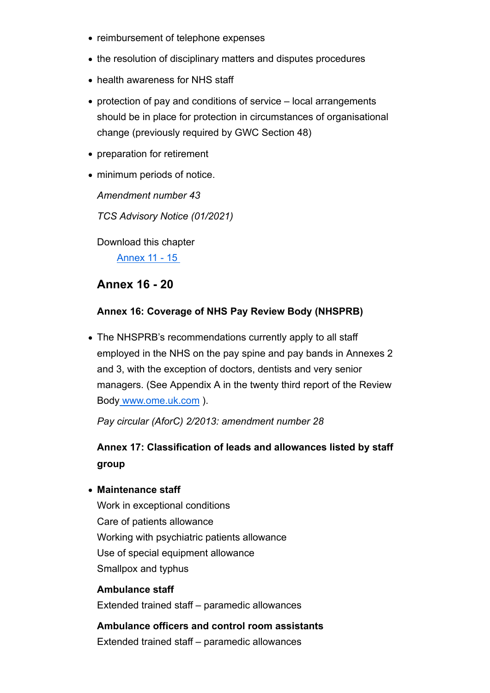- reimbursement of telephone expenses
- the resolution of disciplinary matters and disputes procedures
- health awareness for NHS staff
- protection of pay and conditions of service local arrangements should be in place for protection in circumstances of organisational change (previously required by GWC Section 48)
- preparation for retirement
- minimum periods of notice.

*Amendment number 43*

*TCS Advisory Notice (01/2021)* 

Download this chapter

Annex 11 - 15

## **Annex 16 - 20**

#### **Annex 16: Coverage of NHS Pay Review Body (NHSPRB)**

• The NHSPRB's recommendations currently apply to all staff employed in the NHS on the pay spine and pay bands in Annexes 2 and 3, with the exception of doctors, dentists and very senior managers. (See Appendix A in the twenty third report of the Review Body www.ome.uk.com ).

*Pay circular (AforC) 2/2013: amendment number 28*

**Annex 17: Classification of leads and allowances listed by staff group**

#### **Maintenance staff**

Work in exceptional conditions Care of patients allowance Working with psychiatric patients allowance Use of special equipment allowance Smallpox and typhus

#### **Ambulance staff**

Extended trained staff – paramedic allowances

**Ambulance officers and control room assistants** Extended trained staff – paramedic allowances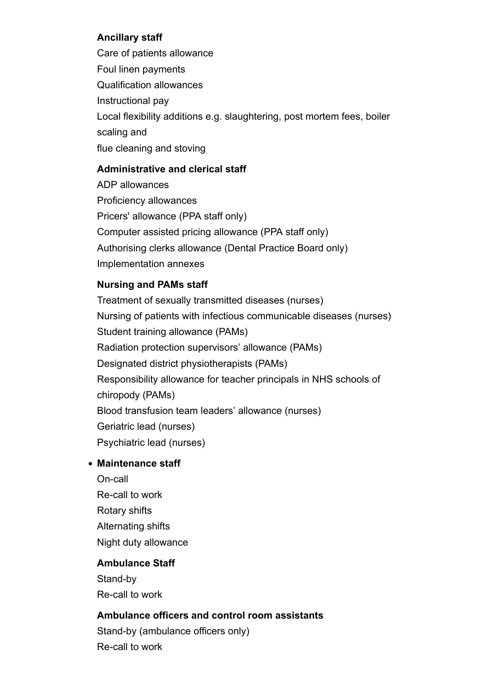## **Ancillary staff**

Care of patients allowance Foul linen payments Qualification allowances Instructional pay Local flexibility additions e.g. slaughtering, post mortem fees, boiler scaling and flue cleaning and stoving

## **Administrative and clerical staff**

ADP allowances Proficiency allowances Pricers' allowance (PPA staff only) Computer assisted pricing allowance (PPA staff only) Authorising clerks allowance (Dental Practice Board only) Implementation annexes

## **Nursing and PAMs staff**

Treatment of sexually transmitted diseases (nurses) Nursing of patients with infectious communicable diseases (nurses) Student training allowance (PAMs) Radiation protection supervisors' allowance (PAMs) Designated district physiotherapists (PAMs) Responsibility allowance for teacher principals in NHS schools of chiropody (PAMs) Blood transfusion team leaders' allowance (nurses) Geriatric lead (nurses) Psychiatric lead (nurses)

## **Maintenance staff**

On-call Re-call to work Rotary shifts Alternating shifts Night duty allowance

## **Ambulance Staff**

Stand-by Re-call to work

#### **Ambulance officers and control room assistants**

Stand-by (ambulance officers only) Re-call to work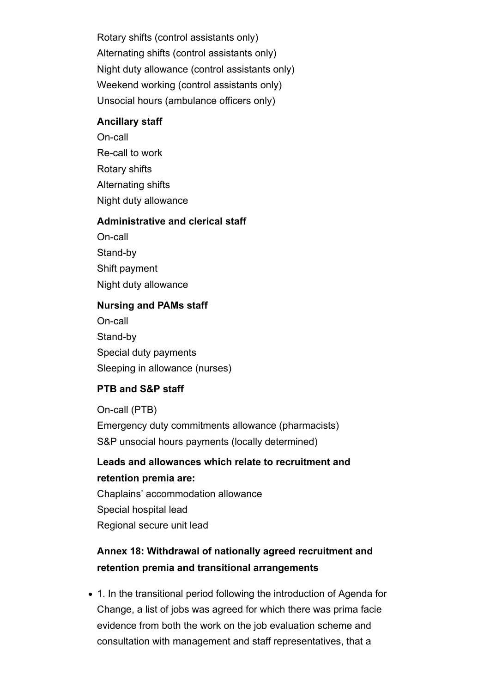Rotary shifts (control assistants only) Alternating shifts (control assistants only) Night duty allowance (control assistants only) Weekend working (control assistants only) Unsocial hours (ambulance officers only)

#### **Ancillary staff**

On-call Re-call to work Rotary shifts Alternating shifts Night duty allowance

#### **Administrative and clerical staff**

On-call Stand-by

Shift payment

Night duty allowance

#### **Nursing and PAMs staff**

On-call Stand-by Special duty payments Sleeping in allowance (nurses)

## **PTB and S&P staff**

On-call (PTB) Emergency duty commitments allowance (pharmacists) S&P unsocial hours payments (locally determined)

# **Leads and allowances which relate to recruitment and retention premia are:**

Chaplains' accommodation allowance Special hospital lead Regional secure unit lead

# **Annex 18: Withdrawal of nationally agreed recruitment and retention premia and transitional arrangements**

1. In the transitional period following the introduction of Agenda for Change, a list of jobs was agreed for which there was prima facie evidence from both the work on the job evaluation scheme and consultation with management and staff representatives, that a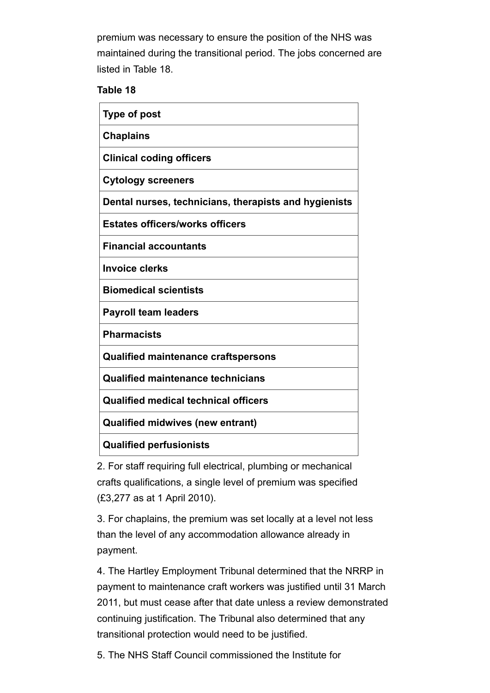premium was necessary to ensure the position of the NHS was maintained during the transitional period. The jobs concerned are listed in Table 18.

#### **Table 18**

| <b>Type of post</b>                                   |
|-------------------------------------------------------|
| <b>Chaplains</b>                                      |
| <b>Clinical coding officers</b>                       |
| <b>Cytology screeners</b>                             |
| Dental nurses, technicians, therapists and hygienists |
| <b>Estates officers/works officers</b>                |
| <b>Financial accountants</b>                          |
| <b>Invoice clerks</b>                                 |
| <b>Biomedical scientists</b>                          |
| <b>Payroll team leaders</b>                           |
| <b>Pharmacists</b>                                    |
| <b>Qualified maintenance craftspersons</b>            |
| <b>Qualified maintenance technicians</b>              |
| <b>Qualified medical technical officers</b>           |
| <b>Qualified midwives (new entrant)</b>               |
| <b>Qualified perfusionists</b>                        |

2. For staff requiring full electrical, plumbing or mechanical crafts qualifications, a single level of premium was specified (£3,277 as at 1 April 2010).

3. For chaplains, the premium was set locally at a level not less than the level of any accommodation allowance already in payment.

4. The Hartley Employment Tribunal determined that the NRRP in payment to maintenance craft workers was justified until 31 March 2011, but must cease after that date unless a review demonstrated continuing justification. The Tribunal also determined that any transitional protection would need to be justified.

5. The NHS Staff Council commissioned the Institute for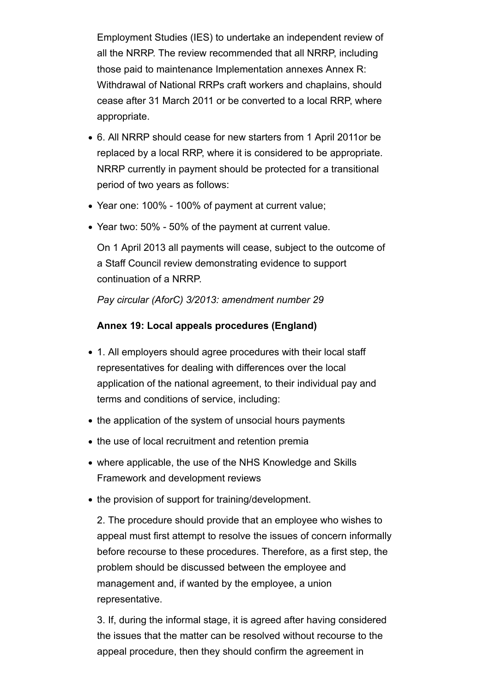Employment Studies (IES) to undertake an independent review of all the NRRP. The review recommended that all NRRP, including those paid to maintenance Implementation annexes Annex R: Withdrawal of National RRPs craft workers and chaplains, should cease after 31 March 2011 or be converted to a local RRP, where appropriate.

- 6. All NRRP should cease for new starters from 1 April 2011or be replaced by a local RRP, where it is considered to be appropriate. NRRP currently in payment should be protected for a transitional period of two years as follows:
- Year one: 100% 100% of payment at current value;
- Year two: 50% 50% of the payment at current value.

On 1 April 2013 all payments will cease, subject to the outcome of a Staff Council review demonstrating evidence to support continuation of a NRRP.

*Pay circular (AforC) 3/2013: amendment number 29*

#### **Annex 19: Local appeals procedures (England)**

- 1. All employers should agree procedures with their local staff representatives for dealing with differences over the local application of the national agreement, to their individual pay and terms and conditions of service, including:
- the application of the system of unsocial hours payments
- the use of local recruitment and retention premia
- where applicable, the use of the NHS Knowledge and Skills Framework and development reviews
- the provision of support for training/development.

2. The procedure should provide that an employee who wishes to appeal must first attempt to resolve the issues of concern informally before recourse to these procedures. Therefore, as a first step, the problem should be discussed between the employee and management and, if wanted by the employee, a union representative.

3. If, during the informal stage, it is agreed after having considered the issues that the matter can be resolved without recourse to the appeal procedure, then they should confirm the agreement in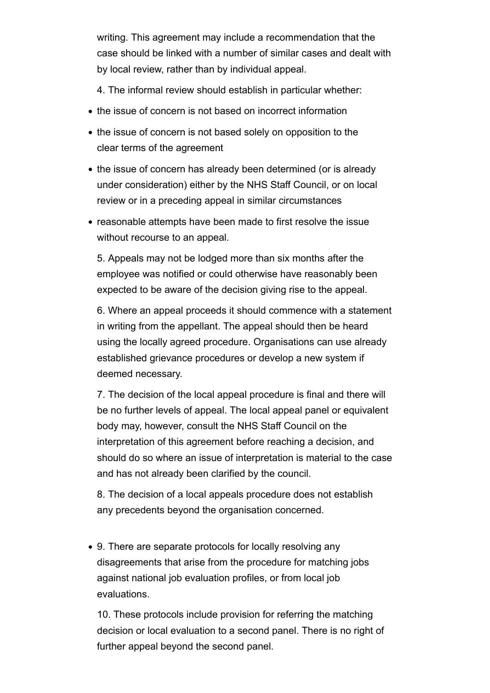writing. This agreement may include a recommendation that the case should be linked with a number of similar cases and dealt with by local review, rather than by individual appeal.

4. The informal review should establish in particular whether:

- the issue of concern is not based on incorrect information
- the issue of concern is not based solely on opposition to the clear terms of the agreement
- the issue of concern has already been determined (or is already under consideration) either by the NHS Staff Council, or on local review or in a preceding appeal in similar circumstances
- reasonable attempts have been made to first resolve the issue without recourse to an appeal.

5. Appeals may not be lodged more than six months after the employee was notified or could otherwise have reasonably been expected to be aware of the decision giving rise to the appeal.

6. Where an appeal proceeds it should commence with a statement in writing from the appellant. The appeal should then be heard using the locally agreed procedure. Organisations can use already established grievance procedures or develop a new system if deemed necessary.

7. The decision of the local appeal procedure is final and there will be no further levels of appeal. The local appeal panel or equivalent body may, however, consult the NHS Staff Council on the interpretation of this agreement before reaching a decision, and should do so where an issue of interpretation is material to the case and has not already been clarified by the council.

8. The decision of a local appeals procedure does not establish any precedents beyond the organisation concerned.

9. There are separate protocols for locally resolving any disagreements that arise from the procedure for matching jobs against national job evaluation profiles, or from local job evaluations.

10. These protocols include provision for referring the matching decision or local evaluation to a second panel. There is no right of further appeal beyond the second panel.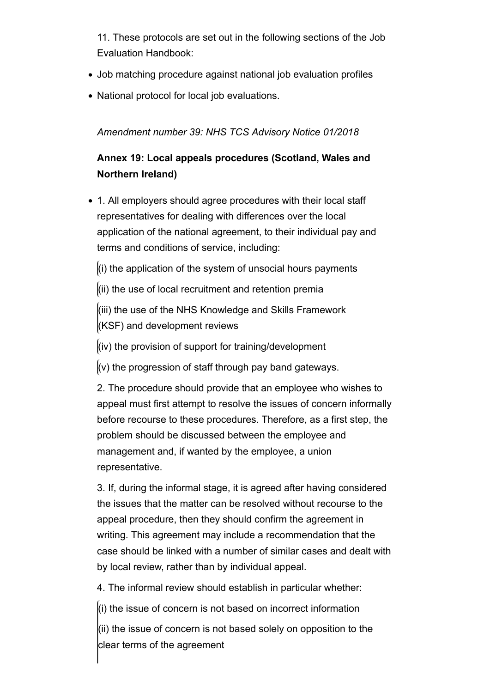11. These protocols are set out in the following sections of the Job Evaluation Handbook:

- Job matching procedure against national job evaluation profiles
- National protocol for local job evaluations.

*Amendment number 39: NHS TCS Advisory Notice 01/2018*

# **Annex 19: Local appeals procedures (Scotland, Wales and Northern Ireland)**

- 1. All employers should agree procedures with their local staff representatives for dealing with differences over the local application of the national agreement, to their individual pay and terms and conditions of service, including:
	- $\left| \right|$  (i) the application of the system of unsocial hours payments
	- $(iii)$  the use of local recruitment and retention premia

(iii) the use of the NHS Knowledge and Skills Framework (KSF) and development reviews

 $\vert$ (iv) the provision of support for training/development

 $(x)$  the progression of staff through pay band gateways.

2. The procedure should provide that an employee who wishes to appeal must first attempt to resolve the issues of concern informally before recourse to these procedures. Therefore, as a first step, the problem should be discussed between the employee and management and, if wanted by the employee, a union representative.

3. If, during the informal stage, it is agreed after having considered the issues that the matter can be resolved without recourse to the appeal procedure, then they should confirm the agreement in writing. This agreement may include a recommendation that the case should be linked with a number of similar cases and dealt with by local review, rather than by individual appeal.

4. The informal review should establish in particular whether:

 $\ket{\mathfrak{l}}$  the issue of concern is not based on incorrect information

(ii) the issue of concern is not based solely on opposition to the clear terms of the agreement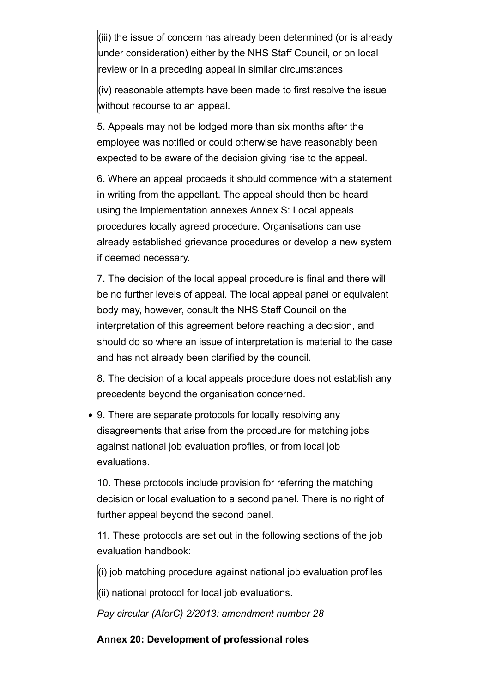(iii) the issue of concern has already been determined (or is already under consideration) either by the NHS Staff Council, or on local review or in a preceding appeal in similar circumstances

(iv) reasonable attempts have been made to first resolve the issue without recourse to an appeal.

5. Appeals may not be lodged more than six months after the employee was notified or could otherwise have reasonably been expected to be aware of the decision giving rise to the appeal.

6. Where an appeal proceeds it should commence with a statement in writing from the appellant. The appeal should then be heard using the Implementation annexes Annex S: Local appeals procedures locally agreed procedure. Organisations can use already established grievance procedures or develop a new system if deemed necessary.

7. The decision of the local appeal procedure is final and there will be no further levels of appeal. The local appeal panel or equivalent body may, however, consult the NHS Staff Council on the interpretation of this agreement before reaching a decision, and should do so where an issue of interpretation is material to the case and has not already been clarified by the council.

8. The decision of a local appeals procedure does not establish any precedents beyond the organisation concerned.

9. There are separate protocols for locally resolving any disagreements that arise from the procedure for matching jobs against national job evaluation profiles, or from local job evaluations.

10. These protocols include provision for referring the matching decision or local evaluation to a second panel. There is no right of further appeal beyond the second panel.

11. These protocols are set out in the following sections of the job evaluation handbook:

 $\vert$ (i) job matching procedure against national job evaluation profiles

 $\vert$ (ii) national protocol for local job evaluations.

*Pay circular (AforC) 2/2013: amendment number 28*

## **Annex 20: Development of professional roles**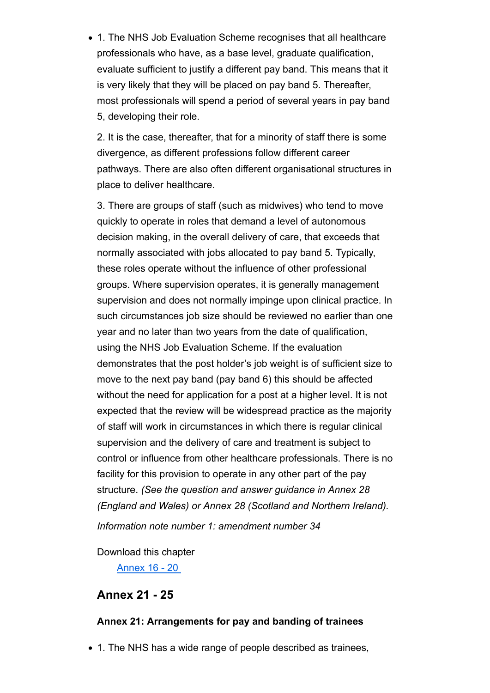1. The NHS Job Evaluation Scheme recognises that all healthcare professionals who have, as a base level, graduate qualification, evaluate sufficient to justify a different pay band. This means that it is very likely that they will be placed on pay band 5. Thereafter, most professionals will spend a period of several years in pay band 5, developing their role.

2. It is the case, thereafter, that for a minority of staff there is some divergence, as different professions follow different career pathways. There are also often different organisational structures in place to deliver healthcare.

3. There are groups of staff (such as midwives) who tend to move quickly to operate in roles that demand a level of autonomous decision making, in the overall delivery of care, that exceeds that normally associated with jobs allocated to pay band 5. Typically, these roles operate without the influence of other professional groups. Where supervision operates, it is generally management supervision and does not normally impinge upon clinical practice. In such circumstances job size should be reviewed no earlier than one year and no later than two years from the date of qualification, using the NHS Job Evaluation Scheme. If the evaluation demonstrates that the post holder's job weight is of sufficient size to move to the next pay band (pay band 6) this should be affected without the need for application for a post at a higher level. It is not expected that the review will be widespread practice as the majority of staff will work in circumstances in which there is regular clinical supervision and the delivery of care and treatment is subject to control or influence from other healthcare professionals. There is no facility for this provision to operate in any other part of the pay structure. *(See the question and answer guidance in Annex 28 (England and Wales) or Annex 28 (Scotland and Northern Ireland).*

*Information note number 1: amendment number 34*

Download this chapter

Annex 16 - 20

## **Annex 21 - 25**

#### **Annex 21: Arrangements for pay and banding of trainees**

• 1. The NHS has a wide range of people described as trainees,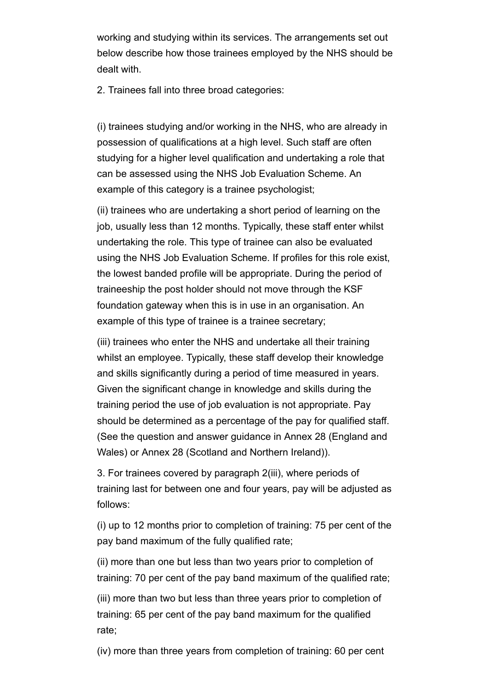working and studying within its services. The arrangements set out below describe how those trainees employed by the NHS should be dealt with.

2. Trainees fall into three broad categories:

(i) trainees studying and/or working in the NHS, who are already in possession of qualifications at a high level. Such staff are often studying for a higher level qualification and undertaking a role that can be assessed using the NHS Job Evaluation Scheme. An example of this category is a trainee psychologist;

(ii) trainees who are undertaking a short period of learning on the job, usually less than 12 months. Typically, these staff enter whilst undertaking the role. This type of trainee can also be evaluated using the NHS Job Evaluation Scheme. If profiles for this role exist, the lowest banded profile will be appropriate. During the period of traineeship the post holder should not move through the KSF foundation gateway when this is in use in an organisation. An example of this type of trainee is a trainee secretary;

(iii) trainees who enter the NHS and undertake all their training whilst an employee. Typically, these staff develop their knowledge and skills significantly during a period of time measured in years. Given the significant change in knowledge and skills during the training period the use of job evaluation is not appropriate. Pay should be determined as a percentage of the pay for qualified staff. (See the question and answer guidance in Annex 28 (England and Wales) or Annex 28 (Scotland and Northern Ireland)).

3. For trainees covered by paragraph 2(iii), where periods of training last for between one and four years, pay will be adjusted as follows:

(i) up to 12 months prior to completion of training: 75 per cent of the pay band maximum of the fully qualified rate;

(ii) more than one but less than two years prior to completion of training: 70 per cent of the pay band maximum of the qualified rate;

(iii) more than two but less than three years prior to completion of training: 65 per cent of the pay band maximum for the qualified rate;

(iv) more than three years from completion of training: 60 per cent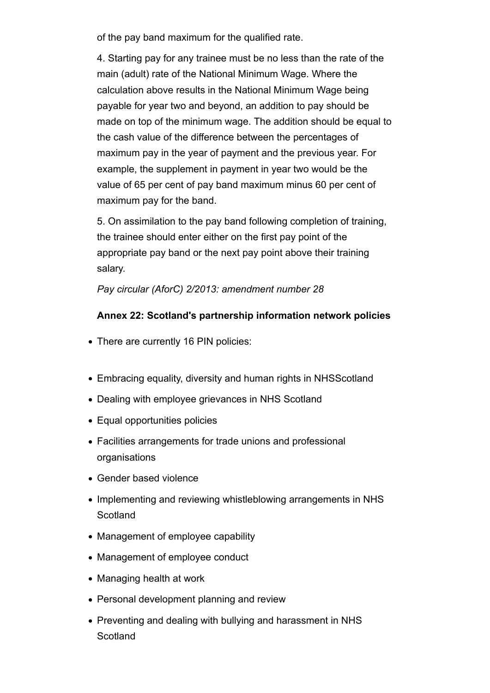of the pay band maximum for the qualified rate.

4. Starting pay for any trainee must be no less than the rate of the main (adult) rate of the National Minimum Wage. Where the calculation above results in the National Minimum Wage being payable for year two and beyond, an addition to pay should be made on top of the minimum wage. The addition should be equal to the cash value of the difference between the percentages of maximum pay in the year of payment and the previous year. For example, the supplement in payment in year two would be the value of 65 per cent of pay band maximum minus 60 per cent of maximum pay for the band.

5. On assimilation to the pay band following completion of training, the trainee should enter either on the first pay point of the appropriate pay band or the next pay point above their training salary.

*Pay circular (AforC) 2/2013: amendment number 28*

## **Annex 22: Scotland's partnership information network policies**

- There are currently 16 PIN policies:
- Embracing equality, diversity and human rights in NHSScotland
- Dealing with employee grievances in NHS Scotland
- Equal opportunities policies
- Facilities arrangements for trade unions and professional organisations
- Gender based violence
- Implementing and reviewing whistleblowing arrangements in NHS **Scotland**
- Management of employee capability
- Management of employee conduct
- Managing health at work
- Personal development planning and review
- Preventing and dealing with bullying and harassment in NHS **Scotland**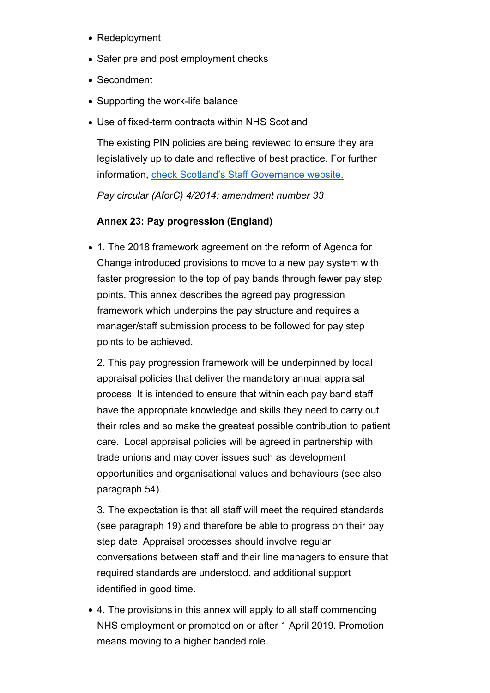- Redeployment
- Safer pre and post employment checks
- Secondment
- Supporting the work-life balance
- Use of fixed-term contracts within NHS Scotland

The existing PIN policies are being reviewed to ensure they are legislatively up to date and reflective of best practice. For further information, check Scotland's Staff Governance website.

*Pay circular (AforC) 4/2014: amendment number 33*

## **Annex 23: Pay progression (England)**

1. The 2018 framework agreement on the reform of Agenda for Change introduced provisions to move to a new pay system with faster progression to the top of pay bands through fewer pay step points. This annex describes the agreed pay progression framework which underpins the pay structure and requires a manager/staff submission process to be followed for pay step points to be achieved.

2. This pay progression framework will be underpinned by local appraisal policies that deliver the mandatory annual appraisal process. It is intended to ensure that within each pay band staff have the appropriate knowledge and skills they need to carry out their roles and so make the greatest possible contribution to patient care. Local appraisal policies will be agreed in partnership with trade unions and may cover issues such as development opportunities and organisational values and behaviours (see also paragraph 54).

3. The expectation is that all staff will meet the required standards (see paragraph 19) and therefore be able to progress on their pay step date. Appraisal processes should involve regular conversations between staff and their line managers to ensure that required standards are understood, and additional support identified in good time.

4. The provisions in this annex will apply to all staff commencing NHS employment or promoted on or after 1 April 2019. Promotion means moving to a higher banded role.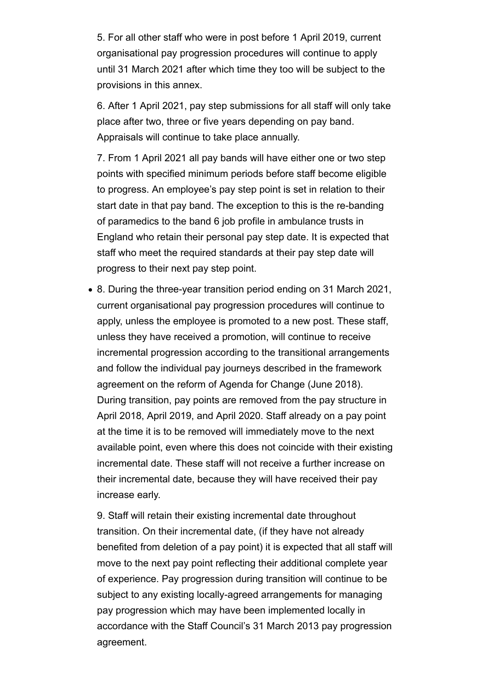5. For all other staff who were in post before 1 April 2019, current organisational pay progression procedures will continue to apply until 31 March 2021 after which time they too will be subject to the provisions in this annex.

6. After 1 April 2021, pay step submissions for all staff will only take place after two, three or five years depending on pay band. Appraisals will continue to take place annually.

7. From 1 April 2021 all pay bands will have either one or two step points with specified minimum periods before staff become eligible to progress. An employee's pay step point is set in relation to their start date in that pay band. The exception to this is the re-banding of paramedics to the band 6 job profile in ambulance trusts in England who retain their personal pay step date. It is expected that staff who meet the required standards at their pay step date will progress to their next pay step point.

• 8. During the three-year transition period ending on 31 March 2021, current organisational pay progression procedures will continue to apply, unless the employee is promoted to a new post. These staff, unless they have received a promotion, will continue to receive incremental progression according to the transitional arrangements and follow the individual pay journeys described in the framework agreement on the reform of Agenda for Change (June 2018). During transition, pay points are removed from the pay structure in April 2018, April 2019, and April 2020. Staff already on a pay point at the time it is to be removed will immediately move to the next available point, even where this does not coincide with their existing incremental date. These staff will not receive a further increase on their incremental date, because they will have received their pay increase early.

9. Staff will retain their existing incremental date throughout transition. On their incremental date, (if they have not already benefited from deletion of a pay point) it is expected that all staff will move to the next pay point reflecting their additional complete year of experience. Pay progression during transition will continue to be subject to any existing locally-agreed arrangements for managing pay progression which may have been implemented locally in accordance with the Staff Council's 31 March 2013 pay progression agreement.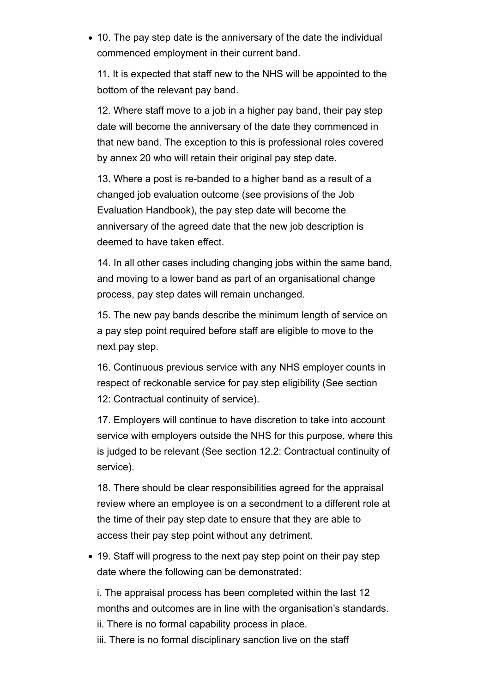10. The pay step date is the anniversary of the date the individual commenced employment in their current band.

11. It is expected that staff new to the NHS will be appointed to the bottom of the relevant pay band.

12. Where staff move to a job in a higher pay band, their pay step date will become the anniversary of the date they commenced in that new band. The exception to this is professional roles covered by annex 20 who will retain their original pay step date.

13. Where a post is re-banded to a higher band as a result of a changed job evaluation outcome (see provisions of the Job Evaluation Handbook), the pay step date will become the anniversary of the agreed date that the new job description is deemed to have taken effect.

14. In all other cases including changing jobs within the same band, and moving to a lower band as part of an organisational change process, pay step dates will remain unchanged.

15. The new pay bands describe the minimum length of service on a pay step point required before staff are eligible to move to the next pay step.

16. Continuous previous service with any NHS employer counts in respect of reckonable service for pay step eligibility (See section 12: Contractual continuity of service).

17. Employers will continue to have discretion to take into account service with employers outside the NHS for this purpose, where this is judged to be relevant (See section 12.2: Contractual continuity of service).

18. There should be clear responsibilities agreed for the appraisal review where an employee is on a secondment to a different role at the time of their pay step date to ensure that they are able to access their pay step point without any detriment.

• 19. Staff will progress to the next pay step point on their pay step date where the following can be demonstrated:

i. The appraisal process has been completed within the last 12 months and outcomes are in line with the organisation's standards.

- ii. There is no formal capability process in place.
- iii. There is no formal disciplinary sanction live on the staff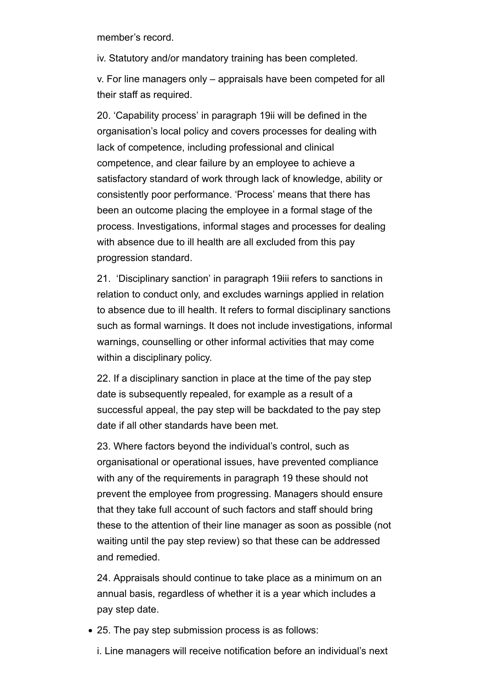member's record.

iv. Statutory and/or mandatory training has been completed.

v. For line managers only – appraisals have been competed for all their staff as required.

20. 'Capability process' in paragraph 19ii will be defined in the organisation's local policy and covers processes for dealing with lack of competence, including professional and clinical competence, and clear failure by an employee to achieve a satisfactory standard of work through lack of knowledge, ability or consistently poor performance. 'Process' means that there has been an outcome placing the employee in a formal stage of the process. Investigations, informal stages and processes for dealing with absence due to ill health are all excluded from this pay progression standard.

21. 'Disciplinary sanction' in paragraph 19iii refers to sanctions in relation to conduct only, and excludes warnings applied in relation to absence due to ill health. It refers to formal disciplinary sanctions such as formal warnings. It does not include investigations, informal warnings, counselling or other informal activities that may come within a disciplinary policy.

22. If a disciplinary sanction in place at the time of the pay step date is subsequently repealed, for example as a result of a successful appeal, the pay step will be backdated to the pay step date if all other standards have been met.

23. Where factors beyond the individual's control, such as organisational or operational issues, have prevented compliance with any of the requirements in paragraph 19 these should not prevent the employee from progressing. Managers should ensure that they take full account of such factors and staff should bring these to the attention of their line manager as soon as possible (not waiting until the pay step review) so that these can be addressed and remedied.

24. Appraisals should continue to take place as a minimum on an annual basis, regardless of whether it is a year which includes a pay step date.

25. The pay step submission process is as follows:

i. Line managers will receive notification before an individual's next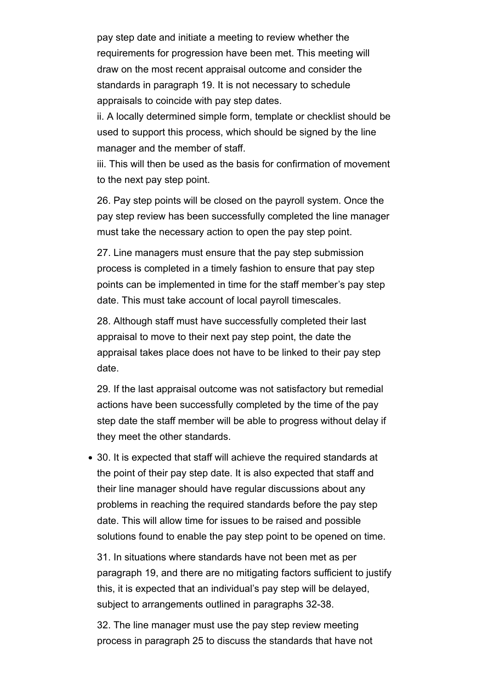pay step date and initiate a meeting to review whether the requirements for progression have been met. This meeting will draw on the most recent appraisal outcome and consider the standards in paragraph 19. It is not necessary to schedule appraisals to coincide with pay step dates.

ii. A locally determined simple form, template or checklist should be used to support this process, which should be signed by the line manager and the member of staff.

iii. This will then be used as the basis for confirmation of movement to the next pay step point.

26. Pay step points will be closed on the payroll system. Once the pay step review has been successfully completed the line manager must take the necessary action to open the pay step point.

27. Line managers must ensure that the pay step submission process is completed in a timely fashion to ensure that pay step points can be implemented in time for the staff member's pay step date. This must take account of local payroll timescales.

28. Although staff must have successfully completed their last appraisal to move to their next pay step point, the date the appraisal takes place does not have to be linked to their pay step date.

29. If the last appraisal outcome was not satisfactory but remedial actions have been successfully completed by the time of the pay step date the staff member will be able to progress without delay if they meet the other standards.

30. It is expected that staff will achieve the required standards at the point of their pay step date. It is also expected that staff and their line manager should have regular discussions about any problems in reaching the required standards before the pay step date. This will allow time for issues to be raised and possible solutions found to enable the pay step point to be opened on time.

31. In situations where standards have not been met as per paragraph 19, and there are no mitigating factors sufficient to justify this, it is expected that an individual's pay step will be delayed, subject to arrangements outlined in paragraphs 32-38.

32. The line manager must use the pay step review meeting process in paragraph 25 to discuss the standards that have not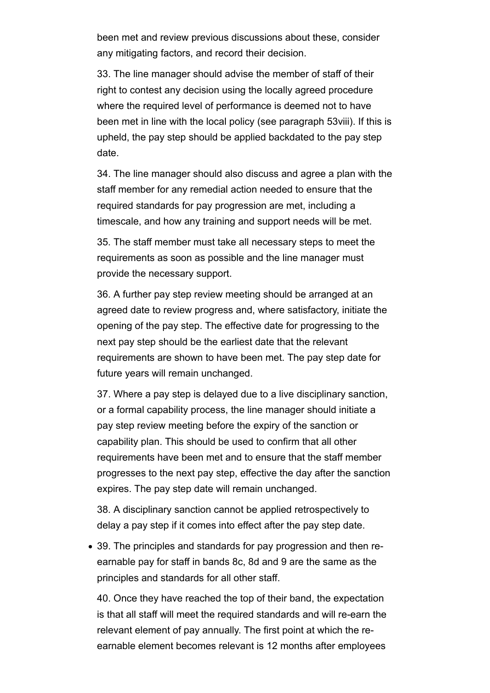been met and review previous discussions about these, consider any mitigating factors, and record their decision.

33. The line manager should advise the member of staff of their right to contest any decision using the locally agreed procedure where the required level of performance is deemed not to have been met in line with the local policy (see paragraph 53viii). If this is upheld, the pay step should be applied backdated to the pay step date.

34. The line manager should also discuss and agree a plan with the staff member for any remedial action needed to ensure that the required standards for pay progression are met, including a timescale, and how any training and support needs will be met.

35. The staff member must take all necessary steps to meet the requirements as soon as possible and the line manager must provide the necessary support.

36. A further pay step review meeting should be arranged at an agreed date to review progress and, where satisfactory, initiate the opening of the pay step. The effective date for progressing to the next pay step should be the earliest date that the relevant requirements are shown to have been met. The pay step date for future years will remain unchanged.

37. Where a pay step is delayed due to a live disciplinary sanction, or a formal capability process, the line manager should initiate a pay step review meeting before the expiry of the sanction or capability plan. This should be used to confirm that all other requirements have been met and to ensure that the staff member progresses to the next pay step, effective the day after the sanction expires. The pay step date will remain unchanged.

38. A disciplinary sanction cannot be applied retrospectively to delay a pay step if it comes into effect after the pay step date.

39. The principles and standards for pay progression and then reearnable pay for staff in bands 8c, 8d and 9 are the same as the principles and standards for all other staff.

40. Once they have reached the top of their band, the expectation is that all staff will meet the required standards and will re-earn the relevant element of pay annually. The first point at which the reearnable element becomes relevant is 12 months after employees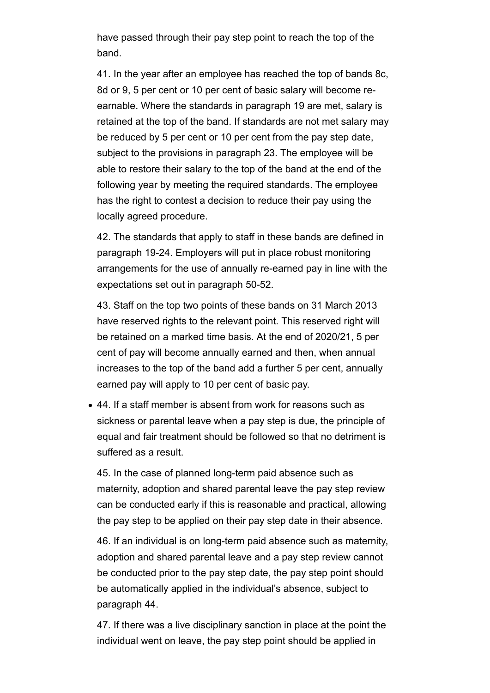have passed through their pay step point to reach the top of the band.

41. In the year after an employee has reached the top of bands 8c, 8d or 9, 5 per cent or 10 per cent of basic salary will become reearnable. Where the standards in paragraph 19 are met, salary is retained at the top of the band. If standards are not met salary may be reduced by 5 per cent or 10 per cent from the pay step date, subject to the provisions in paragraph 23. The employee will be able to restore their salary to the top of the band at the end of the following year by meeting the required standards. The employee has the right to contest a decision to reduce their pay using the locally agreed procedure.

42. The standards that apply to staff in these bands are defined in paragraph 19-24. Employers will put in place robust monitoring arrangements for the use of annually re-earned pay in line with the expectations set out in paragraph 50-52.

43. Staff on the top two points of these bands on 31 March 2013 have reserved rights to the relevant point. This reserved right will be retained on a marked time basis. At the end of 2020/21, 5 per cent of pay will become annually earned and then, when annual increases to the top of the band add a further 5 per cent, annually earned pay will apply to 10 per cent of basic pay.

44. If a staff member is absent from work for reasons such as sickness or parental leave when a pay step is due, the principle of equal and fair treatment should be followed so that no detriment is suffered as a result.

45. In the case of planned long-term paid absence such as maternity, adoption and shared parental leave the pay step review can be conducted early if this is reasonable and practical, allowing the pay step to be applied on their pay step date in their absence.

46. If an individual is on long-term paid absence such as maternity, adoption and shared parental leave and a pay step review cannot be conducted prior to the pay step date, the pay step point should be automatically applied in the individual's absence, subject to paragraph 44.

47. If there was a live disciplinary sanction in place at the point the individual went on leave, the pay step point should be applied in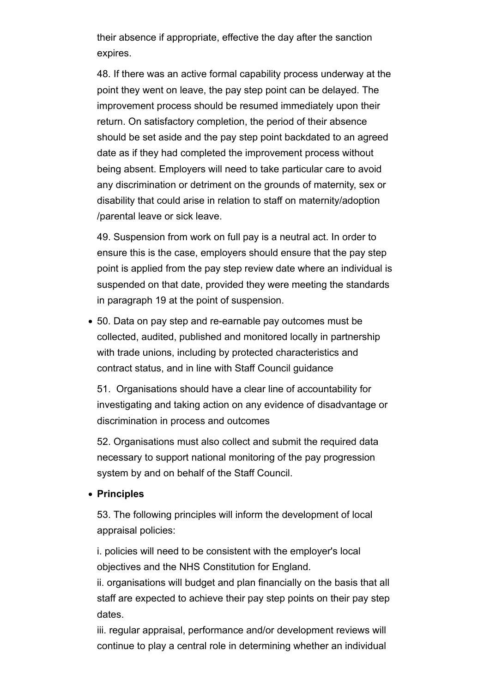their absence if appropriate, effective the day after the sanction expires.

48. If there was an active formal capability process underway at the point they went on leave, the pay step point can be delayed. The improvement process should be resumed immediately upon their return. On satisfactory completion, the period of their absence should be set aside and the pay step point backdated to an agreed date as if they had completed the improvement process without being absent. Employers will need to take particular care to avoid any discrimination or detriment on the grounds of maternity, sex or disability that could arise in relation to staff on maternity/adoption /parental leave or sick leave.

49. Suspension from work on full pay is a neutral act. In order to ensure this is the case, employers should ensure that the pay step point is applied from the pay step review date where an individual is suspended on that date, provided they were meeting the standards in paragraph 19 at the point of suspension.

50. Data on pay step and re-earnable pay outcomes must be collected, audited, published and monitored locally in partnership with trade unions, including by protected characteristics and contract status, and in line with Staff Council guidance

51. Organisations should have a clear line of accountability for investigating and taking action on any evidence of disadvantage or discrimination in process and outcomes

52. Organisations must also collect and submit the required data necessary to support national monitoring of the pay progression system by and on behalf of the Staff Council.

#### **Principles**

53. The following principles will inform the development of local appraisal policies:

i. policies will need to be consistent with the employer's local objectives and the NHS Constitution for England.

ii. organisations will budget and plan financially on the basis that all staff are expected to achieve their pay step points on their pay step dates.

iii. regular appraisal, performance and/or development reviews will continue to play a central role in determining whether an individual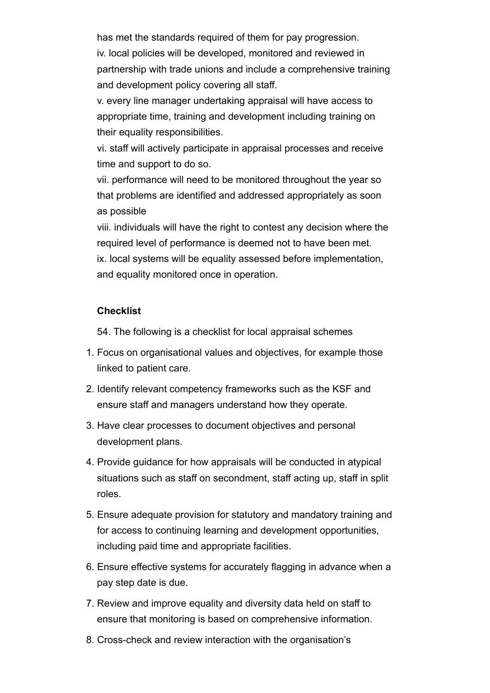has met the standards required of them for pay progression. iv. local policies will be developed, monitored and reviewed in partnership with trade unions and include a comprehensive training and development policy covering all staff.

v. every line manager undertaking appraisal will have access to appropriate time, training and development including training on their equality responsibilities.

vi. staff will actively participate in appraisal processes and receive time and support to do so.

vii. performance will need to be monitored throughout the year so that problems are identified and addressed appropriately as soon as possible

viii. individuals will have the right to contest any decision where the required level of performance is deemed not to have been met. ix. local systems will be equality assessed before implementation, and equality monitored once in operation.

#### **Checklist**

54. The following is a checklist for local appraisal schemes

- 1. Focus on organisational values and objectives, for example those linked to patient care.
- 2. Identify relevant competency frameworks such as the KSF and ensure staff and managers understand how they operate.
- 3. Have clear processes to document objectives and personal development plans.
- 4. Provide guidance for how appraisals will be conducted in atypical situations such as staff on secondment, staff acting up, staff in split roles.
- 5. Ensure adequate provision for statutory and mandatory training and for access to continuing learning and development opportunities, including paid time and appropriate facilities.
- 6. Ensure effective systems for accurately flagging in advance when a pay step date is due.
- 7. Review and improve equality and diversity data held on staff to ensure that monitoring is based on comprehensive information.
- 8. Cross-check and review interaction with the organisation's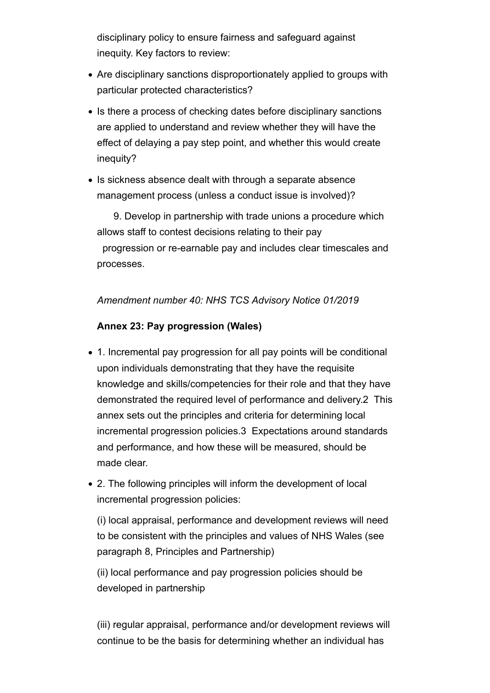disciplinary policy to ensure fairness and safeguard against inequity. Key factors to review:

- Are disciplinary sanctions disproportionately applied to groups with particular protected characteristics?
- Is there a process of checking dates before disciplinary sanctions are applied to understand and review whether they will have the effect of delaying a pay step point, and whether this would create inequity?
- Is sickness absence dealt with through a separate absence management process (unless a conduct issue is involved)?

 9. Develop in partnership with trade unions a procedure which allows staff to contest decisions relating to their pay progression or re-earnable pay and includes clear timescales and processes.

*Amendment number 40: NHS TCS Advisory Notice 01/2019*

#### **Annex 23: Pay progression (Wales)**

- 1. Incremental pay progression for all pay points will be conditional upon individuals demonstrating that they have the requisite knowledge and skills/competencies for their role and that they have demonstrated the required level of performance and delivery.2 This annex sets out the principles and criteria for determining local incremental progression policies.3 Expectations around standards and performance, and how these will be measured, should be made clear.
- 2. The following principles will inform the development of local incremental progression policies:

(i) local appraisal, performance and development reviews will need to be consistent with the principles and values of NHS Wales (see paragraph 8, Principles and Partnership)

(ii) local performance and pay progression policies should be developed in partnership

(iii) regular appraisal, performance and/or development reviews will continue to be the basis for determining whether an individual has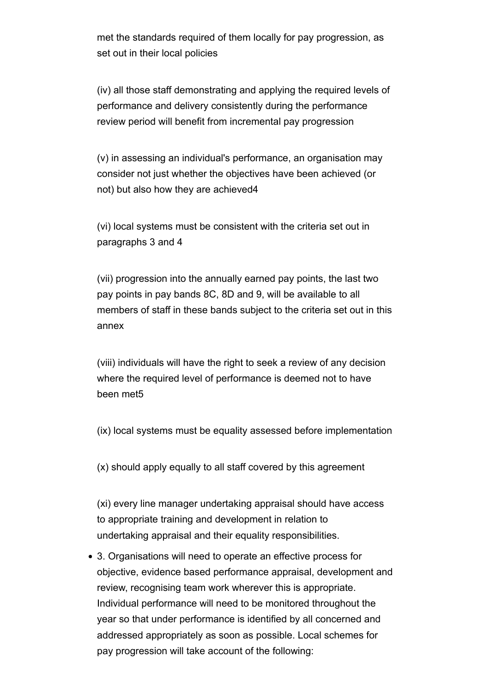met the standards required of them locally for pay progression, as set out in their local policies

(iv) all those staff demonstrating and applying the required levels of performance and delivery consistently during the performance review period will benefit from incremental pay progression

(v) in assessing an individual's performance, an organisation may consider not just whether the objectives have been achieved (or not) but also how they are achieved4

(vi) local systems must be consistent with the criteria set out in paragraphs 3 and 4

(vii) progression into the annually earned pay points, the last two pay points in pay bands 8C, 8D and 9, will be available to all members of staff in these bands subject to the criteria set out in this annex

(viii) individuals will have the right to seek a review of any decision where the required level of performance is deemed not to have been met5

(ix) local systems must be equality assessed before implementation

(x) should apply equally to all staff covered by this agreement

(xi) every line manager undertaking appraisal should have access to appropriate training and development in relation to undertaking appraisal and their equality responsibilities.

3. Organisations will need to operate an effective process for objective, evidence based performance appraisal, development and review, recognising team work wherever this is appropriate. Individual performance will need to be monitored throughout the year so that under performance is identified by all concerned and addressed appropriately as soon as possible. Local schemes for pay progression will take account of the following: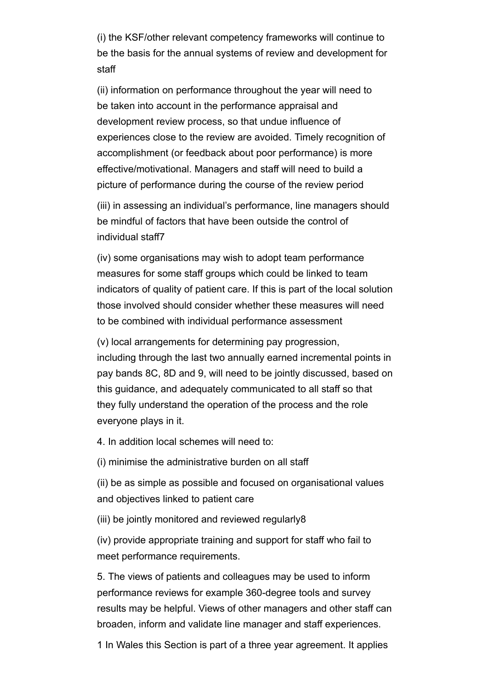(i) the KSF/other relevant competency frameworks will continue to be the basis for the annual systems of review and development for staff

(ii) information on performance throughout the year will need to be taken into account in the performance appraisal and development review process, so that undue influence of experiences close to the review are avoided. Timely recognition of accomplishment (or feedback about poor performance) is more effective/motivational. Managers and staff will need to build a picture of performance during the course of the review period

(iii) in assessing an individual's performance, line managers should be mindful of factors that have been outside the control of individual staff7

(iv) some organisations may wish to adopt team performance measures for some staff groups which could be linked to team indicators of quality of patient care. If this is part of the local solution those involved should consider whether these measures will need to be combined with individual performance assessment

(v) local arrangements for determining pay progression, including through the last two annually earned incremental points in pay bands 8C, 8D and 9, will need to be jointly discussed, based on this guidance, and adequately communicated to all staff so that they fully understand the operation of the process and the role everyone plays in it.

4. In addition local schemes will need to:

(i) minimise the administrative burden on all staff

(ii) be as simple as possible and focused on organisational values and objectives linked to patient care

(iii) be jointly monitored and reviewed regularly8

(iv) provide appropriate training and support for staff who fail to meet performance requirements.

5. The views of patients and colleagues may be used to inform performance reviews for example 360-degree tools and survey results may be helpful. Views of other managers and other staff can broaden, inform and validate line manager and staff experiences.

1 In Wales this Section is part of a three year agreement. It applies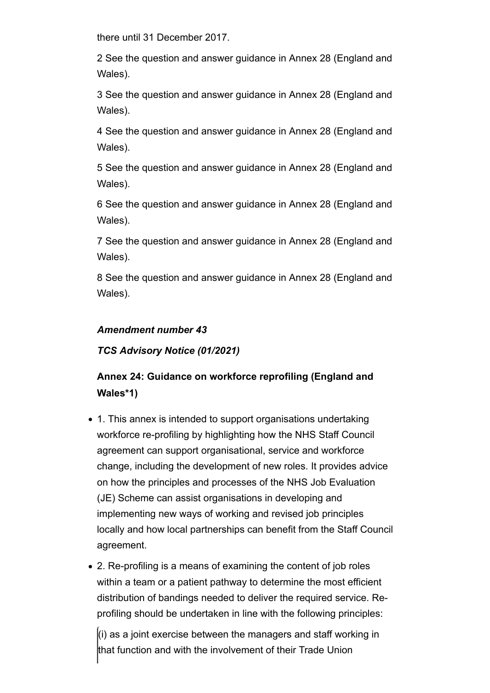there until 31 December 2017.

2 See the question and answer guidance in Annex 28 (England and Wales).

3 See the question and answer guidance in Annex 28 (England and Wales).

4 See the question and answer guidance in Annex 28 (England and Wales).

5 See the question and answer guidance in Annex 28 (England and Wales).

6 See the question and answer guidance in Annex 28 (England and Wales).

7 See the question and answer guidance in Annex 28 (England and Wales).

8 See the question and answer guidance in Annex 28 (England and Wales).

### *Amendment number 43*

*TCS Advisory Notice (01/2021)* 

## **Annex 24: Guidance on workforce reprofiling (England and Wales\*1)**

- 1. This annex is intended to support organisations undertaking workforce re-profiling by highlighting how the NHS Staff Council agreement can support organisational, service and workforce change, including the development of new roles. It provides advice on how the principles and processes of the NHS Job Evaluation (JE) Scheme can assist organisations in developing and implementing new ways of working and revised job principles locally and how local partnerships can benefit from the Staff Council agreement.
- 2. Re-profiling is a means of examining the content of job roles within a team or a patient pathway to determine the most efficient distribution of bandings needed to deliver the required service. Reprofiling should be undertaken in line with the following principles:

 $\left| \right|$  as a joint exercise between the managers and staff working in that function and with the involvement of their Trade Union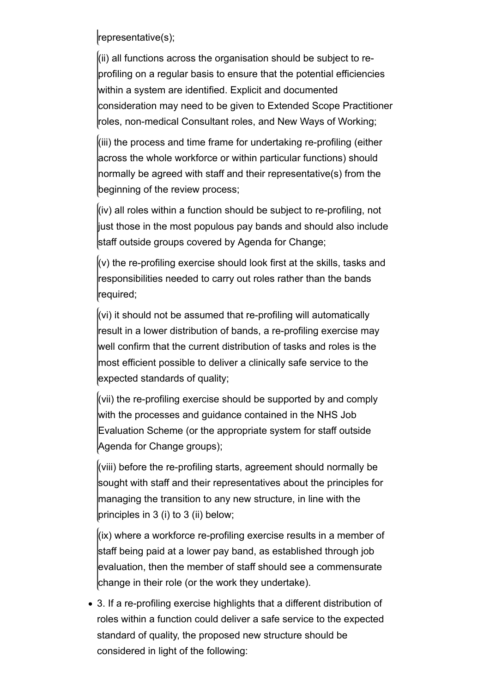representative(s);

(ii) all functions across the organisation should be subject to reprofiling on a regular basis to ensure that the potential efficiencies within a system are identified. Explicit and documented consideration may need to be given to Extended Scope Practitioner roles, non-medical Consultant roles, and New Ways of Working;

(iii) the process and time frame for undertaking re-profiling (either across the whole workforce or within particular functions) should normally be agreed with staff and their representative(s) from the beginning of the review process;

(iv) all roles within a function should be subject to re-profiling, not just those in the most populous pay bands and should also include staff outside groups covered by Agenda for Change;

 $(v)$  the re-profiling exercise should look first at the skills, tasks and responsibilities needed to carry out roles rather than the bands required;

(vi) it should not be assumed that re-profiling will automatically result in a lower distribution of bands, a re-profiling exercise may well confirm that the current distribution of tasks and roles is the most efficient possible to deliver a clinically safe service to the expected standards of quality;

(vii) the re-profiling exercise should be supported by and comply with the processes and guidance contained in the NHS Job Evaluation Scheme (or the appropriate system for staff outside Agenda for Change groups);

(viii) before the re-profiling starts, agreement should normally be sought with staff and their representatives about the principles for managing the transition to any new structure, in line with the principles in 3 (i) to 3 (ii) below;

(ix) where a workforce re-profiling exercise results in a member of staff being paid at a lower pay band, as established through job evaluation, then the member of staff should see a commensurate change in their role (or the work they undertake).

3. If a re-profiling exercise highlights that a different distribution of roles within a function could deliver a safe service to the expected standard of quality, the proposed new structure should be considered in light of the following: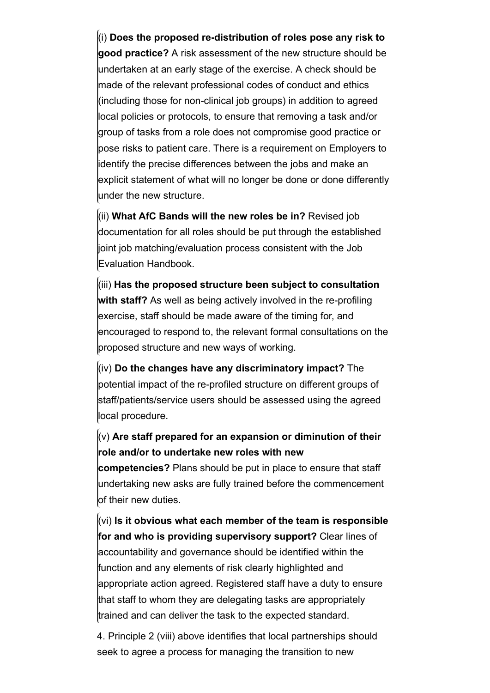(i) **Does the proposed re-distribution of roles pose any risk to good practice?** A risk assessment of the new structure should be undertaken at an early stage of the exercise. A check should be made of the relevant professional codes of conduct and ethics (including those for non-clinical job groups) in addition to agreed local policies or protocols, to ensure that removing a task and/or group of tasks from a role does not compromise good practice or pose risks to patient care. There is a requirement on Employers to identify the precise differences between the jobs and make an explicit statement of what will no longer be done or done differently under the new structure.

(ii) **What AfC Bands will the new roles be in?** Revised job documentation for all roles should be put through the established lioint job matching/evaluation process consistent with the Job Evaluation Handbook.

(iii) **Has the proposed structure been subject to consultation with staff?** As well as being actively involved in the re-profiling exercise, staff should be made aware of the timing for, and encouraged to respond to, the relevant formal consultations on the proposed structure and new ways of working.

(iv) **Do the changes have any discriminatory impact?** The potential impact of the re-profiled structure on different groups of staff/patients/service users should be assessed using the agreed local procedure.

### (v) **Are staff prepared for an expansion or diminution of their role and/or to undertake new roles with new**

**competencies?** Plans should be put in place to ensure that staff undertaking new asks are fully trained before the commencement of their new duties.

(vi) **Is it obvious what each member of the team is responsible for and who is providing supervisory support?** Clear lines of accountability and governance should be identified within the function and any elements of risk clearly highlighted and appropriate action agreed. Registered staff have a duty to ensure that staff to whom they are delegating tasks are appropriately trained and can deliver the task to the expected standard.

4. Principle 2 (viii) above identifies that local partnerships should seek to agree a process for managing the transition to new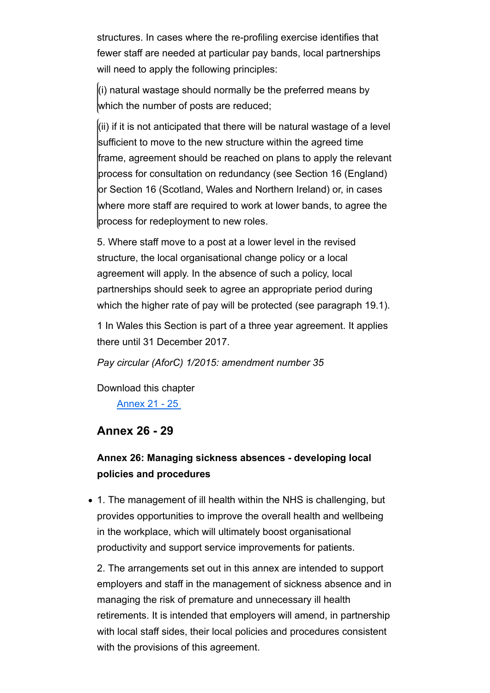structures. In cases where the re-profiling exercise identifies that fewer staff are needed at particular pay bands, local partnerships will need to apply the following principles:

 $\ket{\mathsf{(i)}}$  natural wastage should normally be the preferred means by which the number of posts are reduced;

 $\vert$ (ii) if it is not anticipated that there will be natural wastage of a level sufficient to move to the new structure within the agreed time frame, agreement should be reached on plans to apply the relevant process for consultation on redundancy (see Section 16 (England) or Section 16 (Scotland, Wales and Northern Ireland) or, in cases where more staff are required to work at lower bands, to agree the process for redeployment to new roles.

5. Where staff move to a post at a lower level in the revised structure, the local organisational change policy or a local agreement will apply. In the absence of such a policy, local partnerships should seek to agree an appropriate period during which the higher rate of pay will be protected (see paragraph 19.1).

1 In Wales this Section is part of a three year agreement. It applies there until 31 December 2017.

*Pay circular (AforC) 1/2015: amendment number 35*

Download this chapter Annex 21 - 25

### **Annex 26 - 29**

### **Annex 26: Managing sickness absences - developing local policies and procedures**

1. The management of ill health within the NHS is challenging, but provides opportunities to improve the overall health and wellbeing in the workplace, which will ultimately boost organisational productivity and support service improvements for patients.

2. The arrangements set out in this annex are intended to support employers and staff in the management of sickness absence and in managing the risk of premature and unnecessary ill health retirements. It is intended that employers will amend, in partnership with local staff sides, their local policies and procedures consistent with the provisions of this agreement.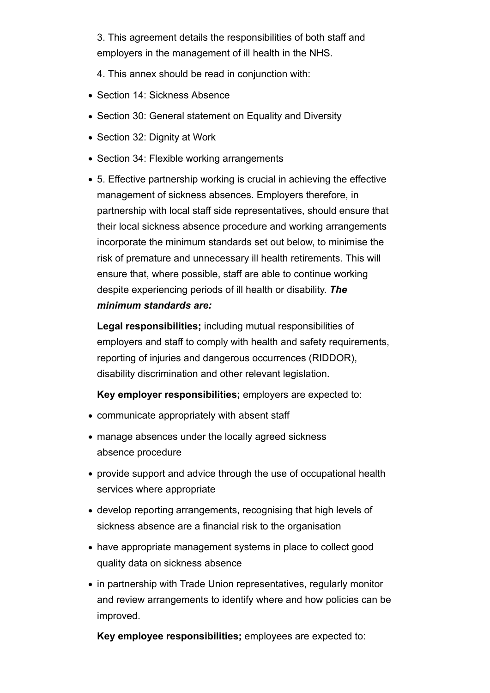3. This agreement details the responsibilities of both staff and employers in the management of ill health in the NHS.

4. This annex should be read in conjunction with:

- Section 14: Sickness Absence
- Section 30: General statement on Equality and Diversity
- Section 32: Dignity at Work
- Section 34: Flexible working arrangements
- 5. Effective partnership working is crucial in achieving the effective management of sickness absences. Employers therefore, in partnership with local staff side representatives, should ensure that their local sickness absence procedure and working arrangements incorporate the minimum standards set out below, to minimise the risk of premature and unnecessary ill health retirements. This will ensure that, where possible, staff are able to continue working despite experiencing periods of ill health or disability. *The minimum standards are:*

**Legal responsibilities;** including mutual responsibilities of employers and staff to comply with health and safety requirements, reporting of injuries and dangerous occurrences (RIDDOR), disability discrimination and other relevant legislation.

**Key employer responsibilities;** employers are expected to:

- communicate appropriately with absent staff
- manage absences under the locally agreed sickness absence procedure
- provide support and advice through the use of occupational health services where appropriate
- develop reporting arrangements, recognising that high levels of sickness absence are a financial risk to the organisation
- have appropriate management systems in place to collect good quality data on sickness absence
- in partnership with Trade Union representatives, regularly monitor and review arrangements to identify where and how policies can be improved.

**Key employee responsibilities;** employees are expected to: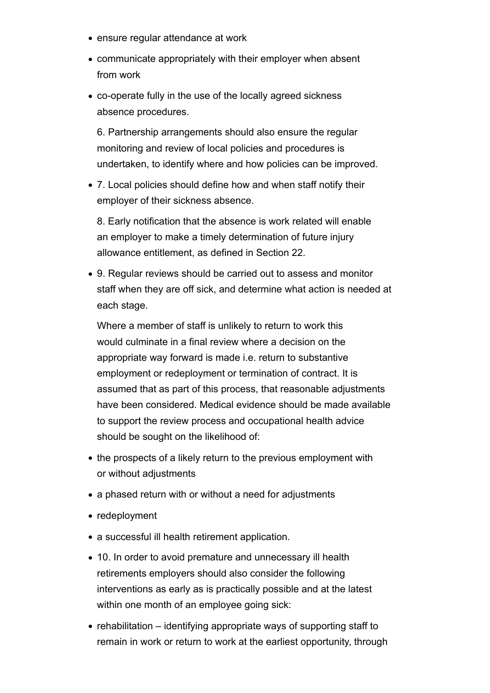- ensure regular attendance at work
- communicate appropriately with their employer when absent from work
- co-operate fully in the use of the locally agreed sickness absence procedures.

6. Partnership arrangements should also ensure the regular monitoring and review of local policies and procedures is undertaken, to identify where and how policies can be improved.

7. Local policies should define how and when staff notify their employer of their sickness absence.

8. Early notification that the absence is work related will enable an employer to make a timely determination of future injury allowance entitlement, as defined in Section 22.

9. Regular reviews should be carried out to assess and monitor staff when they are off sick, and determine what action is needed at each stage.

Where a member of staff is unlikely to return to work this would culminate in a final review where a decision on the appropriate way forward is made i.e. return to substantive employment or redeployment or termination of contract. It is assumed that as part of this process, that reasonable adjustments have been considered. Medical evidence should be made available to support the review process and occupational health advice should be sought on the likelihood of:

- the prospects of a likely return to the previous employment with or without adjustments
- a phased return with or without a need for adjustments
- redeployment
- a successful ill health retirement application.
- 10. In order to avoid premature and unnecessary ill health retirements employers should also consider the following interventions as early as is practically possible and at the latest within one month of an employee going sick:
- $\bullet$  rehabilitation identifying appropriate ways of supporting staff to remain in work or return to work at the earliest opportunity, through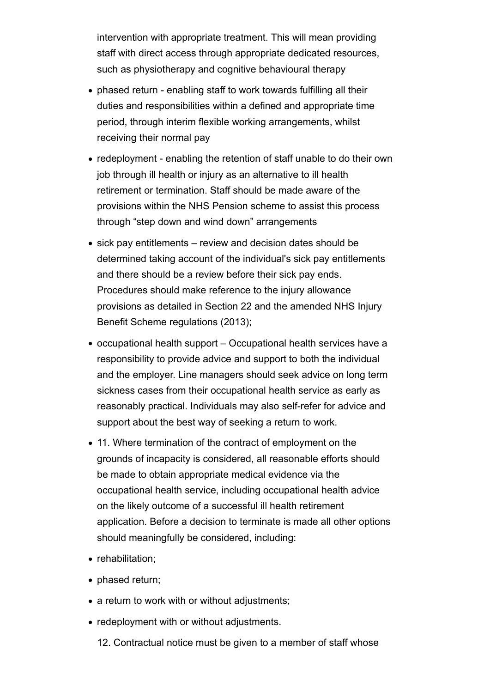intervention with appropriate treatment. This will mean providing staff with direct access through appropriate dedicated resources, such as physiotherapy and cognitive behavioural therapy

- phased return enabling staff to work towards fulfilling all their duties and responsibilities within a defined and appropriate time period, through interim flexible working arrangements, whilst receiving their normal pay
- redeployment enabling the retention of staff unable to do their own job through ill health or injury as an alternative to ill health retirement or termination. Staff should be made aware of the provisions within the NHS Pension scheme to assist this process through "step down and wind down" arrangements
- sick pay entitlements review and decision dates should be determined taking account of the individual's sick pay entitlements and there should be a review before their sick pay ends. Procedures should make reference to the injury allowance provisions as detailed in Section 22 and the amended NHS Injury Benefit Scheme regulations (2013);
- occupational health support Occupational health services have a responsibility to provide advice and support to both the individual and the employer. Line managers should seek advice on long term sickness cases from their occupational health service as early as reasonably practical. Individuals may also self-refer for advice and support about the best way of seeking a return to work.
- 11. Where termination of the contract of employment on the grounds of incapacity is considered, all reasonable efforts should be made to obtain appropriate medical evidence via the occupational health service, including occupational health advice on the likely outcome of a successful ill health retirement application. Before a decision to terminate is made all other options should meaningfully be considered, including:
- rehabilitation;
- phased return;
- a return to work with or without adjustments;
- redeployment with or without adjustments.
	- 12. Contractual notice must be given to a member of staff whose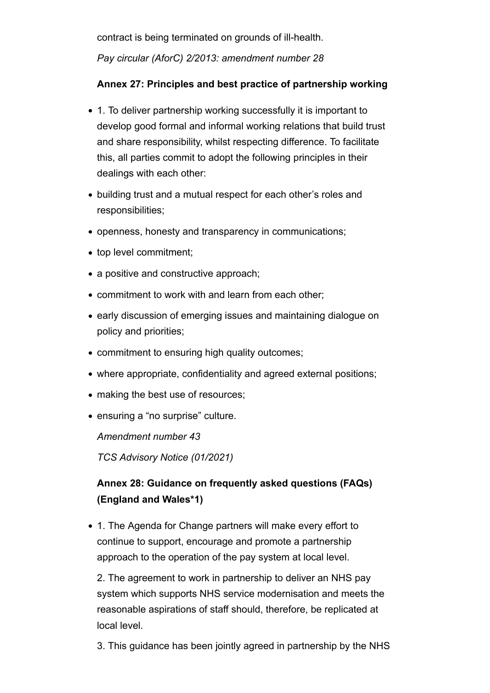contract is being terminated on grounds of ill-health.

*Pay circular (AforC) 2/2013: amendment number 28*

### **Annex 27: Principles and best practice of partnership working**

- 1. To deliver partnership working successfully it is important to develop good formal and informal working relations that build trust and share responsibility, whilst respecting difference. To facilitate this, all parties commit to adopt the following principles in their dealings with each other:
- building trust and a mutual respect for each other's roles and responsibilities;
- openness, honesty and transparency in communications;
- top level commitment;
- a positive and constructive approach;
- commitment to work with and learn from each other;
- early discussion of emerging issues and maintaining dialogue on policy and priorities;
- commitment to ensuring high quality outcomes;
- where appropriate, confidentiality and agreed external positions;
- making the best use of resources;
- ensuring a "no surprise" culture.

*Amendment number 43*

*TCS Advisory Notice (01/2021)* 

## **Annex 28: Guidance on frequently asked questions (FAQs) (England and Wales\*1)**

1. The Agenda for Change partners will make every effort to continue to support, encourage and promote a partnership approach to the operation of the pay system at local level.

2. The agreement to work in partnership to deliver an NHS pay system which supports NHS service modernisation and meets the reasonable aspirations of staff should, therefore, be replicated at local level.

3. This guidance has been jointly agreed in partnership by the NHS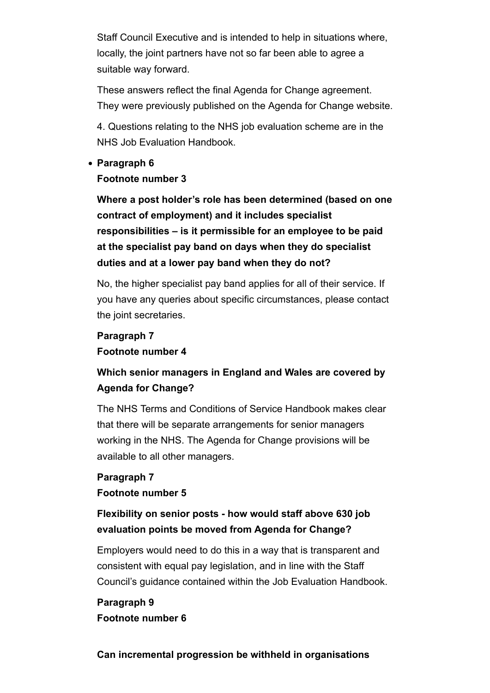Staff Council Executive and is intended to help in situations where, locally, the joint partners have not so far been able to agree a suitable way forward.

These answers reflect the final Agenda for Change agreement. They were previously published on the Agenda for Change website.

4. Questions relating to the NHS job evaluation scheme are in the NHS Job Evaluation Handbook.

#### **Paragraph 6**

### **Footnote number 3**

**Where a post holder's role has been determined (based on one contract of employment) and it includes specialist responsibilities – is it permissible for an employee to be paid at the specialist pay band on days when they do specialist duties and at a lower pay band when they do not?**

No, the higher specialist pay band applies for all of their service. If you have any queries about specific circumstances, please contact the joint secretaries.

## **Paragraph 7 Footnote number 4**

## **Which senior managers in England and Wales are covered by Agenda for Change?**

The NHS Terms and Conditions of Service Handbook makes clear that there will be separate arrangements for senior managers working in the NHS. The Agenda for Change provisions will be available to all other managers.

### **Paragraph 7 Footnote number 5**

### **Flexibility on senior posts - how would staff above 630 job evaluation points be moved from Agenda for Change?**

Employers would need to do this in a way that is transparent and consistent with equal pay legislation, and in line with the Staff Council's guidance contained within the Job Evaluation Handbook.

### **Paragraph 9 Footnote number 6**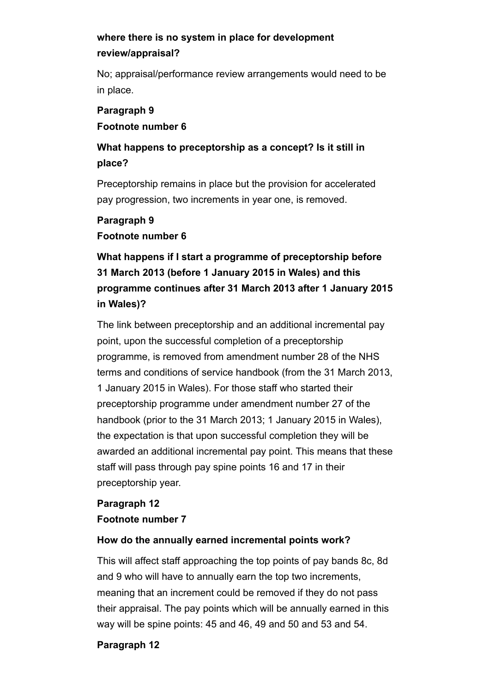## **where there is no system in place for development review/appraisal?**

No; appraisal/performance review arrangements would need to be in place.

### **Paragraph 9 Footnote number 6**

## **What happens to preceptorship as a concept? Is it still in place?**

Preceptorship remains in place but the provision for accelerated pay progression, two increments in year one, is removed.

### **Paragraph 9 Footnote number 6**

## **What happens if I start a programme of preceptorship before 31 March 2013 (before 1 January 2015 in Wales) and this programme continues after 31 March 2013 after 1 January 2015 in Wales)?**

The link between preceptorship and an additional incremental pay point, upon the successful completion of a preceptorship programme, is removed from amendment number 28 of the NHS terms and conditions of service handbook (from the 31 March 2013, 1 January 2015 in Wales). For those staff who started their preceptorship programme under amendment number 27 of the handbook (prior to the 31 March 2013; 1 January 2015 in Wales), the expectation is that upon successful completion they will be awarded an additional incremental pay point. This means that these staff will pass through pay spine points 16 and 17 in their preceptorship year.

### **Paragraph 12 Footnote number 7**

### **How do the annually earned incremental points work?**

This will affect staff approaching the top points of pay bands 8c, 8d and 9 who will have to annually earn the top two increments, meaning that an increment could be removed if they do not pass their appraisal. The pay points which will be annually earned in this way will be spine points: 45 and 46, 49 and 50 and 53 and 54.

### **Paragraph 12**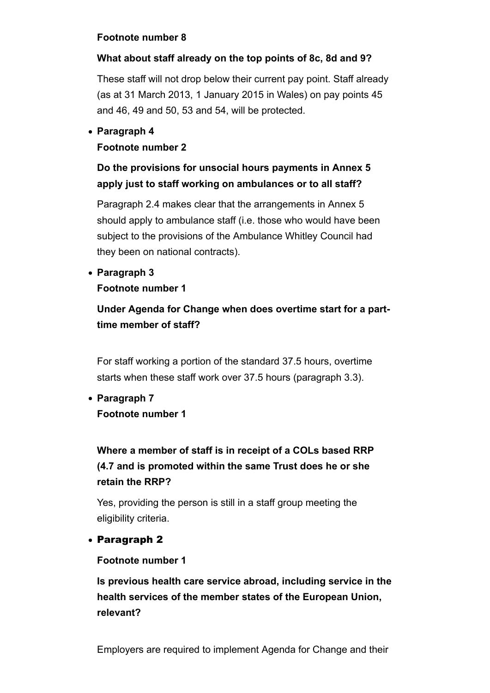### **Footnote number 8**

### **What about staff already on the top points of 8c, 8d and 9?**

These staff will not drop below their current pay point. Staff already (as at 31 March 2013, 1 January 2015 in Wales) on pay points 45 and 46, 49 and 50, 53 and 54, will be protected.

### **Paragraph 4**

### **Footnote number 2**

## **Do the provisions for unsocial hours payments in Annex 5 apply just to staff working on ambulances or to all staff?**

Paragraph 2.4 makes clear that the arrangements in Annex 5 should apply to ambulance staff (i.e. those who would have been subject to the provisions of the Ambulance Whitley Council had they been on national contracts).

**Paragraph 3**

### **Footnote number 1**

## **Under Agenda for Change when does overtime start for a parttime member of staff?**

For staff working a portion of the standard 37.5 hours, overtime starts when these staff work over 37.5 hours (paragraph 3.3).

**Paragraph 7 Footnote number 1**

## **Where a member of staff is in receipt of a COLs based RRP (4.7 and is promoted within the same Trust does he or she retain the RRP?**

Yes, providing the person is still in a staff group meeting the eligibility criteria.

### Paragraph 2

### **Footnote number 1**

**Is previous health care service abroad, including service in the health services of the member states of the European Union, relevant?**

Employers are required to implement Agenda for Change and their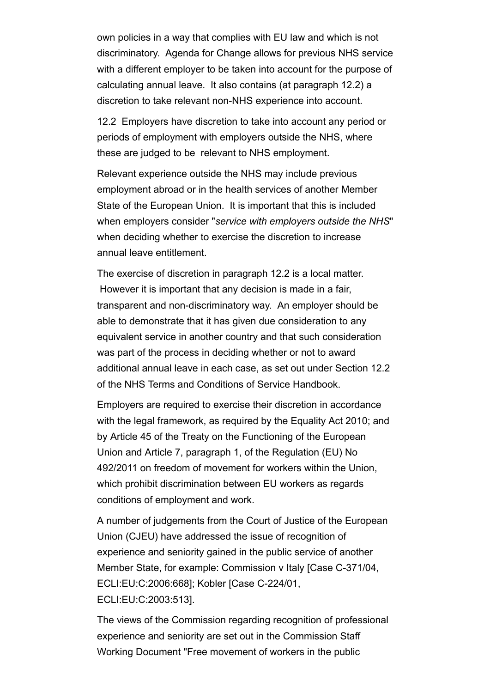own policies in a way that complies with EU law and which is not discriminatory. Agenda for Change allows for previous NHS service with a different employer to be taken into account for the purpose of calculating annual leave. It also contains (at paragraph 12.2) a discretion to take relevant non-NHS experience into account.

12.2 Employers have discretion to take into account any period or periods of employment with employers outside the NHS, where these are judged to be relevant to NHS employment.

Relevant experience outside the NHS may include previous employment abroad or in the health services of another Member State of the European Union. It is important that this is included when employers consider "*service with employers outside the NHS*" when deciding whether to exercise the discretion to increase annual leave entitlement.

The exercise of discretion in paragraph 12.2 is a local matter. However it is important that any decision is made in a fair, transparent and non-discriminatory way. An employer should be able to demonstrate that it has given due consideration to any equivalent service in another country and that such consideration was part of the process in deciding whether or not to award additional annual leave in each case, as set out under Section 12.2 of the NHS Terms and Conditions of Service Handbook.

Employers are required to exercise their discretion in accordance with the legal framework, as required by the Equality Act 2010; and by Article 45 of the Treaty on the Functioning of the European Union and Article 7, paragraph 1, of the Regulation (EU) No 492/2011 on freedom of movement for workers within the Union, which prohibit discrimination between EU workers as regards conditions of employment and work.

A number of judgements from the Court of Justice of the European Union (CJEU) have addressed the issue of recognition of experience and seniority gained in the public service of another Member State, for example: Commission v Italy [Case C-371/04, ECLI:EU:C:2006:668]; Kobler [Case C-224/01, ECLI:EU:C:2003:513].

The views of the Commission regarding recognition of professional experience and seniority are set out in the Commission Staff Working Document "Free movement of workers in the public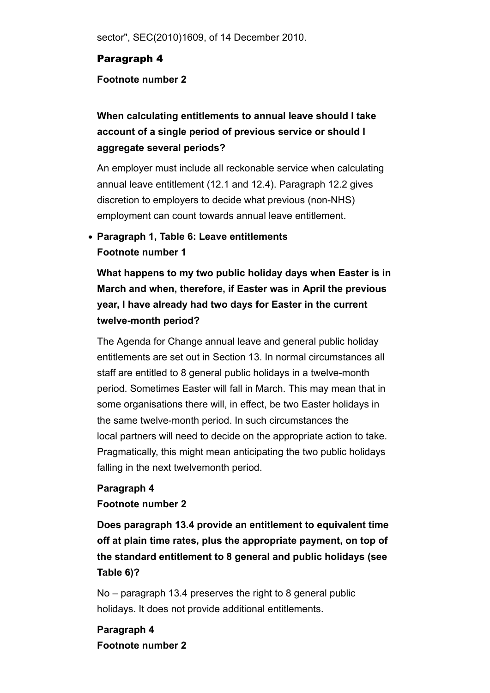sector", SEC(2010)1609, of 14 December 2010.

### Paragraph 4

#### **Footnote number 2**

## **When calculating entitlements to annual leave should I take account of a single period of previous service or should I aggregate several periods?**

An employer must include all reckonable service when calculating annual leave entitlement (12.1 and 12.4). Paragraph 12.2 gives discretion to employers to decide what previous (non-NHS) employment can count towards annual leave entitlement.

## **Paragraph 1, Table 6: Leave entitlements Footnote number 1**

**What happens to my two public holiday days when Easter is in March and when, therefore, if Easter was in April the previous year, I have already had two days for Easter in the current twelve-month period?** 

The Agenda for Change annual leave and general public holiday entitlements are set out in Section 13. In normal circumstances all staff are entitled to 8 general public holidays in a twelve-month period. Sometimes Easter will fall in March. This may mean that in some organisations there will, in effect, be two Easter holidays in the same twelve-month period. In such circumstances the local partners will need to decide on the appropriate action to take. Pragmatically, this might mean anticipating the two public holidays falling in the next twelvemonth period.

#### **Paragraph 4**

### **Footnote number 2**

**Does paragraph 13.4 provide an entitlement to equivalent time off at plain time rates, plus the appropriate payment, on top of the standard entitlement to 8 general and public holidays (see Table 6)?**

No – paragraph 13.4 preserves the right to 8 general public holidays. It does not provide additional entitlements.

**Paragraph 4 Footnote number 2**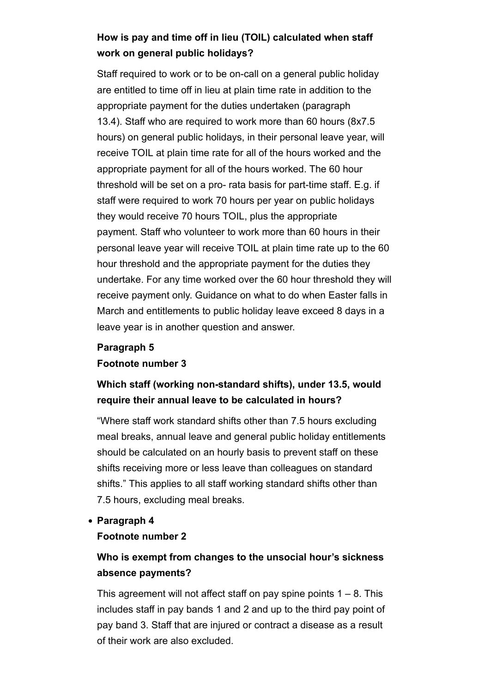## **How is pay and time off in lieu (TOIL) calculated when staff work on general public holidays?**

Staff required to work or to be on-call on a general public holiday are entitled to time off in lieu at plain time rate in addition to the appropriate payment for the duties undertaken (paragraph 13.4). Staff who are required to work more than 60 hours (8x7.5 hours) on general public holidays, in their personal leave year, will receive TOIL at plain time rate for all of the hours worked and the appropriate payment for all of the hours worked. The 60 hour threshold will be set on a pro- rata basis for part-time staff. E.g. if staff were required to work 70 hours per year on public holidays they would receive 70 hours TOIL, plus the appropriate payment. Staff who volunteer to work more than 60 hours in their personal leave year will receive TOIL at plain time rate up to the 60 hour threshold and the appropriate payment for the duties they undertake. For any time worked over the 60 hour threshold they will receive payment only. Guidance on what to do when Easter falls in March and entitlements to public holiday leave exceed 8 days in a leave year is in another question and answer.

### **Paragraph 5**

#### **Footnote number 3**

## **Which staff (working non-standard shifts), under 13.5, would require their annual leave to be calculated in hours?**

"Where staff work standard shifts other than 7.5 hours excluding meal breaks, annual leave and general public holiday entitlements should be calculated on an hourly basis to prevent staff on these shifts receiving more or less leave than colleagues on standard shifts." This applies to all staff working standard shifts other than 7.5 hours, excluding meal breaks.

#### **Paragraph 4**

#### **Footnote number 2**

### **Who is exempt from changes to the unsocial hour's sickness absence payments?**

This agreement will not affect staff on pay spine points  $1 - 8$ . This includes staff in pay bands 1 and 2 and up to the third pay point of pay band 3. Staff that are injured or contract a disease as a result of their work are also excluded.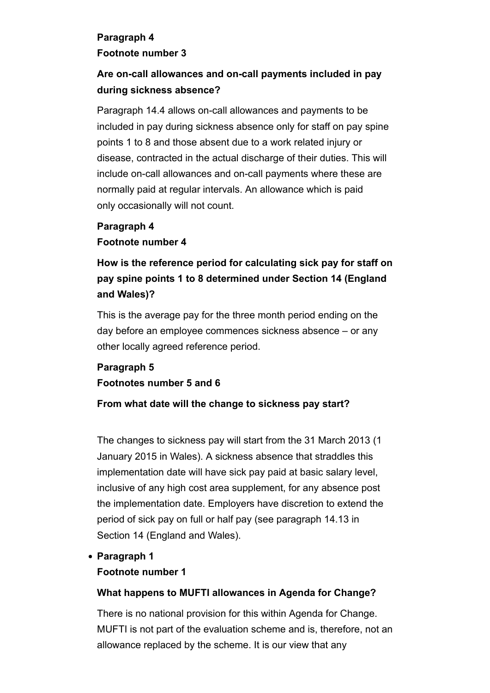### **Paragraph 4**

### **Footnote number 3**

## **Are on-call allowances and on-call payments included in pay during sickness absence?**

Paragraph 14.4 allows on-call allowances and payments to be included in pay during sickness absence only for staff on pay spine points 1 to 8 and those absent due to a work related injury or disease, contracted in the actual discharge of their duties. This will include on-call allowances and on-call payments where these are normally paid at regular intervals. An allowance which is paid only occasionally will not count.

## **Paragraph 4 Footnote number 4**

## **How is the reference period for calculating sick pay for staff on pay spine points 1 to 8 determined under Section 14 (England and Wales)?**

This is the average pay for the three month period ending on the day before an employee commences sickness absence – or any other locally agreed reference period.

## **Paragraph 5 Footnotes number 5 and 6**

### **From what date will the change to sickness pay start?**

The changes to sickness pay will start from the 31 March 2013 (1 January 2015 in Wales). A sickness absence that straddles this implementation date will have sick pay paid at basic salary level, inclusive of any high cost area supplement, for any absence post the implementation date. Employers have discretion to extend the period of sick pay on full or half pay (see paragraph 14.13 in Section 14 (England and Wales).

### **Paragraph 1**

### **Footnote number 1**

### **What happens to MUFTI allowances in Agenda for Change?**

There is no national provision for this within Agenda for Change. MUFTI is not part of the evaluation scheme and is, therefore, not an allowance replaced by the scheme. It is our view that any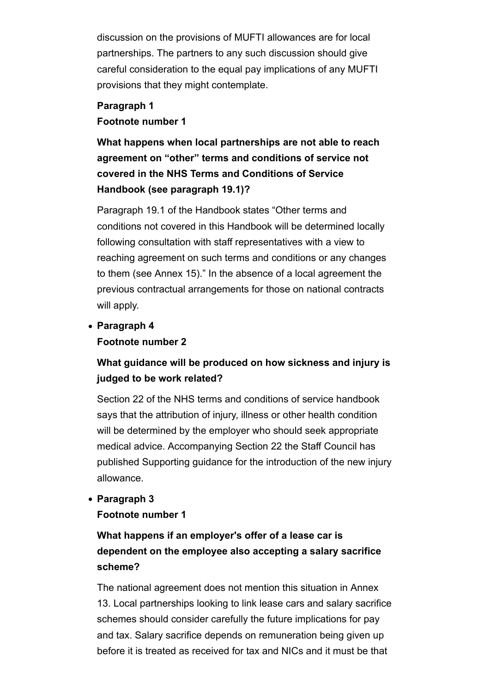discussion on the provisions of MUFTI allowances are for local partnerships. The partners to any such discussion should give careful consideration to the equal pay implications of any MUFTI provisions that they might contemplate.

### **Paragraph 1 Footnote number 1**

**What happens when local partnerships are not able to reach agreement on "other" terms and conditions of service not covered in the NHS Terms and Conditions of Service Handbook (see paragraph 19.1)?**

Paragraph 19.1 of the Handbook states "Other terms and conditions not covered in this Handbook will be determined locally following consultation with staff representatives with a view to reaching agreement on such terms and conditions or any changes to them (see Annex 15)." In the absence of a local agreement the previous contractual arrangements for those on national contracts will apply.

**Paragraph 4 Footnote number 2**

## **What guidance will be produced on how sickness and injury is judged to be work related?**

Section 22 of the NHS terms and conditions of service handbook says that the attribution of injury, illness or other health condition will be determined by the employer who should seek appropriate medical advice. Accompanying Section 22 the Staff Council has published Supporting guidance for the introduction of the new injury allowance.

### **Paragraph 3**

### **Footnote number 1**

## **What happens if an employer's offer of a lease car is dependent on the employee also accepting a salary sacrifice scheme?**

The national agreement does not mention this situation in Annex 13. Local partnerships looking to link lease cars and salary sacrifice schemes should consider carefully the future implications for pay and tax. Salary sacrifice depends on remuneration being given up before it is treated as received for tax and NICs and it must be that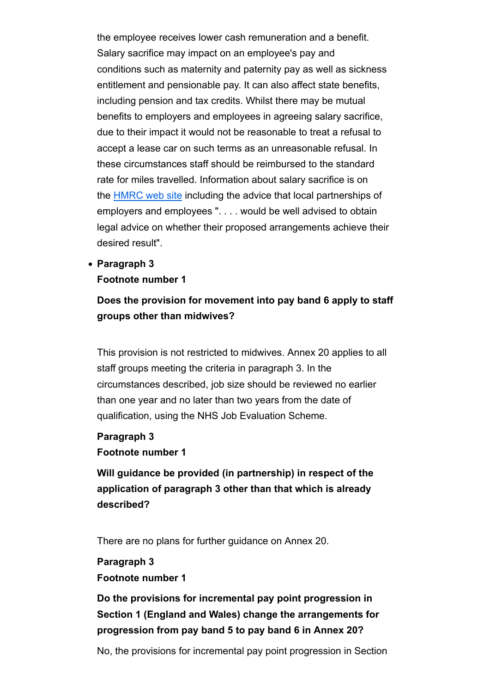the employee receives lower cash remuneration and a benefit. Salary sacrifice may impact on an employee's pay and conditions such as maternity and paternity pay as well as sickness entitlement and pensionable pay. It can also affect state benefits, including pension and tax credits. Whilst there may be mutual benefits to employers and employees in agreeing salary sacrifice, due to their impact it would not be reasonable to treat a refusal to accept a lease car on such terms as an unreasonable refusal. In these circumstances staff should be reimbursed to the standard rate for miles travelled. Information about salary sacrifice is on the HMRC web site including the advice that local partnerships of employers and employees ". . . . would be well advised to obtain legal advice on whether their proposed arrangements achieve their desired result".

**Paragraph 3**

### **Footnote number 1**

## **Does the provision for movement into pay band 6 apply to staff groups other than midwives?**

This provision is not restricted to midwives. Annex 20 applies to all staff groups meeting the criteria in paragraph 3. In the circumstances described, job size should be reviewed no earlier than one year and no later than two years from the date of qualification, using the NHS Job Evaluation Scheme.

### **Paragraph 3 Footnote number 1**

**Will guidance be provided (in partnership) in respect of the application of paragraph 3 other than that which is already described?**

There are no plans for further guidance on Annex 20.

## **Paragraph 3 Footnote number 1**

**Do the provisions for incremental pay point progression in Section 1 (England and Wales) change the arrangements for progression from pay band 5 to pay band 6 in Annex 20?**

No, the provisions for incremental pay point progression in Section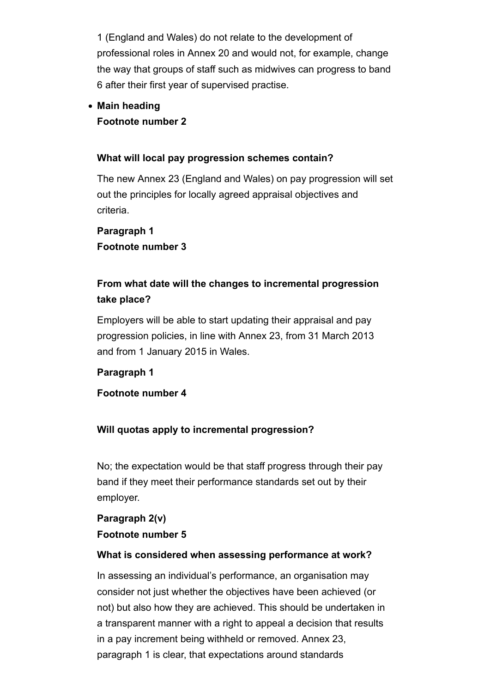1 (England and Wales) do not relate to the development of professional roles in Annex 20 and would not, for example, change the way that groups of staff such as midwives can progress to band 6 after their first year of supervised practise.

### **Main heading Footnote number 2**

#### **What will local pay progression schemes contain?**

The new Annex 23 (England and Wales) on pay progression will set out the principles for locally agreed appraisal objectives and criteria.

## **Paragraph 1 Footnote number 3**

## **From what date will the changes to incremental progression take place?**

Employers will be able to start updating their appraisal and pay progression policies, in line with Annex 23, from 31 March 2013 and from 1 January 2015 in Wales.

### **Paragraph 1**

### **Footnote number 4**

### **Will quotas apply to incremental progression?**

No; the expectation would be that staff progress through their pay band if they meet their performance standards set out by their employer.

### **Paragraph 2(v) Footnote number 5**

#### **What is considered when assessing performance at work?**

In assessing an individual's performance, an organisation may consider not just whether the objectives have been achieved (or not) but also how they are achieved. This should be undertaken in a transparent manner with a right to appeal a decision that results in a pay increment being withheld or removed. Annex 23, paragraph 1 is clear, that expectations around standards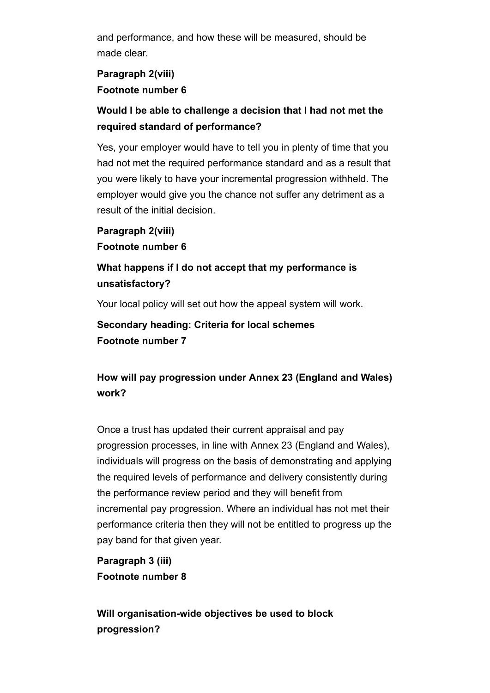and performance, and how these will be measured, should be made clear.

### **Paragraph 2(viii) Footnote number 6**

## **Would I be able to challenge a decision that I had not met the required standard of performance?**

Yes, your employer would have to tell you in plenty of time that you had not met the required performance standard and as a result that you were likely to have your incremental progression withheld. The employer would give you the chance not suffer any detriment as a result of the initial decision.

**Paragraph 2(viii) Footnote number 6**

## **What happens if I do not accept that my performance is unsatisfactory?**

Your local policy will set out how the appeal system will work.

**Secondary heading: Criteria for local schemes Footnote number 7**

## **How will pay progression under Annex 23 (England and Wales) work?**

Once a trust has updated their current appraisal and pay progression processes, in line with Annex 23 (England and Wales), individuals will progress on the basis of demonstrating and applying the required levels of performance and delivery consistently during the performance review period and they will benefit from incremental pay progression. Where an individual has not met their performance criteria then they will not be entitled to progress up the pay band for that given year.

**Paragraph 3 (iii) Footnote number 8**

**Will organisation-wide objectives be used to block progression?**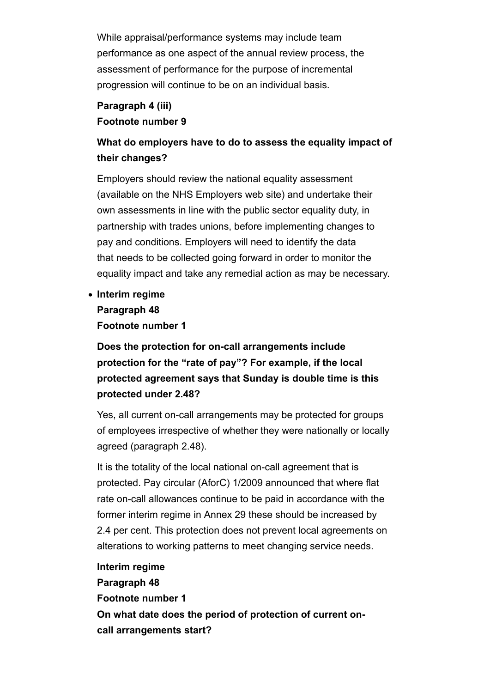While appraisal/performance systems may include team performance as one aspect of the annual review process, the assessment of performance for the purpose of incremental progression will continue to be on an individual basis.

### **Paragraph 4 (iii) Footnote number 9**

## **What do employers have to do to assess the equality impact of their changes?**

Employers should review the national equality assessment (available on the NHS Employers web site) and undertake their own assessments in line with the public sector equality duty, in partnership with trades unions, before implementing changes to pay and conditions. Employers will need to identify the data that needs to be collected going forward in order to monitor the equality impact and take any remedial action as may be necessary.

**Interim regime Paragraph 48 Footnote number 1**

**Does the protection for on-call arrangements include protection for the "rate of pay"? For example, if the local protected agreement says that Sunday is double time is this protected under 2.48?**

Yes, all current on-call arrangements may be protected for groups of employees irrespective of whether they were nationally or locally agreed (paragraph 2.48).

It is the totality of the local national on-call agreement that is protected. Pay circular (AforC) 1/2009 announced that where flat rate on-call allowances continue to be paid in accordance with the former interim regime in Annex 29 these should be increased by 2.4 per cent. This protection does not prevent local agreements on alterations to working patterns to meet changing service needs.

**Interim regime Paragraph 48 Footnote number 1 On what date does the period of protection of current oncall arrangements start?**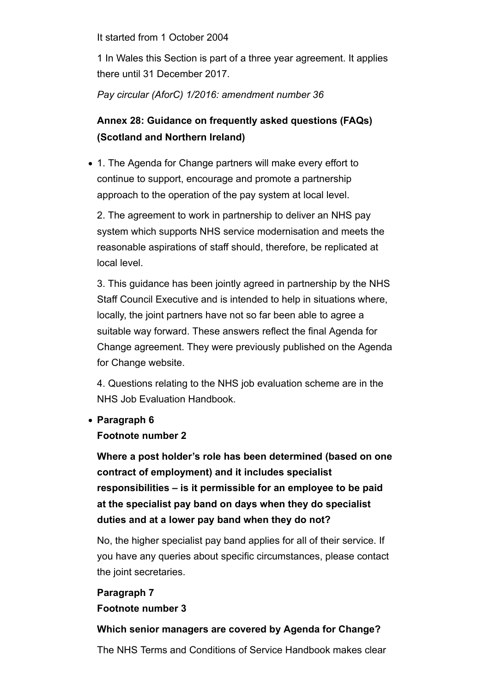It started from 1 October 2004

1 In Wales this Section is part of a three year agreement. It applies there until 31 December 2017.

*Pay circular (AforC) 1/2016: amendment number 36*

## **Annex 28: Guidance on frequently asked questions (FAQs) (Scotland and Northern Ireland)**

1. The Agenda for Change partners will make every effort to continue to support, encourage and promote a partnership approach to the operation of the pay system at local level.

2. The agreement to work in partnership to deliver an NHS pay system which supports NHS service modernisation and meets the reasonable aspirations of staff should, therefore, be replicated at local level.

3. This guidance has been jointly agreed in partnership by the NHS Staff Council Executive and is intended to help in situations where, locally, the joint partners have not so far been able to agree a suitable way forward. These answers reflect the final Agenda for Change agreement. They were previously published on the Agenda for Change website.

4. Questions relating to the NHS job evaluation scheme are in the NHS Job Evaluation Handbook.

### **Paragraph 6**

#### **Footnote number 2**

**Where a post holder's role has been determined (based on one contract of employment) and it includes specialist responsibilities – is it permissible for an employee to be paid at the specialist pay band on days when they do specialist duties and at a lower pay band when they do not?**

No, the higher specialist pay band applies for all of their service. If you have any queries about specific circumstances, please contact the joint secretaries.

### **Paragraph 7**

**Footnote number 3**

### **Which senior managers are covered by Agenda for Change?**

The NHS Terms and Conditions of Service Handbook makes clear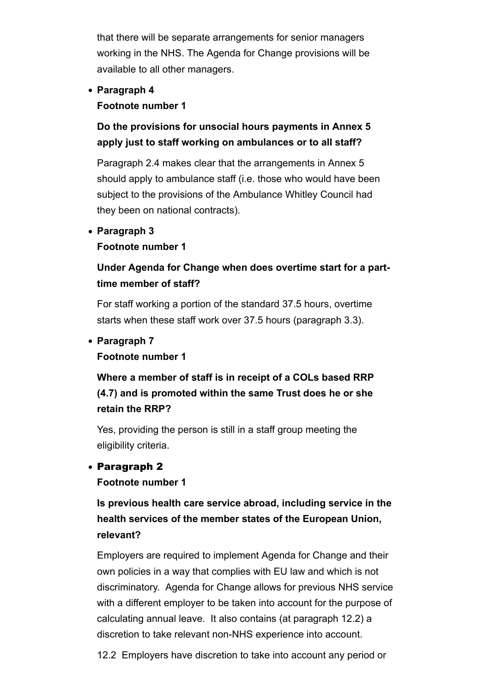that there will be separate arrangements for senior managers working in the NHS. The Agenda for Change provisions will be available to all other managers.

**Paragraph 4**

### **Footnote number 1**

## **Do the provisions for unsocial hours payments in Annex 5 apply just to staff working on ambulances or to all staff?**

Paragraph 2.4 makes clear that the arrangements in Annex 5 should apply to ambulance staff (i.e. those who would have been subject to the provisions of the Ambulance Whitley Council had they been on national contracts).

### **Paragraph 3**

### **Footnote number 1**

## **Under Agenda for Change when does overtime start for a parttime member of staff?**

For staff working a portion of the standard 37.5 hours, overtime starts when these staff work over 37.5 hours (paragraph 3.3).

### **Paragraph 7**

### **Footnote number 1**

## **Where a member of staff is in receipt of a COLs based RRP (4.7) and is promoted within the same Trust does he or she retain the RRP?**

Yes, providing the person is still in a staff group meeting the eligibility criteria.

### Paragraph 2

### **Footnote number 1**

**Is previous health care service abroad, including service in the health services of the member states of the European Union, relevant?**

Employers are required to implement Agenda for Change and their own policies in a way that complies with EU law and which is not discriminatory. Agenda for Change allows for previous NHS service with a different employer to be taken into account for the purpose of calculating annual leave. It also contains (at paragraph 12.2) a discretion to take relevant non-NHS experience into account.

12.2 Employers have discretion to take into account any period or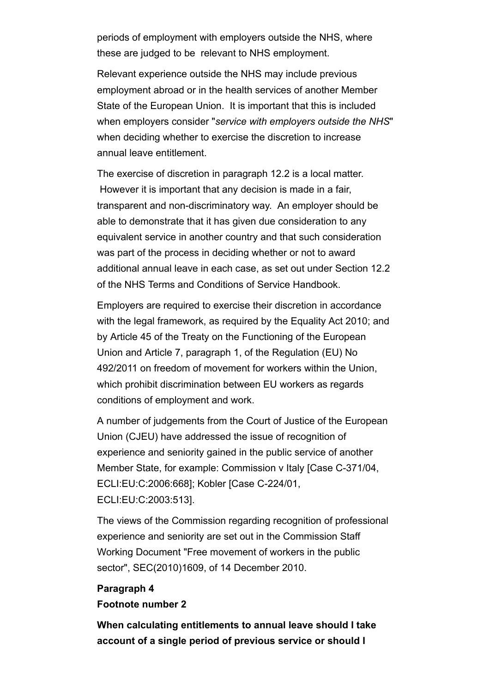periods of employment with employers outside the NHS, where these are judged to be relevant to NHS employment.

Relevant experience outside the NHS may include previous employment abroad or in the health services of another Member State of the European Union. It is important that this is included when employers consider "*service with employers outside the NHS*" when deciding whether to exercise the discretion to increase annual leave entitlement.

The exercise of discretion in paragraph 12.2 is a local matter. However it is important that any decision is made in a fair, transparent and non-discriminatory way. An employer should be able to demonstrate that it has given due consideration to any equivalent service in another country and that such consideration was part of the process in deciding whether or not to award additional annual leave in each case, as set out under Section 12.2 of the NHS Terms and Conditions of Service Handbook.

Employers are required to exercise their discretion in accordance with the legal framework, as required by the Equality Act 2010; and by Article 45 of the Treaty on the Functioning of the European Union and Article 7, paragraph 1, of the Regulation (EU) No 492/2011 on freedom of movement for workers within the Union, which prohibit discrimination between EU workers as regards conditions of employment and work.

A number of judgements from the Court of Justice of the European Union (CJEU) have addressed the issue of recognition of experience and seniority gained in the public service of another Member State, for example: Commission v Italy [Case C-371/04, ECLI:EU:C:2006:668]; Kobler [Case C-224/01, ECLI:EU:C:2003:513].

The views of the Commission regarding recognition of professional experience and seniority are set out in the Commission Staff Working Document "Free movement of workers in the public sector", SEC(2010)1609, of 14 December 2010.

### **Paragraph 4 Footnote number 2**

**When calculating entitlements to annual leave should I take account of a single period of previous service or should I**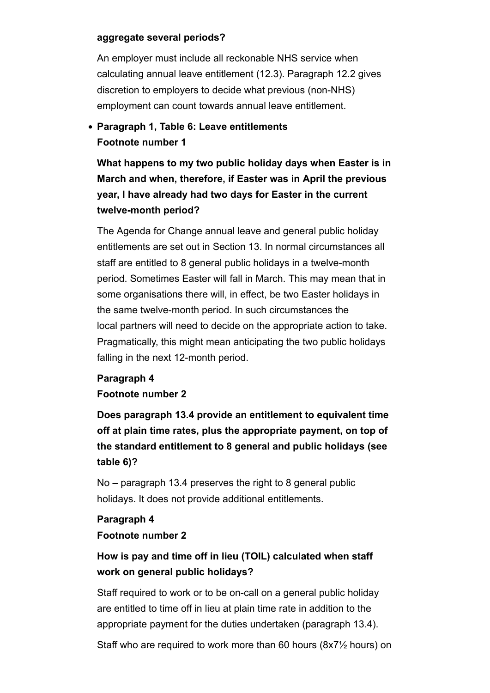#### **aggregate several periods?**

An employer must include all reckonable NHS service when calculating annual leave entitlement (12.3). Paragraph 12.2 gives discretion to employers to decide what previous (non-NHS) employment can count towards annual leave entitlement.

## **Paragraph 1, Table 6: Leave entitlements Footnote number 1**

**What happens to my two public holiday days when Easter is in March and when, therefore, if Easter was in April the previous year, I have already had two days for Easter in the current twelve-month period?**

The Agenda for Change annual leave and general public holiday entitlements are set out in Section 13. In normal circumstances all staff are entitled to 8 general public holidays in a twelve-month period. Sometimes Easter will fall in March. This may mean that in some organisations there will, in effect, be two Easter holidays in the same twelve-month period. In such circumstances the local partners will need to decide on the appropriate action to take. Pragmatically, this might mean anticipating the two public holidays falling in the next 12-month period.

### **Paragraph 4 Footnote number 2**

**Does paragraph 13.4 provide an entitlement to equivalent time off at plain time rates, plus the appropriate payment, on top of the standard entitlement to 8 general and public holidays (see table 6)?**

No – paragraph 13.4 preserves the right to 8 general public holidays. It does not provide additional entitlements.

## **Paragraph 4 Footnote number 2**

## **How is pay and time off in lieu (TOIL) calculated when staff work on general public holidays?**

Staff required to work or to be on-call on a general public holiday are entitled to time off in lieu at plain time rate in addition to the appropriate payment for the duties undertaken (paragraph 13.4).

Staff who are required to work more than 60 hours (8x7½ hours) on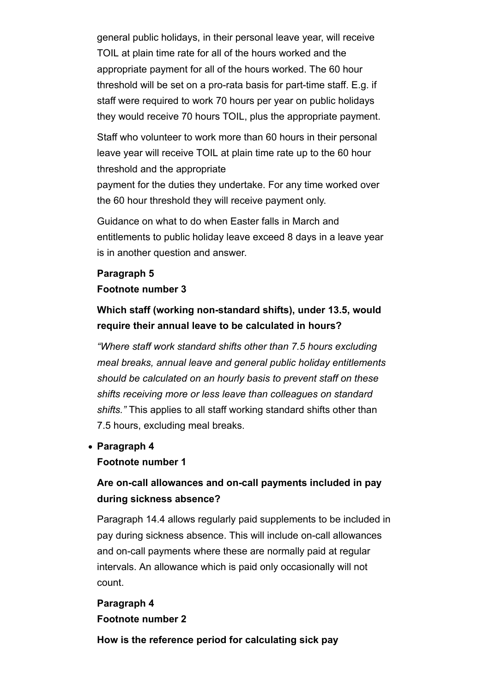general public holidays, in their personal leave year, will receive TOIL at plain time rate for all of the hours worked and the appropriate payment for all of the hours worked. The 60 hour threshold will be set on a pro-rata basis for part-time staff. E.g. if staff were required to work 70 hours per year on public holidays they would receive 70 hours TOIL, plus the appropriate payment.

Staff who volunteer to work more than 60 hours in their personal leave year will receive TOIL at plain time rate up to the 60 hour threshold and the appropriate

payment for the duties they undertake. For any time worked over the 60 hour threshold they will receive payment only.

Guidance on what to do when Easter falls in March and entitlements to public holiday leave exceed 8 days in a leave year is in another question and answer.

### **Paragraph 5 Footnote number 3**

**Which staff (working non-standard shifts), under 13.5, would require their annual leave to be calculated in hours?**

*"Where staff work standard shifts other than 7.5 hours excluding meal breaks, annual leave and general public holiday entitlements should be calculated on an hourly basis to prevent staff on these shifts receiving more or less leave than colleagues on standard shifts."* This applies to all staff working standard shifts other than 7.5 hours, excluding meal breaks.

**Paragraph 4**

### **Footnote number 1**

### **Are on-call allowances and on-call payments included in pay during sickness absence?**

Paragraph 14.4 allows regularly paid supplements to be included in pay during sickness absence. This will include on-call allowances and on-call payments where these are normally paid at regular intervals. An allowance which is paid only occasionally will not count.

### **Paragraph 4 Footnote number 2**

**How is the reference period for calculating sick pay**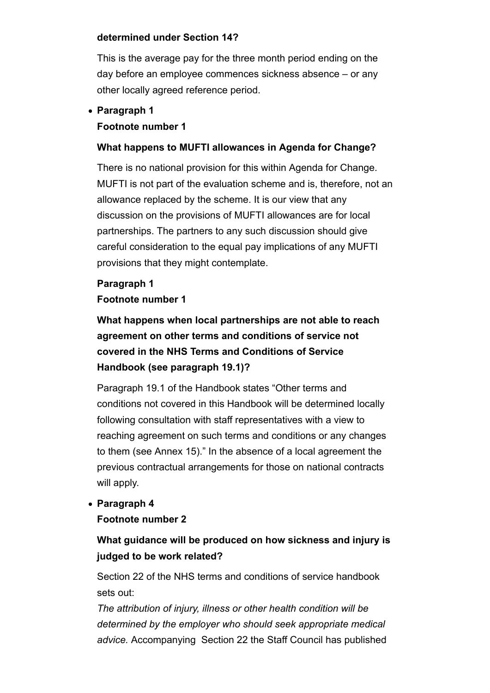#### **determined under Section 14?**

This is the average pay for the three month period ending on the day before an employee commences sickness absence – or any other locally agreed reference period.

### **Paragraph 1 Footnote number 1**

### **What happens to MUFTI allowances in Agenda for Change?**

There is no national provision for this within Agenda for Change. MUFTI is not part of the evaluation scheme and is, therefore, not an allowance replaced by the scheme. It is our view that any discussion on the provisions of MUFTI allowances are for local partnerships. The partners to any such discussion should give careful consideration to the equal pay implications of any MUFTI provisions that they might contemplate.

# **Paragraph 1**

### **Footnote number 1**

**What happens when local partnerships are not able to reach agreement on other terms and conditions of service not covered in the NHS Terms and Conditions of Service Handbook (see paragraph 19.1)?**

Paragraph 19.1 of the Handbook states "Other terms and conditions not covered in this Handbook will be determined locally following consultation with staff representatives with a view to reaching agreement on such terms and conditions or any changes to them (see Annex 15)." In the absence of a local agreement the previous contractual arrangements for those on national contracts will apply.

**Paragraph 4**

### **Footnote number 2**

## **What guidance will be produced on how sickness and injury is judged to be work related?**

Section 22 of the NHS terms and conditions of service handbook sets out:

*The attribution of injury, illness or other health condition will be determined by the employer who should seek appropriate medical advice.* Accompanying Section 22 the Staff Council has published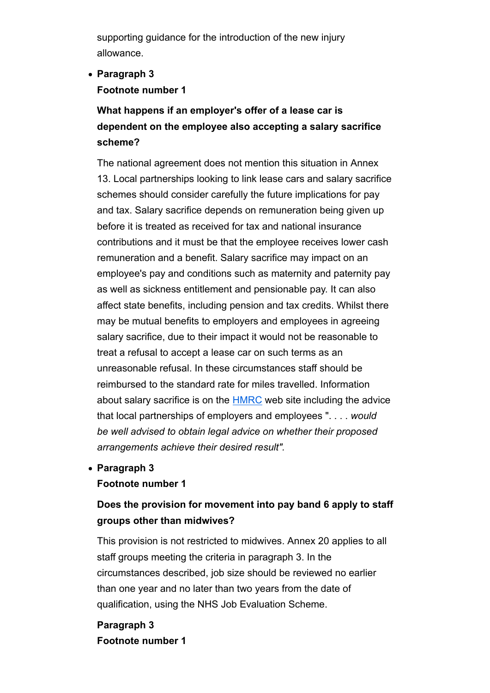supporting guidance for the introduction of the new injury allowance.

### **Paragraph 3 Footnote number 1**

## **What happens if an employer's offer of a lease car is dependent on the employee also accepting a salary sacrifice scheme?**

The national agreement does not mention this situation in Annex 13. Local partnerships looking to link lease cars and salary sacrifice schemes should consider carefully the future implications for pay and tax. Salary sacrifice depends on remuneration being given up before it is treated as received for tax and national insurance contributions and it must be that the employee receives lower cash remuneration and a benefit. Salary sacrifice may impact on an employee's pay and conditions such as maternity and paternity pay as well as sickness entitlement and pensionable pay. It can also affect state benefits, including pension and tax credits. Whilst there may be mutual benefits to employers and employees in agreeing salary sacrifice, due to their impact it would not be reasonable to treat a refusal to accept a lease car on such terms as an unreasonable refusal. In these circumstances staff should be reimbursed to the standard rate for miles travelled. Information about salary sacrifice is on the HMRC web site including the advice that local partnerships of employers and employees ". . . . *would be well advised to obtain legal advice on whether their proposed arrangements achieve their desired result".*

### **Paragraph 3**

### **Footnote number 1**

## **Does the provision for movement into pay band 6 apply to staff groups other than midwives?**

This provision is not restricted to midwives. Annex 20 applies to all staff groups meeting the criteria in paragraph 3. In the circumstances described, job size should be reviewed no earlier than one year and no later than two years from the date of qualification, using the NHS Job Evaluation Scheme.

**Paragraph 3 Footnote number 1**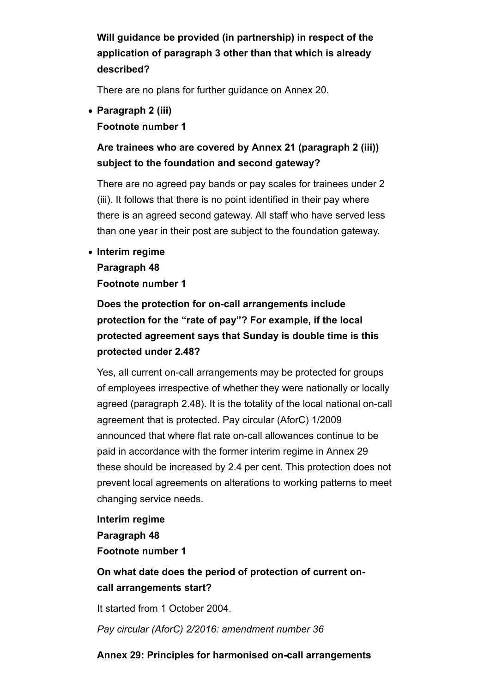**Will guidance be provided (in partnership) in respect of the application of paragraph 3 other than that which is already described?**

There are no plans for further guidance on Annex 20.

**Paragraph 2 (iii) Footnote number 1**

## **Are trainees who are covered by Annex 21 (paragraph 2 (iii)) subject to the foundation and second gateway?**

There are no agreed pay bands or pay scales for trainees under 2 (iii). It follows that there is no point identified in their pay where there is an agreed second gateway. All staff who have served less than one year in their post are subject to the foundation gateway.

**Interim regime**

#### **Paragraph 48**

**Footnote number 1**

**Does the protection for on-call arrangements include protection for the "rate of pay"? For example, if the local protected agreement says that Sunday is double time is this protected under 2.48?**

Yes, all current on-call arrangements may be protected for groups of employees irrespective of whether they were nationally or locally agreed (paragraph 2.48). It is the totality of the local national on-call agreement that is protected. Pay circular (AforC) 1/2009 announced that where flat rate on-call allowances continue to be paid in accordance with the former interim regime in Annex 29 these should be increased by 2.4 per cent. This protection does not prevent local agreements on alterations to working patterns to meet changing service needs.

**Interim regime Paragraph 48 Footnote number 1**

**On what date does the period of protection of current oncall arrangements start?**

It started from 1 October 2004.

*Pay circular (AforC) 2/2016: amendment number 36*

### **Annex 29: Principles for harmonised on-call arrangements**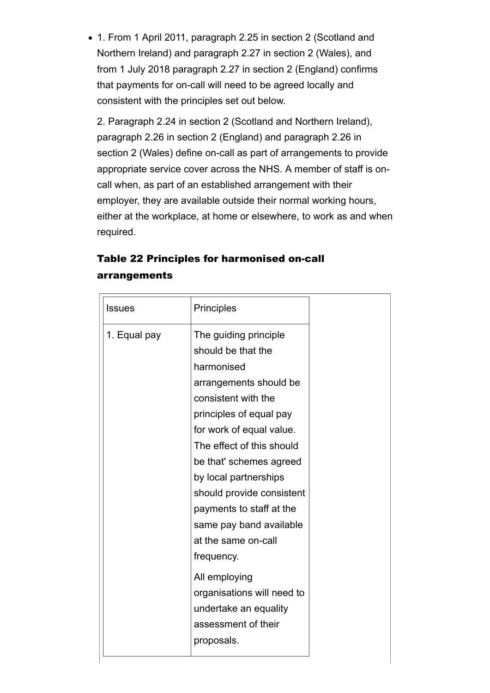1. From 1 April 2011, paragraph 2.25 in section 2 (Scotland and Northern Ireland) and paragraph 2.27 in section 2 (Wales), and from 1 July 2018 paragraph 2.27 in section 2 (England) confirms that payments for on-call will need to be agreed locally and consistent with the principles set out below.

2. Paragraph 2.24 in section 2 (Scotland and Northern Ireland), paragraph 2.26 in section 2 (England) and paragraph 2.26 in section 2 (Wales) define on-call as part of arrangements to provide appropriate service cover across the NHS. A member of staff is oncall when, as part of an established arrangement with their employer, they are available outside their normal working hours, either at the workplace, at home or elsewhere, to work as and when required.

| <b>Issues</b> | <b>Principles</b>                                                                                                                                                                                                                                                                                                                                                                                                                                                                        |
|---------------|------------------------------------------------------------------------------------------------------------------------------------------------------------------------------------------------------------------------------------------------------------------------------------------------------------------------------------------------------------------------------------------------------------------------------------------------------------------------------------------|
| 1. Equal pay  | The guiding principle<br>should be that the<br>harmonised<br>arrangements should be<br>consistent with the<br>principles of equal pay<br>for work of equal value.<br>The effect of this should<br>be that' schemes agreed<br>by local partnerships<br>should provide consistent<br>payments to staff at the<br>same pay band available<br>at the same on-call<br>frequency.<br>All employing<br>organisations will need to<br>undertake an equality<br>assessment of their<br>proposals. |

### Table 22 Principles for harmonised on-call arrangements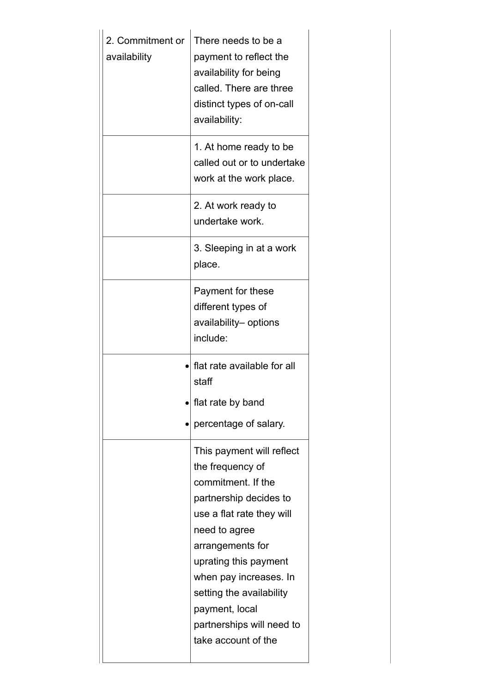| 2. Commitment or<br>availability | There needs to be a<br>payment to reflect the<br>availability for being<br>called. There are three<br>distinct types of on-call<br>availability:<br>1. At home ready to be<br>called out or to undertake<br>work at the work place.                                                                                  |
|----------------------------------|----------------------------------------------------------------------------------------------------------------------------------------------------------------------------------------------------------------------------------------------------------------------------------------------------------------------|
|                                  | 2. At work ready to<br>undertake work.                                                                                                                                                                                                                                                                               |
|                                  | 3. Sleeping in at a work<br>place.                                                                                                                                                                                                                                                                                   |
|                                  | Payment for these<br>different types of<br>availability- options<br>include:                                                                                                                                                                                                                                         |
|                                  | flat rate available for all<br>staff<br>flat rate by band<br>percentage of salary.                                                                                                                                                                                                                                   |
|                                  | This payment will reflect<br>the frequency of<br>commitment. If the<br>partnership decides to<br>use a flat rate they will<br>need to agree<br>arrangements for<br>uprating this payment<br>when pay increases. In<br>setting the availability<br>payment, local<br>partnerships will need to<br>take account of the |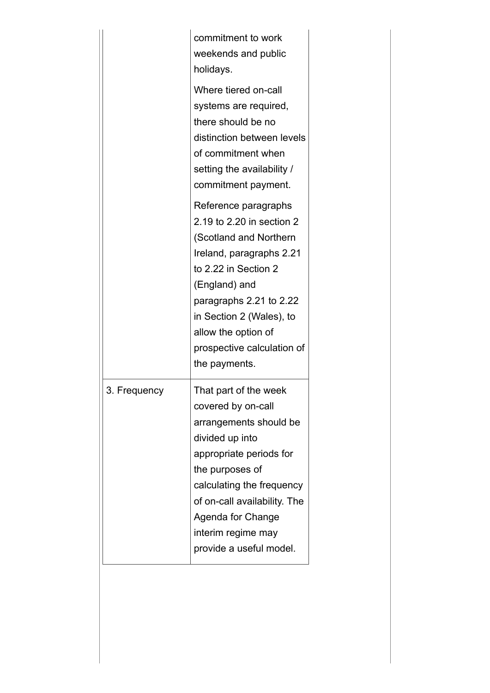|              | commitment to work<br>weekends and public<br>holidays.                                                                                                                                                                                                                        |
|--------------|-------------------------------------------------------------------------------------------------------------------------------------------------------------------------------------------------------------------------------------------------------------------------------|
|              | Where tiered on-call<br>systems are required,<br>there should be no<br>distinction between levels<br>of commitment when<br>setting the availability /<br>commitment payment.                                                                                                  |
|              | Reference paragraphs<br>2.19 to 2.20 in section 2<br>(Scotland and Northern<br>Ireland, paragraphs 2.21<br>to 2.22 in Section 2<br>(England) and<br>paragraphs 2.21 to 2.22<br>in Section 2 (Wales), to<br>allow the option of<br>prospective calculation of<br>the payments. |
| 3. Frequency | That part of the week<br>covered by on-call<br>arrangements should be<br>divided up into<br>appropriate periods for<br>the purposes of<br>calculating the frequency<br>of on-call availability. The<br>Agenda for Change<br>interim regime may<br>provide a useful model.     |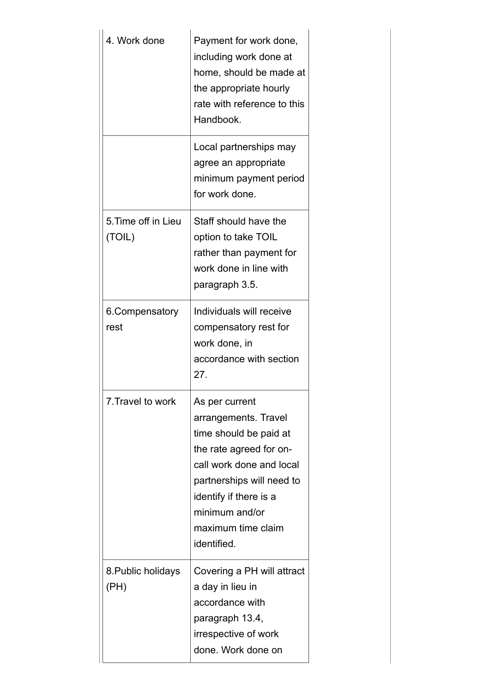| 4. Work done                  | Payment for work done,<br>including work done at<br>home, should be made at<br>the appropriate hourly<br>rate with reference to this<br>Handbook.<br>Local partnerships may                                                           |
|-------------------------------|---------------------------------------------------------------------------------------------------------------------------------------------------------------------------------------------------------------------------------------|
|                               | agree an appropriate<br>minimum payment period<br>for work done.                                                                                                                                                                      |
| 5. Time off in Lieu<br>(TOIL) | Staff should have the<br>option to take TOIL<br>rather than payment for<br>work done in line with<br>paragraph 3.5.                                                                                                                   |
| 6. Compensatory<br>rest       | Individuals will receive<br>compensatory rest for<br>work done, in<br>accordance with section<br>27.                                                                                                                                  |
| 7.Travel to work              | As per current<br>arrangements. Travel<br>time should be paid at<br>the rate agreed for on-<br>call work done and local<br>partnerships will need to<br>identify if there is a<br>minimum and/or<br>maximum time claim<br>identified. |
| 8. Public holidays<br>(PH)    | Covering a PH will attract<br>a day in lieu in<br>accordance with<br>paragraph 13.4,<br>irrespective of work<br>done. Work done on                                                                                                    |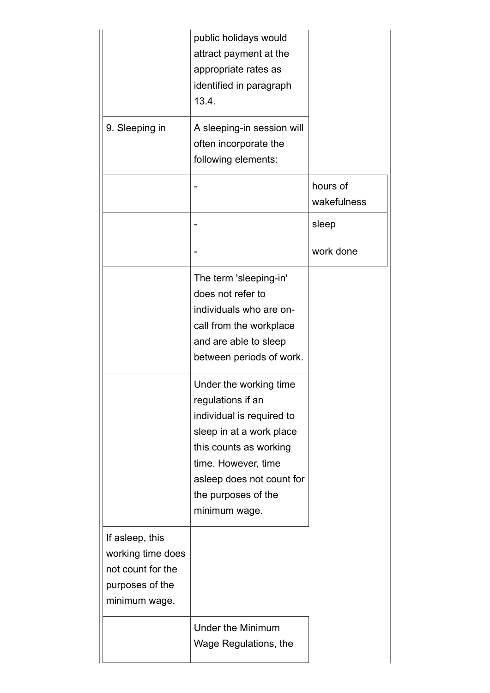|                                                                                               | public holidays would<br>attract payment at the<br>appropriate rates as<br>identified in paragraph<br>13.4.                                                                                                                |                         |
|-----------------------------------------------------------------------------------------------|----------------------------------------------------------------------------------------------------------------------------------------------------------------------------------------------------------------------------|-------------------------|
| 9. Sleeping in                                                                                | A sleeping-in session will<br>often incorporate the<br>following elements:                                                                                                                                                 |                         |
|                                                                                               |                                                                                                                                                                                                                            | hours of<br>wakefulness |
|                                                                                               |                                                                                                                                                                                                                            | sleep                   |
|                                                                                               |                                                                                                                                                                                                                            | work done               |
|                                                                                               | The term 'sleeping-in'<br>does not refer to<br>individuals who are on-<br>call from the workplace<br>and are able to sleep<br>between periods of work.                                                                     |                         |
|                                                                                               | Under the working time<br>regulations if an<br>individual is required to<br>sleep in at a work place<br>this counts as working<br>time. However, time<br>asleep does not count for<br>the purposes of the<br>minimum wage. |                         |
| If asleep, this<br>working time does<br>not count for the<br>purposes of the<br>minimum wage. |                                                                                                                                                                                                                            |                         |
|                                                                                               | <b>Under the Minimum</b><br>Wage Regulations, the                                                                                                                                                                          |                         |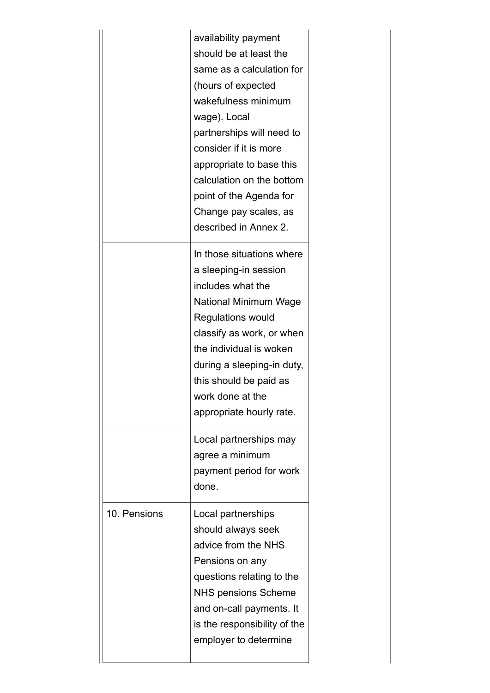|              | availability payment<br>should be at least the<br>same as a calculation for<br>(hours of expected<br>wakefulness minimum<br>wage). Local<br>partnerships will need to<br>consider if it is more<br>appropriate to base this<br>calculation on the bottom<br>point of the Agenda for<br>Change pay scales, as<br>described in Annex 2. |
|--------------|---------------------------------------------------------------------------------------------------------------------------------------------------------------------------------------------------------------------------------------------------------------------------------------------------------------------------------------|
|              | In those situations where<br>a sleeping-in session<br>includes what the<br>National Minimum Wage<br><b>Regulations would</b><br>classify as work, or when<br>the individual is woken<br>during a sleeping-in duty,<br>this should be paid as<br>work done at the<br>appropriate hourly rate.                                          |
|              | Local partnerships may<br>agree a minimum<br>payment period for work<br>done.                                                                                                                                                                                                                                                         |
| 10. Pensions | Local partnerships<br>should always seek<br>advice from the NHS<br>Pensions on any<br>questions relating to the<br><b>NHS pensions Scheme</b><br>and on-call payments. It<br>is the responsibility of the<br>employer to determine                                                                                                    |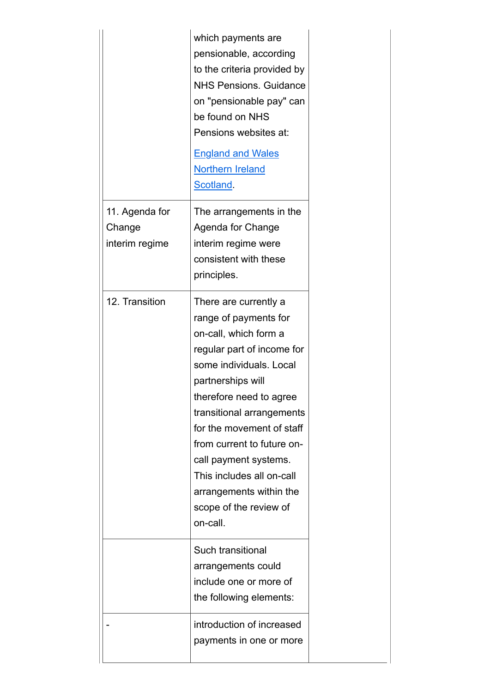|                                            | which payments are<br>pensionable, according<br>to the criteria provided by<br><b>NHS Pensions. Guidance</b><br>on "pensionable pay" can<br>be found on NHS<br>Pensions websites at:<br><b>England and Wales</b><br><b>Northern Ireland</b><br>Scotland.                                                                                                                                        |
|--------------------------------------------|-------------------------------------------------------------------------------------------------------------------------------------------------------------------------------------------------------------------------------------------------------------------------------------------------------------------------------------------------------------------------------------------------|
| 11. Agenda for<br>Change<br>interim regime | The arrangements in the<br>Agenda for Change<br>interim regime were<br>consistent with these<br>principles.                                                                                                                                                                                                                                                                                     |
| 12. Transition                             | There are currently a<br>range of payments for<br>on-call, which form a<br>regular part of income for<br>some individuals. Local<br>partnerships will<br>therefore need to agree<br>transitional arrangements<br>for the movement of staff<br>from current to future on-<br>call payment systems.<br>This includes all on-call<br>arrangements within the<br>scope of the review of<br>on-call. |
|                                            | Such transitional<br>arrangements could<br>include one or more of<br>the following elements:                                                                                                                                                                                                                                                                                                    |
|                                            | introduction of increased<br>payments in one or more                                                                                                                                                                                                                                                                                                                                            |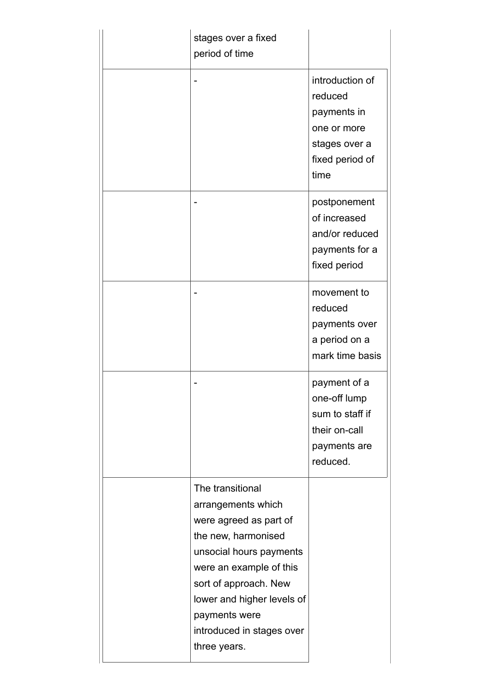|  | stages over a fixed<br>period of time                                                                                                                                                                                                                              |                                                                                                      |
|--|--------------------------------------------------------------------------------------------------------------------------------------------------------------------------------------------------------------------------------------------------------------------|------------------------------------------------------------------------------------------------------|
|  |                                                                                                                                                                                                                                                                    | introduction of<br>reduced<br>payments in<br>one or more<br>stages over a<br>fixed period of<br>time |
|  |                                                                                                                                                                                                                                                                    | postponement<br>of increased<br>and/or reduced<br>payments for a<br>fixed period                     |
|  |                                                                                                                                                                                                                                                                    | movement to<br>reduced<br>payments over<br>a period on a<br>mark time basis                          |
|  |                                                                                                                                                                                                                                                                    | payment of a<br>one-off lump<br>sum to staff if<br>their on-call<br>payments are<br>reduced.         |
|  | The transitional<br>arrangements which<br>were agreed as part of<br>the new, harmonised<br>unsocial hours payments<br>were an example of this<br>sort of approach. New<br>lower and higher levels of<br>payments were<br>introduced in stages over<br>three years. |                                                                                                      |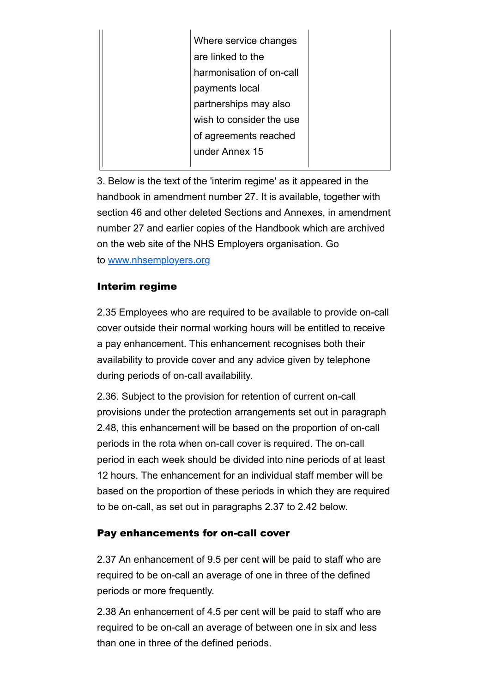| Where service changes    |  |
|--------------------------|--|
| are linked to the        |  |
| harmonisation of on-call |  |
| payments local           |  |
| partnerships may also    |  |
| wish to consider the use |  |
| of agreements reached    |  |
| under Annex 15           |  |
|                          |  |

3. Below is the text of the 'interim regime' as it appeared in the handbook in amendment number 27. It is available, together with section 46 and other deleted Sections and Annexes, in amendment number 27 and earlier copies of the Handbook which are archived on the web site of the NHS Employers organisation. Go to www.nhsemployers.org

### Interim regime

2.35 Employees who are required to be available to provide on-call cover outside their normal working hours will be entitled to receive a pay enhancement. This enhancement recognises both their availability to provide cover and any advice given by telephone during periods of on-call availability.

2.36. Subject to the provision for retention of current on-call provisions under the protection arrangements set out in paragraph 2.48, this enhancement will be based on the proportion of on-call periods in the rota when on-call cover is required. The on-call period in each week should be divided into nine periods of at least 12 hours. The enhancement for an individual staff member will be based on the proportion of these periods in which they are required to be on-call, as set out in paragraphs 2.37 to 2.42 below.

## Pay enhancements for on-call cover

2.37 An enhancement of 9.5 per cent will be paid to staff who are required to be on-call an average of one in three of the defined periods or more frequently.

2.38 An enhancement of 4.5 per cent will be paid to staff who are required to be on-call an average of between one in six and less than one in three of the defined periods.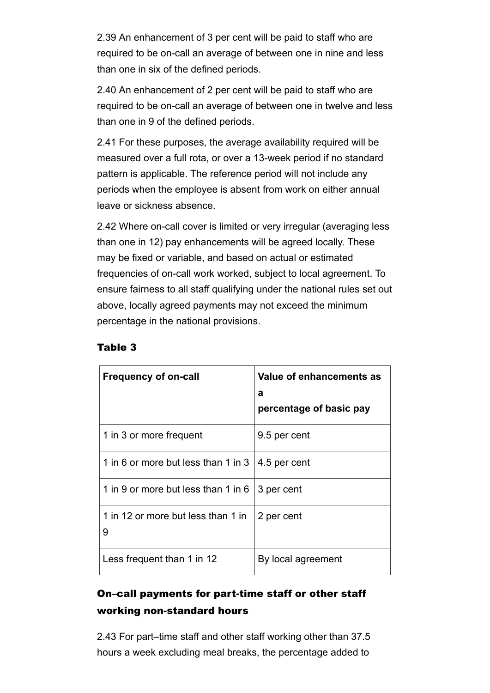2.39 An enhancement of 3 per cent will be paid to staff who are required to be on-call an average of between one in nine and less than one in six of the defined periods.

2.40 An enhancement of 2 per cent will be paid to staff who are required to be on-call an average of between one in twelve and less than one in 9 of the defined periods.

2.41 For these purposes, the average availability required will be measured over a full rota, or over a 13-week period if no standard pattern is applicable. The reference period will not include any periods when the employee is absent from work on either annual leave or sickness absence.

2.42 Where on-call cover is limited or very irregular (averaging less than one in 12) pay enhancements will be agreed locally. These may be fixed or variable, and based on actual or estimated frequencies of on-call work worked, subject to local agreement. To ensure fairness to all staff qualifying under the national rules set out above, locally agreed payments may not exceed the minimum percentage in the national provisions.

| <b>Frequency of on-call</b>             | Value of enhancements as<br>a<br>percentage of basic pay |
|-----------------------------------------|----------------------------------------------------------|
| 1 in 3 or more frequent                 | 9.5 per cent                                             |
| 1 in 6 or more but less than 1 in 3     | 4.5 per cent                                             |
| 1 in 9 or more but less than 1 in 6     | 3 per cent                                               |
| 1 in 12 or more but less than 1 in<br>9 | 2 per cent                                               |
| Less frequent than 1 in 12              | By local agreement                                       |

#### Table 3

# On–call payments for part-time staff or other staff working non-standard hours

2.43 For part–time staff and other staff working other than 37.5 hours a week excluding meal breaks, the percentage added to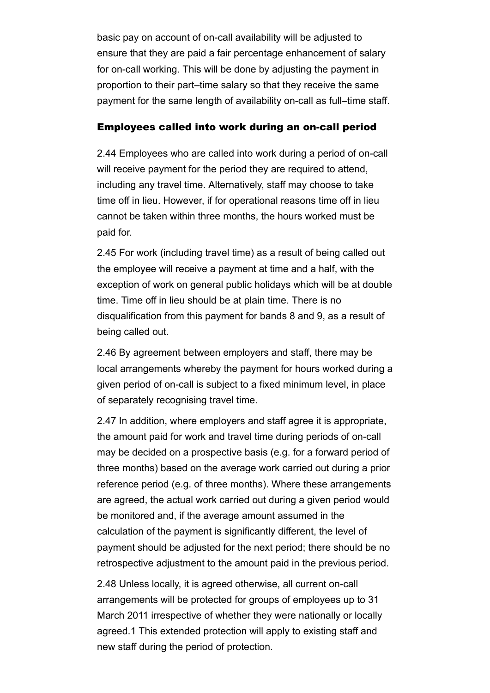basic pay on account of on-call availability will be adjusted to ensure that they are paid a fair percentage enhancement of salary for on-call working. This will be done by adjusting the payment in proportion to their part–time salary so that they receive the same payment for the same length of availability on-call as full–time staff.

#### Employees called into work during an on-call period

2.44 Employees who are called into work during a period of on-call will receive payment for the period they are required to attend. including any travel time. Alternatively, staff may choose to take time off in lieu. However, if for operational reasons time off in lieu cannot be taken within three months, the hours worked must be paid for.

2.45 For work (including travel time) as a result of being called out the employee will receive a payment at time and a half, with the exception of work on general public holidays which will be at double time. Time off in lieu should be at plain time. There is no disqualification from this payment for bands 8 and 9, as a result of being called out.

2.46 By agreement between employers and staff, there may be local arrangements whereby the payment for hours worked during a given period of on-call is subject to a fixed minimum level, in place of separately recognising travel time.

2.47 In addition, where employers and staff agree it is appropriate, the amount paid for work and travel time during periods of on-call may be decided on a prospective basis (e.g. for a forward period of three months) based on the average work carried out during a prior reference period (e.g. of three months). Where these arrangements are agreed, the actual work carried out during a given period would be monitored and, if the average amount assumed in the calculation of the payment is significantly different, the level of payment should be adjusted for the next period; there should be no retrospective adjustment to the amount paid in the previous period.

2.48 Unless locally, it is agreed otherwise, all current on-call arrangements will be protected for groups of employees up to 31 March 2011 irrespective of whether they were nationally or locally agreed.1 This extended protection will apply to existing staff and new staff during the period of protection.